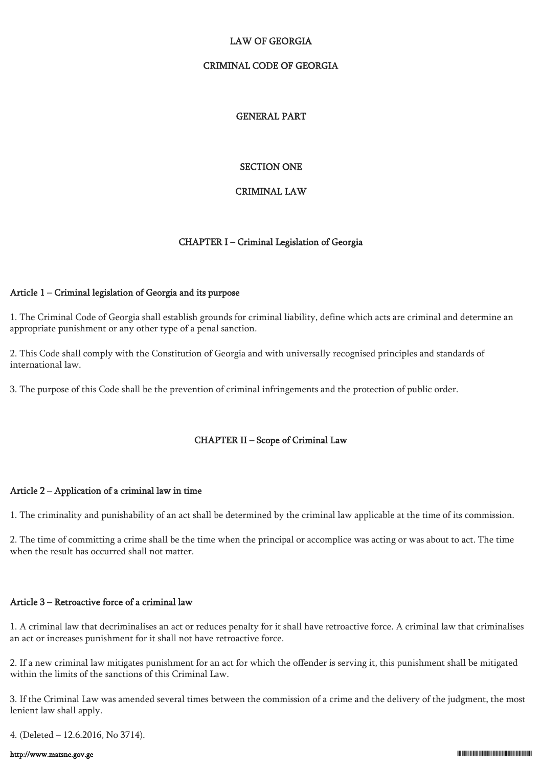### LAW OF GEORGIA

#### CRIMINAL CODE OF GEORGIA

#### GENERAL PART

#### SECTION ONE

#### CRIMINAL LAW

#### CHAPTER I – Criminal Legislation of Georgia

#### Article 1 – Criminal legislation of Georgia and its purpose

1. The Criminal Code of Georgia shall establish grounds for criminal liability, define which acts are criminal and determine an appropriate punishment or any other type of a penal sanction.

2. This Code shall comply with the Constitution of Georgia and with universally recognised principles and standards of international law.

3. The purpose of this Code shall be the prevention of criminal infringements and the protection of public order.

### CHAPTER II – Scope of Criminal Law

#### Article 2 – Application of a criminal law in time

1. The criminality and punishability of an act shall be determined by the criminal law applicable at the time of its commission.

2. The time of committing a crime shall be the time when the principal or accomplice was acting or was about to act. The time when the result has occurred shall not matter.

### Article 3 – Retroactive force of a criminal law

1. A criminal law that decriminalises an act or reduces penalty for it shall have retroactive force. A criminal law that criminalises an act or increases punishment for it shall not have retroactive force.

2. If a new criminal law mitigates punishment for an act for which the offender is serving it, this punishment shall be mitigated within the limits of the sanctions of this Criminal Law.

3. If the Criminal Law was amended several times between the commission of a crime and the delivery of the judgment, the most lenient law shall apply.

4. (Deleted – 12.6.2016, No 3714).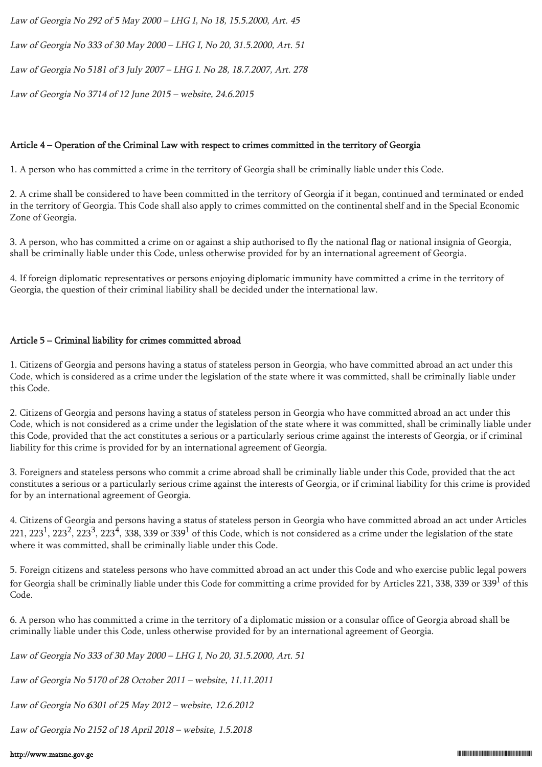Law of Georgia No 292 of 5 May 2000 – LHG I, No 18, 15.5.2000, Art. 45

Law of Georgia No 333 of 30 May 2000 – LHG I, No 20, 31.5.2000, Art. 51

Law of Georgia No 5181 of 3 July 2007 – LHG I. No 28, 18.7.2007, Art. 278

Law of Georgia No 3714 of 12 June 2015 – website, 24.6.2015

#### Article 4 – Operation of the Criminal Law with respect to crimes committed in the territory of Georgia

1. A person who has committed a crime in the territory of Georgia shall be criminally liable under this Code.

2. A crime shall be considered to have been committed in the territory of Georgia if it began, continued and terminated or ended in the territory of Georgia. This Code shall also apply to crimes committed on the continental shelf and in the Special Economic Zone of Georgia.

3. A person, who has committed a crime on or against a ship authorised to fly the national flag or national insignia of Georgia, shall be criminally liable under this Code, unless otherwise provided for by an international agreement of Georgia.

4. If foreign diplomatic representatives or persons enjoying diplomatic immunity have committed a crime in the territory of Georgia, the question of their criminal liability shall be decided under the international law.

### Article 5 – Criminal liability for crimes committed abroad

1. Citizens of Georgia and persons having a status of stateless person in Georgia, who have committed abroad an act under this Code, which is considered as a crime under the legislation of the state where it was committed, shall be criminally liable under this Code.

2. Citizens of Georgia and persons having a status of stateless person in Georgia who have committed abroad an act under this Code, which is not considered as a crime under the legislation of the state where it was committed, shall be criminally liable under this Code, provided that the act constitutes a serious or a particularly serious crime against the interests of Georgia, or if criminal liability for this crime is provided for by an international agreement of Georgia.

3. Foreigners and stateless persons who commit a crime abroad shall be criminally liable under this Code, provided that the act constitutes a serious or a particularly serious crime against the interests of Georgia, or if criminal liability for this crime is provided for by an international agreement of Georgia.

4. Citizens of Georgia and persons having a status of stateless person in Georgia who have committed abroad an act under Articles 221, 223<sup>1</sup>, 223<sup>2</sup>, 223<sup>3</sup>, 223<sup>4</sup>, 338, 339 or 339<sup>1</sup> of this Code, which is not considered as a crime under the legislation of the state where it was committed, shall be criminally liable under this Code.

5. Foreign citizens and stateless persons who have committed abroad an act under this Code and who exercise public legal powers for Georgia shall be criminally liable under this Code for committing a crime provided for by Articles 221, 338, 339 or 339 $^{\rm l}$  of this Code.

6. A person who has committed a crime in the territory of a diplomatic mission or a consular office of Georgia abroad shall be criminally liable under this Code, unless otherwise provided for by an international agreement of Georgia.

Law of Georgia No 333 of 30 May 2000 – LHG I, No 20, 31.5.2000, Art. 51

Law of Georgia No 5170 of 28 October 2011 – website, 11.11.2011

Law of Georgia No 6301 of 25 May 2012 – website, 12.6.2012

Law of Georgia No 2152 of 18 April 2018 – website, 1.5.2018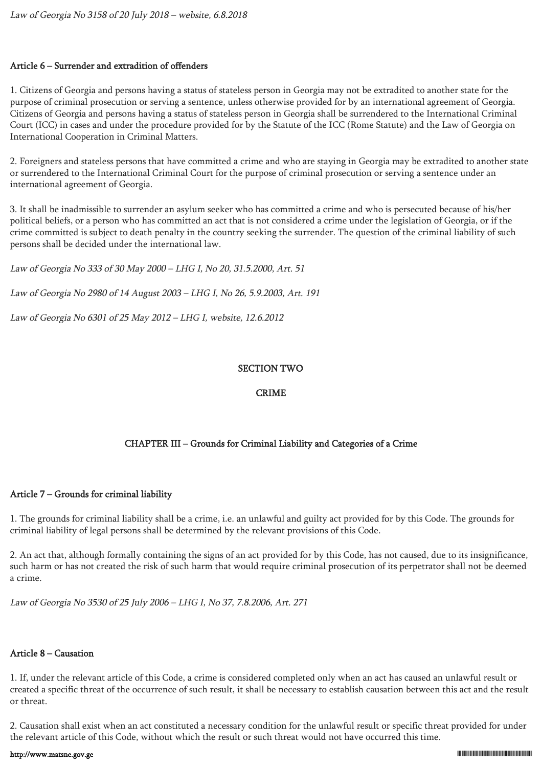#### Article 6 – Surrender and extradition of offenders

1. Citizens of Georgia and persons having a status of stateless person in Georgia may not be extradited to another state for the purpose of criminal prosecution or serving a sentence, unless otherwise provided for by an international agreement of Georgia. Citizens of Georgia and persons having a status of stateless person in Georgia shall be surrendered to the International Criminal Court (ICC) in cases and under the procedure provided for by the Statute of the ICC (Rome Statute) and the Law of Georgia on International Cooperation in Criminal Matters.

2. Foreigners and stateless persons that have committed a crime and who are staying in Georgia may be extradited to another state or surrendered to the International Criminal Court for the purpose of criminal prosecution or serving a sentence under an international agreement of Georgia.

3. It shall be inadmissible to surrender an asylum seeker who has committed a crime and who is persecuted because of his/her political beliefs, or a person who has committed an act that is not considered a crime under the legislation of Georgia, or if the crime committed is subject to death penalty in the country seeking the surrender. The question of the criminal liability of such persons shall be decided under the international law.

Law of Georgia No 333 of 30 May 2000 – LHG I, No 20, 31.5.2000, Art. 51

Law of Georgia No 2980 of 14 August 2003 – LHG I, No 26, 5.9.2003, Art. 191

Law of Georgia No 6301 of 25 May 2012 – LHG I, website, 12.6.2012

#### SECTION TWO

#### CRIME

### CHAPTER III – Grounds for Criminal Liability and Categories of a Crime

#### Article 7 – Grounds for criminal liability

1. The grounds for criminal liability shall be a crime, i.e. an unlawful and guilty act provided for by this Code. The grounds for criminal liability of legal persons shall be determined by the relevant provisions of this Code.

2. An act that, although formally containing the signs of an act provided for by this Code, has not caused, due to its insignificance, such harm or has not created the risk of such harm that would require criminal prosecution of its perpetrator shall not be deemed a crime.

Law of Georgia No 3530 of 25 July 2006 – LHG I, No 37, 7.8.2006, Art. 271

### Article 8 – Causation

1. If, under the relevant article of this Code, a crime is considered completed only when an act has caused an unlawful result or created a specific threat of the occurrence of such result, it shall be necessary to establish causation between this act and the result or threat.

2. Causation shall exist when an act constituted a necessary condition for the unlawful result or specific threat provided for under the relevant article of this Code, without which the result or such threat would not have occurred this time.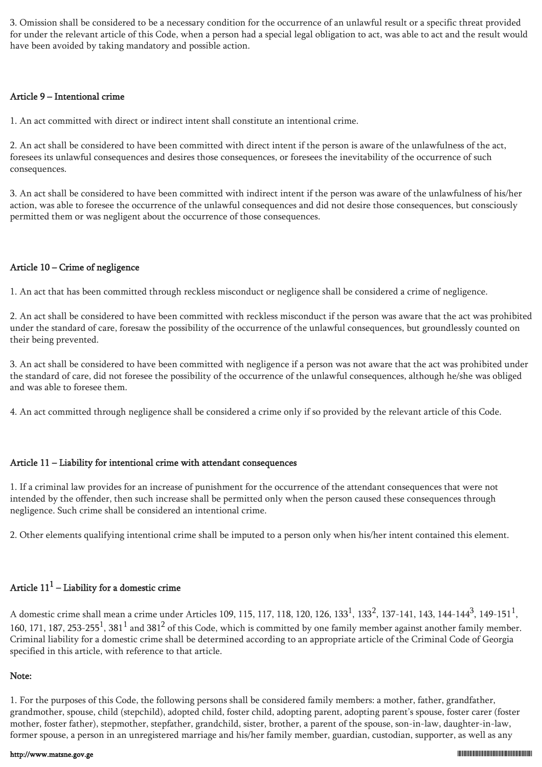3. Omission shall be considered to be a necessary condition for the occurrence of an unlawful result or a specific threat provided for under the relevant article of this Code, when a person had a special legal obligation to act, was able to act and the result would have been avoided by taking mandatory and possible action.

### Article 9 – Intentional crime

1. An act committed with direct or indirect intent shall constitute an intentional crime.

2. An act shall be considered to have been committed with direct intent if the person is aware of the unlawfulness of the act, foresees its unlawful consequences and desires those consequences, or foresees the inevitability of the occurrence of such consequences.

3. An act shall be considered to have been committed with indirect intent if the person was aware of the unlawfulness of his/her action, was able to foresee the occurrence of the unlawful consequences and did not desire those consequences, but consciously permitted them or was negligent about the occurrence of those consequences.

### Article 10 – Crime of negligence

1. An act that has been committed through reckless misconduct or negligence shall be considered a crime of negligence.

2. An act shall be considered to have been committed with reckless misconduct if the person was aware that the act was prohibited under the standard of care, foresaw the possibility of the occurrence of the unlawful consequences, but groundlessly counted on their being prevented.

3. An act shall be considered to have been committed with negligence if a person was not aware that the act was prohibited under the standard of care, did not foresee the possibility of the occurrence of the unlawful consequences, although he/she was obliged and was able to foresee them.

4. An act committed through negligence shall be considered a crime only if so provided by the relevant article of this Code.

### Article 11 – Liability for intentional crime with attendant consequences

1. If a criminal law provides for an increase of punishment for the occurrence of the attendant consequences that were not intended by the offender, then such increase shall be permitted only when the person caused these consequences through negligence. Such crime shall be considered an intentional crime.

2. Other elements qualifying intentional crime shall be imputed to a person only when his/her intent contained this element.

# Article  $11^1$  – Liability for a domestic crime

A domestic crime shall mean a crime under Articles 109, 115, 117, 118, 120, 126, 133<sup>1</sup>, 133<sup>2</sup>, 137-141, 143, 144-144<sup>3</sup>, 149-151<sup>1</sup>, 160, 171, 187, 253-255<sup>1</sup>, 381<sup>1</sup> and 381<sup>2</sup> of this Code, which is committed by one family member against another family member. Criminal liability for a domestic crime shall be determined according to an appropriate article of the Criminal Code of Georgia specified in this article, with reference to that article.

### Note:

1. For the purposes of this Code, the following persons shall be considered family members: a mother, father, grandfather, grandmother, spouse, child (stepchild), adopted child, foster child, adopting parent, adopting parent's spouse, foster carer (foster mother, foster father), stepmother, stepfather, grandchild, sister, brother, a parent of the spouse, son-in-law, daughter-in-law, former spouse, a person in an unregistered marriage and his/her family member, guardian, custodian, supporter, as well as any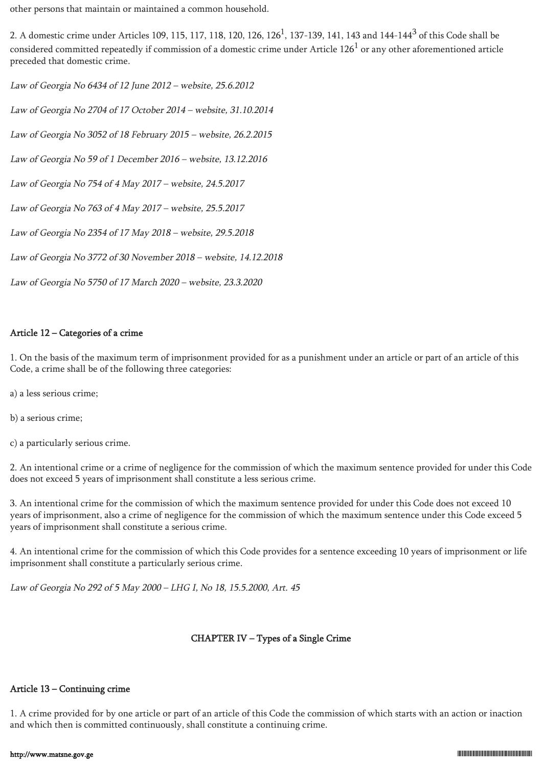other persons that maintain or maintained a common household.

2. A domestic crime under Articles 109, 115, 117, 118, 120, 126, 126<sup>1</sup>, 137-139, 141, 143 and 144-144<sup>3</sup> of this Code shall be considered committed repeatedly if commission of a domestic crime under Article  $126^1$  or any other aforementioned article preceded that domestic crime.

Law of Georgia No 6434 of 12 June 2012 – website, 25.6.2012 Law of Georgia No 2704 of 17 October 2014 – website, 31.10.2014 Law of Georgia No 3052 of 18 February 2015 – website, 26.2.2015 Law of Georgia No 59 of 1 December 2016 – website, 13.12.2016 Law of Georgia No 754 of 4 May 2017 – website, 24.5.2017 Law of Georgia No 763 of 4 May 2017 – website, 25.5.2017 Law of Georgia No 2354 of 17 May 2018 – website, 29.5.2018 Law of Georgia No 3772 of 30 November 2018 – website, 14.12.2018 Law of Georgia No 5750 of 17 March 2020 – website, 23.3.2020

### Article 12 – Categories of a crime

1. On the basis of the maximum term of imprisonment provided for as a punishment under an article or part of an article of this Code, a crime shall be of the following three categories:

- a) a less serious crime;
- b) a serious crime;
- c) a particularly serious crime.

2. An intentional crime or a crime of negligence for the commission of which the maximum sentence provided for under this Code does not exceed 5 years of imprisonment shall constitute a less serious crime.

3. An intentional crime for the commission of which the maximum sentence provided for under this Code does not exceed 10 years of imprisonment, also a crime of negligence for the commission of which the maximum sentence under this Code exceed 5 years of imprisonment shall constitute a serious crime.

4. An intentional crime for the commission of which this Code provides for a sentence exceeding 10 years of imprisonment or life imprisonment shall constitute a particularly serious crime.

Law of Georgia No 292 of 5 May 2000 – LHG I, No 18, 15.5.2000, Art. 45

# CHAPTER IV – Types of a Single Crime

### Article 13 – Continuing crime

1. A crime provided for by one article or part of an article of this Code the commission of which starts with an action or inaction and which then is committed continuously, shall constitute a continuing crime.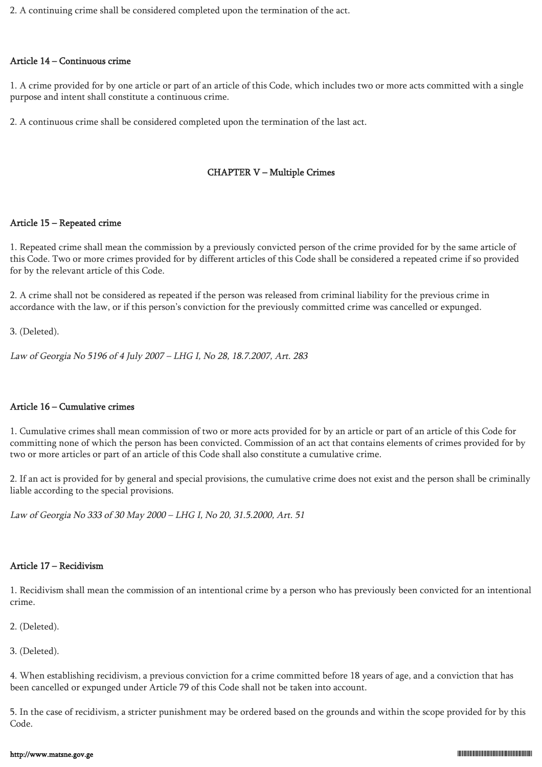2. A continuing crime shall be considered completed upon the termination of the act.

#### Article 14 – Continuous crime

1. A crime provided for by one article or part of an article of this Code, which includes two or more acts committed with a single purpose and intent shall constitute a continuous crime.

2. A continuous crime shall be considered completed upon the termination of the last act.

### CHAPTER V – Multiple Crimes

#### Article 15 – Repeated crime

1. Repeated crime shall mean the commission by a previously convicted person of the crime provided for by the same article of this Code. Two or more crimes provided for by different articles of this Code shall be considered a repeated crime if so provided for by the relevant article of this Code.

2. A crime shall not be considered as repeated if the person was released from criminal liability for the previous crime in accordance with the law, or if this person's conviction for the previously committed crime was cancelled or expunged.

3. (Deleted).

Law of Georgia No 5196 of 4 July 2007 – LHG I, No 28, 18.7.2007, Art. 283

### Article 16 – Cumulative crimes

1. Cumulative crimes shall mean commission of two or more acts provided for by an article or part of an article of this Code for committing none of which the person has been convicted. Commission of an act that contains elements of crimes provided for by two or more articles or part of an article of this Code shall also constitute a cumulative crime.

2. If an act is provided for by general and special provisions, the cumulative crime does not exist and the person shall be criminally liable according to the special provisions.

Law of Georgia No 333 of 30 May 2000 – LHG I, No 20, 31.5.2000, Art. 51

### Article 17 – Recidivism

1. Recidivism shall mean the commission of an intentional crime by a person who has previously been convicted for an intentional crime.

- 2. (Deleted).
- 3. (Deleted).

4. When establishing recidivism, a previous conviction for a crime committed before 18 years of age, and a conviction that has been cancelled or expunged under Article 79 of this Code shall not be taken into account.

5. In the case of recidivism, a stricter punishment may be ordered based on the grounds and within the scope provided for by this Code.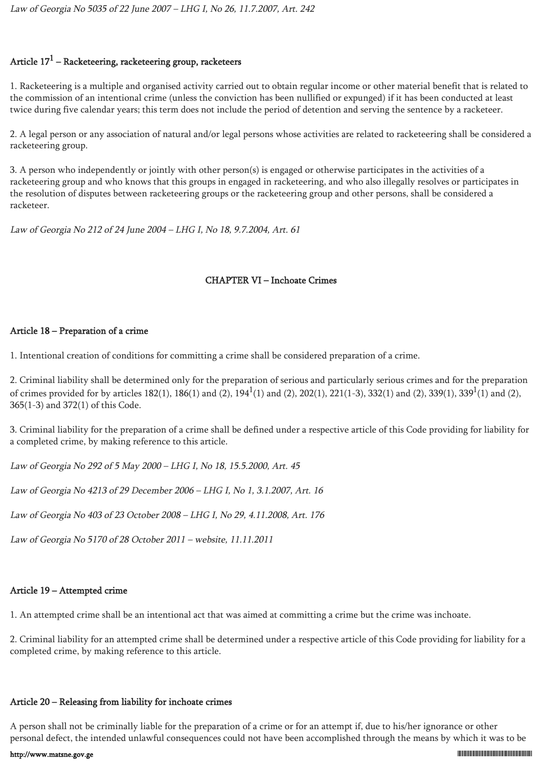# Article 17 $^1$  – Racketeering, racketeering group, racketeers

1. Racketeering is a multiple and organised activity carried out to obtain regular income or other material benefit that is related to the commission of an intentional crime (unless the conviction has been nullified or expunged) if it has been conducted at least twice during five calendar years; this term does not include the period of detention and serving the sentence by a racketeer.

2. A legal person or any association of natural and/or legal persons whose activities are related to racketeering shall be considered a racketeering group.

3. A person who independently or jointly with other person(s) is engaged or otherwise participates in the activities of a racketeering group and who knows that this groups in engaged in racketeering, and who also illegally resolves or participates in the resolution of disputes between racketeering groups or the racketeering group and other persons, shall be considered a racketeer.

Law of Georgia No 212 of 24 June 2004 – LHG I, No 18, 9.7.2004, Art. 61

# CHAPTER VI – Inchoate Crimes

# Article 18 – Preparation of a crime

1. Intentional creation of conditions for committing a crime shall be considered preparation of a crime.

2. Criminal liability shall be determined only for the preparation of serious and particularly serious crimes and for the preparation of crimes provided for by articles 182(1), 186(1) and (2), 194<sup>1</sup>(1) and (2), 202(1), 221(1-3), 332(1) and (2), 339(1), 339<sup>1</sup>(1) and (2), 365(1-3) and 372(1) of this Code.

3. Criminal liability for the preparation of a crime shall be defined under a respective article of this Code providing for liability for a completed crime, by making reference to this article.

Law of Georgia No 292 of 5 May 2000 – LHG I, No 18, 15.5.2000, Art. 45

Law of Georgia No 4213 of 29 December 2006 – LHG I, No 1, 3.1.2007, Art. 16

Law of Georgia No 403 of 23 October 2008 – LHG I, No 29, 4.11.2008, Art. 176

Law of Georgia No 5170 of 28 October 2011 – website, 11.11.2011

# Article 19 – Attempted crime

1. An attempted crime shall be an intentional act that was aimed at committing a crime but the crime was inchoate.

2. Criminal liability for an attempted crime shall be determined under a respective article of this Code providing for liability for a completed crime, by making reference to this article.

# Article 20 – Releasing from liability for inchoate crimes

A person shall not be criminally liable for the preparation of a crime or for an attempt if, due to his/her ignorance or other personal defect, the intended unlawful consequences could not have been accomplished through the means by which it was to be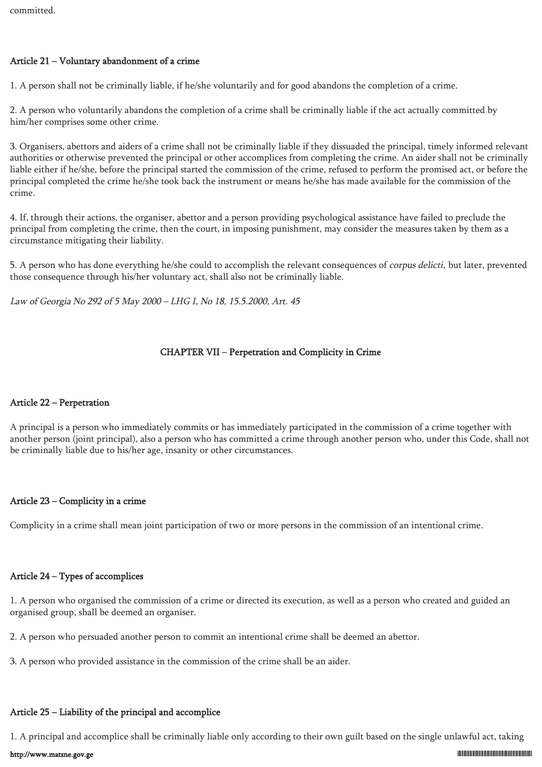committed.

### Article 21 – Voluntary abandonment of a crime

1. A person shall not be criminally liable, if he/she voluntarily and for good abandons the completion of a crime.

2. A person who voluntarily abandons the completion of a crime shall be criminally liable if the act actually committed by him/her comprises some other crime.

3. Organisers, abettors and aiders of a crime shall not be criminally liable if they dissuaded the principal, timely informed relevant authorities or otherwise prevented the principal or other accomplices from completing the crime. An aider shall not be criminally liable either if he/she, before the principal started the commission of the crime, refused to perform the promised act, or before the principal completed the crime he/she took back the instrument or means he/she has made available for the commission of the crime.

4. If, through their actions, the organiser, abettor and a person providing psychological assistance have failed to preclude the principal from completing the crime, then the court, in imposing punishment, may consider the measures taken by them as a circumstance mitigating their liability.

5. A person who has done everything he/she could to accomplish the relevant consequences of corpus delicti, but later, prevented those consequence through his/her voluntary act, shall also not be criminally liable.

Law of Georgia No 292 of 5 May 2000 – LHG I, No 18, 15.5.2000, Art. 45

### CHAPTER VII – Perpetration and Complicity in Crime

### Article 22 – Perpetration

A principal is a person who immediately commits or has immediately participated in the commission of a crime together with another person (joint principal), also a person who has committed a crime through another person who, under this Code, shall not be criminally liable due to his/her age, insanity or other circumstances.

# Article 23 – Complicity in a crime

Complicity in a crime shall mean joint participation of two or more persons in the commission of an intentional crime.

### Article 24 – Types of accomplices

1. A person who organised the commission of a crime or directed its execution, as well as a person who created and guided an organised group, shall be deemed an organiser.

2. A person who persuaded another person to commit an intentional crime shall be deemed an abettor.

3. A person who provided assistance in the commission of the crime shall be an aider.

# Article 25 – Liability of the principal and accomplice

1. A principal and accomplice shall be criminally liable only according to their own guilt based on the single unlawful act, taking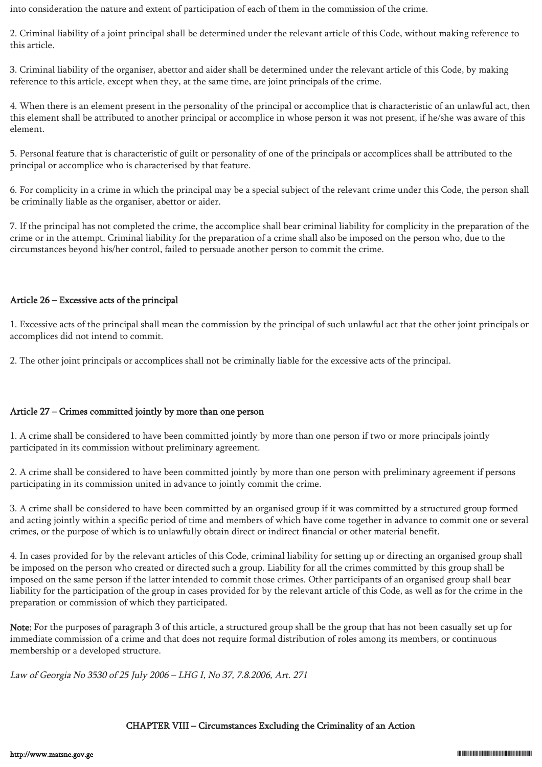into consideration the nature and extent of participation of each of them in the commission of the crime.

2. Criminal liability of a joint principal shall be determined under the relevant article of this Code, without making reference to this article.

3. Criminal liability of the organiser, abettor and aider shall be determined under the relevant article of this Code, by making reference to this article, except when they, at the same time, are joint principals of the crime.

4. When there is an element present in the personality of the principal or accomplice that is characteristic of an unlawful act, then this element shall be attributed to another principal or accomplice in whose person it was not present, if he/she was aware of this element.

5. Personal feature that is characteristic of guilt or personality of one of the principals or accomplices shall be attributed to the principal or accomplice who is characterised by that feature.

6. For complicity in a crime in which the principal may be a special subject of the relevant crime under this Code, the person shall be criminally liable as the organiser, abettor or aider.

7. If the principal has not completed the crime, the accomplice shall bear criminal liability for complicity in the preparation of the crime or in the attempt. Criminal liability for the preparation of a crime shall also be imposed on the person who, due to the circumstances beyond his/her control, failed to persuade another person to commit the crime.

# Article 26 – Excessive acts of the principal

1. Excessive acts of the principal shall mean the commission by the principal of such unlawful act that the other joint principals or accomplices did not intend to commit.

2. The other joint principals or accomplices shall not be criminally liable for the excessive acts of the principal.

# Article 27 – Crimes committed jointly by more than one person

1. A crime shall be considered to have been committed jointly by more than one person if two or more principals jointly participated in its commission without preliminary agreement.

2. A crime shall be considered to have been committed jointly by more than one person with preliminary agreement if persons participating in its commission united in advance to jointly commit the crime.

3. A crime shall be considered to have been committed by an organised group if it was committed by a structured group formed and acting jointly within a specific period of time and members of which have come together in advance to commit one or several crimes, or the purpose of which is to unlawfully obtain direct or indirect financial or other material benefit.

4. In cases provided for by the relevant articles of this Code, criminal liability for setting up or directing an organised group shall be imposed on the person who created or directed such a group. Liability for all the crimes committed by this group shall be imposed on the same person if the latter intended to commit those crimes. Other participants of an organised group shall bear liability for the participation of the group in cases provided for by the relevant article of this Code, as well as for the crime in the preparation or commission of which they participated.

Note: For the purposes of paragraph 3 of this article, a structured group shall be the group that has not been casually set up for immediate commission of a crime and that does not require formal distribution of roles among its members, or continuous membership or a developed structure.

Law of Georgia No 3530 of 25 July 2006 – LHG I, No 37, 7.8.2006, Art. 271

### CHAPTER VIII – Circumstances Excluding the Criminality of an Action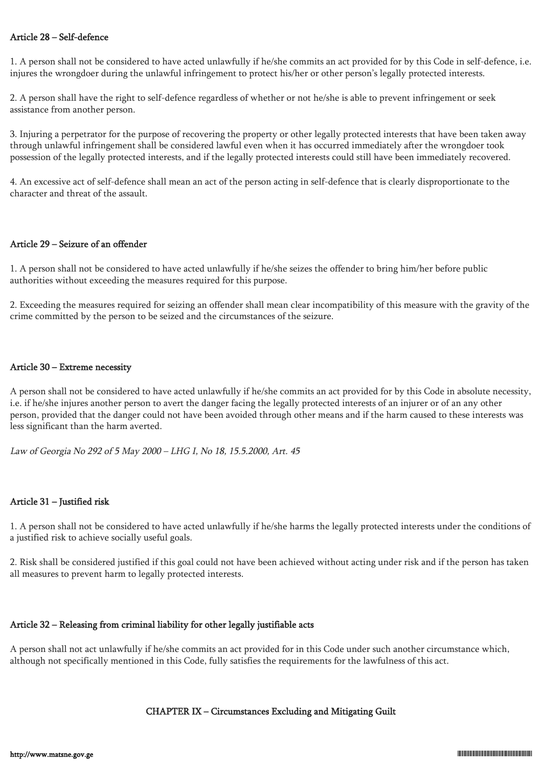#### Article 28 – Self-defence

1. A person shall not be considered to have acted unlawfully if he/she commits an act provided for by this Code in self-defence, i.e. injures the wrongdoer during the unlawful infringement to protect his/her or other person's legally protected interests.

2. A person shall have the right to self-defence regardless of whether or not he/she is able to prevent infringement or seek assistance from another person.

3. Injuring a perpetrator for the purpose of recovering the property or other legally protected interests that have been taken away through unlawful infringement shall be considered lawful even when it has occurred immediately after the wrongdoer took possession of the legally protected interests, and if the legally protected interests could still have been immediately recovered.

4. An excessive act of self-defence shall mean an act of the person acting in self-defence that is clearly disproportionate to the character and threat of the assault.

#### Article 29 – Seizure of an offender

1. A person shall not be considered to have acted unlawfully if he/she seizes the offender to bring him/her before public authorities without exceeding the measures required for this purpose.

2. Exceeding the measures required for seizing an offender shall mean clear incompatibility of this measure with the gravity of the crime committed by the person to be seized and the circumstances of the seizure.

#### Article 30 – Extreme necessity

A person shall not be considered to have acted unlawfully if he/she commits an act provided for by this Code in absolute necessity, i.e. if he/she injures another person to avert the danger facing the legally protected interests of an injurer or of an any other person, provided that the danger could not have been avoided through other means and if the harm caused to these interests was less significant than the harm averted.

Law of Georgia No 292 of 5 May 2000 – LHG I, No 18, 15.5.2000, Art. 45

### Article 31 – Justified risk

1. A person shall not be considered to have acted unlawfully if he/she harms the legally protected interests under the conditions of a justified risk to achieve socially useful goals.

2. Risk shall be considered justified if this goal could not have been achieved without acting under risk and if the person has taken all measures to prevent harm to legally protected interests.

#### Article 32 – Releasing from criminal liability for other legally justifiable acts

A person shall not act unlawfully if he/she commits an act provided for in this Code under such another circumstance which, although not specifically mentioned in this Code, fully satisfies the requirements for the lawfulness of this act.

### CHAPTER IX – Circumstances Excluding and Mitigating Guilt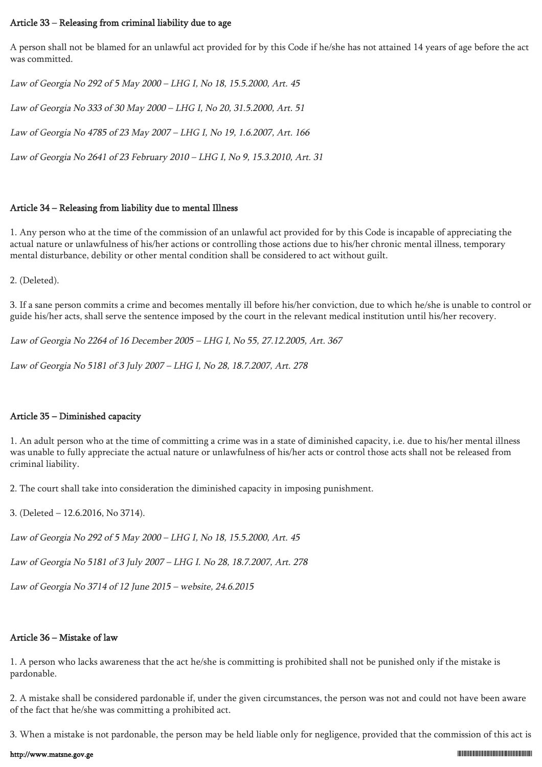#### Article 33 – Releasing from criminal liability due to age

A person shall not be blamed for an unlawful act provided for by this Code if he/she has not attained 14 years of age before the act was committed.

Law of Georgia No 292 of 5 May 2000 – LHG I, No 18, 15.5.2000, Art. 45 Law of Georgia No 333 of 30 May 2000 – LHG I, No 20, 31.5.2000, Art. 51 Law of Georgia No 4785 of 23 May 2007 – LHG I, No 19, 1.6.2007, Art. 166 Law of Georgia No 2641 of 23 February 2010 – LHG I, No 9, 15.3.2010, Art. 31

#### Article 34 – Releasing from liability due to mental Illness

1. Any person who at the time of the commission of an unlawful act provided for by this Code is incapable of appreciating the actual nature or unlawfulness of his/her actions or controlling those actions due to his/her chronic mental illness, temporary mental disturbance, debility or other mental condition shall be considered to act without guilt.

2. (Deleted).

3. If a sane person commits a crime and becomes mentally ill before his/her conviction, due to which he/she is unable to control or guide his/her acts, shall serve the sentence imposed by the court in the relevant medical institution until his/her recovery.

Law of Georgia No 2264 of 16 December 2005 – LHG I, No 55, 27.12.2005, Art. 367

Law of Georgia No 5181 of 3 July 2007 – LHG I, No 28, 18.7.2007, Art. 278

### Article 35 – Diminished capacity

1. An adult person who at the time of committing a crime was in a state of diminished capacity, i.e. due to his/her mental illness was unable to fully appreciate the actual nature or unlawfulness of his/her acts or control those acts shall not be released from criminal liability.

2. The court shall take into consideration the diminished capacity in imposing punishment.

3. (Deleted – 12.6.2016, No 3714).

Law of Georgia No 292 of 5 May 2000 – LHG I, No 18, 15.5.2000, Art. 45

Law of Georgia No 5181 of 3 July 2007 – LHG I. No 28, 18.7.2007, Art. 278

Law of Georgia No 3714 of 12 June 2015 – website, 24.6.2015

### Article 36 – Mistake of law

1. A person who lacks awareness that the act he/she is committing is prohibited shall not be punished only if the mistake is pardonable.

2. A mistake shall be considered pardonable if, under the given circumstances, the person was not and could not have been aware of the fact that he/she was committing a prohibited act.

3. When a mistake is not pardonable, the person may be held liable only for negligence, provided that the commission of this act is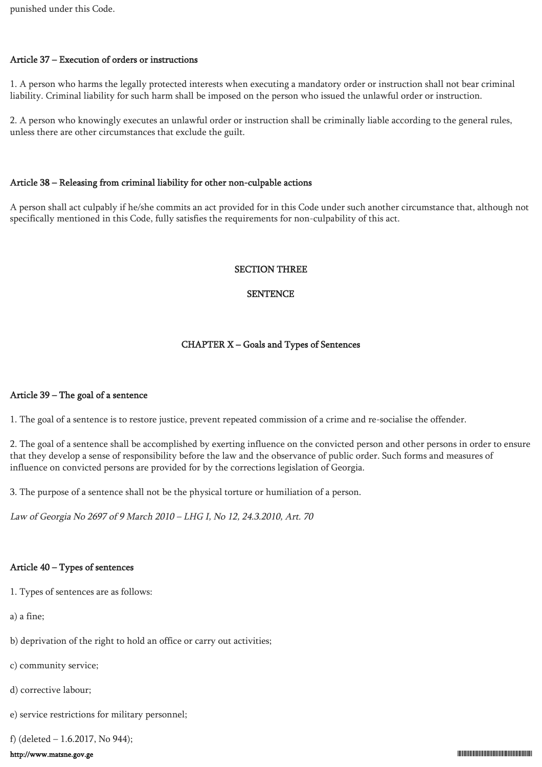punished under this Code.

# Article 37 – Execution of orders or instructions

1. A person who harms the legally protected interests when executing a mandatory order or instruction shall not bear criminal liability. Criminal liability for such harm shall be imposed on the person who issued the unlawful order or instruction.

2. A person who knowingly executes an unlawful order or instruction shall be criminally liable according to the general rules, unless there are other circumstances that exclude the guilt.

# Article 38 – Releasing from criminal liability for other non-culpable actions

A person shall act culpably if he/she commits an act provided for in this Code under such another circumstance that, although not specifically mentioned in this Code, fully satisfies the requirements for non-culpability of this act.

### SECTION THREE

### **SENTENCE**

# CHAPTER X – Goals and Types of Sentences

### Article 39 – The goal of a sentence

1. The goal of a sentence is to restore justice, prevent repeated commission of a crime and re-socialise the offender.

2. The goal of a sentence shall be accomplished by exerting influence on the convicted person and other persons in order to ensure that they develop a sense of responsibility before the law and the observance of public order. Such forms and measures of influence on convicted persons are provided for by the corrections legislation of Georgia.

3. The purpose of a sentence shall not be the physical torture or humiliation of a person.

Law of Georgia No 2697 of 9 March 2010 – LHG I, No 12, 24.3.2010, Art. 70

# Article 40 – Types of sentences

1. Types of sentences are as follows:

a) a fine;

- b) deprivation of the right to hold an office or carry out activities;
- c) community service;
- d) corrective labour;
- e) service restrictions for military personnel;
- f) (deleted 1.6.2017, No 944);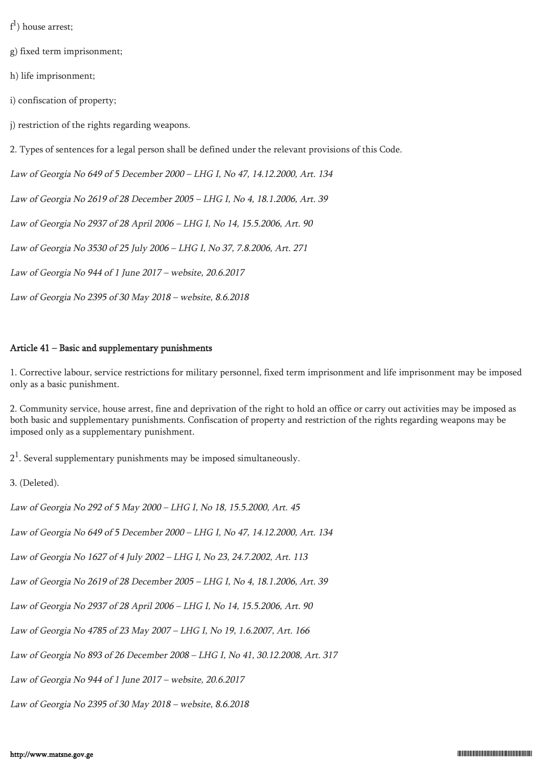- $\mathrm{f}^{1}$ ) house arrest;
- g) fixed term imprisonment;
- h) life imprisonment;
- i) confiscation of property;
- j) restriction of the rights regarding weapons.
- 2. Types of sentences for a legal person shall be defined under the relevant provisions of this Code.

Law of Georgia No 649 of 5 December 2000 – LHG I, No 47, 14.12.2000, Art. 134

Law of Georgia No 2619 of 28 December 2005 – LHG I, No 4, 18.1.2006, Art. 39

Law of Georgia No 2937 of 28 April 2006 – LHG I, No 14, 15.5.2006, Art. 90

Law of Georgia No 3530 of 25 July 2006 – LHG I, No 37, 7.8.2006, Art. 271

Law of Georgia No 944 of 1 June 2017 – website, 20.6.2017

Law of Georgia No 2395 of 30 May 2018 – website, 8.6.2018

### Article 41 – Basic and supplementary punishments

1. Corrective labour, service restrictions for military personnel, fixed term imprisonment and life imprisonment may be imposed only as a basic punishment.

2. Community service, house arrest, fine and deprivation of the right to hold an office or carry out activities may be imposed as both basic and supplementary punishments. Confiscation of property and restriction of the rights regarding weapons may be imposed only as a supplementary punishment.

 $2<sup>1</sup>$ . Several supplementary punishments may be imposed simultaneously.

3. (Deleted).

Law of Georgia No 292 of 5 May 2000 – LHG I, No 18, 15.5.2000, Art. 45

Law of Georgia No 649 of 5 December 2000 – LHG I, No 47, 14.12.2000, Art. 134

Law of Georgia No 1627 of 4 July 2002 – LHG I, No 23, 24.7.2002, Art. 113

Law of Georgia No 2619 of 28 December 2005 – LHG I, No 4, 18.1.2006, Art. 39

Law of Georgia No 2937 of 28 April 2006 – LHG I, No 14, 15.5.2006, Art. 90

Law of Georgia No 4785 of 23 May 2007 – LHG I, No 19, 1.6.2007, Art. 166

Law of Georgia No 893 of 26 December 2008 – LHG I, No 41, 30.12.2008, Art. 317

Law of Georgia No 944 of 1 June 2017 – website, 20.6.2017

Law of Georgia No 2395 of 30 May 2018 – website, 8.6.2018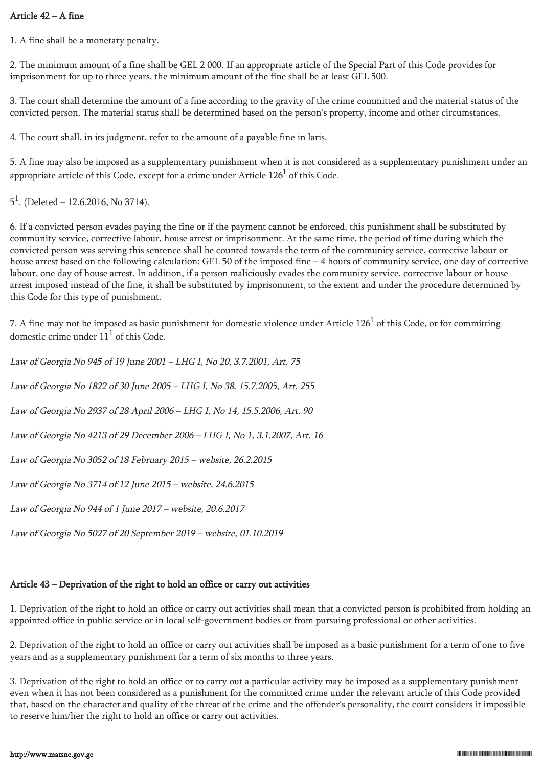### Article 42 – A fine

1. A fine shall be a monetary penalty.

2. The minimum amount of a fine shall be GEL 2 000. If an appropriate article of the Special Part of this Code provides for imprisonment for up to three years, the minimum amount of the fine shall be at least GEL 500.

3. The court shall determine the amount of a fine according to the gravity of the crime committed and the material status of the convicted person. The material status shall be determined based on the person's property, income and other circumstances.

4. The court shall, in its judgment, refer to the amount of a payable fine in laris.

5. A fine may also be imposed as a supplementary punishment when it is not considered as a supplementary punishment under an appropriate article of this Code, except for a crime under Article  $126^{\rm 1}$  of this Code.

 $5<sup>1</sup>$ . (Deleted – 12.6.2016, No 3714).

6. If a convicted person evades paying the fine or if the payment cannot be enforced, this punishment shall be substituted by community service, corrective labour, house arrest or imprisonment. At the same time, the period of time during which the convicted person was serving this sentence shall be counted towards the term of the community service, corrective labour or house arrest based on the following calculation: GEL 50 of the imposed fine – 4 hours of community service, one day of corrective labour, one day of house arrest. In addition, if a person maliciously evades the community service, corrective labour or house arrest imposed instead of the fine, it shall be substituted by imprisonment, to the extent and under the procedure determined by this Code for this type of punishment.

7. A fine may not be imposed as basic punishment for domestic violence under Article  $126^1$  of this Code, or for committing domestic crime under  $11^1$  of this Code.

Law of Georgia No 945 of 19 June 2001 – LHG I, No 20, 3.7.2001, Art. 75

Law of Georgia No 1822 of 30 June 2005 – LHG I, No 38, 15.7.2005, Art. 255

Law of Georgia No 2937 of 28 April 2006 – LHG I, No 14, 15.5.2006, Art. 90

Law of Georgia No 4213 of 29 December 2006 – LHG I, No 1, 3.1.2007, Art. 16

Law of Georgia No 3052 of 18 February 2015 – website, 26.2.2015

Law of Georgia No 3714 of 12 June 2015 – website, 24.6.2015

Law of Georgia No 944 of 1 June 2017 – website, 20.6.2017

Law of Georgia No 5027 of 20 September 2019 – website, 01.10.2019

# Article 43 – Deprivation of the right to hold an office or carry out activities

1. Deprivation of the right to hold an office or carry out activities shall mean that a convicted person is prohibited from holding an appointed office in public service or in local self-government bodies or from pursuing professional or other activities.

2. Deprivation of the right to hold an office or carry out activities shall be imposed as a basic punishment for a term of one to five years and as a supplementary punishment for a term of six months to three years.

3. Deprivation of the right to hold an office or to carry out a particular activity may be imposed as a supplementary punishment even when it has not been considered as a punishment for the committed crime under the relevant article of this Code provided that, based on the character and quality of the threat of the crime and the offender's personality, the court considers it impossible to reserve him/her the right to hold an office or carry out activities.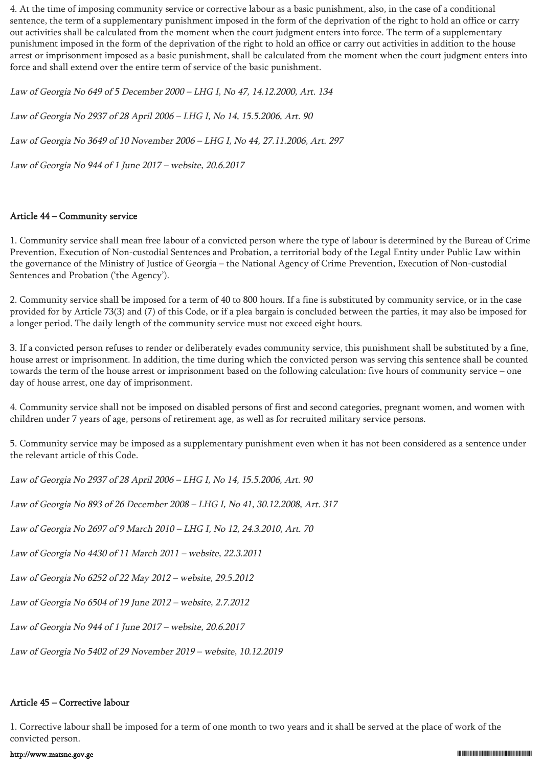4. At the time of imposing community service or corrective labour as a basic punishment, also, in the case of a conditional sentence, the term of a supplementary punishment imposed in the form of the deprivation of the right to hold an office or carry out activities shall be calculated from the moment when the court judgment enters into force. The term of a supplementary punishment imposed in the form of the deprivation of the right to hold an office or carry out activities in addition to the house arrest or imprisonment imposed as a basic punishment, shall be calculated from the moment when the court judgment enters into force and shall extend over the entire term of service of the basic punishment.

Law of Georgia No 649 of 5 December 2000 – LHG I, No 47, 14.12.2000, Art. 134

Law of Georgia No 2937 of 28 April 2006 – LHG I, No 14, 15.5.2006, Art. 90

Law of Georgia No 3649 of 10 November 2006 – LHG I, No 44, 27.11.2006, Art. 297

Law of Georgia No 944 of 1 June 2017 – website, 20.6.2017

### Article 44 – Community service

1. Community service shall mean free labour of a convicted person where the type of labour is determined by the Bureau of Crime Prevention, Execution of Non-custodial Sentences and Probation, a territorial body of the Legal Entity under Public Law within the governance of the Ministry of Justice of Georgia – the National Agency of Crime Prevention, Execution of Non-custodial Sentences and Probation ('the Agency').

2. Community service shall be imposed for a term of 40 to 800 hours. If a fine is substituted by community service, or in the case provided for by Article 73(3) and (7) of this Code, or if a plea bargain is concluded between the parties, it may also be imposed for a longer period. The daily length of the community service must not exceed eight hours.

3. If a convicted person refuses to render or deliberately evades community service, this punishment shall be substituted by a fine, house arrest or imprisonment. In addition, the time during which the convicted person was serving this sentence shall be counted towards the term of the house arrest or imprisonment based on the following calculation: five hours of community service – one day of house arrest, one day of imprisonment.

4. Community service shall not be imposed on disabled persons of first and second categories, pregnant women, and women with children under 7 years of age, persons of retirement age, as well as for recruited military service persons.

5. Community service may be imposed as a supplementary punishment even when it has not been considered as a sentence under the relevant article of this Code.

Law of Georgia No 2937 of 28 April 2006 – LHG I, No 14, 15.5.2006, Art. 90

Law of Georgia No 893 of 26 December 2008 – LHG I, No 41, 30.12.2008, Art. 317

Law of Georgia No 2697 of 9 March 2010 – LHG I, No 12, 24.3.2010, Art. 70

Law of Georgia No 4430 of 11 March 2011 – website, 22.3.2011

Law of Georgia No 6252 of 22 May 2012 – website, 29.5.2012

Law of Georgia No 6504 of 19 June 2012 – website, 2.7.2012

Law of Georgia No 944 of 1 June 2017 – website, 20.6.2017

Law of Georgia No 5402 of 29 November 2019 – website, 10.12.2019

# Article 45 – Corrective labour

1. Corrective labour shall be imposed for a term of one month to two years and it shall be served at the place of work of the convicted person.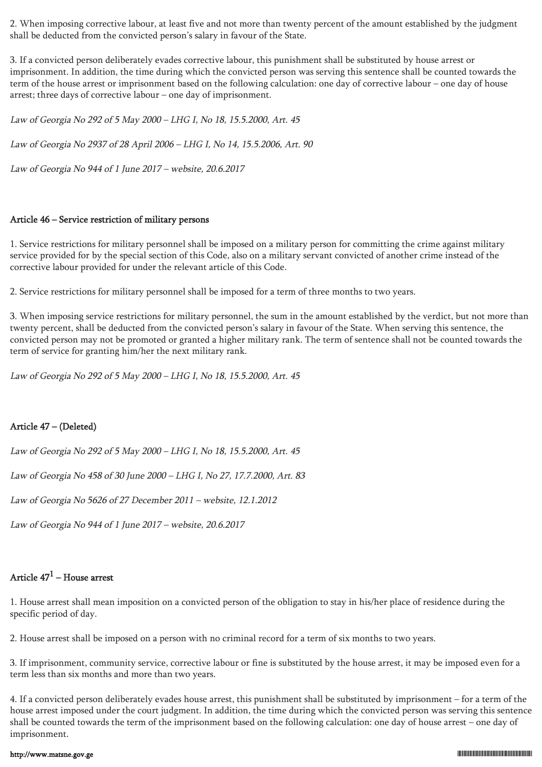2. When imposing corrective labour, at least five and not more than twenty percent of the amount established by the judgment shall be deducted from the convicted person's salary in favour of the State.

3. If a convicted person deliberately evades corrective labour, this punishment shall be substituted by house arrest or imprisonment. In addition, the time during which the convicted person was serving this sentence shall be counted towards the term of the house arrest or imprisonment based on the following calculation: one day of corrective labour – one day of house arrest; three days of corrective labour – one day of imprisonment.

Law of Georgia No 292 of 5 May 2000 – LHG I, No 18, 15.5.2000, Art. 45

Law of Georgia No 2937 of 28 April 2006 – LHG I, No 14, 15.5.2006, Art. 90

Law of Georgia No 944 of 1 June 2017 – website, 20.6.2017

### Article 46 – Service restriction of military persons

1. Service restrictions for military personnel shall be imposed on a military person for committing the crime against military service provided for by the special section of this Code, also on a military servant convicted of another crime instead of the corrective labour provided for under the relevant article of this Code.

2. Service restrictions for military personnel shall be imposed for a term of three months to two years.

3. When imposing service restrictions for military personnel, the sum in the amount established by the verdict, but not more than twenty percent, shall be deducted from the convicted person's salary in favour of the State. When serving this sentence, the convicted person may not be promoted or granted a higher military rank. The term of sentence shall not be counted towards the term of service for granting him/her the next military rank.

Law of Georgia No 292 of 5 May 2000 – LHG I, No 18, 15.5.2000, Art. 45

### Article 47 – (Deleted)

Law of Georgia No 292 of 5 May 2000 – LHG I, No 18, 15.5.2000, Art. 45

Law of Georgia No 458 of 30 June 2000 – LHG I, No 27, 17.7.2000, Art. 83

Law of Georgia No 5626 of 27 December 2011 – website, 12.1.2012

Law of Georgia No 944 of 1 June 2017 – website, 20.6.2017

# Article 47 $^{\rm 1}$  – House arrest

1. House arrest shall mean imposition on a convicted person of the obligation to stay in his/her place of residence during the specific period of day.

2. House arrest shall be imposed on a person with no criminal record for a term of six months to two years.

3. If imprisonment, community service, corrective labour or fine is substituted by the house arrest, it may be imposed even for a term less than six months and more than two years.

4. If a convicted person deliberately evades house arrest, this punishment shall be substituted by imprisonment – for a term of the house arrest imposed under the court judgment. In addition, the time during which the convicted person was serving this sentence shall be counted towards the term of the imprisonment based on the following calculation: one day of house arrest – one day of imprisonment.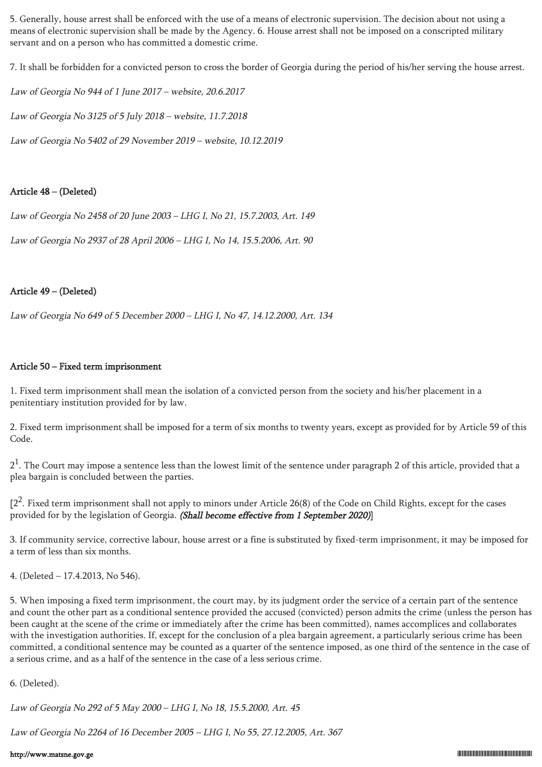5. Generally, house arrest shall be enforced with the use of a means of electronic supervision. The decision about not using a means of electronic supervision shall be made by the Agency. 6. House arrest shall not be imposed on a conscripted military servant and on a person who has committed a domestic crime.

7. It shall be forbidden for a convicted person to cross the border of Georgia during the period of his/her serving the house arrest.

Law of Georgia No 944 of 1 June 2017 – website, 20.6.2017

Law of Georgia No 3125 of 5 July 2018 – website, 11.7.2018

Law of Georgia No 5402 of 29 November 2019 – website, 10.12.2019

### Article 48 – (Deleted)

Law of Georgia No 2458 of 20 June 2003 – LHG I, No 21, 15.7.2003, Art. 149

Law of Georgia No 2937 of 28 April 2006 – LHG I, No 14, 15.5.2006, Art. 90

### Article 49 – (Deleted)

Law of Georgia No 649 of 5 December 2000 – LHG I, No 47, 14.12.2000, Art. 134

### Article 50 – Fixed term imprisonment

1. Fixed term imprisonment shall mean the isolation of a convicted person from the society and his/her placement in a penitentiary institution provided for by law.

2. Fixed term imprisonment shall be imposed for a term of six months to twenty years, except as provided for by Article 59 of this Code.

 $2^1$ . The Court may impose a sentence less than the lowest limit of the sentence under paragraph 2 of this article, provided that a plea bargain is concluded between the parties.

[2<sup>2</sup>. Fixed term imprisonment shall not apply to minors under Article 26(8) of the Code on Child Rights, except for the cases provided for by the legislation of Georgia. (Shall become effective from 1 September 2020)]

3. If community service, corrective labour, house arrest or a fine is substituted by fixed-term imprisonment, it may be imposed for a term of less than six months.

4. (Deleted – 17.4.2013, No 546).

5. When imposing a fixed term imprisonment, the court may, by its judgment order the service of a certain part of the sentence and count the other part as a conditional sentence provided the accused (convicted) person admits the crime (unless the person has been caught at the scene of the crime or immediately after the crime has been committed), names accomplices and collaborates with the investigation authorities. If, except for the conclusion of a plea bargain agreement, a particularly serious crime has been committed, a conditional sentence may be counted as a quarter of the sentence imposed, as one third of the sentence in the case of a serious crime, and as a half of the sentence in the case of a less serious crime.

6. (Deleted).

Law of Georgia No 292 of 5 May 2000 – LHG I, No 18, 15.5.2000, Art. 45

Law of Georgia No 2264 of 16 December 2005 – LHG I, No 55, 27.12.2005, Art. 367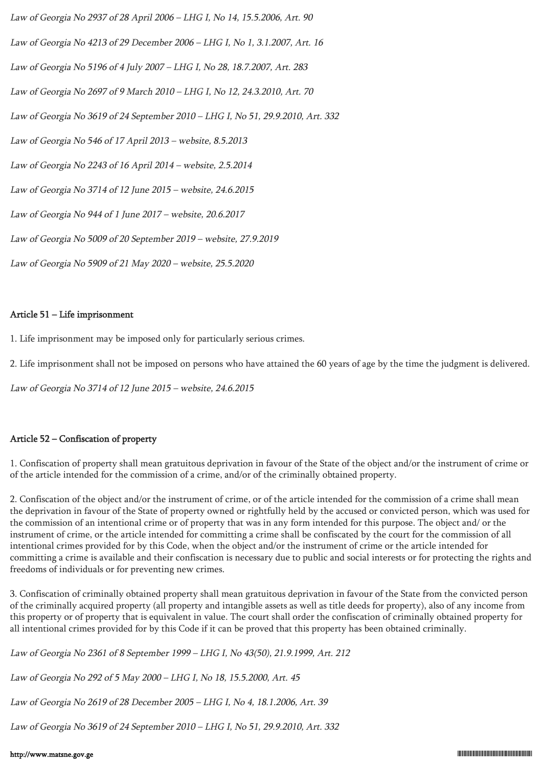Law of Georgia No 2937 of 28 April 2006 – LHG I, No 14, 15.5.2006, Art. 90

Law of Georgia No 4213 of 29 December 2006 – LHG I, No 1, 3.1.2007, Art. 16

Law of Georgia No 5196 of 4 July 2007 – LHG I, No 28, 18.7.2007, Art. 283

Law of Georgia No 2697 of 9 March 2010 – LHG I, No 12, 24.3.2010, Art. 70

Law of Georgia No 3619 of 24 September 2010 – LHG I, No 51, 29.9.2010, Art. 332

Law of Georgia No 546 of 17 April 2013 – website, 8.5.2013

Law of Georgia No 2243 of 16 April 2014 – website, 2.5.2014

Law of Georgia No 3714 of 12 June 2015 – website, 24.6.2015

Law of Georgia No 944 of 1 June 2017 – website, 20.6.2017

Law of Georgia No 5009 of 20 September 2019 – website, 27.9.2019

Law of Georgia No 5909 of 21 May 2020 – website, 25.5.2020

# Article 51 – Life imprisonment

1. Life imprisonment may be imposed only for particularly serious crimes.

2. Life imprisonment shall not be imposed on persons who have attained the 60 years of age by the time the judgment is delivered.

Law of Georgia No 3714 of 12 June 2015 – website, 24.6.2015

# Article 52 – Confiscation of property

1. Confiscation of property shall mean gratuitous deprivation in favour of the State of the object and/or the instrument of crime or of the article intended for the commission of a crime, and/or of the criminally obtained property.

2. Confiscation of the object and/or the instrument of crime, or of the article intended for the commission of a crime shall mean the deprivation in favour of the State of property owned or rightfully held by the accused or convicted person, which was used for the commission of an intentional crime or of property that was in any form intended for this purpose. The object and/ or the instrument of crime, or the article intended for committing a crime shall be confiscated by the court for the commission of all intentional crimes provided for by this Code, when the object and/or the instrument of crime or the article intended for committing a crime is available and their confiscation is necessary due to public and social interests or for protecting the rights and freedoms of individuals or for preventing new crimes.

3. Confiscation of criminally obtained property shall mean gratuitous deprivation in favour of the State from the convicted person of the criminally acquired property (all property and intangible assets as well as title deeds for property), also of any income from this property or of property that is equivalent in value. The court shall order the confiscation of criminally obtained property for all intentional crimes provided for by this Code if it can be proved that this property has been obtained criminally.

Law of Georgia No 2361 of 8 September 1999 – LHG I, No 43(50), 21.9.1999, Art. 212

Law of Georgia No 292 of 5 May 2000 – LHG I, No 18, 15.5.2000, Art. 45

Law of Georgia No 2619 of 28 December 2005 – LHG I, No 4, 18.1.2006, Art. 39

Law of Georgia No 3619 of 24 September 2010 – LHG I, No 51, 29.9.2010, Art. 332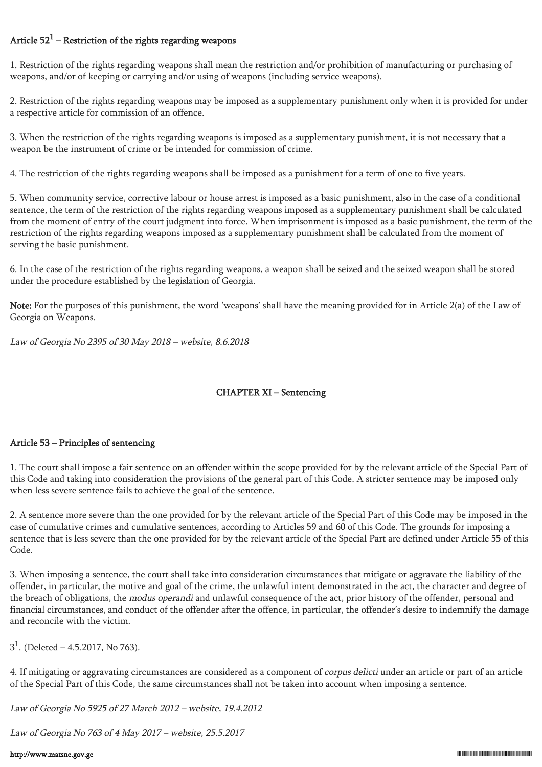# Article 52 $^{\rm 1}$  – Restriction of the rights regarding weapons

1. Restriction of the rights regarding weapons shall mean the restriction and/or prohibition of manufacturing or purchasing of weapons, and/or of keeping or carrying and/or using of weapons (including service weapons).

2. Restriction of the rights regarding weapons may be imposed as a supplementary punishment only when it is provided for under a respective article for commission of an offence.

3. When the restriction of the rights regarding weapons is imposed as a supplementary punishment, it is not necessary that a weapon be the instrument of crime or be intended for commission of crime.

4. The restriction of the rights regarding weapons shall be imposed as a punishment for a term of one to five years.

5. When community service, corrective labour or house arrest is imposed as a basic punishment, also in the case of a conditional sentence, the term of the restriction of the rights regarding weapons imposed as a supplementary punishment shall be calculated from the moment of entry of the court judgment into force. When imprisonment is imposed as a basic punishment, the term of the restriction of the rights regarding weapons imposed as a supplementary punishment shall be calculated from the moment of serving the basic punishment.

6. In the case of the restriction of the rights regarding weapons, a weapon shall be seized and the seized weapon shall be stored under the procedure established by the legislation of Georgia.

Note: For the purposes of this punishment, the word 'weapons' shall have the meaning provided for in Article 2(a) of the Law of Georgia on Weapons.

Law of Georgia No 2395 of 30 May 2018 – website, 8.6.2018

# CHAPTER XI – Sentencing

### Article 53 – Principles of sentencing

1. The court shall impose a fair sentence on an offender within the scope provided for by the relevant article of the Special Part of this Code and taking into consideration the provisions of the general part of this Code. A stricter sentence may be imposed only when less severe sentence fails to achieve the goal of the sentence.

2. A sentence more severe than the one provided for by the relevant article of the Special Part of this Code may be imposed in the case of cumulative crimes and cumulative sentences, according to Articles 59 and 60 of this Code. The grounds for imposing a sentence that is less severe than the one provided for by the relevant article of the Special Part are defined under Article 55 of this Code.

3. When imposing a sentence, the court shall take into consideration circumstances that mitigate or aggravate the liability of the offender, in particular, the motive and goal of the crime, the unlawful intent demonstrated in the act, the character and degree of the breach of obligations, the modus operandi and unlawful consequence of the act, prior history of the offender, personal and financial circumstances, and conduct of the offender after the offence, in particular, the offender's desire to indemnify the damage and reconcile with the victim.

 $3<sup>1</sup>$ . (Deleted – 4.5.2017, No 763).

4. If mitigating or aggravating circumstances are considered as a component of *corpus delicti* under an article or part of an article of the Special Part of this Code, the same circumstances shall not be taken into account when imposing a sentence.

Law of Georgia No 5925 of 27 March 2012 – website, 19.4.2012

Law of Georgia No 763 of 4 May 2017 – website, 25.5.2017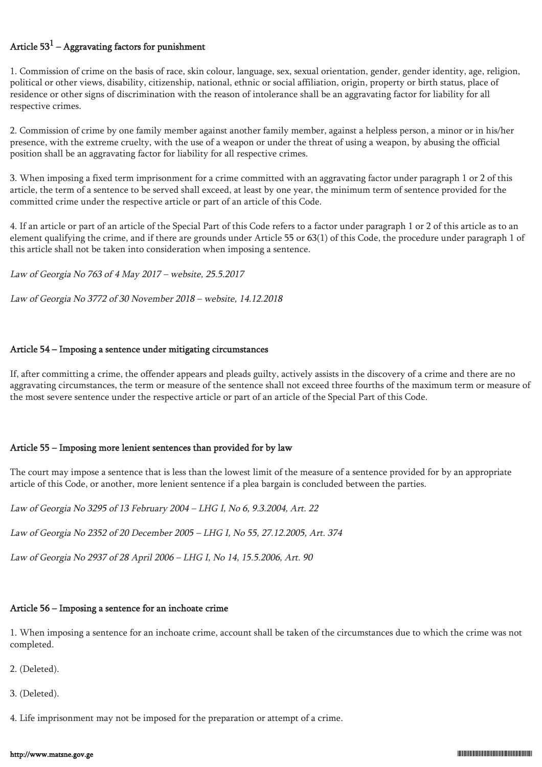# Article 53 $^1$  – Aggravating factors for punishment

1. Commission of crime on the basis of race, skin colour, language, sex, sexual orientation, gender, gender identity, age, religion, political or other views, disability, citizenship, national, ethnic or social affiliation, origin, property or birth status, place of residence or other signs of discrimination with the reason of intolerance shall be an aggravating factor for liability for all respective crimes.

2. Commission of crime by one family member against another family member, against a helpless person, a minor or in his/her presence, with the extreme cruelty, with the use of a weapon or under the threat of using a weapon, by abusing the official position shall be an aggravating factor for liability for all respective crimes.

3. When imposing a fixed term imprisonment for a crime committed with an aggravating factor under paragraph 1 or 2 of this article, the term of a sentence to be served shall exceed, at least by one year, the minimum term of sentence provided for the committed crime under the respective article or part of an article of this Code.

4. If an article or part of an article of the Special Part of this Code refers to a factor under paragraph 1 or 2 of this article as to an element qualifying the crime, and if there are grounds under Article 55 or 63(1) of this Code, the procedure under paragraph 1 of this article shall not be taken into consideration when imposing a sentence.

Law of Georgia No 763 of 4 May 2017 – website, 25.5.2017

Law of Georgia No 3772 of 30 November 2018 – website, 14.12.2018

### Article 54 – Imposing a sentence under mitigating circumstances

If, after committing a crime, the offender appears and pleads guilty, actively assists in the discovery of a crime and there are no aggravating circumstances, the term or measure of the sentence shall not exceed three fourths of the maximum term or measure of the most severe sentence under the respective article or part of an article of the Special Part of this Code.

### Article 55 – Imposing more lenient sentences than provided for by law

The court may impose a sentence that is less than the lowest limit of the measure of a sentence provided for by an appropriate article of this Code, or another, more lenient sentence if a plea bargain is concluded between the parties.

Law of Georgia No 3295 of 13 February 2004 – LHG I, No 6, 9.3.2004, Art. 22

Law of Georgia No 2352 of 20 December 2005 – LHG I, No 55, 27.12.2005, Art. 374

Law of Georgia No 2937 of 28 April 2006 – LHG I, No 14, 15.5.2006, Art. 90

### Article 56 – Imposing a sentence for an inchoate crime

1. When imposing a sentence for an inchoate crime, account shall be taken of the circumstances due to which the crime was not completed.

- 2. (Deleted).
- 3. (Deleted).

4. Life imprisonment may not be imposed for the preparation or attempt of a crime.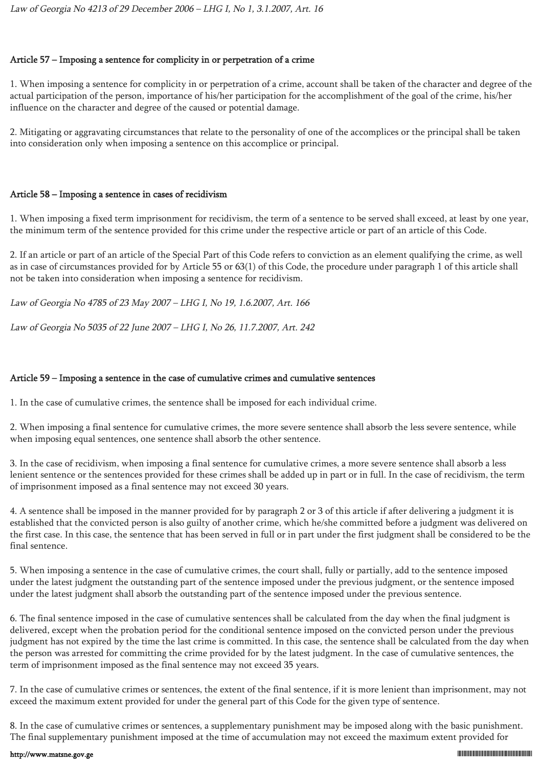### Article 57 – Imposing a sentence for complicity in or perpetration of a crime

1. When imposing a sentence for complicity in or perpetration of a crime, account shall be taken of the character and degree of the actual participation of the person, importance of his/her participation for the accomplishment of the goal of the crime, his/her influence on the character and degree of the caused or potential damage.

2. Mitigating or aggravating circumstances that relate to the personality of one of the accomplices or the principal shall be taken into consideration only when imposing a sentence on this accomplice or principal.

### Article 58 – Imposing a sentence in cases of recidivism

1. When imposing a fixed term imprisonment for recidivism, the term of a sentence to be served shall exceed, at least by one year, the minimum term of the sentence provided for this crime under the respective article or part of an article of this Code.

2. If an article or part of an article of the Special Part of this Code refers to conviction as an element qualifying the crime, as well as in case of circumstances provided for by Article 55 or 63(1) of this Code, the procedure under paragraph 1 of this article shall not be taken into consideration when imposing a sentence for recidivism.

Law of Georgia No 4785 of 23 May 2007 – LHG I, No 19, 1.6.2007, Art. 166

Law of Georgia No 5035 of 22 June 2007 – LHG I, No 26, 11.7.2007, Art. 242

### Article 59 – Imposing a sentence in the case of cumulative crimes and cumulative sentences

1. In the case of cumulative crimes, the sentence shall be imposed for each individual crime.

2. When imposing a final sentence for cumulative crimes, the more severe sentence shall absorb the less severe sentence, while when imposing equal sentences, one sentence shall absorb the other sentence.

3. In the case of recidivism, when imposing a final sentence for cumulative crimes, a more severe sentence shall absorb a less lenient sentence or the sentences provided for these crimes shall be added up in part or in full. In the case of recidivism, the term of imprisonment imposed as a final sentence may not exceed 30 years.

4. A sentence shall be imposed in the manner provided for by paragraph 2 or 3 of this article if after delivering a judgment it is established that the convicted person is also guilty of another crime, which he/she committed before a judgment was delivered on the first case. In this case, the sentence that has been served in full or in part under the first judgment shall be considered to be the final sentence.

5. When imposing a sentence in the case of cumulative crimes, the court shall, fully or partially, add to the sentence imposed under the latest judgment the outstanding part of the sentence imposed under the previous judgment, or the sentence imposed under the latest judgment shall absorb the outstanding part of the sentence imposed under the previous sentence.

6. The final sentence imposed in the case of cumulative sentences shall be calculated from the day when the final judgment is delivered, except when the probation period for the conditional sentence imposed on the convicted person under the previous judgment has not expired by the time the last crime is committed. In this case, the sentence shall be calculated from the day when the person was arrested for committing the crime provided for by the latest judgment. In the case of cumulative sentences, the term of imprisonment imposed as the final sentence may not exceed 35 years.

7. In the case of cumulative crimes or sentences, the extent of the final sentence, if it is more lenient than imprisonment, may not exceed the maximum extent provided for under the general part of this Code for the given type of sentence.

8. In the case of cumulative crimes or sentences, a supplementary punishment may be imposed along with the basic punishment. The final supplementary punishment imposed at the time of accumulation may not exceed the maximum extent provided for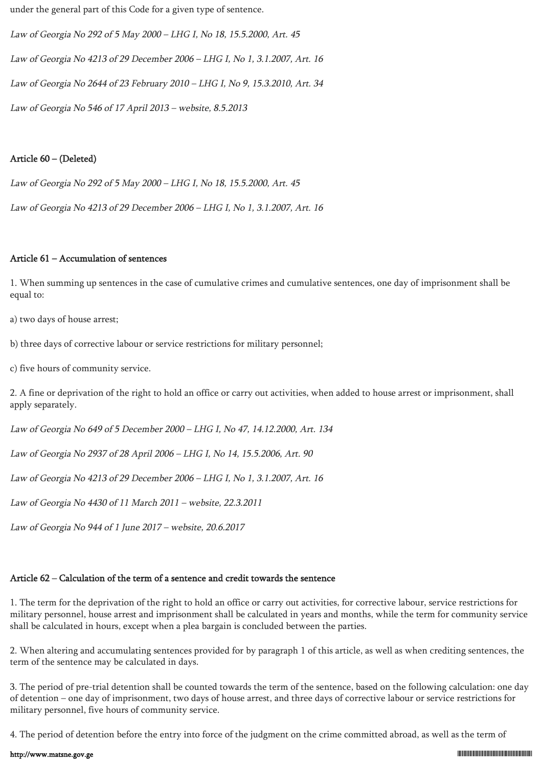under the general part of this Code for a given type of sentence.

Law of Georgia No 292 of 5 May 2000 – LHG I, No 18, 15.5.2000, Art. 45

Law of Georgia No 4213 of 29 December 2006 – LHG I, No 1, 3.1.2007, Art. 16

Law of Georgia No 2644 of 23 February 2010 – LHG I, No 9, 15.3.2010, Art. 34

Law of Georgia No 546 of 17 April 2013 – website, 8.5.2013

## Article 60 – (Deleted)

Law of Georgia No 292 of 5 May 2000 – LHG I, No 18, 15.5.2000, Art. 45

Law of Georgia No 4213 of 29 December 2006 – LHG I, No 1, 3.1.2007, Art. 16

### Article 61 – Accumulation of sentences

1. When summing up sentences in the case of cumulative crimes and cumulative sentences, one day of imprisonment shall be equal to:

a) two days of house arrest;

b) three days of corrective labour or service restrictions for military personnel;

c) five hours of community service.

2. A fine or deprivation of the right to hold an office or carry out activities, when added to house arrest or imprisonment, shall apply separately.

Law of Georgia No 649 of 5 December 2000 – LHG I, No 47, 14.12.2000, Art. 134

Law of Georgia No 2937 of 28 April 2006 – LHG I, No 14, 15.5.2006, Art. 90

Law of Georgia No 4213 of 29 December 2006 – LHG I, No 1, 3.1.2007, Art. 16

Law of Georgia No 4430 of 11 March 2011 – website, 22.3.2011

Law of Georgia No 944 of 1 June 2017 – website, 20.6.2017

# Article 62 – Calculation of the term of a sentence and credit towards the sentence

1. The term for the deprivation of the right to hold an office or carry out activities, for corrective labour, service restrictions for military personnel, house arrest and imprisonment shall be calculated in years and months, while the term for community service shall be calculated in hours, except when a plea bargain is concluded between the parties.

2. When altering and accumulating sentences provided for by paragraph 1 of this article, as well as when crediting sentences, the term of the sentence may be calculated in days.

3. The period of pre-trial detention shall be counted towards the term of the sentence, based on the following calculation: one day of detention – one day of imprisonment, two days of house arrest, and three days of corrective labour or service restrictions for military personnel, five hours of community service.

4. The period of detention before the entry into force of the judgment on the crime committed abroad, as well as the term of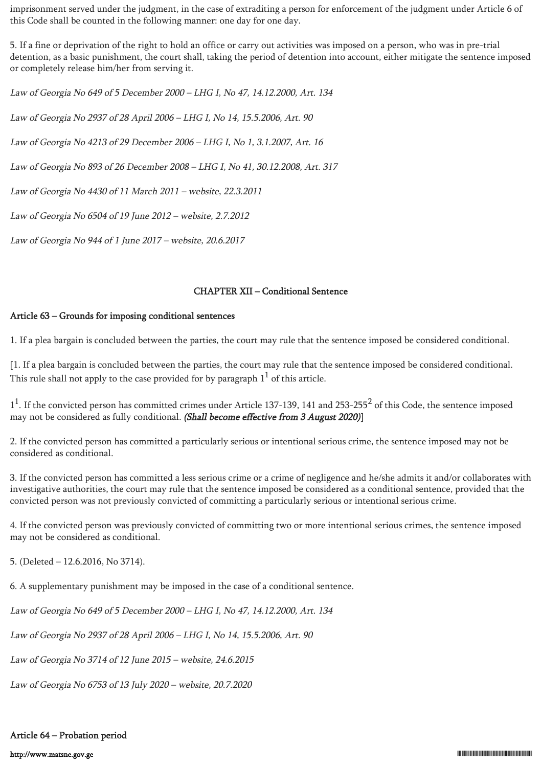imprisonment served under the judgment, in the case of extraditing a person for enforcement of the judgment under Article 6 of this Code shall be counted in the following manner: one day for one day.

5. If a fine or deprivation of the right to hold an office or carry out activities was imposed on a person, who was in pre-trial detention, as a basic punishment, the court shall, taking the period of detention into account, either mitigate the sentence imposed or completely release him/her from serving it.

Law of Georgia No 649 of 5 December 2000 – LHG I, No 47, 14.12.2000, Art. 134

Law of Georgia No 2937 of 28 April 2006 – LHG I, No 14, 15.5.2006, Art. 90

Law of Georgia No 4213 of 29 December 2006 – LHG I, No 1, 3.1.2007, Art. 16

Law of Georgia No 893 of 26 December 2008 – LHG I, No 41, 30.12.2008, Art. 317

Law of Georgia No 4430 of 11 March 2011 – website, 22.3.2011

Law of Georgia No 6504 of 19 June 2012 – website, 2.7.2012

Law of Georgia No 944 of 1 June 2017 – website, 20.6.2017

### CHAPTER XII – Conditional Sentence

#### Article 63 – Grounds for imposing conditional sentences

1. If a plea bargain is concluded between the parties, the court may rule that the sentence imposed be considered conditional.

[1. If a plea bargain is concluded between the parties, the court may rule that the sentence imposed be considered conditional. This rule shall not apply to the case provided for by paragraph  $1^1$  of this article.

 $1<sup>1</sup>$ . If the convicted person has committed crimes under Article 137-139, 141 and 253-255<sup>2</sup> of this Code, the sentence imposed may not be considered as fully conditional. (Shall become effective from 3 August 2020)]

2. If the convicted person has committed a particularly serious or intentional serious crime, the sentence imposed may not be considered as conditional.

3. If the convicted person has committed a less serious crime or a crime of negligence and he/she admits it and/or collaborates with investigative authorities, the court may rule that the sentence imposed be considered as a conditional sentence, provided that the convicted person was not previously convicted of committing a particularly serious or intentional serious crime.

4. If the convicted person was previously convicted of committing two or more intentional serious crimes, the sentence imposed may not be considered as conditional.

5. (Deleted – 12.6.2016, No 3714).

6. A supplementary punishment may be imposed in the case of a conditional sentence.

Law of Georgia No 649 of 5 December 2000 – LHG I, No 47, 14.12.2000, Art. 134

Law of Georgia No 2937 of 28 April 2006 – LHG I, No 14, 15.5.2006, Art. 90

Law of Georgia No 3714 of 12 June 2015 – website, 24.6.2015

Law of Georgia No 6753 of 13 July 2020 – website, 20.7.2020

# Article 64 – Probation period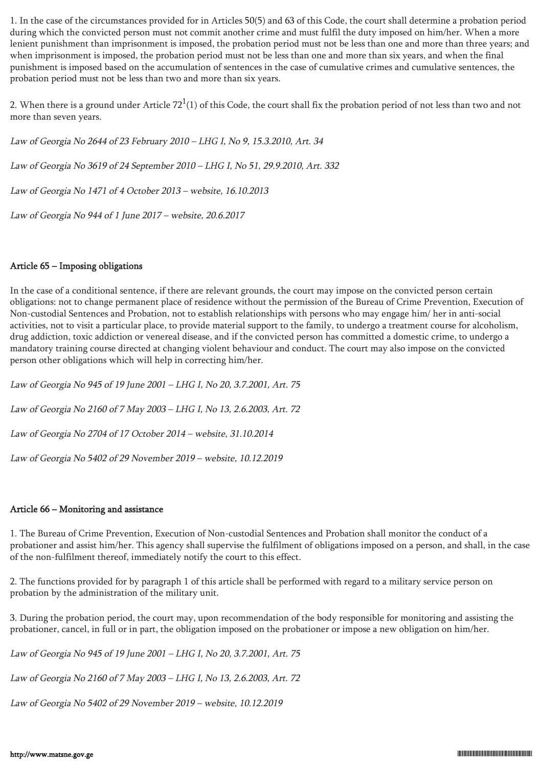1. In the case of the circumstances provided for in Articles 50(5) and 63 of this Code, the court shall determine a probation period during which the convicted person must not commit another crime and must fulfil the duty imposed on him/her. When a more lenient punishment than imprisonment is imposed, the probation period must not be less than one and more than three years; and when imprisonment is imposed, the probation period must not be less than one and more than six years, and when the final punishment is imposed based on the accumulation of sentences in the case of cumulative crimes and cumulative sentences, the probation period must not be less than two and more than six years.

2. When there is a ground under Article 72 $^1$ (1) of this Code, the court shall fix the probation period of not less than two and not more than seven years.

Law of Georgia No 2644 of 23 February 2010 – LHG I, No 9, 15.3.2010, Art. 34

Law of Georgia No 3619 of 24 September 2010 – LHG I, No 51, 29.9.2010, Art. 332

Law of Georgia No 1471 of 4 October 2013 – website, 16.10.2013

Law of Georgia No 944 of 1 June 2017 – website, 20.6.2017

### Article 65 – Imposing obligations

In the case of a conditional sentence, if there are relevant grounds, the court may impose on the convicted person certain obligations: not to change permanent place of residence without the permission of the Bureau of Crime Prevention, Execution of Non-custodial Sentences and Probation, not to establish relationships with persons who may engage him/ her in anti-social activities, not to visit a particular place, to provide material support to the family, to undergo a treatment course for alcoholism, drug addiction, toxic addiction or venereal disease, and if the convicted person has committed a domestic crime, to undergo a mandatory training course directed at changing violent behaviour and conduct. The court may also impose on the convicted person other obligations which will help in correcting him/her.

Law of Georgia No 945 of 19 June 2001 – LHG I, No 20, 3.7.2001, Art. 75 Law of Georgia No 2160 of 7 May 2003 – LHG I, No 13, 2.6.2003, Art. 72 Law of Georgia No 2704 of 17 October 2014 – website, 31.10.2014 Law of Georgia No 5402 of 29 November 2019 – website, 10.12.2019

### Article 66 – Monitoring and assistance

1. The Bureau of Crime Prevention, Execution of Non-custodial Sentences and Probation shall monitor the conduct of a probationer and assist him/her. This agency shall supervise the fulfilment of obligations imposed on a person, and shall, in the case of the non-fulfilment thereof, immediately notify the court to this effect.

2. The functions provided for by paragraph 1 of this article shall be performed with regard to a military service person on probation by the administration of the military unit.

3. During the probation period, the court may, upon recommendation of the body responsible for monitoring and assisting the probationer, cancel, in full or in part, the obligation imposed on the probationer or impose a new obligation on him/her.

Law of Georgia No 945 of 19 June 2001 – LHG I, No 20, 3.7.2001, Art. 75

Law of Georgia No 2160 of 7 May 2003 – LHG I, No 13, 2.6.2003, Art. 72

Law of Georgia No 5402 of 29 November 2019 – website, 10.12.2019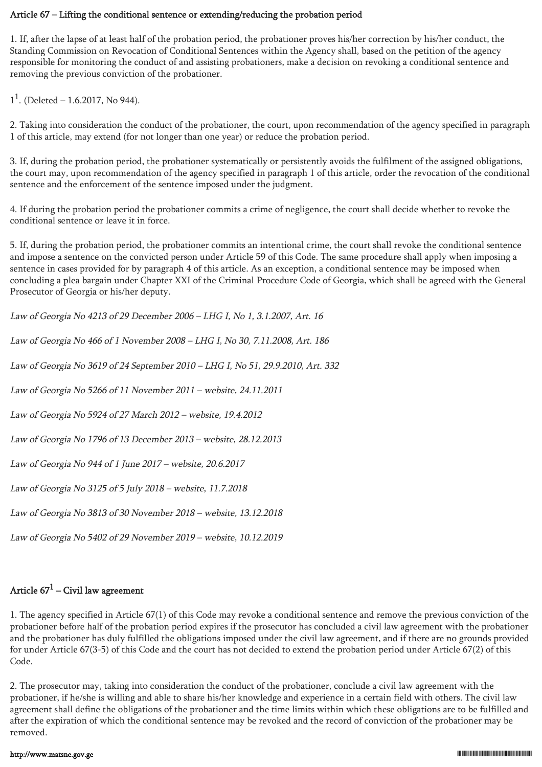### Article 67 – Lifting the conditional sentence or extending/reducing the probation period

1. If, after the lapse of at least half of the probation period, the probationer proves his/her correction by his/her conduct, the Standing Commission on Revocation of Conditional Sentences within the Agency shall, based on the petition of the agency responsible for monitoring the conduct of and assisting probationers, make a decision on revoking a conditional sentence and removing the previous conviction of the probationer.

 $1<sup>1</sup>$ . (Deleted – 1.6.2017, No 944).

2. Taking into consideration the conduct of the probationer, the court, upon recommendation of the agency specified in paragraph 1 of this article, may extend (for not longer than one year) or reduce the probation period.

3. If, during the probation period, the probationer systematically or persistently avoids the fulfilment of the assigned obligations, the court may, upon recommendation of the agency specified in paragraph 1 of this article, order the revocation of the conditional sentence and the enforcement of the sentence imposed under the judgment.

4. If during the probation period the probationer commits a crime of negligence, the court shall decide whether to revoke the conditional sentence or leave it in force.

5. If, during the probation period, the probationer commits an intentional crime, the court shall revoke the conditional sentence and impose a sentence on the convicted person under Article 59 of this Code. The same procedure shall apply when imposing a sentence in cases provided for by paragraph 4 of this article. As an exception, a conditional sentence may be imposed when concluding a plea bargain under Chapter XXI of the Criminal Procedure Code of Georgia, which shall be agreed with the General Prosecutor of Georgia or his/her deputy.

Law of Georgia No 4213 of 29 December 2006 – LHG I, No 1, 3.1.2007, Art. 16

Law of Georgia No 466 of 1 November 2008 – LHG I, No 30, 7.11.2008, Art. 186

Law of Georgia No 3619 of 24 September 2010 – LHG I, No 51, 29.9.2010, Art. 332

Law of Georgia No 5266 of 11 November 2011 – website, 24.11.2011

Law of Georgia No 5924 of 27 March 2012 – website, 19.4.2012

Law of Georgia No 1796 of 13 December 2013 – website, 28.12.2013

Law of Georgia No 944 of 1 June 2017 – website, 20.6.2017

Law of Georgia No 3125 of 5 July 2018 – website, 11.7.2018

Law of Georgia No 3813 of 30 November 2018 – website, 13.12.2018

Law of Georgia No 5402 of 29 November 2019 – website, 10.12.2019

# Article 67 $^{\rm 1}$  – Civil law agreement

1. The agency specified in Article 67(1) of this Code may revoke a conditional sentence and remove the previous conviction of the probationer before half of the probation period expires if the prosecutor has concluded a civil law agreement with the probationer and the probationer has duly fulfilled the obligations imposed under the civil law agreement, and if there are no grounds provided for under Article 67(3-5) of this Code and the court has not decided to extend the probation period under Article 67(2) of this Code.

2. The prosecutor may, taking into consideration the conduct of the probationer, conclude a civil law agreement with the probationer, if he/she is willing and able to share his/her knowledge and experience in a certain field with others. The civil law agreement shall define the obligations of the probationer and the time limits within which these obligations are to be fulfilled and after the expiration of which the conditional sentence may be revoked and the record of conviction of the probationer may be removed.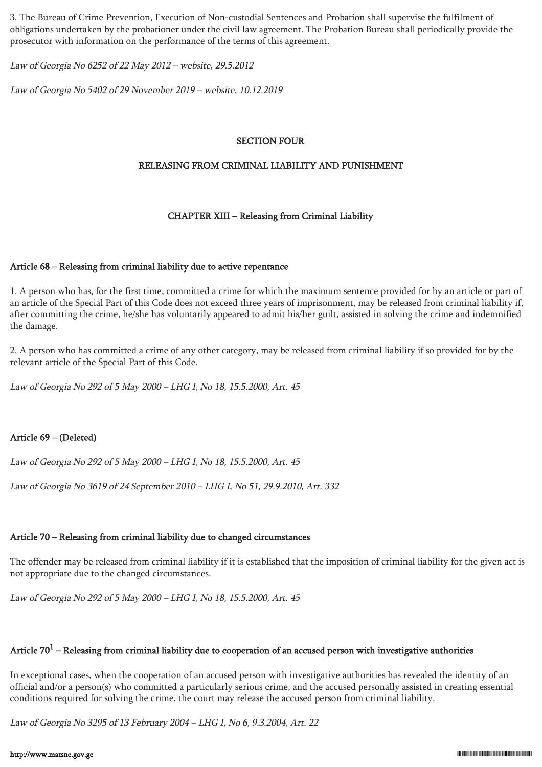3. The Bureau of Crime Prevention, Execution of Non-custodial Sentences and Probation shall supervise the fulfilment of obligations undertaken by the probationer under the civil law agreement. The Probation Bureau shall periodically provide the prosecutor with information on the performance of the terms of this agreement.

Law of Georgia No 6252 of 22 May 2012 – website, 29.5.2012

Law of Georgia No 5402 of 29 November 2019 – website, 10.12.2019

### SECTION FOUR

### RELEASING FROM CRIMINAL LIABILITY AND PUNISHMENT

### CHAPTER XIII – Releasing from Criminal Liability

#### Article 68 – Releasing from criminal liability due to active repentance

1. A person who has, for the first time, committed a crime for which the maximum sentence provided for by an article or part of an article of the Special Part of this Code does not exceed three years of imprisonment, may be released from criminal liability if, after committing the crime, he/she has voluntarily appeared to admit his/her guilt, assisted in solving the crime and indemnified the damage.

2. A person who has committed a crime of any other category, may be released from criminal liability if so provided for by the relevant article of the Special Part of this Code.

Law of Georgia No 292 of 5 May 2000 – LHG I, No 18, 15.5.2000, Art. 45

### Article 69 – (Deleted)

Law of Georgia No 292 of 5 May 2000 – LHG I, No 18, 15.5.2000, Art. 45

Law of Georgia No 3619 of 24 September 2010 – LHG I, No 51, 29.9.2010, Art. 332

# Article 70 – Releasing from criminal liability due to changed circumstances

The offender may be released from criminal liability if it is established that the imposition of criminal liability for the given act is not appropriate due to the changed circumstances.

Law of Georgia No 292 of 5 May 2000 – LHG I, No 18, 15.5.2000, Art. 45

# Article 70 $^1$  – Releasing from criminal liability due to cooperation of an accused person with investigative authorities

In exceptional cases, when the cooperation of an accused person with investigative authorities has revealed the identity of an official and/or a person(s) who committed a particularly serious crime, and the accused personally assisted in creating essential conditions required for solving the crime, the court may release the accused person from criminal liability.

Law of Georgia No 3295 of 13 February 2004 – LHG I, No 6, 9.3.2004, Art. 22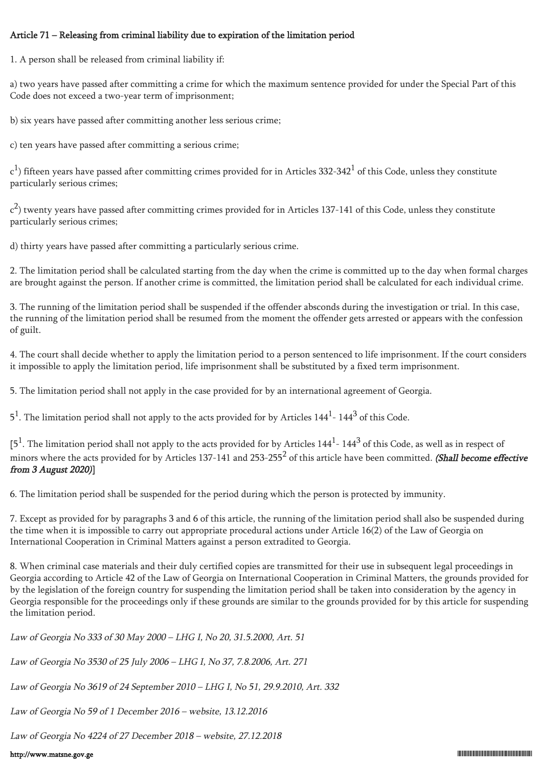### Article 71 – Releasing from criminal liability due to expiration of the limitation period

1. A person shall be released from criminal liability if:

a) two years have passed after committing a crime for which the maximum sentence provided for under the Special Part of this Code does not exceed a two-year term of imprisonment;

b) six years have passed after committing another less serious crime;

c) ten years have passed after committing a serious crime;

 ${\rm c}^1$ ) fifteen years have passed after committing crimes provided for in Articles 332-342 $^1$  of this Code, unless they constitute particularly serious crimes;

c<sup>2</sup>) twenty years have passed after committing crimes provided for in Articles 137-141 of this Code, unless they constitute particularly serious crimes;

d) thirty years have passed after committing a particularly serious crime.

2. The limitation period shall be calculated starting from the day when the crime is committed up to the day when formal charges are brought against the person. If another crime is committed, the limitation period shall be calculated for each individual crime.

3. The running of the limitation period shall be suspended if the offender absconds during the investigation or trial. In this case, the running of the limitation period shall be resumed from the moment the offender gets arrested or appears with the confession of guilt.

4. The court shall decide whether to apply the limitation period to a person sentenced to life imprisonment. If the court considers it impossible to apply the limitation period, life imprisonment shall be substituted by a fixed term imprisonment.

5. The limitation period shall not apply in the case provided for by an international agreement of Georgia.

 $5<sup>1</sup>$ . The limitation period shall not apply to the acts provided for by Articles 144<sup>1</sup>-144<sup>3</sup> of this Code.

[5<sup>1</sup>. The limitation period shall not apply to the acts provided for by Articles 144<sup>1</sup>-144<sup>3</sup> of this Code, as well as in respect of minors where the acts provided for by Articles 137-141 and 253-255<sup>2</sup> of this article have been committed. *(Shall become effective* from 3 August 2020)]

6. The limitation period shall be suspended for the period during which the person is protected by immunity.

7. Except as provided for by paragraphs 3 and 6 of this article, the running of the limitation period shall also be suspended during the time when it is impossible to carry out appropriate procedural actions under Article 16(2) of the Law of Georgia on International Cooperation in Criminal Matters against a person extradited to Georgia.

8. When criminal case materials and their duly certified copies are transmitted for their use in subsequent legal proceedings in Georgia according to Article 42 of the Law of Georgia on International Cooperation in Criminal Matters, the grounds provided for by the legislation of the foreign country for suspending the limitation period shall be taken into consideration by the agency in Georgia responsible for the proceedings only if these grounds are similar to the grounds provided for by this article for suspending the limitation period.

Law of Georgia No 333 of 30 May 2000 – LHG I, No 20, 31.5.2000, Art. 51

Law of Georgia No 3530 of 25 July 2006 – LHG I, No 37, 7.8.2006, Art. 271

Law of Georgia No 3619 of 24 September 2010 – LHG I, No 51, 29.9.2010, Art. 332

Law of Georgia No 59 of 1 December 2016 – website, 13.12.2016

Law of Georgia No 4224 of 27 December 2018 – website, 27.12.2018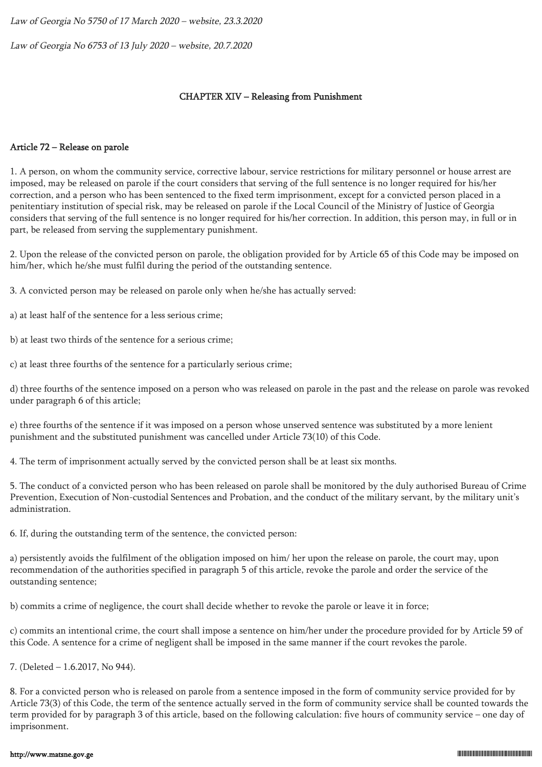Law of Georgia No 5750 of 17 March 2020 – website, 23.3.2020

Law of Georgia No 6753 of 13 July 2020 – website, 20.7.2020

#### CHAPTER XIV – Releasing from Punishment

#### Article 72 – Release on parole

1. A person, on whom the community service, corrective labour, service restrictions for military personnel or house arrest are imposed, may be released on parole if the court considers that serving of the full sentence is no longer required for his/her correction, and a person who has been sentenced to the fixed term imprisonment, except for a convicted person placed in a penitentiary institution of special risk, may be released on parole if the Local Council of the Ministry of Justice of Georgia considers that serving of the full sentence is no longer required for his/her correction. In addition, this person may, in full or in part, be released from serving the supplementary punishment.

2. Upon the release of the convicted person on parole, the obligation provided for by Article 65 of this Code may be imposed on him/her, which he/she must fulfil during the period of the outstanding sentence.

3. A convicted person may be released on parole only when he/she has actually served:

a) at least half of the sentence for a less serious crime;

b) at least two thirds of the sentence for a serious crime;

c) at least three fourths of the sentence for a particularly serious crime;

d) three fourths of the sentence imposed on a person who was released on parole in the past and the release on parole was revoked under paragraph 6 of this article;

e) three fourths of the sentence if it was imposed on a person whose unserved sentence was substituted by a more lenient punishment and the substituted punishment was cancelled under Article 73(10) of this Code.

4. The term of imprisonment actually served by the convicted person shall be at least six months.

5. The conduct of a convicted person who has been released on parole shall be monitored by the duly authorised Bureau of Crime Prevention, Execution of Non-custodial Sentences and Probation, and the conduct of the military servant, by the military unit's administration.

6. If, during the outstanding term of the sentence, the convicted person:

a) persistently avoids the fulfilment of the obligation imposed on him/ her upon the release on parole, the court may, upon recommendation of the authorities specified in paragraph 5 of this article, revoke the parole and order the service of the outstanding sentence;

b) commits a crime of negligence, the court shall decide whether to revoke the parole or leave it in force;

c) commits an intentional crime, the court shall impose a sentence on him/her under the procedure provided for by Article 59 of this Code. A sentence for a crime of negligent shall be imposed in the same manner if the court revokes the parole.

7. (Deleted – 1.6.2017, No 944).

8. For a convicted person who is released on parole from a sentence imposed in the form of community service provided for by Article 73(3) of this Code, the term of the sentence actually served in the form of community service shall be counted towards the term provided for by paragraph 3 of this article, based on the following calculation: five hours of community service – one day of imprisonment.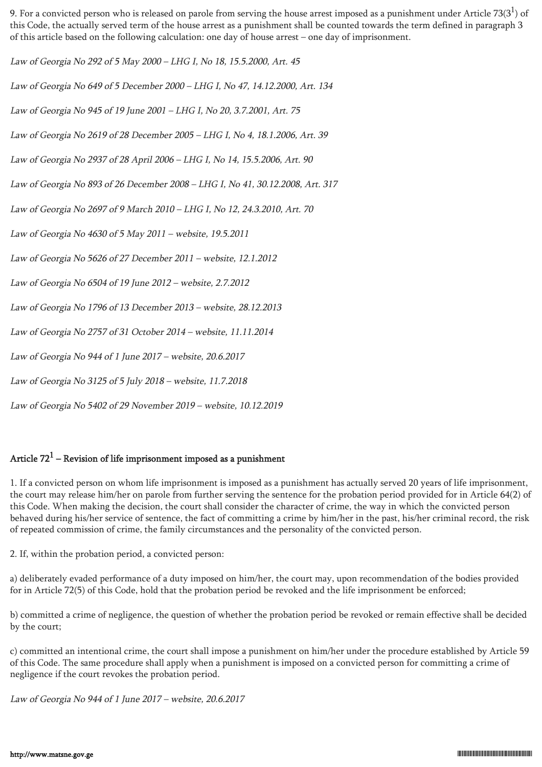9. For a convicted person who is released on parole from serving the house arrest imposed as a punishment under Article 73(3 $^{\rm l}$ ) of this Code, the actually served term of the house arrest as a punishment shall be counted towards the term defined in paragraph 3 of this article based on the following calculation: one day of house arrest – one day of imprisonment.

Law of Georgia No 292 of 5 May 2000 – LHG I, No 18, 15.5.2000, Art. 45

Law of Georgia No 649 of 5 December 2000 – LHG I, No 47, 14.12.2000, Art. 134

Law of Georgia No 945 of 19 June 2001 – LHG I, No 20, 3.7.2001, Art. 75

Law of Georgia No 2619 of 28 December 2005 – LHG I, No 4, 18.1.2006, Art. 39

Law of Georgia No 2937 of 28 April 2006 – LHG I, No 14, 15.5.2006, Art. 90

Law of Georgia No 893 of 26 December 2008 – LHG I, No 41, 30.12.2008, Art. 317

Law of Georgia No 2697 of 9 March 2010 – LHG I, No 12, 24.3.2010, Art. 70

Law of Georgia No 4630 of 5 May 2011 – website, 19.5.2011

Law of Georgia No 5626 of 27 December 2011 – website, 12.1.2012

Law of Georgia No 6504 of 19 June 2012 – website, 2.7.2012

Law of Georgia No 1796 of 13 December 2013 – website, 28.12.2013

Law of Georgia No 2757 of 31 October 2014 – website, 11.11.2014

Law of Georgia No 944 of 1 June 2017 – website, 20.6.2017

Law of Georgia No 3125 of 5 July 2018 – website, 11.7.2018

Law of Georgia No 5402 of 29 November 2019 – website, 10.12.2019

# Article 72 $^{\rm 1}$  – Revision of life imprisonment imposed as a punishment

1. If a convicted person on whom life imprisonment is imposed as a punishment has actually served 20 years of life imprisonment, the court may release him/her on parole from further serving the sentence for the probation period provided for in Article 64(2) of this Code. When making the decision, the court shall consider the character of crime, the way in which the convicted person behaved during his/her service of sentence, the fact of committing a crime by him/her in the past, his/her criminal record, the risk of repeated commission of crime, the family circumstances and the personality of the convicted person.

2. If, within the probation period, a convicted person:

a) deliberately evaded performance of a duty imposed on him/her, the court may, upon recommendation of the bodies provided for in Article 72(5) of this Code, hold that the probation period be revoked and the life imprisonment be enforced;

b) committed a crime of negligence, the question of whether the probation period be revoked or remain effective shall be decided by the court;

c) committed an intentional crime, the court shall impose a punishment on him/her under the procedure established by Article 59 of this Code. The same procedure shall apply when a punishment is imposed on a convicted person for committing a crime of negligence if the court revokes the probation period.

Law of Georgia No 944 of 1 June 2017 – website, 20.6.2017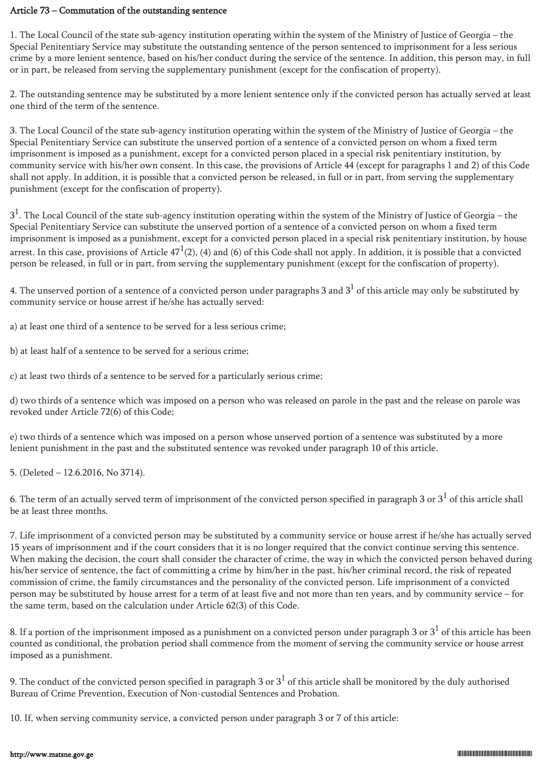### Article 73 – Commutation of the outstanding sentence

1. The Local Council of the state sub-agency institution operating within the system of the Ministry of Justice of Georgia – the Special Penitentiary Service may substitute the outstanding sentence of the person sentenced to imprisonment for a less serious crime by a more lenient sentence, based on his/her conduct during the service of the sentence. In addition, this person may, in full or in part, be released from serving the supplementary punishment (except for the confiscation of property).

2. The outstanding sentence may be substituted by a more lenient sentence only if the convicted person has actually served at least one third of the term of the sentence.

3. The Local Council of the state sub-agency institution operating within the system of the Ministry of Justice of Georgia – the Special Penitentiary Service can substitute the unserved portion of a sentence of a convicted person on whom a fixed term imprisonment is imposed as a punishment, except for a convicted person placed in a special risk penitentiary institution, by community service with his/her own consent. In this case, the provisions of Article 44 (except for paragraphs 1 and 2) of this Code shall not apply. In addition, it is possible that a convicted person be released, in full or in part, from serving the supplementary punishment (except for the confiscation of property).

 $3<sup>1</sup>$ . The Local Council of the state sub-agency institution operating within the system of the Ministry of Justice of Georgia – the Special Penitentiary Service can substitute the unserved portion of a sentence of a convicted person on whom a fixed term imprisonment is imposed as a punishment, except for a convicted person placed in a special risk penitentiary institution, by house arrest. In this case, provisions of Article 47<sup>1</sup>(2), (4) and (6) of this Code shall not apply. In addition, it is possible that a convicted person be released, in full or in part, from serving the supplementary punishment (except for the confiscation of property).

4. The unserved portion of a sentence of a convicted person under paragraphs 3 and  $3^1$  of this article may only be substituted by community service or house arrest if he/she has actually served:

a) at least one third of a sentence to be served for a less serious crime;

b) at least half of a sentence to be served for a serious crime;

c) at least two thirds of a sentence to be served for a particularly serious crime;

d) two thirds of a sentence which was imposed on a person who was released on parole in the past and the release on parole was revoked under Article 72(6) of this Code;

e) two thirds of a sentence which was imposed on a person whose unserved portion of a sentence was substituted by a more lenient punishment in the past and the substituted sentence was revoked under paragraph 10 of this article.

5. (Deleted – 12.6.2016, No 3714).

6. The term of an actually served term of imprisonment of the convicted person specified in paragraph 3 or  $3^1$  of this article shall be at least three months.

7. Life imprisonment of a convicted person may be substituted by a community service or house arrest if he/she has actually served 15 years of imprisonment and if the court considers that it is no longer required that the convict continue serving this sentence. When making the decision, the court shall consider the character of crime, the way in which the convicted person behaved during his/her service of sentence, the fact of committing a crime by him/her in the past, his/her criminal record, the risk of repeated commission of crime, the family circumstances and the personality of the convicted person. Life imprisonment of a convicted person may be substituted by house arrest for a term of at least five and not more than ten years, and by community service – for the same term, based on the calculation under Article 62(3) of this Code.

8. If a portion of the imprisonment imposed as a punishment on a convicted person under paragraph 3 or  $3^1$  of this article has been counted as conditional, the probation period shall commence from the moment of serving the community service or house arrest imposed as a punishment.

9. The conduct of the convicted person specified in paragraph 3 or  $3^1$  of this article shall be monitored by the duly authorised Bureau of Crime Prevention, Execution of Non-custodial Sentences and Probation.

10. If, when serving community service, a convicted person under paragraph 3 or 7 of this article: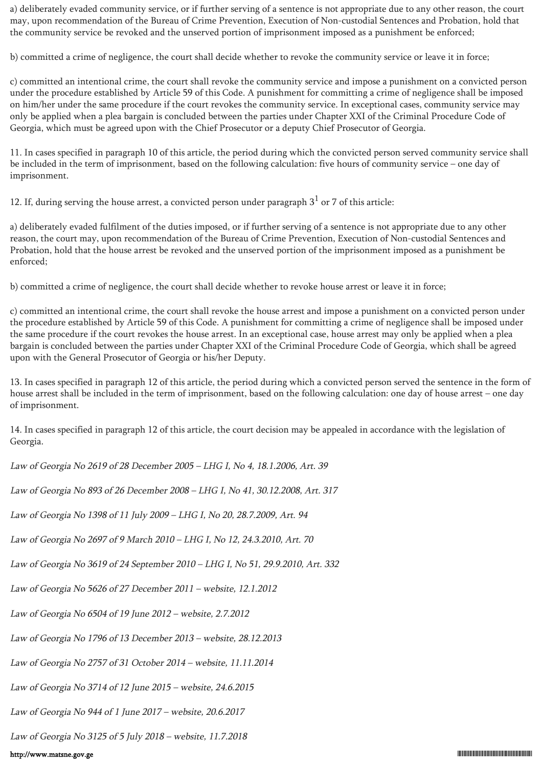a) deliberately evaded community service, or if further serving of a sentence is not appropriate due to any other reason, the court may, upon recommendation of the Bureau of Crime Prevention, Execution of Non-custodial Sentences and Probation, hold that the community service be revoked and the unserved portion of imprisonment imposed as a punishment be enforced;

b) committed a crime of negligence, the court shall decide whether to revoke the community service or leave it in force;

c) committed an intentional crime, the court shall revoke the community service and impose a punishment on a convicted person under the procedure established by Article 59 of this Code. A punishment for committing a crime of negligence shall be imposed on him/her under the same procedure if the court revokes the community service. In exceptional cases, community service may only be applied when a plea bargain is concluded between the parties under Chapter XXI of the Criminal Procedure Code of Georgia, which must be agreed upon with the Chief Prosecutor or a deputy Chief Prosecutor of Georgia.

11. In cases specified in paragraph 10 of this article, the period during which the convicted person served community service shall be included in the term of imprisonment, based on the following calculation: five hours of community service – one day of imprisonment.

12. If, during serving the house arrest, a convicted person under paragraph  $3<sup>1</sup>$  or 7 of this article:

a) deliberately evaded fulfilment of the duties imposed, or if further serving of a sentence is not appropriate due to any other reason, the court may, upon recommendation of the Bureau of Crime Prevention, Execution of Non-custodial Sentences and Probation, hold that the house arrest be revoked and the unserved portion of the imprisonment imposed as a punishment be enforced;

b) committed a crime of negligence, the court shall decide whether to revoke house arrest or leave it in force;

c) committed an intentional crime, the court shall revoke the house arrest and impose a punishment on a convicted person under the procedure established by Article 59 of this Code. A punishment for committing a crime of negligence shall be imposed under the same procedure if the court revokes the house arrest. In an exceptional case, house arrest may only be applied when a plea bargain is concluded between the parties under Chapter XXI of the Criminal Procedure Code of Georgia, which shall be agreed upon with the General Prosecutor of Georgia or his/her Deputy.

13. In cases specified in paragraph 12 of this article, the period during which a convicted person served the sentence in the form of house arrest shall be included in the term of imprisonment, based on the following calculation: one day of house arrest – one day of imprisonment.

14. In cases specified in paragraph 12 of this article, the court decision may be appealed in accordance with the legislation of Georgia.

Law of Georgia No 2619 of 28 December 2005 – LHG I, No 4, 18.1.2006, Art. 39

Law of Georgia No 893 of 26 December 2008 – LHG I, No 41, 30.12.2008, Art. 317

Law of Georgia No 1398 of 11 July 2009 – LHG I, No 20, 28.7.2009, Art. 94

Law of Georgia No 2697 of 9 March 2010 – LHG I, No 12, 24.3.2010, Art. 70

Law of Georgia No 3619 of 24 September 2010 – LHG I, No 51, 29.9.2010, Art. 332

Law of Georgia No 5626 of 27 December 2011 – website, 12.1.2012

Law of Georgia No 6504 of 19 June 2012 – website, 2.7.2012

Law of Georgia No 1796 of 13 December 2013 – website, 28.12.2013

Law of Georgia No 2757 of 31 October 2014 – website, 11.11.2014

Law of Georgia No 3714 of 12 June 2015 – website, 24.6.2015

Law of Georgia No 944 of 1 June 2017 – website, 20.6.2017

Law of Georgia No 3125 of 5 July 2018 – website, 11.7.2018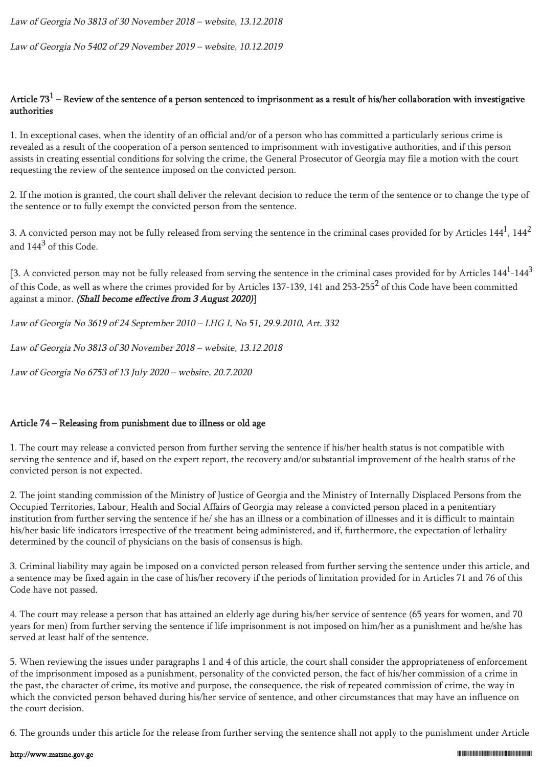Law of Georgia No 3813 of 30 November 2018 – website, 13.12.2018

Law of Georgia No 5402 of 29 November 2019 – website, 10.12.2019

# Article 73 $^1$  – Review of the sentence of a person sentenced to imprisonment as a result of his/her collaboration with investigative authorities

1. In exceptional cases, when the identity of an official and/or of a person who has committed a particularly serious crime is revealed as a result of the cooperation of a person sentenced to imprisonment with investigative authorities, and if this person assists in creating essential conditions for solving the crime, the General Prosecutor of Georgia may file a motion with the court requesting the review of the sentence imposed on the convicted person.

2. If the motion is granted, the court shall deliver the relevant decision to reduce the term of the sentence or to change the type of the sentence or to fully exempt the convicted person from the sentence.

3. A convicted person may not be fully released from serving the sentence in the criminal cases provided for by Articles 144<sup>1</sup>, 144<sup>2</sup> and  $144^3$  of this Code.

[3. A convicted person may not be fully released from serving the sentence in the criminal cases provided for by Articles  $144^{1}$ - $144^{3}$ of this Code, as well as where the crimes provided for by Articles 137-139, 141 and 253-255<sup>2</sup> of this Code have been committed against a minor. (Shall become effective from 3 August 2020)]

Law of Georgia No 3619 of 24 September 2010 – LHG I, No 51, 29.9.2010, Art. 332

Law of Georgia No 3813 of 30 November 2018 – website, 13.12.2018

Law of Georgia No 6753 of 13 July 2020 – website, 20.7.2020

### Article 74 – Releasing from punishment due to illness or old age

1. The court may release a convicted person from further serving the sentence if his/her health status is not compatible with serving the sentence and if, based on the expert report, the recovery and/or substantial improvement of the health status of the convicted person is not expected.

2. The joint standing commission of the Ministry of Justice of Georgia and the Ministry of Internally Displaced Persons from the Occupied Territories, Labour, Health and Social Affairs of Georgia may release a convicted person placed in a penitentiary institution from further serving the sentence if he/ she has an illness or a combination of illnesses and it is difficult to maintain his/her basic life indicators irrespective of the treatment being administered, and if, furthermore, the expectation of lethality determined by the council of physicians on the basis of consensus is high.

3. Criminal liability may again be imposed on a convicted person released from further serving the sentence under this article, and a sentence may be fixed again in the case of his/her recovery if the periods of limitation provided for in Articles 71 and 76 of this Code have not passed.

4. The court may release a person that has attained an elderly age during his/her service of sentence (65 years for women, and 70 years for men) from further serving the sentence if life imprisonment is not imposed on him/her as a punishment and he/she has served at least half of the sentence.

5. When reviewing the issues under paragraphs 1 and 4 of this article, the court shall consider the appropriateness of enforcement of the imprisonment imposed as a punishment, personality of the convicted person, the fact of his/her commission of a crime in the past, the character of crime, its motive and purpose, the consequence, the risk of repeated commission of crime, the way in which the convicted person behaved during his/her service of sentence, and other circumstances that may have an influence on the court decision.

6. The grounds under this article for the release from further serving the sentence shall not apply to the punishment under Article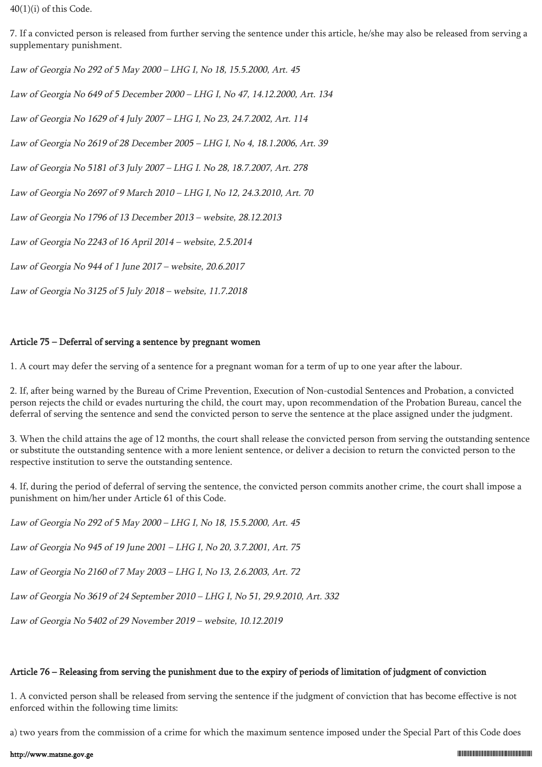40(1)(i) of this Code.

7. If a convicted person is released from further serving the sentence under this article, he/she may also be released from serving a supplementary punishment.

Law of Georgia No 292 of 5 May 2000 – LHG I, No 18, 15.5.2000, Art. 45

Law of Georgia No 649 of 5 December 2000 – LHG I, No 47, 14.12.2000, Art. 134

Law of Georgia No 1629 of 4 July 2007 – LHG I, No 23, 24.7.2002, Art. 114

Law of Georgia No 2619 of 28 December 2005 – LHG I, No 4, 18.1.2006, Art. 39

Law of Georgia No 5181 of 3 July 2007 – LHG I. No 28, 18.7.2007, Art. 278

Law of Georgia No 2697 of 9 March 2010 – LHG I, No 12, 24.3.2010, Art. 70

Law of Georgia No 1796 of 13 December 2013 – website, 28.12.2013

Law of Georgia No 2243 of 16 April 2014 – website, 2.5.2014

Law of Georgia No 944 of 1 June 2017 – website, 20.6.2017

Law of Georgia No 3125 of 5 July 2018 – website, 11.7.2018

### Article 75 – Deferral of serving a sentence by pregnant women

1. A court may defer the serving of a sentence for a pregnant woman for a term of up to one year after the labour.

2. If, after being warned by the Bureau of Crime Prevention, Execution of Non-custodial Sentences and Probation, a convicted person rejects the child or evades nurturing the child, the court may, upon recommendation of the Probation Bureau, cancel the deferral of serving the sentence and send the convicted person to serve the sentence at the place assigned under the judgment.

3. When the child attains the age of 12 months, the court shall release the convicted person from serving the outstanding sentence or substitute the outstanding sentence with a more lenient sentence, or deliver a decision to return the convicted person to the respective institution to serve the outstanding sentence.

4. If, during the period of deferral of serving the sentence, the convicted person commits another crime, the court shall impose a punishment on him/her under Article 61 of this Code.

Law of Georgia No 292 of 5 May 2000 – LHG I, No 18, 15.5.2000, Art. 45

Law of Georgia No 945 of 19 June 2001 – LHG I, No 20, 3.7.2001, Art. 75

Law of Georgia No 2160 of 7 May 2003 – LHG I, No 13, 2.6.2003, Art. 72

Law of Georgia No 3619 of 24 September 2010 – LHG I, No 51, 29.9.2010, Art. 332

Law of Georgia No 5402 of 29 November 2019 – website, 10.12.2019

# Article 76 – Releasing from serving the punishment due to the expiry of periods of limitation of judgment of conviction

1. A convicted person shall be released from serving the sentence if the judgment of conviction that has become effective is not enforced within the following time limits:

a) two years from the commission of a crime for which the maximum sentence imposed under the Special Part of this Code does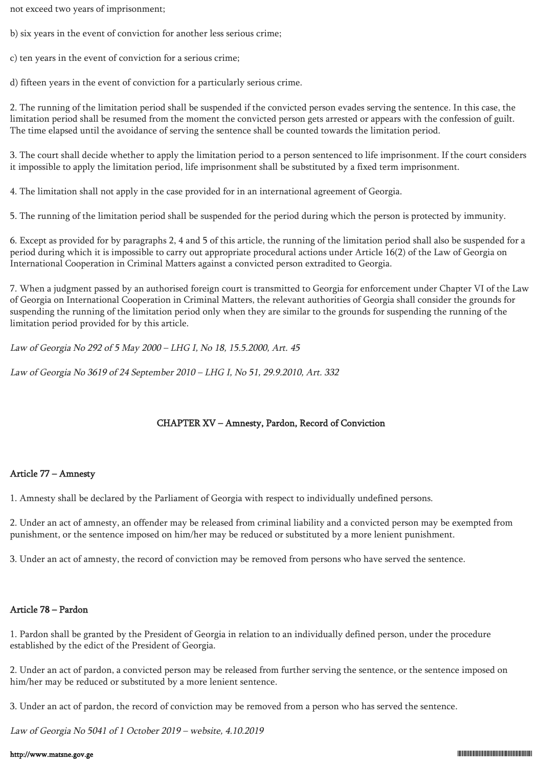not exceed two years of imprisonment;

b) six years in the event of conviction for another less serious crime;

c) ten years in the event of conviction for a serious crime;

d) fifteen years in the event of conviction for a particularly serious crime.

2. The running of the limitation period shall be suspended if the convicted person evades serving the sentence. In this case, the limitation period shall be resumed from the moment the convicted person gets arrested or appears with the confession of guilt. The time elapsed until the avoidance of serving the sentence shall be counted towards the limitation period.

3. The court shall decide whether to apply the limitation period to a person sentenced to life imprisonment. If the court considers it impossible to apply the limitation period, life imprisonment shall be substituted by a fixed term imprisonment.

4. The limitation shall not apply in the case provided for in an international agreement of Georgia.

5. The running of the limitation period shall be suspended for the period during which the person is protected by immunity.

6. Except as provided for by paragraphs 2, 4 and 5 of this article, the running of the limitation period shall also be suspended for a period during which it is impossible to carry out appropriate procedural actions under Article 16(2) of the Law of Georgia on International Cooperation in Criminal Matters against a convicted person extradited to Georgia.

7. When a judgment passed by an authorised foreign court is transmitted to Georgia for enforcement under Chapter VI of the Law of Georgia on International Cooperation in Criminal Matters, the relevant authorities of Georgia shall consider the grounds for suspending the running of the limitation period only when they are similar to the grounds for suspending the running of the limitation period provided for by this article.

Law of Georgia No 292 of 5 May 2000 – LHG I, No 18, 15.5.2000, Art. 45

Law of Georgia No 3619 of 24 September 2010 – LHG I, No 51, 29.9.2010, Art. 332

# CHAPTER XV – Amnesty, Pardon, Record of Conviction

# Article 77 – Amnesty

1. Amnesty shall be declared by the Parliament of Georgia with respect to individually undefined persons.

2. Under an act of amnesty, an offender may be released from criminal liability and a convicted person may be exempted from punishment, or the sentence imposed on him/her may be reduced or substituted by a more lenient punishment.

3. Under an act of amnesty, the record of conviction may be removed from persons who have served the sentence.

# Article 78 – Pardon

1. Pardon shall be granted by the President of Georgia in relation to an individually defined person, under the procedure established by the edict of the President of Georgia.

2. Under an act of pardon, a convicted person may be released from further serving the sentence, or the sentence imposed on him/her may be reduced or substituted by a more lenient sentence.

3. Under an act of pardon, the record of conviction may be removed from a person who has served the sentence.

Law of Georgia No 5041 of 1 October 2019 – website, 4.10.2019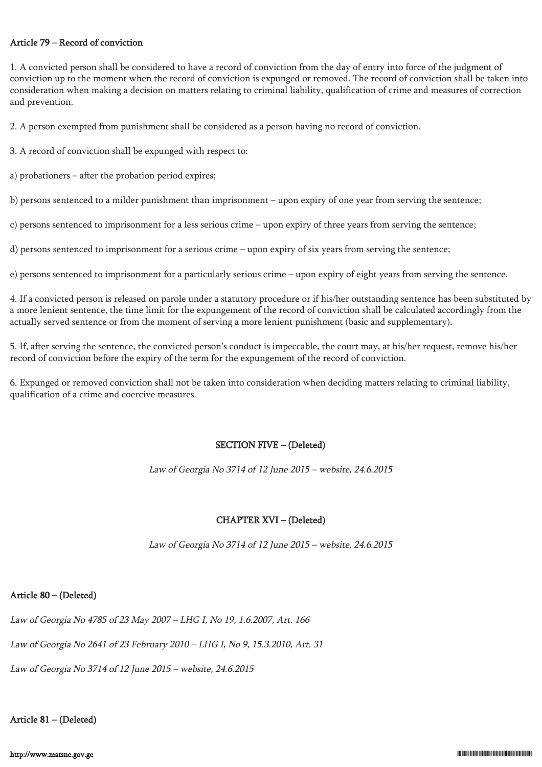#### Article 79 – Record of conviction

1. A convicted person shall be considered to have a record of conviction from the day of entry into force of the judgment of conviction up to the moment when the record of conviction is expunged or removed. The record of conviction shall be taken into consideration when making a decision on matters relating to criminal liability, qualification of crime and measures of correction and prevention.

2. A person exempted from punishment shall be considered as a person having no record of conviction.

3. A record of conviction shall be expunged with respect to:

a) probationers – after the probation period expires;

b) persons sentenced to a milder punishment than imprisonment – upon expiry of one year from serving the sentence;

c) persons sentenced to imprisonment for a less serious crime – upon expiry of three years from serving the sentence;

d) persons sentenced to imprisonment for a serious crime – upon expiry of six years from serving the sentence;

e) persons sentenced to imprisonment for a particularly serious crime – upon expiry of eight years from serving the sentence.

4. If a convicted person is released on parole under a statutory procedure or if his/her outstanding sentence has been substituted by a more lenient sentence, the time limit for the expungement of the record of conviction shall be calculated accordingly from the actually served sentence or from the moment of serving a more lenient punishment (basic and supplementary).

5. If, after serving the sentence, the convicted person's conduct is impeccable, the court may, at his/her request, remove his/her record of conviction before the expiry of the term for the expungement of the record of conviction.

6. Expunged or removed conviction shall not be taken into consideration when deciding matters relating to criminal liability, qualification of a crime and coercive measures.

### SECTION FIVE – (Deleted)

Law of Georgia No 3714 of 12 June 2015 – website, 24.6.2015

# CHAPTER XVI – (Deleted)

Law of Georgia No 3714 of 12 June 2015 – website, 24.6.2015

### Article 80 – (Deleted)

Law of Georgia No 4785 of 23 May 2007 – LHG I, No 19, 1.6.2007, Art. 166

Law of Georgia No 2641 of 23 February 2010 – LHG I, No 9, 15.3.2010, Art. 31

Law of Georgia No 3714 of 12 June 2015 – website, 24.6.2015

# Article 81 – (Deleted)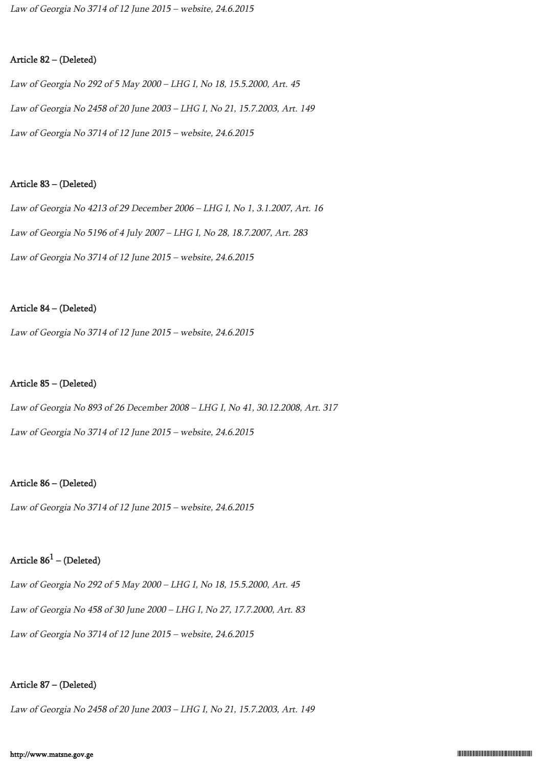#### Article 82 – (Deleted)

Law of Georgia No 292 of 5 May 2000 – LHG I, No 18, 15.5.2000, Art. 45 Law of Georgia No 2458 of 20 June 2003 – LHG I, No 21, 15.7.2003, Art. 149 Law of Georgia No 3714 of 12 June 2015 – website, 24.6.2015

#### Article 83 – (Deleted)

Law of Georgia No 4213 of 29 December 2006 – LHG I, No 1, 3.1.2007, Art. 16 Law of Georgia No 5196 of 4 July 2007 – LHG I, No 28, 18.7.2007, Art. 283 Law of Georgia No 3714 of 12 June 2015 – website, 24.6.2015

#### Article 84 – (Deleted)

Law of Georgia No 3714 of 12 June 2015 – website, 24.6.2015

#### Article 85 – (Deleted)

Law of Georgia No 893 of 26 December 2008 – LHG I, No 41, 30.12.2008, Art. 317 Law of Georgia No 3714 of 12 June 2015 – website, 24.6.2015

### Article 86 – (Deleted)

Law of Georgia No 3714 of 12 June 2015 – website, 24.6.2015

# Article  $86^1$  – (Deleted)

Law of Georgia No 292 of 5 May 2000 – LHG I, No 18, 15.5.2000, Art. 45 Law of Georgia No 458 of 30 June 2000 – LHG I, No 27, 17.7.2000, Art. 83 Law of Georgia No 3714 of 12 June 2015 – website, 24.6.2015

# Article 87 – (Deleted)

Law of Georgia No 2458 of 20 June 2003 – LHG I, No 21, 15.7.2003, Art. 149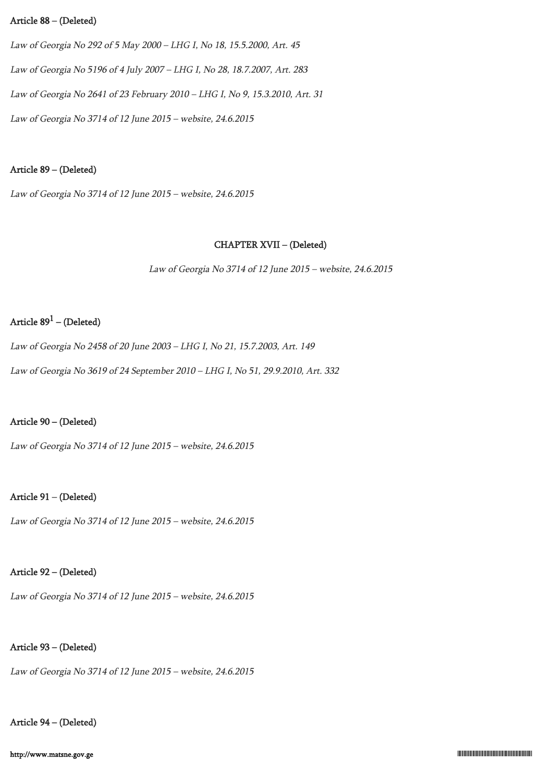### Article 88 – (Deleted)

Law of Georgia No 292 of 5 May 2000 – LHG I, No 18, 15.5.2000, Art. 45 Law of Georgia No 5196 of 4 July 2007 – LHG I, No 28, 18.7.2007, Art. 283 Law of Georgia No 2641 of 23 February 2010 – LHG I, No 9, 15.3.2010, Art. 31 Law of Georgia No 3714 of 12 June 2015 – website, 24.6.2015

### Article 89 – (Deleted)

Law of Georgia No 3714 of 12 June 2015 – website, 24.6.2015

### CHAPTER XVII – (Deleted)

Law of Georgia No 3714 of 12 June 2015 – website, 24.6.2015

# Article  $89^1$  – (Deleted)

Law of Georgia No 2458 of 20 June 2003 – LHG I, No 21, 15.7.2003, Art. 149

Law of Georgia No 3619 of 24 September 2010 – LHG I, No 51, 29.9.2010, Art. 332

## Article 90 – (Deleted)

Law of Georgia No 3714 of 12 June 2015 – website, 24.6.2015

## Article 91 – (Deleted)

Law of Georgia No 3714 of 12 June 2015 – website, 24.6.2015

## Article 92 – (Deleted)

Law of Georgia No 3714 of 12 June 2015 – website, 24.6.2015

# Article 93 – (Deleted)

Law of Georgia No 3714 of 12 June 2015 – website, 24.6.2015

# Article 94 – (Deleted)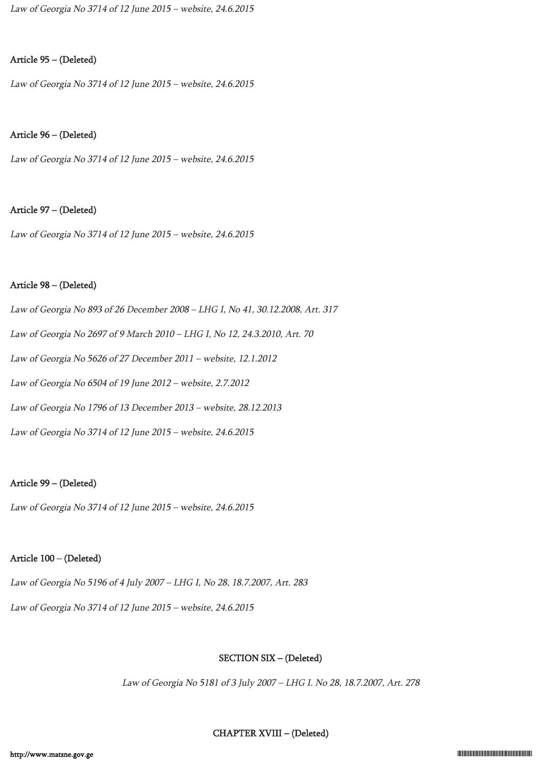Law of Georgia No 3714 of 12 June 2015 – website, 24.6.2015

### Article 95 – (Deleted)

Law of Georgia No 3714 of 12 June 2015 – website, 24.6.2015

## Article 96 – (Deleted)

Law of Georgia No 3714 of 12 June 2015 – website, 24.6.2015

# Article 97 – (Deleted)

Law of Georgia No 3714 of 12 June 2015 – website, 24.6.2015

# Article 98 – (Deleted)

Law of Georgia No 893 of 26 December 2008 – LHG I, No 41, 30.12.2008, Art. 317 Law of Georgia No 2697 of 9 March 2010 – LHG I, No 12, 24.3.2010, Art. 70 Law of Georgia No 5626 of 27 December 2011 – website, 12.1.2012 Law of Georgia No 6504 of 19 June 2012 – website, 2.7.2012 Law of Georgia No 1796 of 13 December 2013 – website, 28.12.2013 Law of Georgia No 3714 of 12 June 2015 – website, 24.6.2015

# Article 99 – (Deleted)

Law of Georgia No 3714 of 12 June 2015 – website, 24.6.2015

# Article 100 – (Deleted)

Law of Georgia No 5196 of 4 July 2007 – LHG I, No 28, 18.7.2007, Art. 283

Law of Georgia No 3714 of 12 June 2015 – website, 24.6.2015

# SECTION SIX – (Deleted)

Law of Georgia No 5181 of 3 July 2007 – LHG I. No 28, 18.7.2007, Art. 278

# CHAPTER XVIII – (Deleted)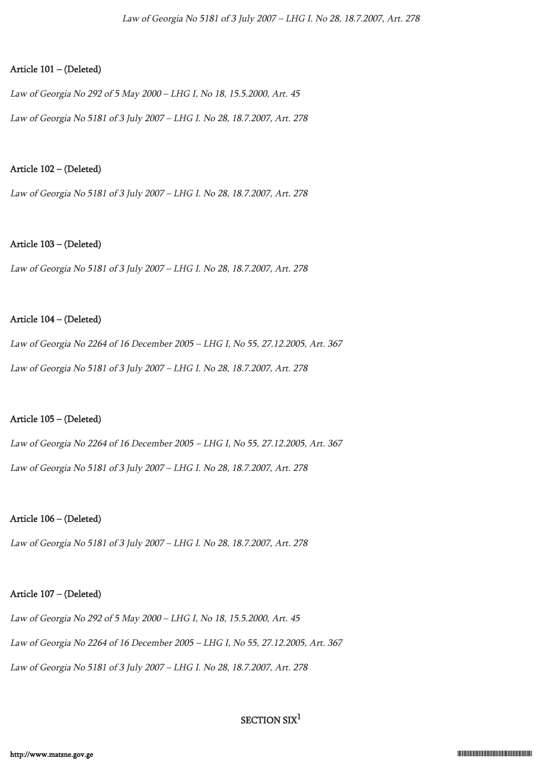#### Article 101 – (Deleted)

Law of Georgia No 292 of 5 May 2000 – LHG I, No 18, 15.5.2000, Art. 45 Law of Georgia No 5181 of 3 July 2007 – LHG I. No 28, 18.7.2007, Art. 278

### Article 102 – (Deleted)

Law of Georgia No 5181 of 3 July 2007 – LHG I. No 28, 18.7.2007, Art. 278

## Article 103 – (Deleted)

Law of Georgia No 5181 of 3 July 2007 – LHG I. No 28, 18.7.2007, Art. 278

### Article 104 – (Deleted)

Law of Georgia No 2264 of 16 December 2005 – LHG I, No 55, 27.12.2005, Art. 367 Law of Georgia No 5181 of 3 July 2007 – LHG I. No 28, 18.7.2007, Art. 278

## Article 105 – (Deleted)

Law of Georgia No 2264 of 16 December 2005 – LHG I, No 55, 27.12.2005, Art. 367 Law of Georgia No 5181 of 3 July 2007 – LHG I. No 28, 18.7.2007, Art. 278

#### Article 106 – (Deleted)

Law of Georgia No 5181 of 3 July 2007 – LHG I. No 28, 18.7.2007, Art. 278

#### Article 107 – (Deleted)

Law of Georgia No 292 of 5 May 2000 – LHG I, No 18, 15.5.2000, Art. 45 Law of Georgia No 2264 of 16 December 2005 – LHG I, No 55, 27.12.2005, Art. 367 Law of Georgia No 5181 of 3 July 2007 – LHG I. No 28, 18.7.2007, Art. 278

## SECTION SIX<sup>1</sup>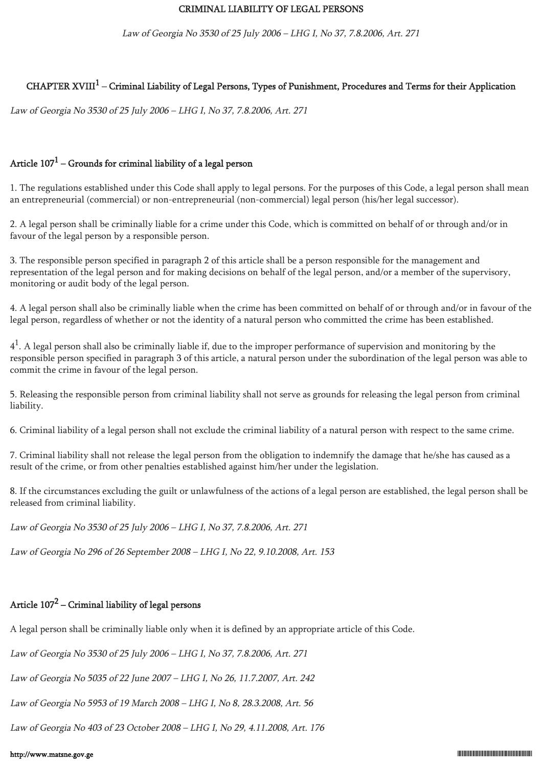### CRIMINAL LIABILITY OF LEGAL PERSONS

Law of Georgia No 3530 of 25 July 2006 – LHG I, No 37, 7.8.2006, Art. 271

# CHAPTER XVIII $^1$  – Criminal Liability of Legal Persons, Types of Punishment, Procedures and Terms for their Application

Law of Georgia No 3530 of 25 July 2006 – LHG I, No 37, 7.8.2006, Art. 271

# Article  $107^1$  – Grounds for criminal liability of a legal person

1. The regulations established under this Code shall apply to legal persons. For the purposes of this Code, a legal person shall mean an entrepreneurial (commercial) or non-entrepreneurial (non-commercial) legal person (his/her legal successor).

2. A legal person shall be criminally liable for a crime under this Code, which is committed on behalf of or through and/or in favour of the legal person by a responsible person.

3. The responsible person specified in paragraph 2 of this article shall be a person responsible for the management and representation of the legal person and for making decisions on behalf of the legal person, and/or a member of the supervisory, monitoring or audit body of the legal person.

4. A legal person shall also be criminally liable when the crime has been committed on behalf of or through and/or in favour of the legal person, regardless of whether or not the identity of a natural person who committed the crime has been established.

 $4<sup>1</sup>$ . A legal person shall also be criminally liable if, due to the improper performance of supervision and monitoring by the responsible person specified in paragraph 3 of this article, a natural person under the subordination of the legal person was able to commit the crime in favour of the legal person.

5. Releasing the responsible person from criminal liability shall not serve as grounds for releasing the legal person from criminal liability.

6. Criminal liability of a legal person shall not exclude the criminal liability of a natural person with respect to the same crime.

7. Criminal liability shall not release the legal person from the obligation to indemnify the damage that he/she has caused as a result of the crime, or from other penalties established against him/her under the legislation.

8. If the circumstances excluding the guilt or unlawfulness of the actions of a legal person are established, the legal person shall be released from criminal liability.

Law of Georgia No 3530 of 25 July 2006 – LHG I, No 37, 7.8.2006, Art. 271

Law of Georgia No 296 of 26 September 2008 – LHG I, No 22, 9.10.2008, Art. 153

# Article  $107^2$  – Criminal liability of legal persons

A legal person shall be criminally liable only when it is defined by an appropriate article of this Code.

Law of Georgia No 3530 of 25 July 2006 – LHG I, No 37, 7.8.2006, Art. 271

Law of Georgia No 5035 of 22 June 2007 – LHG I, No 26, 11.7.2007, Art. 242

Law of Georgia No 5953 of 19 March 2008 – LHG I, No 8, 28.3.2008, Art. 56

Law of Georgia No 403 of 23 October 2008 – LHG I, No 29, 4.11.2008, Art. 176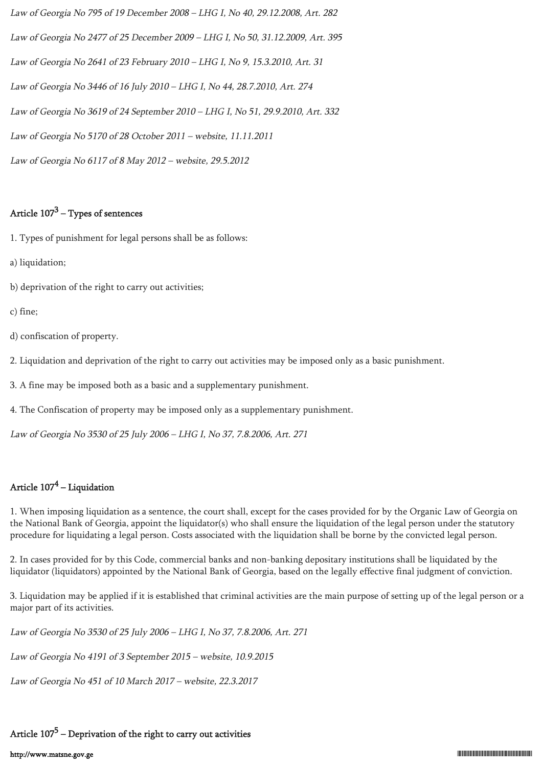Law of Georgia No 795 of 19 December 2008 – LHG I, No 40, 29.12.2008, Art. 282 Law of Georgia No 2477 of 25 December 2009 – LHG I, No 50, 31.12.2009, Art. 395 Law of Georgia No 2641 of 23 February 2010 – LHG I, No 9, 15.3.2010, Art. 31 Law of Georgia No 3446 of 16 July 2010 – LHG I, No 44, 28.7.2010, Art. 274 Law of Georgia No 3619 of 24 September 2010 – LHG I, No 51, 29.9.2010, Art. 332 Law of Georgia No 5170 of 28 October 2011 – website, 11.11.2011 Law of Georgia No 6117 of 8 May 2012 – website, 29.5.2012

# Article  $107^3$  – Types of sentences

- 1. Types of punishment for legal persons shall be as follows:
- a) liquidation;
- b) deprivation of the right to carry out activities;
- c) fine;
- d) confiscation of property.
- 2. Liquidation and deprivation of the right to carry out activities may be imposed only as a basic punishment.
- 3. A fine may be imposed both as a basic and a supplementary punishment.
- 4. The Confiscation of property may be imposed only as a supplementary punishment.

Law of Georgia No 3530 of 25 July 2006 – LHG I, No 37, 7.8.2006, Art. 271

# Article 107<sup>4</sup> – Liquidation

1. When imposing liquidation as a sentence, the court shall, except for the cases provided for by the Organic Law of Georgia on the National Bank of Georgia, appoint the liquidator(s) who shall ensure the liquidation of the legal person under the statutory procedure for liquidating a legal person. Costs associated with the liquidation shall be borne by the convicted legal person.

2. In cases provided for by this Code, commercial banks and non-banking depositary institutions shall be liquidated by the liquidator (liquidators) appointed by the National Bank of Georgia, based on the legally effective final judgment of conviction.

3. Liquidation may be applied if it is established that criminal activities are the main purpose of setting up of the legal person or a major part of its activities.

Law of Georgia No 3530 of 25 July 2006 – LHG I, No 37, 7.8.2006, Art. 271

Law of Georgia No 4191 of 3 September 2015 – website, 10.9.2015

Law of Georgia No 451 of 10 March 2017 – website, 22.3.2017

# Article 107<sup>5</sup> – Deprivation of the right to carry out activities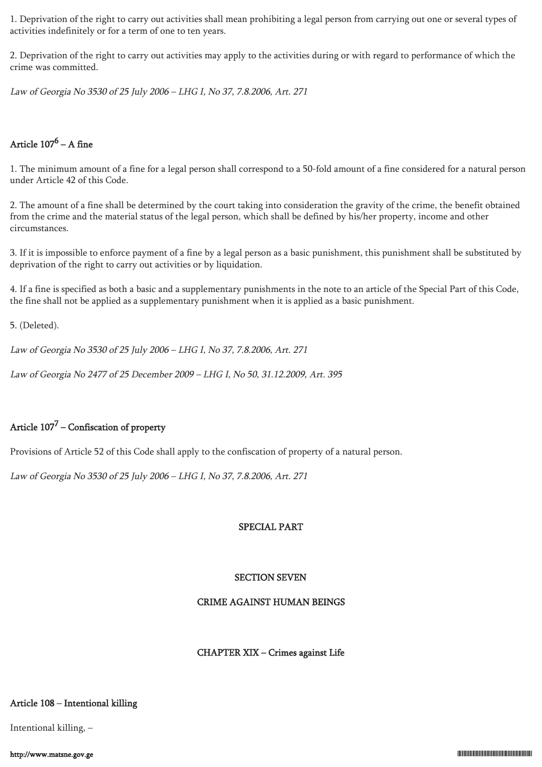1. Deprivation of the right to carry out activities shall mean prohibiting a legal person from carrying out one or several types of activities indefinitely or for a term of one to ten years.

2. Deprivation of the right to carry out activities may apply to the activities during or with regard to performance of which the crime was committed.

Law of Georgia No 3530 of 25 July 2006 – LHG I, No 37, 7.8.2006, Art. 271

# Article 107<sup>6</sup> – A fine

1. The minimum amount of a fine for a legal person shall correspond to a 50-fold amount of a fine considered for a natural person under Article 42 of this Code.

2. The amount of a fine shall be determined by the court taking into consideration the gravity of the crime, the benefit obtained from the crime and the material status of the legal person, which shall be defined by his/her property, income and other circumstances.

3. If it is impossible to enforce payment of a fine by a legal person as a basic punishment, this punishment shall be substituted by deprivation of the right to carry out activities or by liquidation.

4. If a fine is specified as both a basic and a supplementary punishments in the note to an article of the Special Part of this Code, the fine shall not be applied as a supplementary punishment when it is applied as a basic punishment.

5. (Deleted).

Law of Georgia No 3530 of 25 July 2006 – LHG I, No 37, 7.8.2006, Art. 271

Law of Georgia No 2477 of 25 December 2009 – LHG I, No 50, 31.12.2009, Art. 395

# Article 107<sup>7</sup> – Confiscation of property

Provisions of Article 52 of this Code shall apply to the confiscation of property of a natural person.

Law of Georgia No 3530 of 25 July 2006 – LHG I, No 37, 7.8.2006, Art. 271

## SPECIAL PART

## SECTION SEVEN

#### CRIME AGAINST HUMAN BEINGS

#### CHAPTER XIX – Crimes against Life

## Article 108 – Intentional killing

Intentional killing, –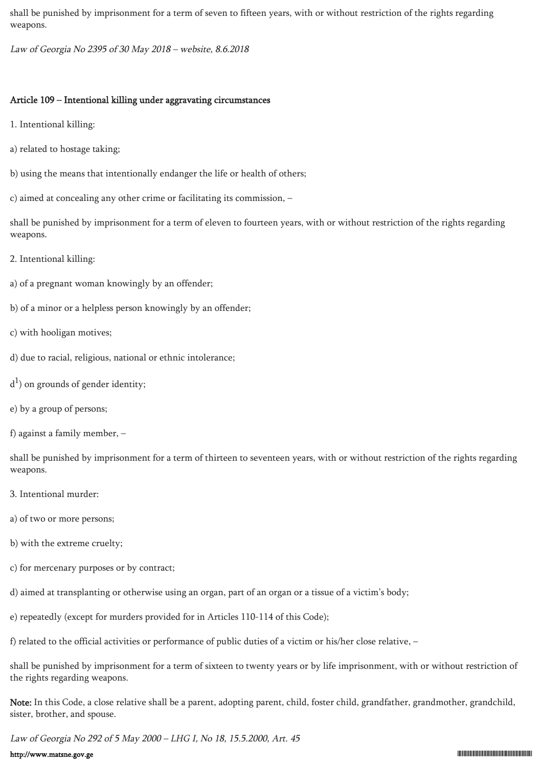shall be punished by imprisonment for a term of seven to fifteen years, with or without restriction of the rights regarding weapons.

Law of Georgia No 2395 of 30 May 2018 – website, 8.6.2018

## Article 109 – Intentional killing under aggravating circumstances

- 1. Intentional killing:
- a) related to hostage taking;
- b) using the means that intentionally endanger the life or health of others;
- c) aimed at concealing any other crime or facilitating its commission, –

shall be punished by imprisonment for a term of eleven to fourteen years, with or without restriction of the rights regarding weapons.

- 2. Intentional killing:
- a) of a pregnant woman knowingly by an offender;
- b) of a minor or a helpless person knowingly by an offender;
- c) with hooligan motives;
- d) due to racial, religious, national or ethnic intolerance;
- $d^1$ ) on grounds of gender identity;
- e) by a group of persons;
- f) against a family member, –

shall be punished by imprisonment for a term of thirteen to seventeen years, with or without restriction of the rights regarding weapons.

- 3. Intentional murder:
- a) of two or more persons;
- b) with the extreme cruelty;
- c) for mercenary purposes or by contract;

d) aimed at transplanting or otherwise using an organ, part of an organ or a tissue of a victim's body;

e) repeatedly (except for murders provided for in Articles 110-114 of this Code);

f) related to the official activities or performance of public duties of a victim or his/her close relative, –

shall be punished by imprisonment for a term of sixteen to twenty years or by life imprisonment, with or without restriction of the rights regarding weapons.

Note: In this Code, a close relative shall be a parent, adopting parent, child, foster child, grandfather, grandmother, grandchild, sister, brother, and spouse.

Law of Georgia No 292 of 5 May 2000 – LHG I, No 18, 15.5.2000, Art. 45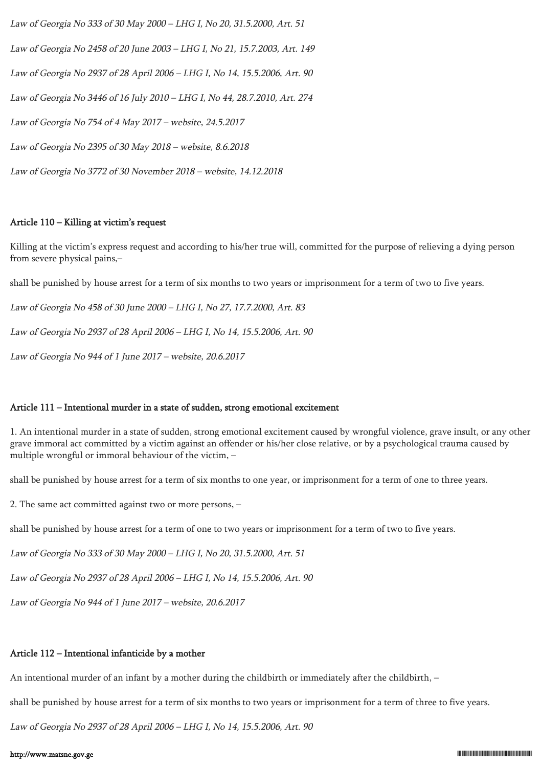Law of Georgia No 333 of 30 May 2000 – LHG I, No 20, 31.5.2000, Art. 51 Law of Georgia No 2458 of 20 June 2003 – LHG I, No 21, 15.7.2003, Art. 149 Law of Georgia No 2937 of 28 April 2006 – LHG I, No 14, 15.5.2006, Art. 90 Law of Georgia No 3446 of 16 July 2010 – LHG I, No 44, 28.7.2010, Art. 274 Law of Georgia No 754 of 4 May 2017 – website, 24.5.2017 Law of Georgia No 2395 of 30 May 2018 – website, 8.6.2018

Law of Georgia No 3772 of 30 November 2018 – website, 14.12.2018

## Article 110 – Killing at victim's request

Killing at the victim's express request and according to his/her true will, committed for the purpose of relieving a dying person from severe physical pains,–

shall be punished by house arrest for a term of six months to two years or imprisonment for a term of two to five years.

Law of Georgia No 458 of 30 June 2000 – LHG I, No 27, 17.7.2000, Art. 83

Law of Georgia No 2937 of 28 April 2006 – LHG I, No 14, 15.5.2006, Art. 90

Law of Georgia No 944 of 1 June 2017 – website, 20.6.2017

#### Article 111 – Intentional murder in a state of sudden, strong emotional excitement

1. An intentional murder in a state of sudden, strong emotional excitement caused by wrongful violence, grave insult, or any other grave immoral act committed by a victim against an offender or his/her close relative, or by a psychological trauma caused by multiple wrongful or immoral behaviour of the victim, –

shall be punished by house arrest for a term of six months to one year, or imprisonment for a term of one to three years.

2. The same act committed against two or more persons, –

shall be punished by house arrest for a term of one to two years or imprisonment for a term of two to five years.

Law of Georgia No 333 of 30 May 2000 – LHG I, No 20, 31.5.2000, Art. 51

Law of Georgia No 2937 of 28 April 2006 – LHG I, No 14, 15.5.2006, Art. 90

Law of Georgia No 944 of 1 June 2017 – website, 20.6.2017

#### Article 112 – Intentional infanticide by a mother

An intentional murder of an infant by a mother during the childbirth or immediately after the childbirth, –

shall be punished by house arrest for a term of six months to two years or imprisonment for a term of three to five years.

Law of Georgia No 2937 of 28 April 2006 – LHG I, No 14, 15.5.2006, Art. 90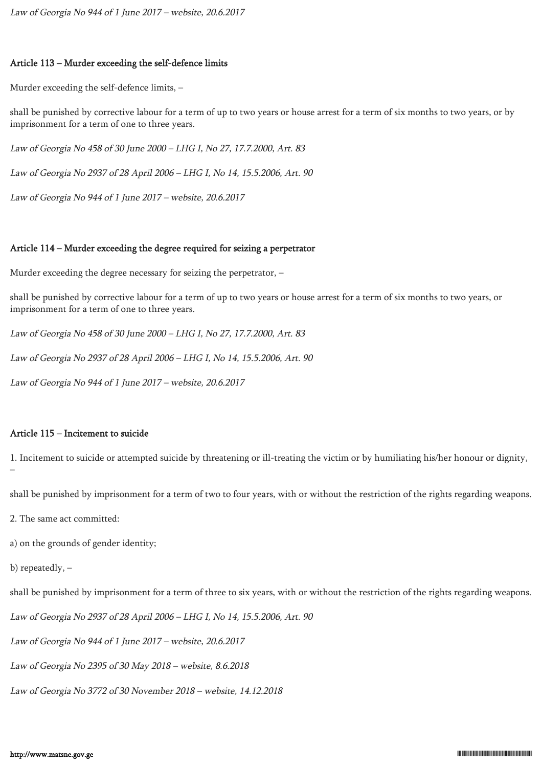## Article 113 – Murder exceeding the self-defence limits

Murder exceeding the self-defence limits, –

shall be punished by corrective labour for a term of up to two years or house arrest for a term of six months to two years, or by imprisonment for a term of one to three years.

Law of Georgia No 458 of 30 June 2000 – LHG I, No 27, 17.7.2000, Art. 83

Law of Georgia No 2937 of 28 April 2006 – LHG I, No 14, 15.5.2006, Art. 90

Law of Georgia No 944 of 1 June 2017 – website, 20.6.2017

# Article 114 – Murder exceeding the degree required for seizing a perpetrator

Murder exceeding the degree necessary for seizing the perpetrator, –

shall be punished by corrective labour for a term of up to two years or house arrest for a term of six months to two years, or imprisonment for a term of one to three years.

Law of Georgia No 458 of 30 June 2000 – LHG I, No 27, 17.7.2000, Art. 83

Law of Georgia No 2937 of 28 April 2006 – LHG I, No 14, 15.5.2006, Art. 90

Law of Georgia No 944 of 1 June 2017 – website, 20.6.2017

# Article 115 – Incitement to suicide

1. Incitement to suicide or attempted suicide by threatening or ill-treating the victim or by humiliating his/her honour or dignity,

shall be punished by imprisonment for a term of two to four years, with or without the restriction of the rights regarding weapons.

2. The same act committed:

a) on the grounds of gender identity;

b) repeatedly, –

–

shall be punished by imprisonment for a term of three to six years, with or without the restriction of the rights regarding weapons.

Law of Georgia No 2937 of 28 April 2006 – LHG I, No 14, 15.5.2006, Art. 90

Law of Georgia No 944 of 1 June 2017 – website, 20.6.2017

Law of Georgia No 2395 of 30 May 2018 – website, 8.6.2018

Law of Georgia No 3772 of 30 November 2018 – website, 14.12.2018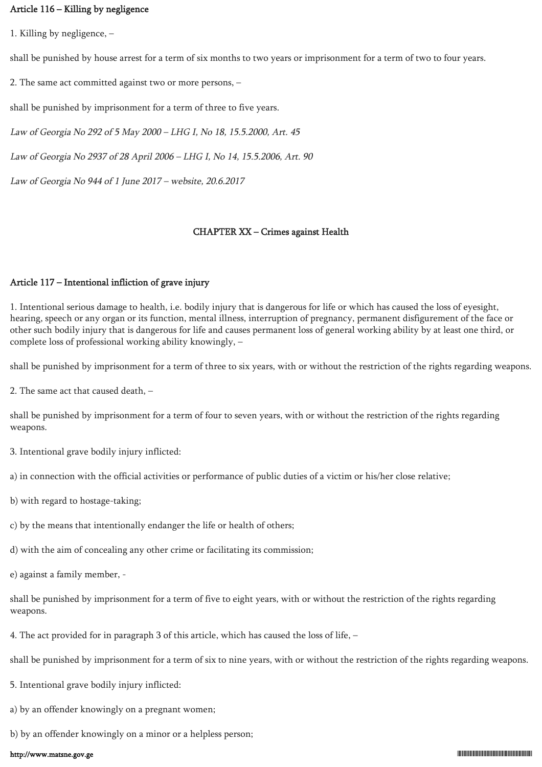### Article 116 – Killing by negligence

1. Killing by negligence, –

shall be punished by house arrest for a term of six months to two years or imprisonment for a term of two to four years.

2. The same act committed against two or more persons, –

shall be punished by imprisonment for a term of three to five years.

Law of Georgia No 292 of 5 May 2000 – LHG I, No 18, 15.5.2000, Art. 45

Law of Georgia No 2937 of 28 April 2006 – LHG I, No 14, 15.5.2006, Art. 90

Law of Georgia No 944 of 1 June 2017 – website, 20.6.2017

### CHAPTER XX – Crimes against Health

### Article 117 – Intentional infliction of grave injury

1. Intentional serious damage to health, i.e. bodily injury that is dangerous for life or which has caused the loss of eyesight, hearing, speech or any organ or its function, mental illness, interruption of pregnancy, permanent disfigurement of the face or other such bodily injury that is dangerous for life and causes permanent loss of general working ability by at least one third, or complete loss of professional working ability knowingly, –

shall be punished by imprisonment for a term of three to six years, with or without the restriction of the rights regarding weapons.

2. The same act that caused death, –

shall be punished by imprisonment for a term of four to seven years, with or without the restriction of the rights regarding weapons.

3. Intentional grave bodily injury inflicted:

a) in connection with the official activities or performance of public duties of a victim or his/her close relative;

b) with regard to hostage-taking;

c) by the means that intentionally endanger the life or health of others;

d) with the aim of concealing any other crime or facilitating its commission;

e) against a family member, -

shall be punished by imprisonment for a term of five to eight years, with or without the restriction of the rights regarding weapons.

4. The act provided for in paragraph 3 of this article, which has caused the loss of life, –

shall be punished by imprisonment for a term of six to nine years, with or without the restriction of the rights regarding weapons.

5. Intentional grave bodily injury inflicted:

- a) by an offender knowingly on a pregnant women;
- b) by an offender knowingly on a minor or a helpless person;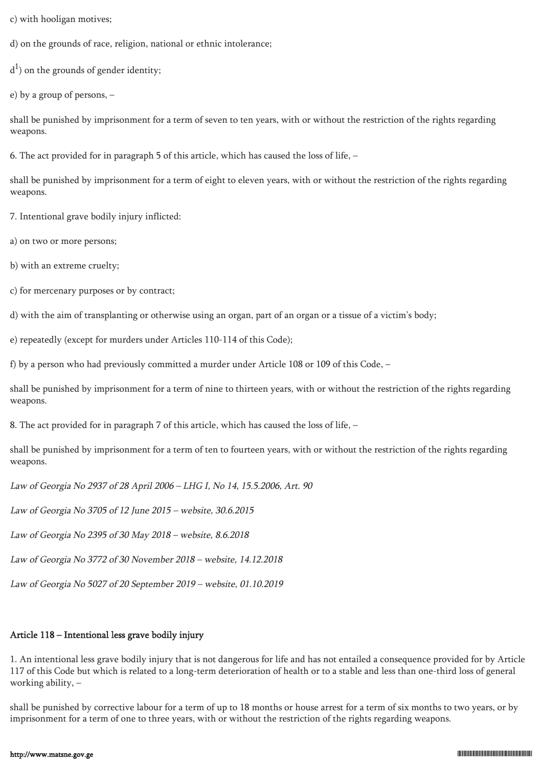c) with hooligan motives;

d) on the grounds of race, religion, national or ethnic intolerance;

 $d<sup>1</sup>$ ) on the grounds of gender identity;

e) by a group of persons, –

shall be punished by imprisonment for a term of seven to ten years, with or without the restriction of the rights regarding weapons.

6. The act provided for in paragraph 5 of this article, which has caused the loss of life, –

shall be punished by imprisonment for a term of eight to eleven years, with or without the restriction of the rights regarding weapons.

7. Intentional grave bodily injury inflicted:

a) on two or more persons;

b) with an extreme cruelty;

c) for mercenary purposes or by contract;

d) with the aim of transplanting or otherwise using an organ, part of an organ or a tissue of a victim's body;

e) repeatedly (except for murders under Articles 110-114 of this Code);

f) by a person who had previously committed a murder under Article 108 or 109 of this Code, –

shall be punished by imprisonment for a term of nine to thirteen years, with or without the restriction of the rights regarding weapons.

8. The act provided for in paragraph 7 of this article, which has caused the loss of life, –

shall be punished by imprisonment for a term of ten to fourteen years, with or without the restriction of the rights regarding weapons.

Law of Georgia No 2937 of 28 April 2006 – LHG I, No 14, 15.5.2006, Art. 90

Law of Georgia No 3705 of 12 June 2015 – website, 30.6.2015

Law of Georgia No 2395 of 30 May 2018 – website, 8.6.2018

Law of Georgia No 3772 of 30 November 2018 – website, 14.12.2018

Law of Georgia No 5027 of 20 September 2019 – website, 01.10.2019

# Article 118 – Intentional less grave bodily injury

1. An intentional less grave bodily injury that is not dangerous for life and has not entailed a consequence provided for by Article 117 of this Code but which is related to a long-term deterioration of health or to a stable and less than one-third loss of general working ability, –

shall be punished by corrective labour for a term of up to 18 months or house arrest for a term of six months to two years, or by imprisonment for a term of one to three years, with or without the restriction of the rights regarding weapons.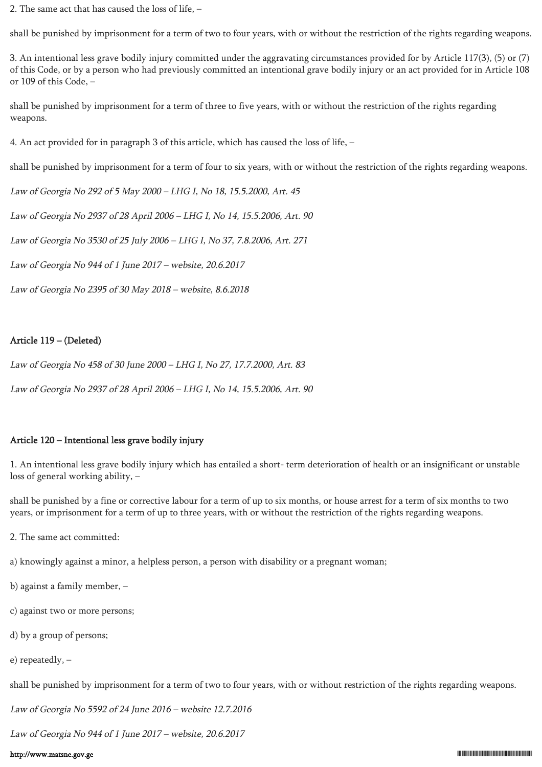2. The same act that has caused the loss of life, –

shall be punished by imprisonment for a term of two to four years, with or without the restriction of the rights regarding weapons.

3. An intentional less grave bodily injury committed under the aggravating circumstances provided for by Article 117(3), (5) or (7) of this Code, or by a person who had previously committed an intentional grave bodily injury or an act provided for in Article 108 or 109 of this Code, –

shall be punished by imprisonment for a term of three to five years, with or without the restriction of the rights regarding weapons.

4. An act provided for in paragraph 3 of this article, which has caused the loss of life, –

shall be punished by imprisonment for a term of four to six years, with or without the restriction of the rights regarding weapons.

Law of Georgia No 292 of 5 May 2000 – LHG I, No 18, 15.5.2000, Art. 45

Law of Georgia No 2937 of 28 April 2006 – LHG I, No 14, 15.5.2006, Art. 90

Law of Georgia No 3530 of 25 July 2006 – LHG I, No 37, 7.8.2006, Art. 271

Law of Georgia No 944 of 1 June 2017 – website, 20.6.2017

Law of Georgia No 2395 of 30 May 2018 – website, 8.6.2018

## Article 119 – (Deleted)

Law of Georgia No 458 of 30 June 2000 – LHG I, No 27, 17.7.2000, Art. 83

Law of Georgia No 2937 of 28 April 2006 – LHG I, No 14, 15.5.2006, Art. 90

## Article 120 – Intentional less grave bodily injury

1. An intentional less grave bodily injury which has entailed a short- term deterioration of health or an insignificant or unstable loss of general working ability, –

shall be punished by a fine or corrective labour for a term of up to six months, or house arrest for a term of six months to two years, or imprisonment for a term of up to three years, with or without the restriction of the rights regarding weapons.

2. The same act committed:

a) knowingly against a minor, a helpless person, a person with disability or a pregnant woman;

- b) against a family member, –
- c) against two or more persons;
- d) by a group of persons;
- e) repeatedly, –

shall be punished by imprisonment for a term of two to four years, with or without restriction of the rights regarding weapons.

Law of Georgia No 5592 of 24 June 2016 – website 12.7.2016

Law of Georgia No 944 of 1 June 2017 – website, 20.6.2017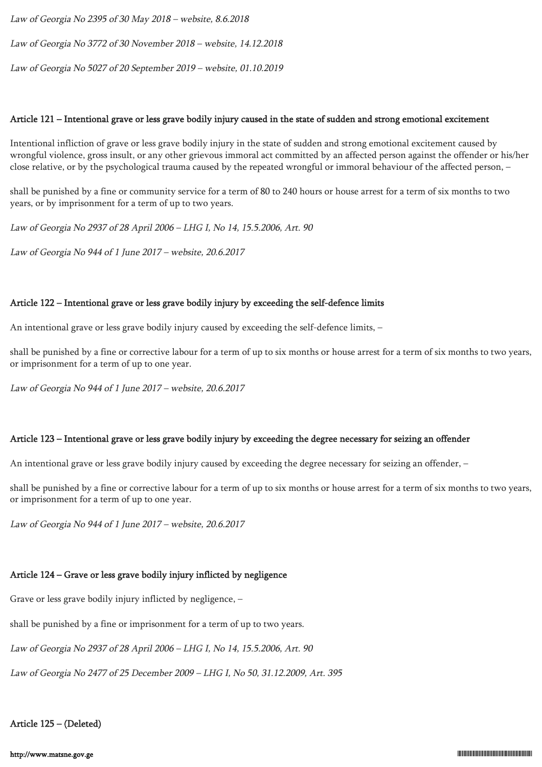Law of Georgia No 2395 of 30 May 2018 – website, 8.6.2018

Law of Georgia No 3772 of 30 November 2018 – website, 14.12.2018

Law of Georgia No 5027 of 20 September 2019 – website, 01.10.2019

# Article 121 – Intentional grave or less grave bodily injury caused in the state of sudden and strong emotional excitement

Intentional infliction of grave or less grave bodily injury in the state of sudden and strong emotional excitement caused by wrongful violence, gross insult, or any other grievous immoral act committed by an affected person against the offender or his/her close relative, or by the psychological trauma caused by the repeated wrongful or immoral behaviour of the affected person, –

shall be punished by a fine or community service for a term of 80 to 240 hours or house arrest for a term of six months to two years, or by imprisonment for a term of up to two years.

Law of Georgia No 2937 of 28 April 2006 – LHG I, No 14, 15.5.2006, Art. 90

Law of Georgia No 944 of 1 June 2017 – website, 20.6.2017

# Article 122 – Intentional grave or less grave bodily injury by exceeding the self-defence limits

An intentional grave or less grave bodily injury caused by exceeding the self-defence limits, –

shall be punished by a fine or corrective labour for a term of up to six months or house arrest for a term of six months to two years, or imprisonment for a term of up to one year.

Law of Georgia No 944 of 1 June 2017 – website, 20.6.2017

# Article 123 – Intentional grave or less grave bodily injury by exceeding the degree necessary for seizing an offender

An intentional grave or less grave bodily injury caused by exceeding the degree necessary for seizing an offender, –

shall be punished by a fine or corrective labour for a term of up to six months or house arrest for a term of six months to two years, or imprisonment for a term of up to one year.

Law of Georgia No 944 of 1 June 2017 – website, 20.6.2017

# Article 124 – Grave or less grave bodily injury inflicted by negligence

Grave or less grave bodily injury inflicted by negligence, –

shall be punished by a fine or imprisonment for a term of up to two years.

Law of Georgia No 2937 of 28 April 2006 – LHG I, No 14, 15.5.2006, Art. 90

Law of Georgia No 2477 of 25 December 2009 – LHG I, No 50, 31.12.2009, Art. 395

# Article 125 – (Deleted)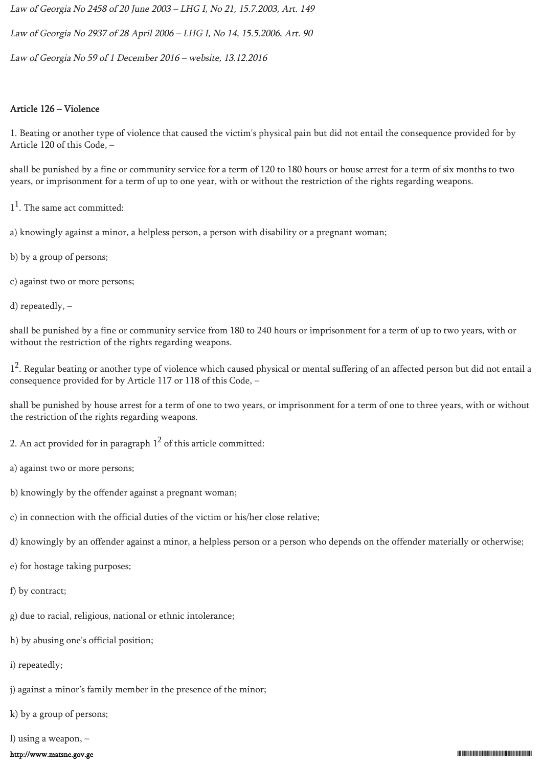Law of Georgia No 2458 of 20 June 2003 – LHG I, No 21, 15.7.2003, Art. 149

Law of Georgia No 2937 of 28 April 2006 – LHG I, No 14, 15.5.2006, Art. 90

Law of Georgia No 59 of 1 December 2016 – website, 13.12.2016

# Article 126 – Violence

1. Beating or another type of violence that caused the victim's physical pain but did not entail the consequence provided for by Article 120 of this Code, –

shall be punished by a fine or community service for a term of 120 to 180 hours or house arrest for a term of six months to two years, or imprisonment for a term of up to one year, with or without the restriction of the rights regarding weapons.

 $1<sup>1</sup>$ . The same act committed:

a) knowingly against a minor, a helpless person, a person with disability or a pregnant woman;

b) by a group of persons;

c) against two or more persons;

d) repeatedly, –

shall be punished by a fine or community service from 180 to 240 hours or imprisonment for a term of up to two years, with or without the restriction of the rights regarding weapons.

1<sup>2</sup>. Regular beating or another type of violence which caused physical or mental suffering of an affected person but did not entail a consequence provided for by Article 117 or 118 of this Code, –

shall be punished by house arrest for a term of one to two years, or imprisonment for a term of one to three years, with or without the restriction of the rights regarding weapons.

2. An act provided for in paragraph  $1^2$  of this article committed:

a) against two or more persons;

b) knowingly by the offender against a pregnant woman;

c) in connection with the official duties of the victim or his/her close relative;

d) knowingly by an offender against a minor, a helpless person or a person who depends on the offender materially or otherwise;

e) for hostage taking purposes;

- f) by contract;
- g) due to racial, religious, national or ethnic intolerance;
- h) by abusing one's official position;
- i) repeatedly;
- j) against a minor's family member in the presence of the minor;
- k) by a group of persons;

l) using a weapon, –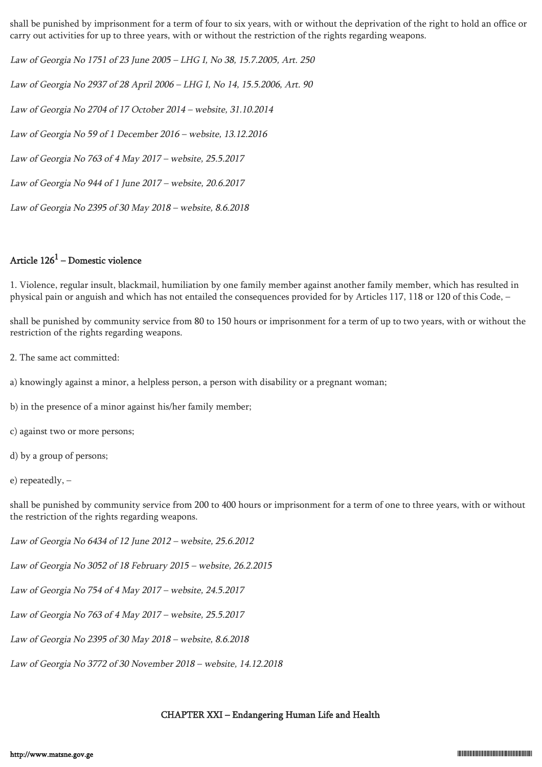shall be punished by imprisonment for a term of four to six years, with or without the deprivation of the right to hold an office or carry out activities for up to three years, with or without the restriction of the rights regarding weapons.

Law of Georgia No 1751 of 23 June 2005 – LHG I, No 38, 15.7.2005, Art. 250 Law of Georgia No 2937 of 28 April 2006 – LHG I, No 14, 15.5.2006, Art. 90 Law of Georgia No 2704 of 17 October 2014 – website, 31.10.2014 Law of Georgia No 59 of 1 December 2016 – website, 13.12.2016 Law of Georgia No 763 of 4 May 2017 – website, 25.5.2017 Law of Georgia No 944 of 1 June 2017 – website, 20.6.2017 Law of Georgia No 2395 of 30 May 2018 – website, 8.6.2018

# Article  $126^1$  – Domestic violence

1. Violence, regular insult, blackmail, humiliation by one family member against another family member, which has resulted in physical pain or anguish and which has not entailed the consequences provided for by Articles 117, 118 or 120 of this Code, –

shall be punished by community service from 80 to 150 hours or imprisonment for a term of up to two years, with or without the restriction of the rights regarding weapons.

- 2. The same act committed:
- a) knowingly against a minor, a helpless person, a person with disability or a pregnant woman;
- b) in the presence of a minor against his/her family member;
- c) against two or more persons;
- d) by a group of persons;
- e) repeatedly, –

shall be punished by community service from 200 to 400 hours or imprisonment for a term of one to three years, with or without the restriction of the rights regarding weapons.

Law of Georgia No 6434 of 12 June 2012 – website, 25.6.2012

Law of Georgia No 3052 of 18 February 2015 – website, 26.2.2015

Law of Georgia No 754 of 4 May 2017 – website, 24.5.2017

Law of Georgia No 763 of 4 May 2017 – website, 25.5.2017

Law of Georgia No 2395 of 30 May 2018 – website, 8.6.2018

Law of Georgia No 3772 of 30 November 2018 – website, 14.12.2018

## CHAPTER XXI – Endangering Human Life and Health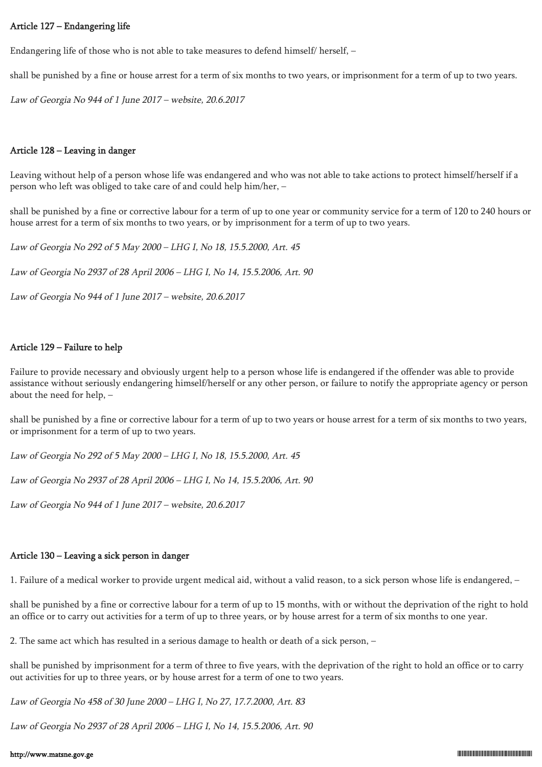### Article 127 – Endangering life

Endangering life of those who is not able to take measures to defend himself/ herself, –

shall be punished by a fine or house arrest for a term of six months to two years, or imprisonment for a term of up to two years.

Law of Georgia No 944 of 1 June 2017 – website, 20.6.2017

#### Article 128 – Leaving in danger

Leaving without help of a person whose life was endangered and who was not able to take actions to protect himself/herself if a person who left was obliged to take care of and could help him/her, –

shall be punished by a fine or corrective labour for a term of up to one year or community service for a term of 120 to 240 hours or house arrest for a term of six months to two years, or by imprisonment for a term of up to two years.

Law of Georgia No 292 of 5 May 2000 – LHG I, No 18, 15.5.2000, Art. 45

Law of Georgia No 2937 of 28 April 2006 – LHG I, No 14, 15.5.2006, Art. 90

Law of Georgia No 944 of 1 June 2017 – website, 20.6.2017

#### Article 129 – Failure to help

Failure to provide necessary and obviously urgent help to a person whose life is endangered if the offender was able to provide assistance without seriously endangering himself/herself or any other person, or failure to notify the appropriate agency or person about the need for help, –

shall be punished by a fine or corrective labour for a term of up to two years or house arrest for a term of six months to two years, or imprisonment for a term of up to two years.

Law of Georgia No 292 of 5 May 2000 – LHG I, No 18, 15.5.2000, Art. 45

Law of Georgia No 2937 of 28 April 2006 – LHG I, No 14, 15.5.2006, Art. 90

Law of Georgia No 944 of 1 June 2017 – website, 20.6.2017

#### Article 130 – Leaving a sick person in danger

1. Failure of a medical worker to provide urgent medical aid, without a valid reason, to a sick person whose life is endangered, –

shall be punished by a fine or corrective labour for a term of up to 15 months, with or without the deprivation of the right to hold an office or to carry out activities for a term of up to three years, or by house arrest for a term of six months to one year.

2. The same act which has resulted in a serious damage to health or death of a sick person, –

shall be punished by imprisonment for a term of three to five years, with the deprivation of the right to hold an office or to carry out activities for up to three years, or by house arrest for a term of one to two years.

Law of Georgia No 458 of 30 June 2000 – LHG I, No 27, 17.7.2000, Art. 83

Law of Georgia No 2937 of 28 April 2006 – LHG I, No 14, 15.5.2006, Art. 90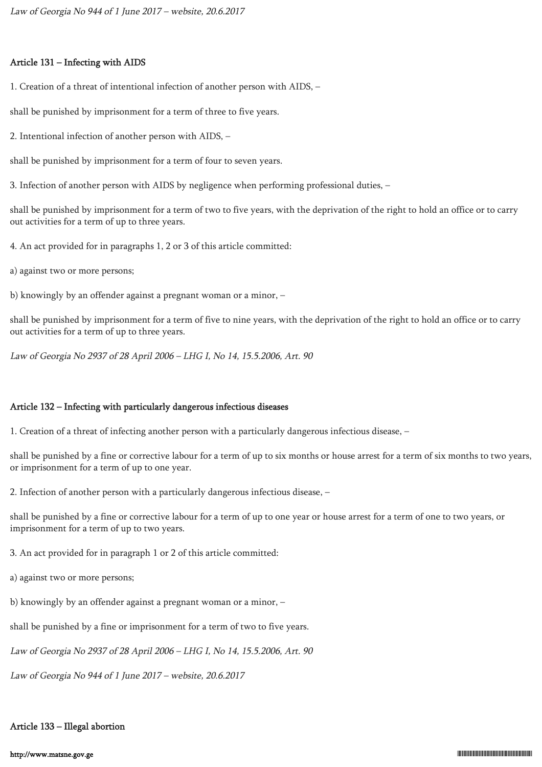# Article 131 – Infecting with AIDS

1. Creation of a threat of intentional infection of another person with AIDS, –

shall be punished by imprisonment for a term of three to five years.

2. Intentional infection of another person with AIDS, –

shall be punished by imprisonment for a term of four to seven years.

3. Infection of another person with AIDS by negligence when performing professional duties, –

shall be punished by imprisonment for a term of two to five years, with the deprivation of the right to hold an office or to carry out activities for a term of up to three years.

4. An act provided for in paragraphs 1, 2 or 3 of this article committed:

a) against two or more persons;

b) knowingly by an offender against a pregnant woman or a minor, –

shall be punished by imprisonment for a term of five to nine years, with the deprivation of the right to hold an office or to carry out activities for a term of up to three years.

Law of Georgia No 2937 of 28 April 2006 – LHG I, No 14, 15.5.2006, Art. 90

# Article 132 – Infecting with particularly dangerous infectious diseases

1. Creation of a threat of infecting another person with a particularly dangerous infectious disease, –

shall be punished by a fine or corrective labour for a term of up to six months or house arrest for a term of six months to two years, or imprisonment for a term of up to one year.

2. Infection of another person with a particularly dangerous infectious disease, –

shall be punished by a fine or corrective labour for a term of up to one year or house arrest for a term of one to two years, or imprisonment for a term of up to two years.

3. An act provided for in paragraph 1 or 2 of this article committed:

a) against two or more persons;

b) knowingly by an offender against a pregnant woman or a minor, –

shall be punished by a fine or imprisonment for a term of two to five years.

Law of Georgia No 2937 of 28 April 2006 – LHG I, No 14, 15.5.2006, Art. 90

Law of Georgia No 944 of 1 June 2017 – website, 20.6.2017

# Article 133 – Illegal abortion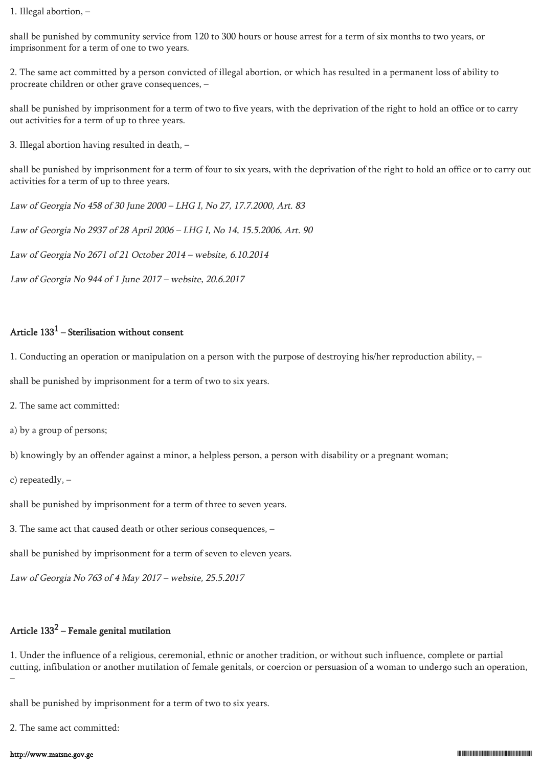1. Illegal abortion, –

shall be punished by community service from 120 to 300 hours or house arrest for a term of six months to two years, or imprisonment for a term of one to two years.

2. The same act committed by a person convicted of illegal abortion, or which has resulted in a permanent loss of ability to procreate children or other grave consequences, –

shall be punished by imprisonment for a term of two to five years, with the deprivation of the right to hold an office or to carry out activities for a term of up to three years.

3. Illegal abortion having resulted in death, –

shall be punished by imprisonment for a term of four to six years, with the deprivation of the right to hold an office or to carry out activities for a term of up to three years.

Law of Georgia No 458 of 30 June 2000 – LHG I, No 27, 17.7.2000, Art. 83

Law of Georgia No 2937 of 28 April 2006 – LHG I, No 14, 15.5.2006, Art. 90

Law of Georgia No 2671 of 21 October 2014 – website, 6.10.2014

Law of Georgia No 944 of 1 June 2017 – website, 20.6.2017

# Article  $133^1$  – Sterilisation without consent

1. Conducting an operation or manipulation on a person with the purpose of destroying his/her reproduction ability, –

shall be punished by imprisonment for a term of two to six years.

- 2. The same act committed:
- a) by a group of persons;
- b) knowingly by an offender against a minor, a helpless person, a person with disability or a pregnant woman;
- c) repeatedly, –

shall be punished by imprisonment for a term of three to seven years.

3. The same act that caused death or other serious consequences, –

shall be punished by imprisonment for a term of seven to eleven years.

Law of Georgia No 763 of 4 May 2017 – website, 25.5.2017

# Article  $133^2$  – Female genital mutilation

1. Under the influence of a religious, ceremonial, ethnic or another tradition, or without such influence, complete or partial cutting, infibulation or another mutilation of female genitals, or coercion or persuasion of a woman to undergo such an operation, –

shall be punished by imprisonment for a term of two to six years.

2. The same act committed: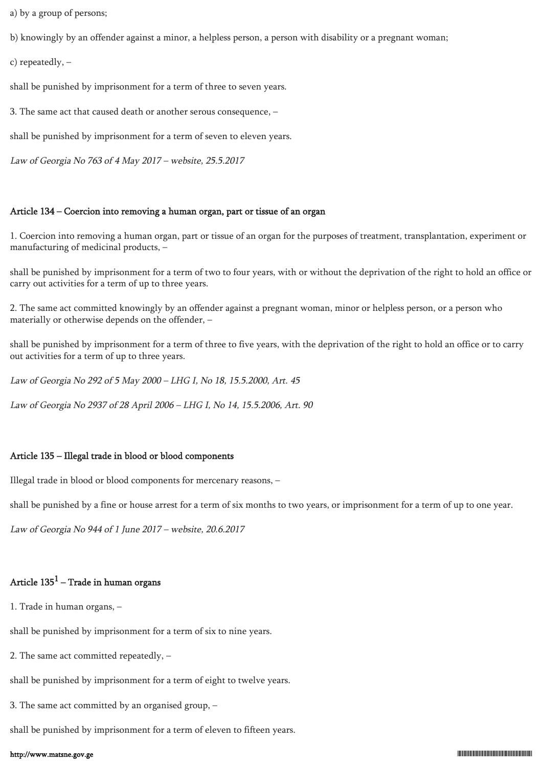a) by a group of persons;

b) knowingly by an offender against a minor, a helpless person, a person with disability or a pregnant woman;

c) repeatedly, –

shall be punished by imprisonment for a term of three to seven years.

3. The same act that caused death or another serous consequence, –

shall be punished by imprisonment for a term of seven to eleven years.

Law of Georgia No 763 of 4 May 2017 – website, 25.5.2017

### Article 134 – Coercion into removing a human organ, part or tissue of an organ

1. Coercion into removing a human organ, part or tissue of an organ for the purposes of treatment, transplantation, experiment or manufacturing of medicinal products, –

shall be punished by imprisonment for a term of two to four years, with or without the deprivation of the right to hold an office or carry out activities for a term of up to three years.

2. The same act committed knowingly by an offender against a pregnant woman, minor or helpless person, or a person who materially or otherwise depends on the offender, –

shall be punished by imprisonment for a term of three to five years, with the deprivation of the right to hold an office or to carry out activities for a term of up to three years.

Law of Georgia No 292 of 5 May 2000 – LHG I, No 18, 15.5.2000, Art. 45

Law of Georgia No 2937 of 28 April 2006 – LHG I, No 14, 15.5.2006, Art. 90

## Article 135 – Illegal trade in blood or blood components

Illegal trade in blood or blood components for mercenary reasons, –

shall be punished by a fine or house arrest for a term of six months to two years, or imprisonment for a term of up to one year.

Law of Georgia No 944 of 1 June 2017 – website, 20.6.2017

# Article 135 $^{\rm 1}$  – Trade in human organs

1. Trade in human organs, –

shall be punished by imprisonment for a term of six to nine years.

2. The same act committed repeatedly, –

shall be punished by imprisonment for a term of eight to twelve years.

3. The same act committed by an organised group, –

shall be punished by imprisonment for a term of eleven to fifteen years.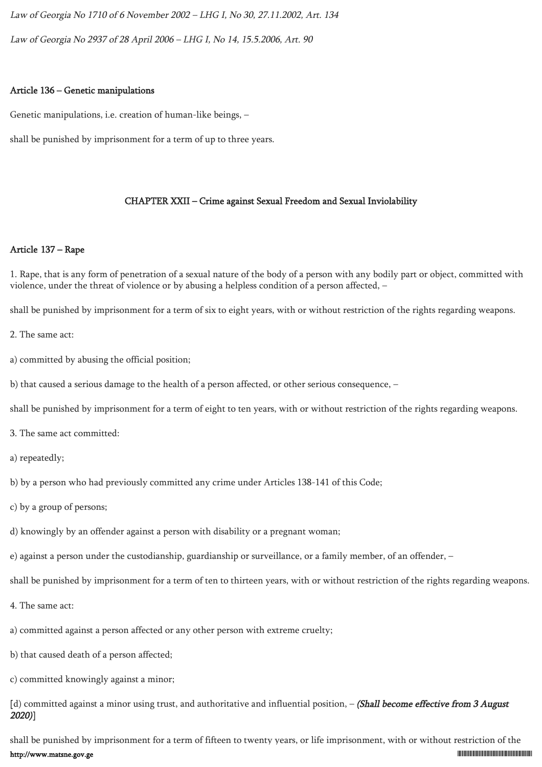Law of Georgia No 1710 of 6 November 2002 – LHG I, No 30, 27.11.2002, Art. 134

Law of Georgia No 2937 of 28 April 2006 – LHG I, No 14, 15.5.2006, Art. 90

#### Article 136 – Genetic manipulations

Genetic manipulations, i.e. creation of human-like beings, –

shall be punished by imprisonment for a term of up to three years.

#### CHAPTER XXII – Crime against Sexual Freedom and Sexual Inviolability

#### Article 137 – Rape

1. Rape, that is any form of penetration of a sexual nature of the body of a person with any bodily part or object, committed with violence, under the threat of violence or by abusing a helpless condition of a person affected, –

shall be punished by imprisonment for a term of six to eight years, with or without restriction of the rights regarding weapons.

2. The same act:

a) committed by abusing the official position;

b) that caused a serious damage to the health of a person affected, or other serious consequence, –

shall be punished by imprisonment for a term of eight to ten years, with or without restriction of the rights regarding weapons.

3. The same act committed:

a) repeatedly;

b) by a person who had previously committed any crime under Articles 138-141 of this Code;

c) by a group of persons;

d) knowingly by an offender against a person with disability or a pregnant woman;

e) against a person under the custodianship, guardianship or surveillance, or a family member, of an offender, –

shall be punished by imprisonment for a term of ten to thirteen years, with or without restriction of the rights regarding weapons.

4. The same act:

a) committed against a person affected or any other person with extreme cruelty;

b) that caused death of a person affected;

c) committed knowingly against a minor;

[d) committed against a minor using trust, and authoritative and influential position,  $-$  (Shall become effective from 3 August 2020)]

shall be punished by imprisonment for a term of fifteen to twenty years, or life imprisonment, with or without restriction of the http://www.matsne.gov.ge 080.000.000.05.001.000.648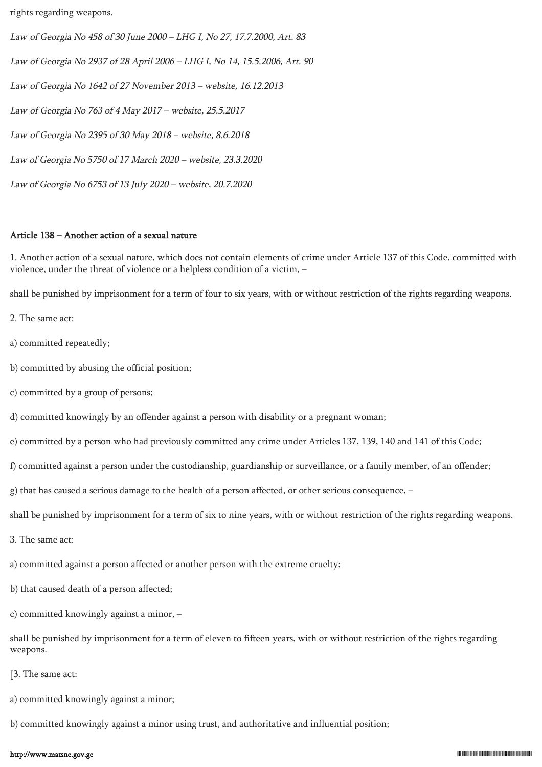rights regarding weapons.

Law of Georgia No 458 of 30 June 2000 – LHG I, No 27, 17.7.2000, Art. 83 Law of Georgia No 2937 of 28 April 2006 – LHG I, No 14, 15.5.2006, Art. 90 Law of Georgia No 1642 of 27 November 2013 – website, 16.12.2013 Law of Georgia No 763 of 4 May 2017 – website, 25.5.2017 Law of Georgia No 2395 of 30 May 2018 – website, 8.6.2018 Law of Georgia No 5750 of 17 March 2020 – website, 23.3.2020 Law of Georgia No 6753 of 13 July 2020 – website, 20.7.2020

### Article 138 – Another action of a sexual nature

1. Another action of a sexual nature, which does not contain elements of crime under Article 137 of this Code, committed with violence, under the threat of violence or a helpless condition of a victim, –

shall be punished by imprisonment for a term of four to six years, with or without restriction of the rights regarding weapons.

2. The same act:

- a) committed repeatedly;
- b) committed by abusing the official position;
- c) committed by a group of persons;

d) committed knowingly by an offender against a person with disability or a pregnant woman;

e) committed by a person who had previously committed any crime under Articles 137, 139, 140 and 141 of this Code;

f) committed against a person under the custodianship, guardianship or surveillance, or a family member, of an offender;

g) that has caused a serious damage to the health of a person affected, or other serious consequence, –

shall be punished by imprisonment for a term of six to nine years, with or without restriction of the rights regarding weapons.

3. The same act:

a) committed against a person affected or another person with the extreme cruelty;

- b) that caused death of a person affected;
- c) committed knowingly against a minor, –

shall be punished by imprisonment for a term of eleven to fifteen years, with or without restriction of the rights regarding weapons.

[3. The same act:

a) committed knowingly against a minor;

b) committed knowingly against a minor using trust, and authoritative and influential position;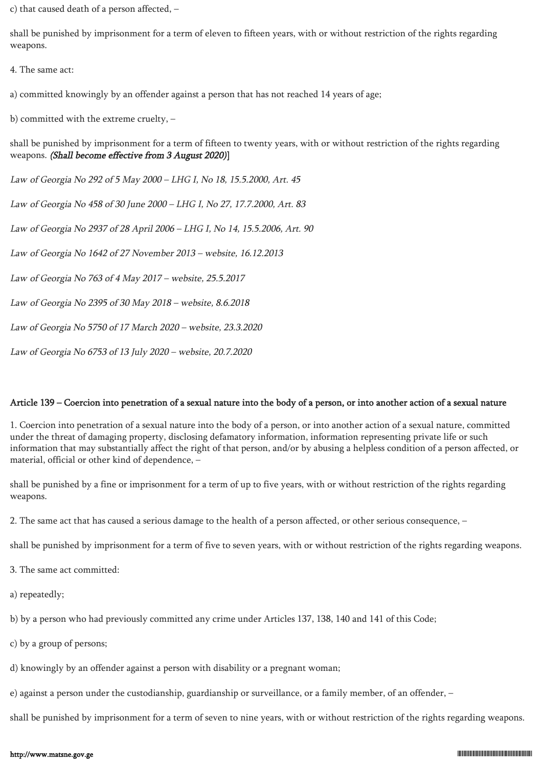c) that caused death of a person affected, –

shall be punished by imprisonment for a term of eleven to fifteen years, with or without restriction of the rights regarding weapons.

4. The same act:

a) committed knowingly by an offender against a person that has not reached 14 years of age;

b) committed with the extreme cruelty, –

shall be punished by imprisonment for a term of fifteen to twenty years, with or without restriction of the rights regarding weapons. (Shall become effective from 3 August 2020)]

Law of Georgia No 292 of 5 May 2000 – LHG I, No 18, 15.5.2000, Art. 45

Law of Georgia No 458 of 30 June 2000 – LHG I, No 27, 17.7.2000, Art. 83

Law of Georgia No 2937 of 28 April 2006 – LHG I, No 14, 15.5.2006, Art. 90

Law of Georgia No 1642 of 27 November 2013 – website, 16.12.2013

Law of Georgia No 763 of 4 May 2017 – website, 25.5.2017

Law of Georgia No 2395 of 30 May 2018 – website, 8.6.2018

Law of Georgia No 5750 of 17 March 2020 – website, 23.3.2020

Law of Georgia No 6753 of 13 July 2020 – website, 20.7.2020

#### Article 139 – Coercion into penetration of a sexual nature into the body of a person, or into another action of a sexual nature

1. Coercion into penetration of a sexual nature into the body of a person, or into another action of a sexual nature, committed under the threat of damaging property, disclosing defamatory information, information representing private life or such information that may substantially affect the right of that person, and/or by abusing a helpless condition of a person affected, or material, official or other kind of dependence, –

shall be punished by a fine or imprisonment for a term of up to five years, with or without restriction of the rights regarding weapons.

2. The same act that has caused a serious damage to the health of a person affected, or other serious consequence, –

shall be punished by imprisonment for a term of five to seven years, with or without restriction of the rights regarding weapons.

3. The same act committed:

a) repeatedly;

b) by a person who had previously committed any crime under Articles 137, 138, 140 and 141 of this Code;

c) by a group of persons;

d) knowingly by an offender against a person with disability or a pregnant woman;

e) against a person under the custodianship, guardianship or surveillance, or a family member, of an offender, –

shall be punished by imprisonment for a term of seven to nine years, with or without restriction of the rights regarding weapons.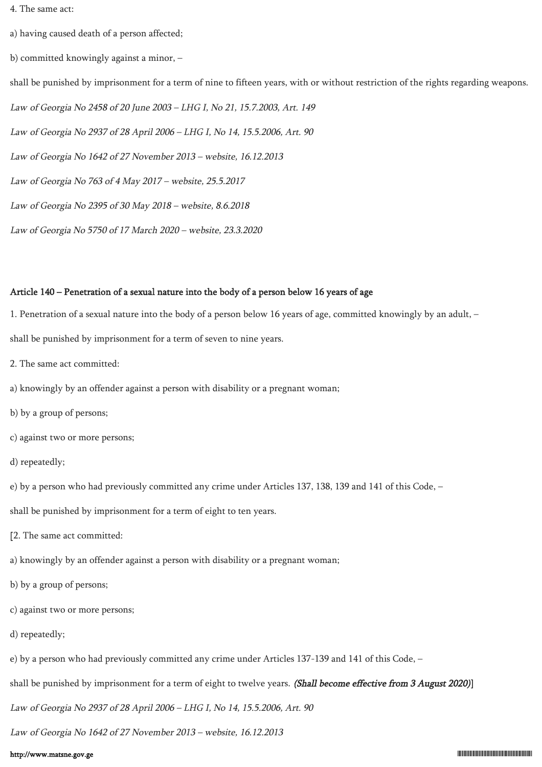- 4. The same act:
- a) having caused death of a person affected;
- b) committed knowingly against a minor, –
- shall be punished by imprisonment for a term of nine to fifteen years, with or without restriction of the rights regarding weapons.
- Law of Georgia No 2458 of 20 June 2003 LHG I, No 21, 15.7.2003, Art. 149
- Law of Georgia No 2937 of 28 April 2006 LHG I, No 14, 15.5.2006, Art. 90
- Law of Georgia No 1642 of 27 November 2013 website, 16.12.2013
- Law of Georgia No 763 of 4 May 2017 website, 25.5.2017
- Law of Georgia No 2395 of 30 May 2018 website, 8.6.2018
- Law of Georgia No 5750 of 17 March 2020 website, 23.3.2020

## Article 140 – Penetration of a sexual nature into the body of a person below 16 years of age

- 1. Penetration of a sexual nature into the body of a person below 16 years of age, committed knowingly by an adult, –
- shall be punished by imprisonment for a term of seven to nine years.
- 2. The same act committed:
- a) knowingly by an offender against a person with disability or a pregnant woman;
- b) by a group of persons;
- c) against two or more persons;
- d) repeatedly;
- e) by a person who had previously committed any crime under Articles 137, 138, 139 and 141 of this Code, –
- shall be punished by imprisonment for a term of eight to ten years.
- [2. The same act committed:
- a) knowingly by an offender against a person with disability or a pregnant woman;
- b) by a group of persons;
- c) against two or more persons;
- d) repeatedly;
- e) by a person who had previously committed any crime under Articles 137-139 and 141 of this Code, –

shall be punished by imprisonment for a term of eight to twelve years. (Shall become effective from 3 August 2020)]

Law of Georgia No 2937 of 28 April 2006 – LHG I, No 14, 15.5.2006, Art. 90

Law of Georgia No 1642 of 27 November 2013 – website, 16.12.2013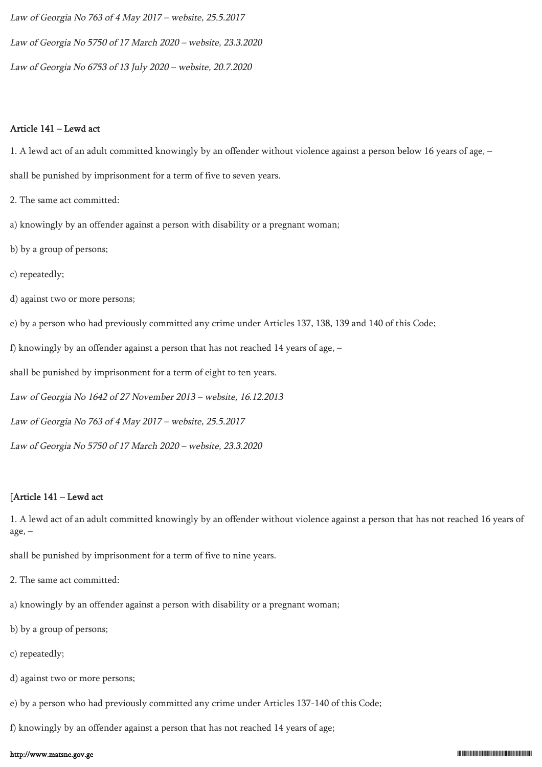Law of Georgia No 763 of 4 May 2017 – website, 25.5.2017 Law of Georgia No 5750 of 17 March 2020 – website, 23.3.2020 Law of Georgia No 6753 of 13 July 2020 – website, 20.7.2020

### Article 141 – Lewd act

1. A lewd act of an adult committed knowingly by an offender without violence against a person below 16 years of age, – shall be punished by imprisonment for a term of five to seven years.

- 2. The same act committed:
- a) knowingly by an offender against a person with disability or a pregnant woman;
- b) by a group of persons;
- c) repeatedly;
- d) against two or more persons;
- e) by a person who had previously committed any crime under Articles 137, 138, 139 and 140 of this Code;

f) knowingly by an offender against a person that has not reached 14 years of age, –

shall be punished by imprisonment for a term of eight to ten years.

Law of Georgia No 1642 of 27 November 2013 – website, 16.12.2013

Law of Georgia No 763 of 4 May 2017 – website, 25.5.2017

Law of Georgia No 5750 of 17 March 2020 – website, 23.3.2020

#### [Article 141 – Lewd act

1. A lewd act of an adult committed knowingly by an offender without violence against a person that has not reached 16 years of age, –

shall be punished by imprisonment for a term of five to nine years.

- 2. The same act committed:
- a) knowingly by an offender against a person with disability or a pregnant woman;
- b) by a group of persons;
- c) repeatedly;
- d) against two or more persons;
- e) by a person who had previously committed any crime under Articles 137-140 of this Code;
- f) knowingly by an offender against a person that has not reached 14 years of age;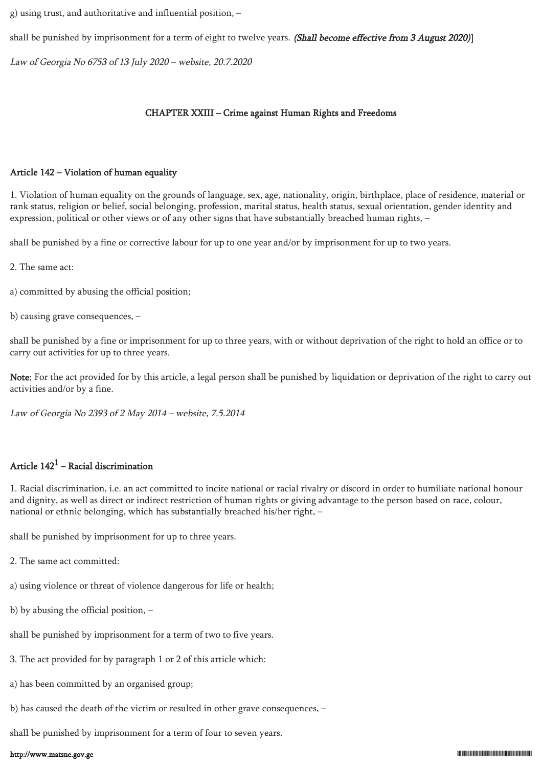g) using trust, and authoritative and influential position, –

shall be punished by imprisonment for a term of eight to twelve years. (Shall become effective from 3 August 2020)]

Law of Georgia No 6753 of 13 July 2020 – website, 20.7.2020

## CHAPTER XXIII – Crime against Human Rights and Freedoms

### Article 142 – Violation of human equality

1. Violation of human equality on the grounds of language, sex, age, nationality, origin, birthplace, place of residence, material or rank status, religion or belief, social belonging, profession, marital status, health status, sexual orientation, gender identity and expression, political or other views or of any other signs that have substantially breached human rights, –

shall be punished by a fine or corrective labour for up to one year and/or by imprisonment for up to two years.

2. The same act:

a) committed by abusing the official position;

b) causing grave consequences, –

shall be punished by a fine or imprisonment for up to three years, with or without deprivation of the right to hold an office or to carry out activities for up to three years.

Note: For the act provided for by this article, a legal person shall be punished by liquidation or deprivation of the right to carry out activities and/or by a fine.

Law of Georgia No 2393 of 2 May 2014 – website, 7.5.2014

# Article  $142^1$  – Racial discrimination

1. Racial discrimination, i.e. an act committed to incite national or racial rivalry or discord in order to humiliate national honour and dignity, as well as direct or indirect restriction of human rights or giving advantage to the person based on race, colour, national or ethnic belonging, which has substantially breached his/her right, –

shall be punished by imprisonment for up to three years.

- 2. The same act committed:
- a) using violence or threat of violence dangerous for life or health;
- b) by abusing the official position, –
- shall be punished by imprisonment for a term of two to five years.
- 3. The act provided for by paragraph 1 or 2 of this article which:
- a) has been committed by an organised group;
- b) has caused the death of the victim or resulted in other grave consequences, –

shall be punished by imprisonment for a term of four to seven years.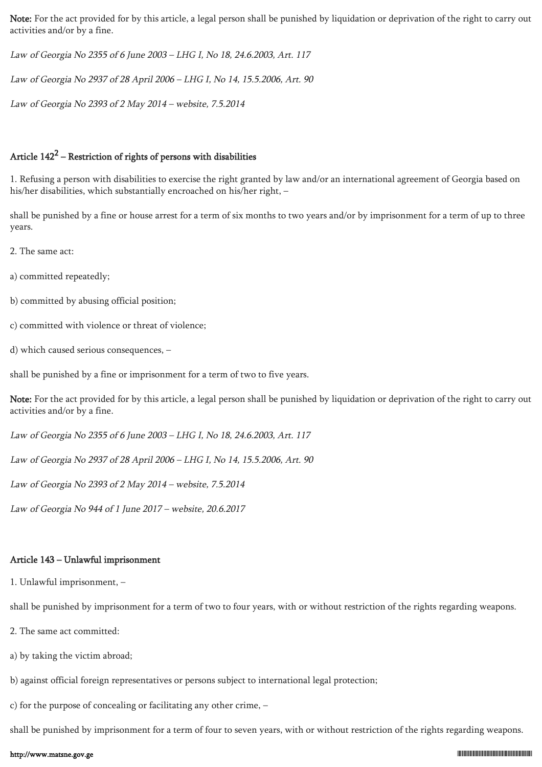Note: For the act provided for by this article, a legal person shall be punished by liquidation or deprivation of the right to carry out activities and/or by a fine.

Law of Georgia No 2355 of 6 June 2003 – LHG I, No 18, 24.6.2003, Art. 117

Law of Georgia No 2937 of 28 April 2006 – LHG I, No 14, 15.5.2006, Art. 90

Law of Georgia No 2393 of 2 May 2014 – website, 7.5.2014

# Article  $142^2$  – Restriction of rights of persons with disabilities

1. Refusing a person with disabilities to exercise the right granted by law and/or an international agreement of Georgia based on his/her disabilities, which substantially encroached on his/her right, –

shall be punished by a fine or house arrest for a term of six months to two years and/or by imprisonment for a term of up to three years.

- 2. The same act:
- a) committed repeatedly;
- b) committed by abusing official position;
- c) committed with violence or threat of violence;
- d) which caused serious consequences, –

shall be punished by a fine or imprisonment for a term of two to five years.

Note: For the act provided for by this article, a legal person shall be punished by liquidation or deprivation of the right to carry out activities and/or by a fine.

Law of Georgia No 2355 of 6 June 2003 – LHG I, No 18, 24.6.2003, Art. 117

Law of Georgia No 2937 of 28 April 2006 – LHG I, No 14, 15.5.2006, Art. 90

Law of Georgia No 2393 of 2 May 2014 – website, 7.5.2014

Law of Georgia No 944 of 1 June 2017 – website, 20.6.2017

#### Article 143 – Unlawful imprisonment

1. Unlawful imprisonment, –

shall be punished by imprisonment for a term of two to four years, with or without restriction of the rights regarding weapons.

- 2. The same act committed:
- a) by taking the victim abroad;
- b) against official foreign representatives or persons subject to international legal protection;
- c) for the purpose of concealing or facilitating any other crime, –

shall be punished by imprisonment for a term of four to seven years, with or without restriction of the rights regarding weapons.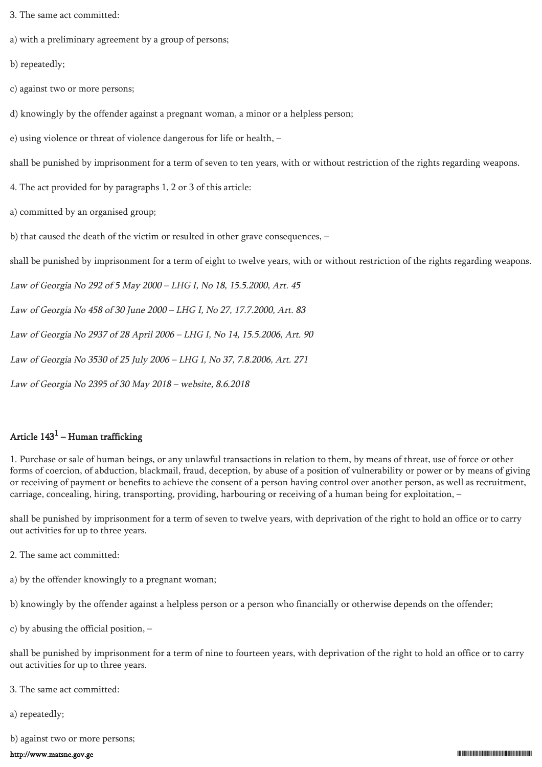3. The same act committed:

- a) with a preliminary agreement by a group of persons;
- b) repeatedly;
- c) against two or more persons;
- d) knowingly by the offender against a pregnant woman, a minor or a helpless person;
- e) using violence or threat of violence dangerous for life or health, –

shall be punished by imprisonment for a term of seven to ten years, with or without restriction of the rights regarding weapons.

- 4. The act provided for by paragraphs 1, 2 or 3 of this article:
- a) committed by an organised group;
- b) that caused the death of the victim or resulted in other grave consequences, –

shall be punished by imprisonment for a term of eight to twelve years, with or without restriction of the rights regarding weapons.

Law of Georgia No 292 of 5 May 2000 – LHG I, No 18, 15.5.2000, Art. 45

Law of Georgia No 458 of 30 June 2000 – LHG I, No 27, 17.7.2000, Art. 83

Law of Georgia No 2937 of 28 April 2006 – LHG I, No 14, 15.5.2006, Art. 90

Law of Georgia No 3530 of 25 July 2006 – LHG I, No 37, 7.8.2006, Art. 271

Law of Georgia No 2395 of 30 May 2018 – website, 8.6.2018

# Article  $143^1$  – Human trafficking

1. Purchase or sale of human beings, or any unlawful transactions in relation to them, by means of threat, use of force or other forms of coercion, of abduction, blackmail, fraud, deception, by abuse of a position of vulnerability or power or by means of giving or receiving of payment or benefits to achieve the consent of a person having control over another person, as well as recruitment, carriage, concealing, hiring, transporting, providing, harbouring or receiving of a human being for exploitation, –

shall be punished by imprisonment for a term of seven to twelve years, with deprivation of the right to hold an office or to carry out activities for up to three years.

- 2. The same act committed:
- a) by the offender knowingly to a pregnant woman;

b) knowingly by the offender against a helpless person or a person who financially or otherwise depends on the offender;

c) by abusing the official position, –

shall be punished by imprisonment for a term of nine to fourteen years, with deprivation of the right to hold an office or to carry out activities for up to three years.

- 3. The same act committed:
- a) repeatedly;

b) against two or more persons;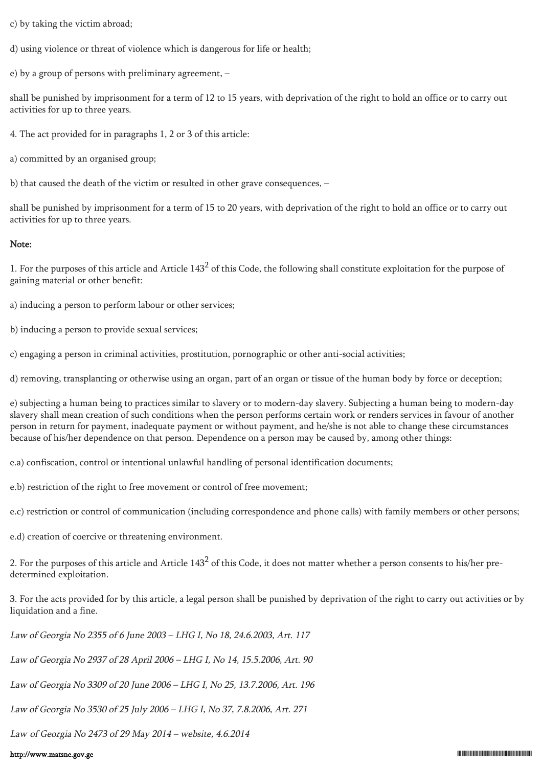c) by taking the victim abroad;

d) using violence or threat of violence which is dangerous for life or health;

e) by a group of persons with preliminary agreement, –

shall be punished by imprisonment for a term of 12 to 15 years, with deprivation of the right to hold an office or to carry out activities for up to three years.

4. The act provided for in paragraphs 1, 2 or 3 of this article:

a) committed by an organised group;

b) that caused the death of the victim or resulted in other grave consequences, –

shall be punished by imprisonment for a term of 15 to 20 years, with deprivation of the right to hold an office or to carry out activities for up to three years.

### Note:

1. For the purposes of this article and Article  $143^2$  of this Code, the following shall constitute exploitation for the purpose of gaining material or other benefit:

a) inducing a person to perform labour or other services;

b) inducing a person to provide sexual services;

c) engaging a person in criminal activities, prostitution, pornographic or other anti-social activities;

d) removing, transplanting or otherwise using an organ, part of an organ or tissue of the human body by force or deception;

e) subjecting a human being to practices similar to slavery or to modern-day slavery. Subjecting a human being to modern-day slavery shall mean creation of such conditions when the person performs certain work or renders services in favour of another person in return for payment, inadequate payment or without payment, and he/she is not able to change these circumstances because of his/her dependence on that person. Dependence on a person may be caused by, among other things:

e.a) confiscation, control or intentional unlawful handling of personal identification documents;

e.b) restriction of the right to free movement or control of free movement;

e.c) restriction or control of communication (including correspondence and phone calls) with family members or other persons;

e.d) creation of coercive or threatening environment.

2. For the purposes of this article and Article  $143^2$  of this Code, it does not matter whether a person consents to his/her predetermined exploitation.

3. For the acts provided for by this article, a legal person shall be punished by deprivation of the right to carry out activities or by liquidation and a fine.

Law of Georgia No 2355 of 6 June 2003 – LHG I, No 18, 24.6.2003, Art. 117

Law of Georgia No 2937 of 28 April 2006 – LHG I, No 14, 15.5.2006, Art. 90

Law of Georgia No 3309 of 20 June 2006 – LHG I, No 25, 13.7.2006, Art. 196

Law of Georgia No 3530 of 25 July 2006 – LHG I, No 37, 7.8.2006, Art. 271

Law of Georgia No 2473 of 29 May 2014 – website, 4.6.2014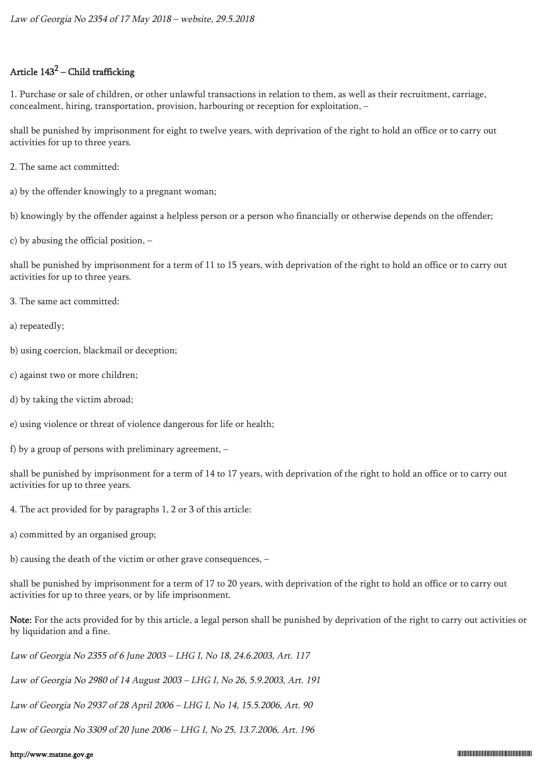# Article  $143^2$  – Child trafficking

1. Purchase or sale of children, or other unlawful transactions in relation to them, as well as their recruitment, carriage, concealment, hiring, transportation, provision, harbouring or reception for exploitation, –

shall be punished by imprisonment for eight to twelve years, with deprivation of the right to hold an office or to carry out activities for up to three years.

- 2. The same act committed:
- a) by the offender knowingly to a pregnant woman;

b) knowingly by the offender against a helpless person or a person who financially or otherwise depends on the offender;

c) by abusing the official position, –

shall be punished by imprisonment for a term of 11 to 15 years, with deprivation of the right to hold an office or to carry out activities for up to three years.

- 3. The same act committed:
- a) repeatedly;
- b) using coercion, blackmail or deception;
- c) against two or more children;
- d) by taking the victim abroad;
- e) using violence or threat of violence dangerous for life or health;
- f) by a group of persons with preliminary agreement, –

shall be punished by imprisonment for a term of 14 to 17 years, with deprivation of the right to hold an office or to carry out activities for up to three years.

- 4. The act provided for by paragraphs 1, 2 or 3 of this article:
- a) committed by an organised group;

b) causing the death of the victim or other grave consequences, –

shall be punished by imprisonment for a term of 17 to 20 years, with deprivation of the right to hold an office or to carry out activities for up to three years, or by life imprisonment.

Note: For the acts provided for by this article, a legal person shall be punished by deprivation of the right to carry out activities or by liquidation and a fine.

Law of Georgia No 2355 of 6 June 2003 – LHG I, No 18, 24.6.2003, Art. 117

Law of Georgia No 2980 of 14 August 2003 – LHG I, No 26, 5.9.2003, Art. 191

Law of Georgia No 2937 of 28 April 2006 – LHG I, No 14, 15.5.2006, Art. 90

Law of Georgia No 3309 of 20 June 2006 – LHG I, No 25, 13.7.2006, Art. 196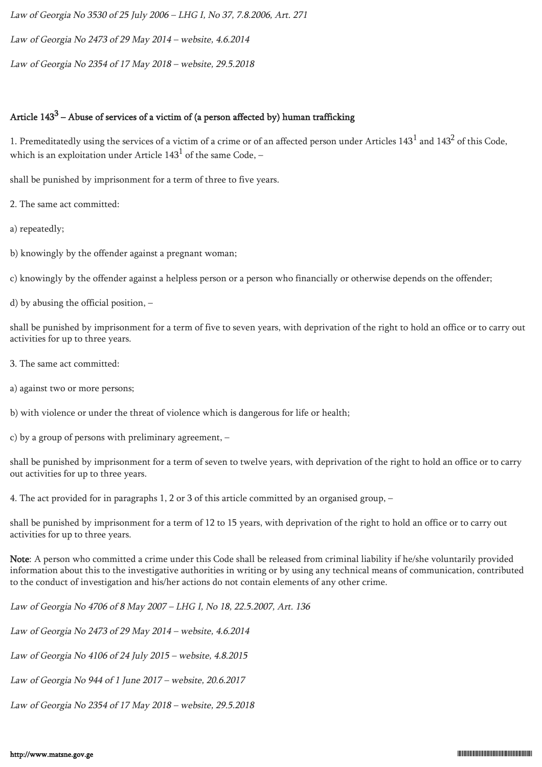Law of Georgia No 3530 of 25 July 2006 – LHG I, No 37, 7.8.2006, Art. 271 Law of Georgia No 2473 of 29 May 2014 – website, 4.6.2014 Law of Georgia No 2354 of 17 May 2018 – website, 29.5.2018

# Article  $143^3$  – Abuse of services of a victim of (a person affected by) human trafficking

1. Premeditatedly using the services of a victim of a crime or of an affected person under Articles  $143^1$  and  $143^2$  of this Code, which is an exploitation under Article  $143^{\rm 1}$  of the same Code, –

shall be punished by imprisonment for a term of three to five years.

2. The same act committed:

a) repeatedly;

b) knowingly by the offender against a pregnant woman;

c) knowingly by the offender against a helpless person or a person who financially or otherwise depends on the offender;

d) by abusing the official position, –

shall be punished by imprisonment for a term of five to seven years, with deprivation of the right to hold an office or to carry out activities for up to three years.

- 3. The same act committed:
- a) against two or more persons;

b) with violence or under the threat of violence which is dangerous for life or health;

c) by a group of persons with preliminary agreement, –

shall be punished by imprisonment for a term of seven to twelve years, with deprivation of the right to hold an office or to carry out activities for up to three years.

4. The act provided for in paragraphs 1, 2 or 3 of this article committed by an organised group, –

shall be punished by imprisonment for a term of 12 to 15 years, with deprivation of the right to hold an office or to carry out activities for up to three years.

Note: A person who committed a crime under this Code shall be released from criminal liability if he/she voluntarily provided information about this to the investigative authorities in writing or by using any technical means of communication, contributed to the conduct of investigation and his/her actions do not contain elements of any other crime.

Law of Georgia No 4706 of 8 May 2007 – LHG I, No 18, 22.5.2007, Art. 136

Law of Georgia No 2473 of 29 May 2014 – website, 4.6.2014

Law of Georgia No 4106 of 24 July 2015 – website, 4.8.2015

Law of Georgia No 944 of 1 June 2017 – website, 20.6.2017

Law of Georgia No 2354 of 17 May 2018 – website, 29.5.2018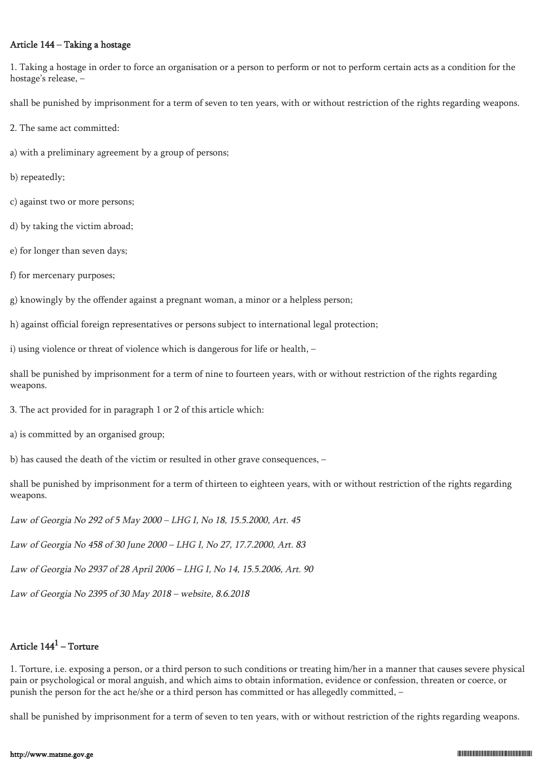### Article 144 – Taking a hostage

1. Taking a hostage in order to force an organisation or a person to perform or not to perform certain acts as a condition for the hostage's release, –

shall be punished by imprisonment for a term of seven to ten years, with or without restriction of the rights regarding weapons.

- 2. The same act committed:
- a) with a preliminary agreement by a group of persons;
- b) repeatedly;
- c) against two or more persons;
- d) by taking the victim abroad;
- e) for longer than seven days;
- f) for mercenary purposes;
- g) knowingly by the offender against a pregnant woman, a minor or a helpless person;

h) against official foreign representatives or persons subject to international legal protection;

i) using violence or threat of violence which is dangerous for life or health, –

shall be punished by imprisonment for a term of nine to fourteen years, with or without restriction of the rights regarding weapons.

- 3. The act provided for in paragraph 1 or 2 of this article which:
- a) is committed by an organised group;
- b) has caused the death of the victim or resulted in other grave consequences, –

shall be punished by imprisonment for a term of thirteen to eighteen years, with or without restriction of the rights regarding weapons.

- Law of Georgia No 292 of 5 May 2000 LHG I, No 18, 15.5.2000, Art. 45
- Law of Georgia No 458 of 30 June 2000 LHG I, No 27, 17.7.2000, Art. 83
- Law of Georgia No 2937 of 28 April 2006 LHG I, No 14, 15.5.2006, Art. 90

Law of Georgia No 2395 of 30 May 2018 – website, 8.6.2018

# Article  $144^{\rm 1}$  – Torture

1. Torture, i.e. exposing a person, or a third person to such conditions or treating him/her in a manner that causes severe physical pain or psychological or moral anguish, and which aims to obtain information, evidence or confession, threaten or coerce, or punish the person for the act he/she or a third person has committed or has allegedly committed, –

shall be punished by imprisonment for a term of seven to ten years, with or without restriction of the rights regarding weapons.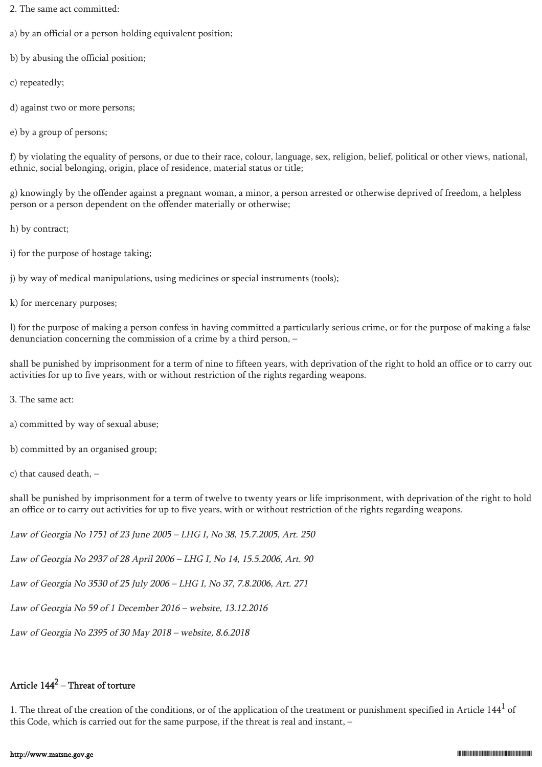- 2. The same act committed:
- a) by an official or a person holding equivalent position;
- b) by abusing the official position;
- c) repeatedly;
- d) against two or more persons;
- e) by a group of persons;

f) by violating the equality of persons, or due to their race, colour, language, sex, religion, belief, political or other views, national, ethnic, social belonging, origin, place of residence, material status or title;

g) knowingly by the offender against a pregnant woman, a minor, a person arrested or otherwise deprived of freedom, a helpless person or a person dependent on the offender materially or otherwise;

h) by contract;

- i) for the purpose of hostage taking;
- j) by way of medical manipulations, using medicines or special instruments (tools);
- k) for mercenary purposes;

l) for the purpose of making a person confess in having committed a particularly serious crime, or for the purpose of making a false denunciation concerning the commission of a crime by a third person, –

shall be punished by imprisonment for a term of nine to fifteen years, with deprivation of the right to hold an office or to carry out activities for up to five years, with or without restriction of the rights regarding weapons.

3. The same act:

- a) committed by way of sexual abuse;
- b) committed by an organised group;

c) that caused death, –

shall be punished by imprisonment for a term of twelve to twenty years or life imprisonment, with deprivation of the right to hold an office or to carry out activities for up to five years, with or without restriction of the rights regarding weapons.

Law of Georgia No 1751 of 23 June 2005 – LHG I, No 38, 15.7.2005, Art. 250

Law of Georgia No 2937 of 28 April 2006 – LHG I, No 14, 15.5.2006, Art. 90

Law of Georgia No 3530 of 25 July 2006 – LHG I, No 37, 7.8.2006, Art. 271

Law of Georgia No 59 of 1 December 2016 – website, 13.12.2016

Law of Georgia No 2395 of 30 May 2018 – website, 8.6.2018

# Article  $144^2$  – Threat of torture

1. The threat of the creation of the conditions, or of the application of the treatment or punishment specified in Article  $144<sup>1</sup>$  of this Code, which is carried out for the same purpose, if the threat is real and instant, –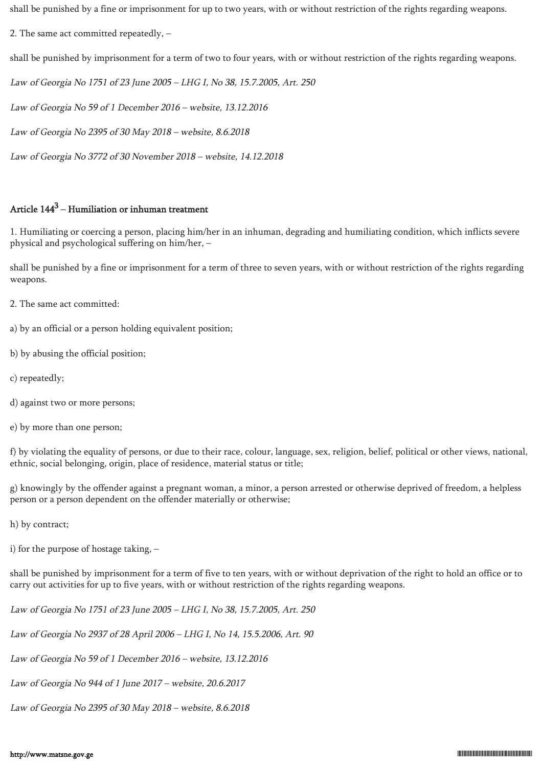shall be punished by a fine or imprisonment for up to two years, with or without restriction of the rights regarding weapons.

2. The same act committed repeatedly, –

shall be punished by imprisonment for a term of two to four years, with or without restriction of the rights regarding weapons.

Law of Georgia No 1751 of 23 June 2005 – LHG I, No 38, 15.7.2005, Art. 250

Law of Georgia No 59 of 1 December 2016 – website, 13.12.2016

Law of Georgia No 2395 of 30 May 2018 – website, 8.6.2018

Law of Georgia No 3772 of 30 November 2018 – website, 14.12.2018

# Article  $144^3$  – Humiliation or inhuman treatment

1. Humiliating or coercing a person, placing him/her in an inhuman, degrading and humiliating condition, which inflicts severe physical and psychological suffering on him/her, –

shall be punished by a fine or imprisonment for a term of three to seven years, with or without restriction of the rights regarding weapons.

- 2. The same act committed:
- a) by an official or a person holding equivalent position;
- b) by abusing the official position;
- c) repeatedly;
- d) against two or more persons;
- e) by more than one person;

f) by violating the equality of persons, or due to their race, colour, language, sex, religion, belief, political or other views, national, ethnic, social belonging, origin, place of residence, material status or title;

g) knowingly by the offender against a pregnant woman, a minor, a person arrested or otherwise deprived of freedom, a helpless person or a person dependent on the offender materially or otherwise;

h) by contract;

i) for the purpose of hostage taking, –

shall be punished by imprisonment for a term of five to ten years, with or without deprivation of the right to hold an office or to carry out activities for up to five years, with or without restriction of the rights regarding weapons.

Law of Georgia No 1751 of 23 June 2005 – LHG I, No 38, 15.7.2005, Art. 250

Law of Georgia No 2937 of 28 April 2006 – LHG I, No 14, 15.5.2006, Art. 90

Law of Georgia No 59 of 1 December 2016 – website, 13.12.2016

Law of Georgia No 944 of 1 June 2017 – website, 20.6.2017

Law of Georgia No 2395 of 30 May 2018 – website, 8.6.2018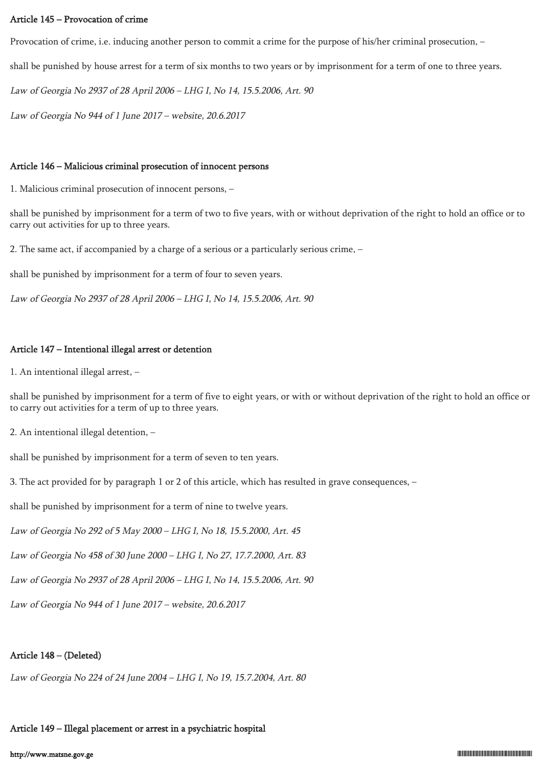### Article 145 – Provocation of crime

Provocation of crime, i.e. inducing another person to commit a crime for the purpose of his/her criminal prosecution, –

shall be punished by house arrest for a term of six months to two years or by imprisonment for a term of one to three years.

Law of Georgia No 2937 of 28 April 2006 – LHG I, No 14, 15.5.2006, Art. 90

Law of Georgia No 944 of 1 June 2017 – website, 20.6.2017

#### Article 146 – Malicious criminal prosecution of innocent persons

1. Malicious criminal prosecution of innocent persons, –

shall be punished by imprisonment for a term of two to five years, with or without deprivation of the right to hold an office or to carry out activities for up to three years.

2. The same act, if accompanied by a charge of a serious or a particularly serious crime, –

shall be punished by imprisonment for a term of four to seven years.

Law of Georgia No 2937 of 28 April 2006 – LHG I, No 14, 15.5.2006, Art. 90

#### Article 147 – Intentional illegal arrest or detention

1. An intentional illegal arrest, –

shall be punished by imprisonment for a term of five to eight years, or with or without deprivation of the right to hold an office or to carry out activities for a term of up to three years.

2. An intentional illegal detention, –

shall be punished by imprisonment for a term of seven to ten years.

3. The act provided for by paragraph 1 or 2 of this article, which has resulted in grave consequences, –

shall be punished by imprisonment for a term of nine to twelve years.

Law of Georgia No 292 of 5 May 2000 – LHG I, No 18, 15.5.2000, Art. 45

Law of Georgia No 458 of 30 June 2000 – LHG I, No 27, 17.7.2000, Art. 83

Law of Georgia No 2937 of 28 April 2006 – LHG I, No 14, 15.5.2006, Art. 90

Law of Georgia No 944 of 1 June 2017 – website, 20.6.2017

## Article 148 – (Deleted)

Law of Georgia No 224 of 24 June 2004 – LHG I, No 19, 15.7.2004, Art. 80

## Article 149 – Illegal placement or arrest in a psychiatric hospital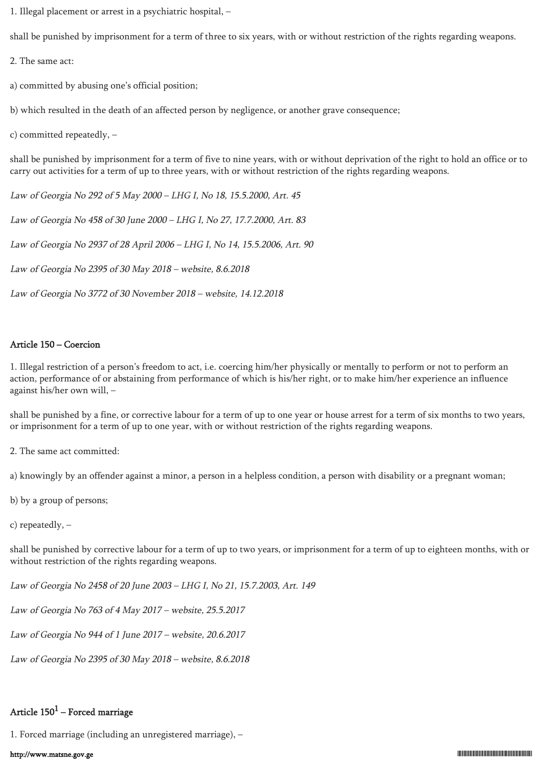1. Illegal placement or arrest in a psychiatric hospital, –

shall be punished by imprisonment for a term of three to six years, with or without restriction of the rights regarding weapons.

2. The same act:

a) committed by abusing one's official position;

b) which resulted in the death of an affected person by negligence, or another grave consequence;

c) committed repeatedly, –

shall be punished by imprisonment for a term of five to nine years, with or without deprivation of the right to hold an office or to carry out activities for a term of up to three years, with or without restriction of the rights regarding weapons.

Law of Georgia No 292 of 5 May 2000 – LHG I, No 18, 15.5.2000, Art. 45

Law of Georgia No 458 of 30 June 2000 – LHG I, No 27, 17.7.2000, Art. 83

Law of Georgia No 2937 of 28 April 2006 – LHG I, No 14, 15.5.2006, Art. 90

Law of Georgia No 2395 of 30 May 2018 – website, 8.6.2018

Law of Georgia No 3772 of 30 November 2018 – website, 14.12.2018

## Article 150 – Coercion

1. Illegal restriction of a person's freedom to act, i.e. coercing him/her physically or mentally to perform or not to perform an action, performance of or abstaining from performance of which is his/her right, or to make him/her experience an influence against his/her own will, –

shall be punished by a fine, or corrective labour for a term of up to one year or house arrest for a term of six months to two years, or imprisonment for a term of up to one year, with or without restriction of the rights regarding weapons.

2. The same act committed:

a) knowingly by an offender against a minor, a person in a helpless condition, a person with disability or a pregnant woman;

b) by a group of persons;

c) repeatedly, –

shall be punished by corrective labour for a term of up to two years, or imprisonment for a term of up to eighteen months, with or without restriction of the rights regarding weapons.

Law of Georgia No 2458 of 20 June 2003 – LHG I, No 21, 15.7.2003, Art. 149

Law of Georgia No 763 of 4 May 2017 – website, 25.5.2017

Law of Georgia No 944 of 1 June 2017 – website, 20.6.2017

Law of Georgia No 2395 of 30 May 2018 – website, 8.6.2018

# Article  $150^1$  – Forced marriage

1. Forced marriage (including an unregistered marriage), –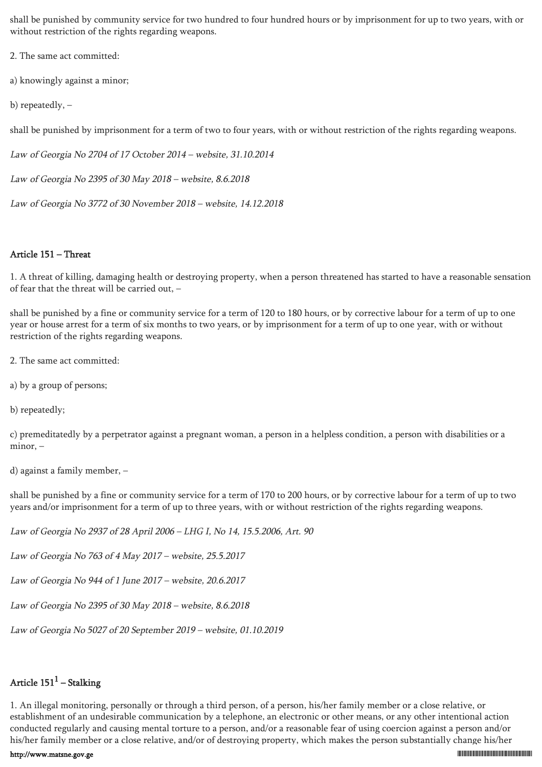shall be punished by community service for two hundred to four hundred hours or by imprisonment for up to two years, with or without restriction of the rights regarding weapons.

2. The same act committed:

a) knowingly against a minor;

b) repeatedly, –

shall be punished by imprisonment for a term of two to four years, with or without restriction of the rights regarding weapons.

Law of Georgia No 2704 of 17 October 2014 – website, 31.10.2014

Law of Georgia No 2395 of 30 May 2018 – website, 8.6.2018

Law of Georgia No 3772 of 30 November 2018 – website, 14.12.2018

## Article 151 – Threat

1. A threat of killing, damaging health or destroying property, when a person threatened has started to have a reasonable sensation of fear that the threat will be carried out, –

shall be punished by a fine or community service for a term of 120 to 180 hours, or by corrective labour for a term of up to one year or house arrest for a term of six months to two years, or by imprisonment for a term of up to one year, with or without restriction of the rights regarding weapons.

- 2. The same act committed:
- a) by a group of persons;

b) repeatedly;

c) premeditatedly by a perpetrator against a pregnant woman, a person in a helpless condition, a person with disabilities or a minor, –

d) against a family member, –

shall be punished by a fine or community service for a term of 170 to 200 hours, or by corrective labour for a term of up to two years and/or imprisonment for a term of up to three years, with or without restriction of the rights regarding weapons.

Law of Georgia No 2937 of 28 April 2006 – LHG I, No 14, 15.5.2006, Art. 90

Law of Georgia No 763 of 4 May 2017 – website, 25.5.2017

Law of Georgia No 944 of 1 June 2017 – website, 20.6.2017

Law of Georgia No 2395 of 30 May 2018 – website, 8.6.2018

Law of Georgia No 5027 of 20 September 2019 – website, 01.10.2019

# Article  $151^1$  – Stalking

1. An illegal monitoring, personally or through a third person, of a person, his/her family member or a close relative, or establishment of an undesirable communication by a telephone, an electronic or other means, or any other intentional action conducted regularly and causing mental torture to a person, and/or a reasonable fear of using coercion against a person and/or his/her family member or a close relative, and/or of destroying property, which makes the person substantially change his/her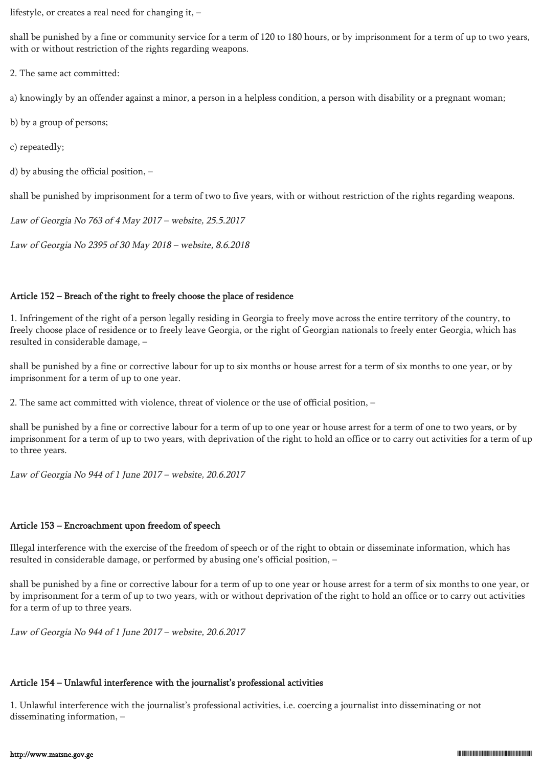lifestyle, or creates a real need for changing it, –

shall be punished by a fine or community service for a term of 120 to 180 hours, or by imprisonment for a term of up to two years, with or without restriction of the rights regarding weapons.

2. The same act committed:

a) knowingly by an offender against a minor, a person in a helpless condition, a person with disability or a pregnant woman;

b) by a group of persons;

c) repeatedly;

d) by abusing the official position, –

shall be punished by imprisonment for a term of two to five years, with or without restriction of the rights regarding weapons.

Law of Georgia No 763 of 4 May 2017 – website, 25.5.2017

Law of Georgia No 2395 of 30 May 2018 – website, 8.6.2018

## Article 152 – Breach of the right to freely choose the place of residence

1. Infringement of the right of a person legally residing in Georgia to freely move across the entire territory of the country, to freely choose place of residence or to freely leave Georgia, or the right of Georgian nationals to freely enter Georgia, which has resulted in considerable damage, –

shall be punished by a fine or corrective labour for up to six months or house arrest for a term of six months to one year, or by imprisonment for a term of up to one year.

2. The same act committed with violence, threat of violence or the use of official position, –

shall be punished by a fine or corrective labour for a term of up to one year or house arrest for a term of one to two years, or by imprisonment for a term of up to two years, with deprivation of the right to hold an office or to carry out activities for a term of up to three years.

Law of Georgia No 944 of 1 June 2017 – website, 20.6.2017

## Article 153 – Encroachment upon freedom of speech

Illegal interference with the exercise of the freedom of speech or of the right to obtain or disseminate information, which has resulted in considerable damage, or performed by abusing one's official position, –

shall be punished by a fine or corrective labour for a term of up to one year or house arrest for a term of six months to one year, or by imprisonment for a term of up to two years, with or without deprivation of the right to hold an office or to carry out activities for a term of up to three years.

Law of Georgia No 944 of 1 June 2017 – website, 20.6.2017

## Article 154 – Unlawful interference with the journalist's professional activities

1. Unlawful interference with the journalist's professional activities, i.e. coercing a journalist into disseminating or not disseminating information, –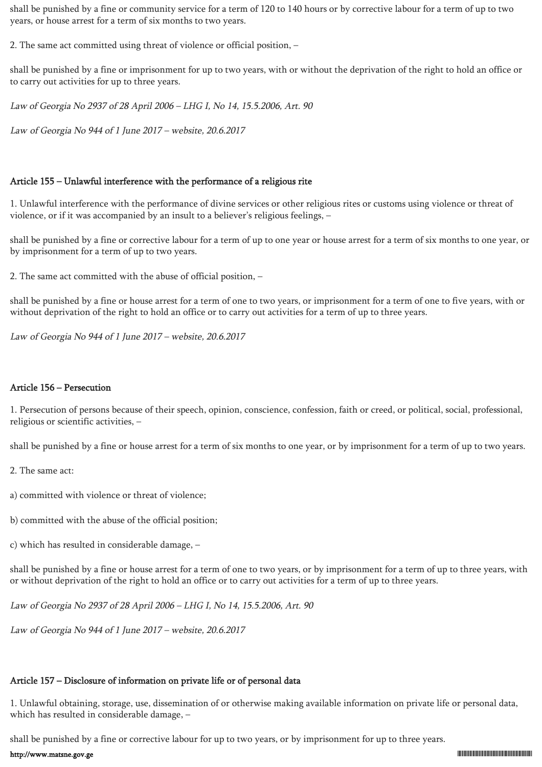shall be punished by a fine or community service for a term of 120 to 140 hours or by corrective labour for a term of up to two years, or house arrest for a term of six months to two years.

2. The same act committed using threat of violence or official position, –

shall be punished by a fine or imprisonment for up to two years, with or without the deprivation of the right to hold an office or to carry out activities for up to three years.

Law of Georgia No 2937 of 28 April 2006 – LHG I, No 14, 15.5.2006, Art. 90

Law of Georgia No 944 of 1 June 2017 – website, 20.6.2017

## Article 155 – Unlawful interference with the performance of a religious rite

1. Unlawful interference with the performance of divine services or other religious rites or customs using violence or threat of violence, or if it was accompanied by an insult to a believer's religious feelings, –

shall be punished by a fine or corrective labour for a term of up to one year or house arrest for a term of six months to one year, or by imprisonment for a term of up to two years.

2. The same act committed with the abuse of official position, –

shall be punished by a fine or house arrest for a term of one to two years, or imprisonment for a term of one to five years, with or without deprivation of the right to hold an office or to carry out activities for a term of up to three years.

Law of Georgia No 944 of 1 June 2017 – website, 20.6.2017

## Article 156 – Persecution

1. Persecution of persons because of their speech, opinion, conscience, confession, faith or creed, or political, social, professional, religious or scientific activities, –

shall be punished by a fine or house arrest for a term of six months to one year, or by imprisonment for a term of up to two years.

- 2. The same act:
- a) committed with violence or threat of violence;
- b) committed with the abuse of the official position;
- c) which has resulted in considerable damage, –

shall be punished by a fine or house arrest for a term of one to two years, or by imprisonment for a term of up to three years, with or without deprivation of the right to hold an office or to carry out activities for a term of up to three years.

Law of Georgia No 2937 of 28 April 2006 – LHG I, No 14, 15.5.2006, Art. 90

Law of Georgia No 944 of 1 June 2017 – website, 20.6.2017

#### Article 157 – Disclosure of information on private life or of personal data

1. Unlawful obtaining, storage, use, dissemination of or otherwise making available information on private life or personal data, which has resulted in considerable damage, –

shall be punished by a fine or corrective labour for up to two years, or by imprisonment for up to three years.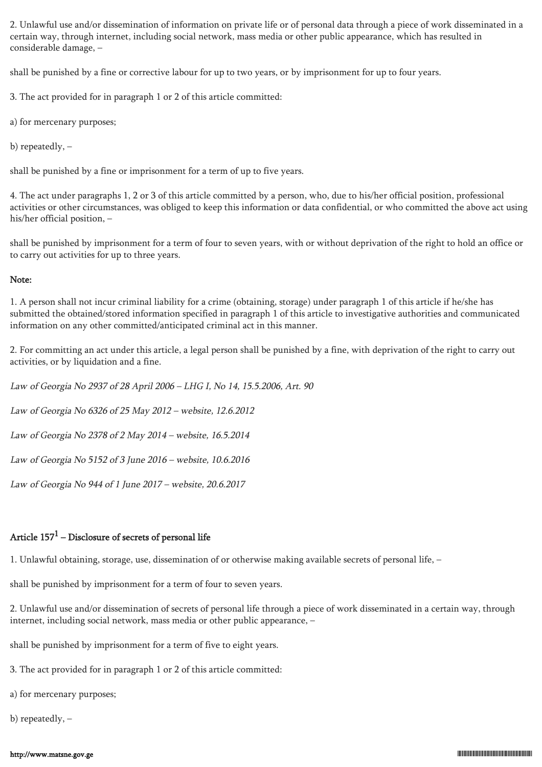2. Unlawful use and/or dissemination of information on private life or of personal data through a piece of work disseminated in a certain way, through internet, including social network, mass media or other public appearance, which has resulted in considerable damage, –

shall be punished by a fine or corrective labour for up to two years, or by imprisonment for up to four years.

3. The act provided for in paragraph 1 or 2 of this article committed:

a) for mercenary purposes;

b) repeatedly, –

shall be punished by a fine or imprisonment for a term of up to five years.

4. The act under paragraphs 1, 2 or 3 of this article committed by a person, who, due to his/her official position, professional activities or other circumstances, was obliged to keep this information or data confidential, or who committed the above act using his/her official position, –

shall be punished by imprisonment for a term of four to seven years, with or without deprivation of the right to hold an office or to carry out activities for up to three years.

#### Note:

1. A person shall not incur criminal liability for a crime (obtaining, storage) under paragraph 1 of this article if he/she has submitted the obtained/stored information specified in paragraph 1 of this article to investigative authorities and communicated information on any other committed/anticipated criminal act in this manner.

2. For committing an act under this article, a legal person shall be punished by a fine, with deprivation of the right to carry out activities, or by liquidation and a fine.

Law of Georgia No 2937 of 28 April 2006 – LHG I, No 14, 15.5.2006, Art. 90

Law of Georgia No 6326 of 25 May 2012 – website, 12.6.2012

Law of Georgia No 2378 of 2 May 2014 – website, 16.5.2014

Law of Georgia No 5152 of 3 June 2016 – website, 10.6.2016

Law of Georgia No 944 of 1 June 2017 – website, 20.6.2017

## Article  $157^1$  – Disclosure of secrets of personal life

1. Unlawful obtaining, storage, use, dissemination of or otherwise making available secrets of personal life, –

shall be punished by imprisonment for a term of four to seven years.

2. Unlawful use and/or dissemination of secrets of personal life through a piece of work disseminated in a certain way, through internet, including social network, mass media or other public appearance, –

shall be punished by imprisonment for a term of five to eight years.

3. The act provided for in paragraph 1 or 2 of this article committed:

a) for mercenary purposes;

b) repeatedly, –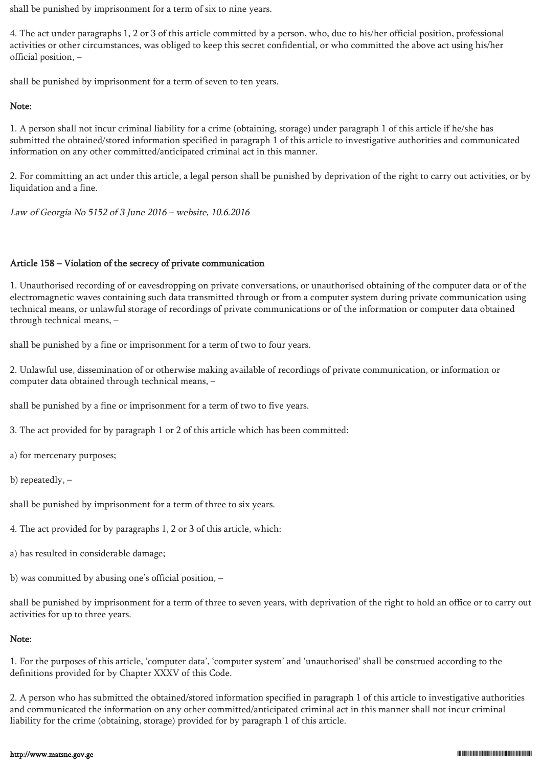shall be punished by imprisonment for a term of six to nine years.

4. The act under paragraphs 1, 2 or 3 of this article committed by a person, who, due to his/her official position, professional activities or other circumstances, was obliged to keep this secret confidential, or who committed the above act using his/her official position, –

shall be punished by imprisonment for a term of seven to ten years.

## Note:

1. A person shall not incur criminal liability for a crime (obtaining, storage) under paragraph 1 of this article if he/she has submitted the obtained/stored information specified in paragraph 1 of this article to investigative authorities and communicated information on any other committed/anticipated criminal act in this manner.

2. For committing an act under this article, a legal person shall be punished by deprivation of the right to carry out activities, or by liquidation and a fine.

Law of Georgia No 5152 of 3 June 2016 – website, 10.6.2016

## Article 158 – Violation of the secrecy of private communication

1. Unauthorised recording of or eavesdropping on private conversations, or unauthorised obtaining of the computer data or of the electromagnetic waves containing such data transmitted through or from a computer system during private communication using technical means, or unlawful storage of recordings of private communications or of the information or computer data obtained through technical means, –

shall be punished by a fine or imprisonment for a term of two to four years.

2. Unlawful use, dissemination of or otherwise making available of recordings of private communication, or information or computer data obtained through technical means, –

shall be punished by a fine or imprisonment for a term of two to five years.

3. The act provided for by paragraph 1 or 2 of this article which has been committed:

a) for mercenary purposes;

b) repeatedly, –

- shall be punished by imprisonment for a term of three to six years.
- 4. The act provided for by paragraphs 1, 2 or 3 of this article, which:
- a) has resulted in considerable damage;
- b) was committed by abusing one's official position, –

shall be punished by imprisonment for a term of three to seven years, with deprivation of the right to hold an office or to carry out activities for up to three years.

## Note:

1. For the purposes of this article, 'computer data', 'computer system' and 'unauthorised' shall be construed according to the definitions provided for by Chapter XXXV of this Code.

2. A person who has submitted the obtained/stored information specified in paragraph 1 of this article to investigative authorities and communicated the information on any other committed/anticipated criminal act in this manner shall not incur criminal liability for the crime (obtaining, storage) provided for by paragraph 1 of this article.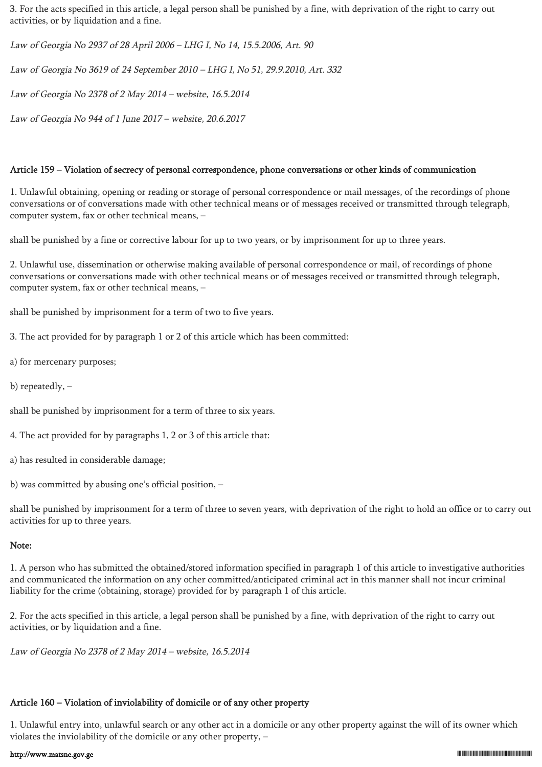3. For the acts specified in this article, a legal person shall be punished by a fine, with deprivation of the right to carry out activities, or by liquidation and a fine.

Law of Georgia No 2937 of 28 April 2006 – LHG I, No 14, 15.5.2006, Art. 90

Law of Georgia No 3619 of 24 September 2010 – LHG I, No 51, 29.9.2010, Art. 332

Law of Georgia No 2378 of 2 May 2014 – website, 16.5.2014

Law of Georgia No 944 of 1 June 2017 – website, 20.6.2017

## Article 159 – Violation of secrecy of personal correspondence, phone conversations or other kinds of communication

1. Unlawful obtaining, opening or reading or storage of personal correspondence or mail messages, of the recordings of phone conversations or of conversations made with other technical means or of messages received or transmitted through telegraph, computer system, fax or other technical means, –

shall be punished by a fine or corrective labour for up to two years, or by imprisonment for up to three years.

2. Unlawful use, dissemination or otherwise making available of personal correspondence or mail, of recordings of phone conversations or conversations made with other technical means or of messages received or transmitted through telegraph, computer system, fax or other technical means, –

shall be punished by imprisonment for a term of two to five years.

- 3. The act provided for by paragraph 1 or 2 of this article which has been committed:
- a) for mercenary purposes;
- b) repeatedly, –

shall be punished by imprisonment for a term of three to six years.

- 4. The act provided for by paragraphs 1, 2 or 3 of this article that:
- a) has resulted in considerable damage;

b) was committed by abusing one's official position, –

shall be punished by imprisonment for a term of three to seven years, with deprivation of the right to hold an office or to carry out activities for up to three years.

## Note:

1. A person who has submitted the obtained/stored information specified in paragraph 1 of this article to investigative authorities and communicated the information on any other committed/anticipated criminal act in this manner shall not incur criminal liability for the crime (obtaining, storage) provided for by paragraph 1 of this article.

2. For the acts specified in this article, a legal person shall be punished by a fine, with deprivation of the right to carry out activities, or by liquidation and a fine.

Law of Georgia No 2378 of 2 May 2014 – website, 16.5.2014

## Article 160 – Violation of inviolability of domicile or of any other property

1. Unlawful entry into, unlawful search or any other act in a domicile or any other property against the will of its owner which violates the inviolability of the domicile or any other property, –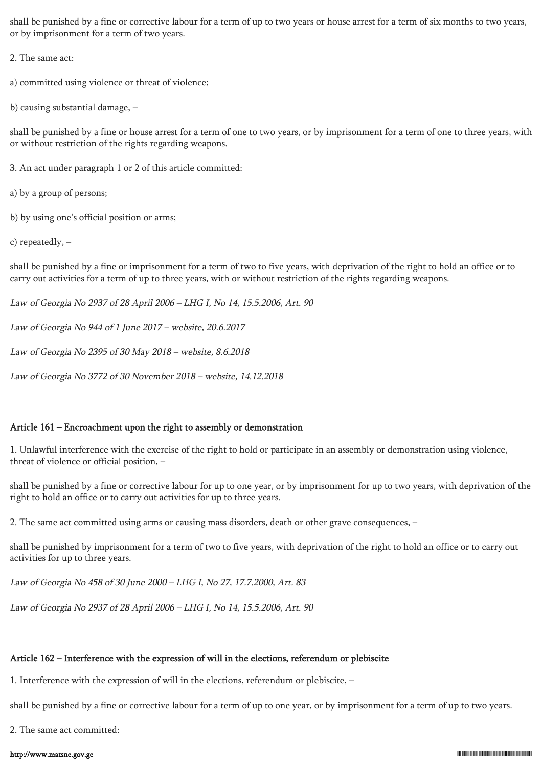shall be punished by a fine or corrective labour for a term of up to two years or house arrest for a term of six months to two years, or by imprisonment for a term of two years.

2. The same act:

a) committed using violence or threat of violence;

b) causing substantial damage, –

shall be punished by a fine or house arrest for a term of one to two years, or by imprisonment for a term of one to three years, with or without restriction of the rights regarding weapons.

3. An act under paragraph 1 or 2 of this article committed:

a) by a group of persons;

- b) by using one's official position or arms;
- c) repeatedly, –

shall be punished by a fine or imprisonment for a term of two to five years, with deprivation of the right to hold an office or to carry out activities for a term of up to three years, with or without restriction of the rights regarding weapons.

Law of Georgia No 2937 of 28 April 2006 – LHG I, No 14, 15.5.2006, Art. 90

Law of Georgia No 944 of 1 June 2017 – website, 20.6.2017

Law of Georgia No 2395 of 30 May 2018 – website, 8.6.2018

Law of Georgia No 3772 of 30 November 2018 – website, 14.12.2018

## Article 161 – Encroachment upon the right to assembly or demonstration

1. Unlawful interference with the exercise of the right to hold or participate in an assembly or demonstration using violence, threat of violence or official position, –

shall be punished by a fine or corrective labour for up to one year, or by imprisonment for up to two years, with deprivation of the right to hold an office or to carry out activities for up to three years.

2. The same act committed using arms or causing mass disorders, death or other grave consequences, –

shall be punished by imprisonment for a term of two to five years, with deprivation of the right to hold an office or to carry out activities for up to three years.

Law of Georgia No 458 of 30 June 2000 – LHG I, No 27, 17.7.2000, Art. 83

Law of Georgia No 2937 of 28 April 2006 – LHG I, No 14, 15.5.2006, Art. 90

## Article 162 – Interference with the expression of will in the elections, referendum or plebiscite

1. Interference with the expression of will in the elections, referendum or plebiscite, –

shall be punished by a fine or corrective labour for a term of up to one year, or by imprisonment for a term of up to two years.

2. The same act committed: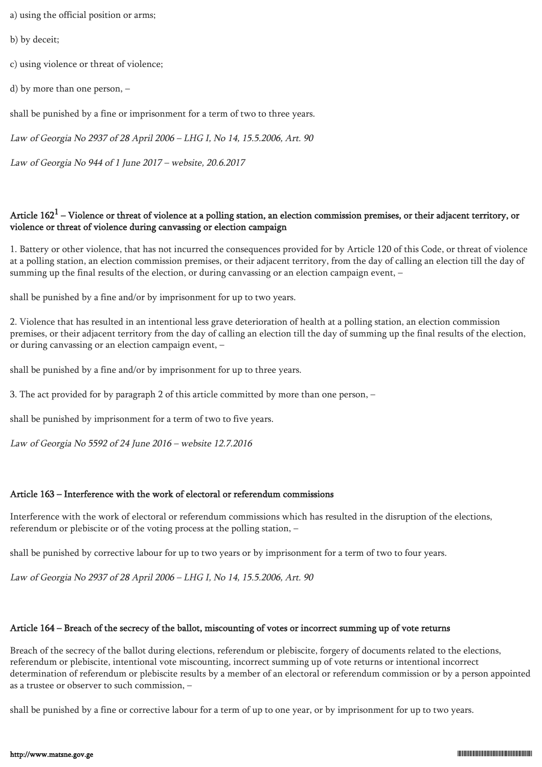a) using the official position or arms;

b) by deceit;

c) using violence or threat of violence;

d) by more than one person, –

shall be punished by a fine or imprisonment for a term of two to three years.

Law of Georgia No 2937 of 28 April 2006 – LHG I, No 14, 15.5.2006, Art. 90

Law of Georgia No 944 of 1 June 2017 – website, 20.6.2017

## Article  $162^1$  – Violence or threat of violence at a polling station, an election commission premises, or their adjacent territory, or violence or threat of violence during canvassing or election campaign

1. Battery or other violence, that has not incurred the consequences provided for by Article 120 of this Code, or threat of violence at a polling station, an election commission premises, or their adjacent territory, from the day of calling an election till the day of summing up the final results of the election, or during canvassing or an election campaign event, –

shall be punished by a fine and/or by imprisonment for up to two years.

2. Violence that has resulted in an intentional less grave deterioration of health at a polling station, an election commission premises, or their adjacent territory from the day of calling an election till the day of summing up the final results of the election, or during canvassing or an election campaign event, –

shall be punished by a fine and/or by imprisonment for up to three years.

3. The act provided for by paragraph 2 of this article committed by more than one person, –

shall be punished by imprisonment for a term of two to five years.

Law of Georgia No 5592 of 24 June 2016 – website 12.7.2016

## Article 163 – Interference with the work of electoral or referendum commissions

Interference with the work of electoral or referendum commissions which has resulted in the disruption of the elections, referendum or plebiscite or of the voting process at the polling station, –

shall be punished by corrective labour for up to two years or by imprisonment for a term of two to four years.

Law of Georgia No 2937 of 28 April 2006 – LHG I, No 14, 15.5.2006, Art. 90

#### Article 164 – Breach of the secrecy of the ballot, miscounting of votes or incorrect summing up of vote returns

Breach of the secrecy of the ballot during elections, referendum or plebiscite, forgery of documents related to the elections, referendum or plebiscite, intentional vote miscounting, incorrect summing up of vote returns or intentional incorrect determination of referendum or plebiscite results by a member of an electoral or referendum commission or by a person appointed as a trustee or observer to such commission, –

shall be punished by a fine or corrective labour for a term of up to one year, or by imprisonment for up to two years.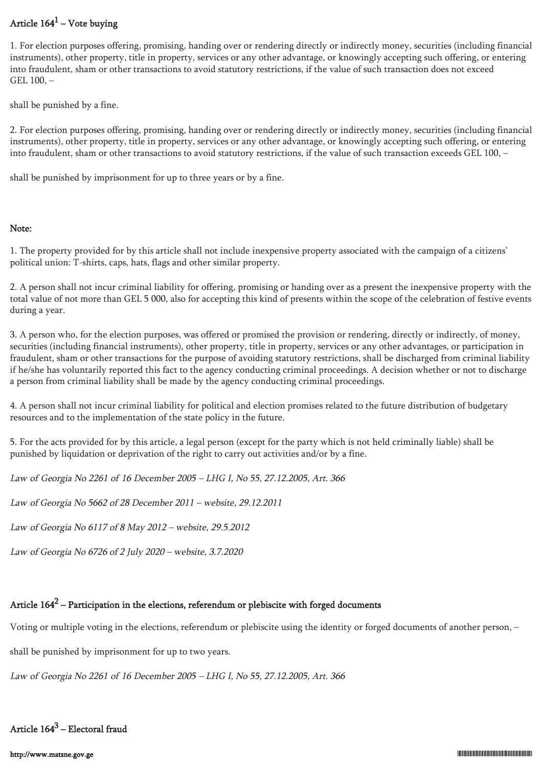# Article  $164^1$  – Vote buying

1. For election purposes offering, promising, handing over or rendering directly or indirectly money, securities (including financial instruments), other property, title in property, services or any other advantage, or knowingly accepting such offering, or entering into fraudulent, sham or other transactions to avoid statutory restrictions, if the value of such transaction does not exceed GEL 100, –

shall be punished by a fine.

2. For election purposes offering, promising, handing over or rendering directly or indirectly money, securities (including financial instruments), other property, title in property, services or any other advantage, or knowingly accepting such offering, or entering into fraudulent, sham or other transactions to avoid statutory restrictions, if the value of such transaction exceeds GEL 100, –

shall be punished by imprisonment for up to three years or by a fine.

#### Note:

1. The property provided for by this article shall not include inexpensive property associated with the campaign of a citizens' political union: T-shirts, caps, hats, flags and other similar property.

2. A person shall not incur criminal liability for offering, promising or handing over as a present the inexpensive property with the total value of not more than GEL 5 000, also for accepting this kind of presents within the scope of the celebration of festive events during a year.

3. A person who, for the election purposes, was offered or promised the provision or rendering, directly or indirectly, of money, securities (including financial instruments), other property, title in property, services or any other advantages, or participation in fraudulent, sham or other transactions for the purpose of avoiding statutory restrictions, shall be discharged from criminal liability if he/she has voluntarily reported this fact to the agency conducting criminal proceedings. A decision whether or not to discharge a person from criminal liability shall be made by the agency conducting criminal proceedings.

4. A person shall not incur criminal liability for political and election promises related to the future distribution of budgetary resources and to the implementation of the state policy in the future.

5. For the acts provided for by this article, a legal person (except for the party which is not held criminally liable) shall be punished by liquidation or deprivation of the right to carry out activities and/or by a fine.

Law of Georgia No 2261 of 16 December 2005 – LHG I, No 55, 27.12.2005, Art. 366

Law of Georgia No 5662 of 28 December 2011 – website, 29.12.2011

Law of Georgia No 6117 of 8 May 2012 – website, 29.5.2012

Law of Georgia No 6726 of 2 July 2020 – website, 3.7.2020

# Article  $164^2$  – Participation in the elections, referendum or plebiscite with forged documents

Voting or multiple voting in the elections, referendum or plebiscite using the identity or forged documents of another person, –

shall be punished by imprisonment for up to two years.

Law of Georgia No 2261 of 16 December 2005 – LHG I, No 55, 27.12.2005, Art. 366

# Article  $164^3$  – Electoral fraud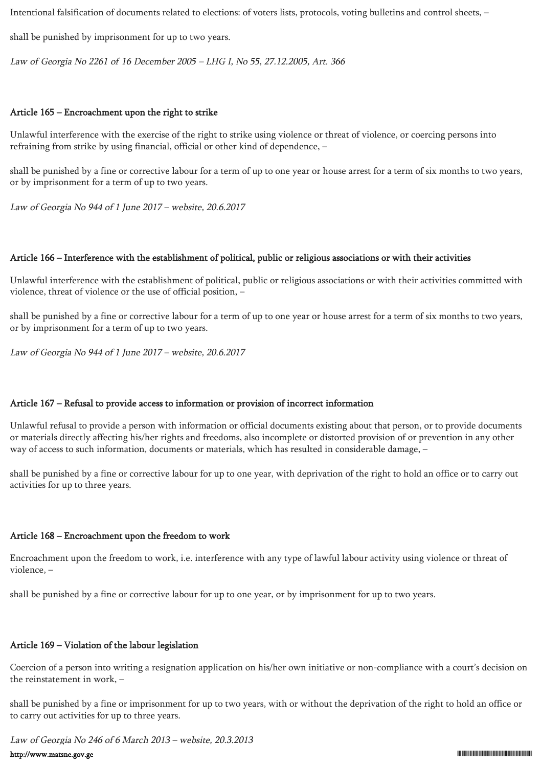Intentional falsification of documents related to elections: of voters lists, protocols, voting bulletins and control sheets, –

shall be punished by imprisonment for up to two years.

Law of Georgia No 2261 of 16 December 2005 – LHG I, No 55, 27.12.2005, Art. 366

# Article 165 – Encroachment upon the right to strike

Unlawful interference with the exercise of the right to strike using violence or threat of violence, or coercing persons into refraining from strike by using financial, official or other kind of dependence, –

shall be punished by a fine or corrective labour for a term of up to one year or house arrest for a term of six months to two years, or by imprisonment for a term of up to two years.

Law of Georgia No 944 of 1 June 2017 – website, 20.6.2017

# Article 166 – Interference with the establishment of political, public or religious associations or with their activities

Unlawful interference with the establishment of political, public or religious associations or with their activities committed with violence, threat of violence or the use of official position, –

shall be punished by a fine or corrective labour for a term of up to one year or house arrest for a term of six months to two years, or by imprisonment for a term of up to two years.

Law of Georgia No 944 of 1 June 2017 – website, 20.6.2017

# Article 167 – Refusal to provide access to information or provision of incorrect information

Unlawful refusal to provide a person with information or official documents existing about that person, or to provide documents or materials directly affecting his/her rights and freedoms, also incomplete or distorted provision of or prevention in any other way of access to such information, documents or materials, which has resulted in considerable damage, –

shall be punished by a fine or corrective labour for up to one year, with deprivation of the right to hold an office or to carry out activities for up to three years.

# Article 168 – Encroachment upon the freedom to work

Encroachment upon the freedom to work, i.e. interference with any type of lawful labour activity using violence or threat of violence, –

shall be punished by a fine or corrective labour for up to one year, or by imprisonment for up to two years.

# Article 169 – Violation of the labour legislation

Coercion of a person into writing a resignation application on his/her own initiative or non-compliance with a court's decision on the reinstatement in work, –

shall be punished by a fine or imprisonment for up to two years, with or without the deprivation of the right to hold an office or to carry out activities for up to three years.

Law of Georgia No 246 of 6 March 2013 – website, 20.3.2013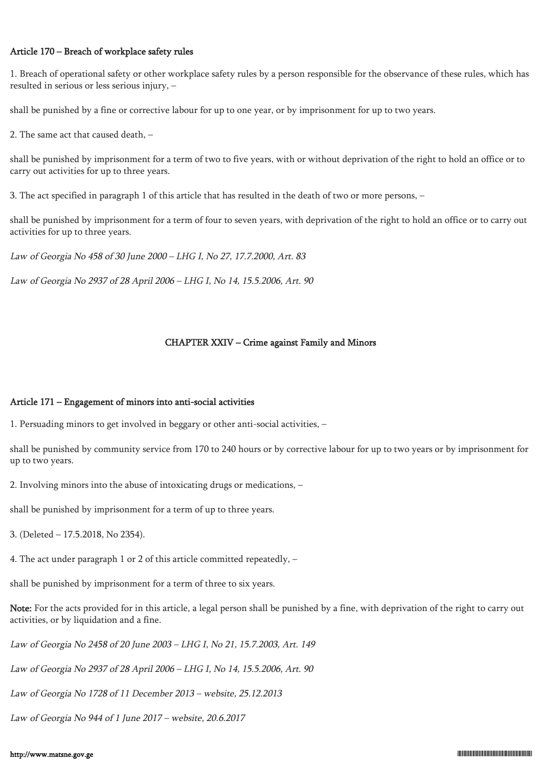### Article 170 – Breach of workplace safety rules

1. Breach of operational safety or other workplace safety rules by a person responsible for the observance of these rules, which has resulted in serious or less serious injury, –

shall be punished by a fine or corrective labour for up to one year, or by imprisonment for up to two years.

2. The same act that caused death, –

shall be punished by imprisonment for a term of two to five years, with or without deprivation of the right to hold an office or to carry out activities for up to three years.

3. The act specified in paragraph 1 of this article that has resulted in the death of two or more persons, –

shall be punished by imprisonment for a term of four to seven years, with deprivation of the right to hold an office or to carry out activities for up to three years.

Law of Georgia No 458 of 30 June 2000 – LHG I, No 27, 17.7.2000, Art. 83

Law of Georgia No 2937 of 28 April 2006 – LHG I, No 14, 15.5.2006, Art. 90

## CHAPTER XXIV – Crime against Family and Minors

## Article 171 – Engagement of minors into anti-social activities

1. Persuading minors to get involved in beggary or other anti-social activities, –

shall be punished by community service from 170 to 240 hours or by corrective labour for up to two years or by imprisonment for up to two years.

2. Involving minors into the abuse of intoxicating drugs or medications, –

shall be punished by imprisonment for a term of up to three years.

3. (Deleted – 17.5.2018, No 2354).

4. The act under paragraph 1 or 2 of this article committed repeatedly, –

shall be punished by imprisonment for a term of three to six years.

Note: For the acts provided for in this article, a legal person shall be punished by a fine, with deprivation of the right to carry out activities, or by liquidation and a fine.

Law of Georgia No 2458 of 20 June 2003 – LHG I, No 21, 15.7.2003, Art. 149

Law of Georgia No 2937 of 28 April 2006 – LHG I, No 14, 15.5.2006, Art. 90

Law of Georgia No 1728 of 11 December 2013 – website, 25.12.2013

Law of Georgia No 944 of 1 June 2017 – website, 20.6.2017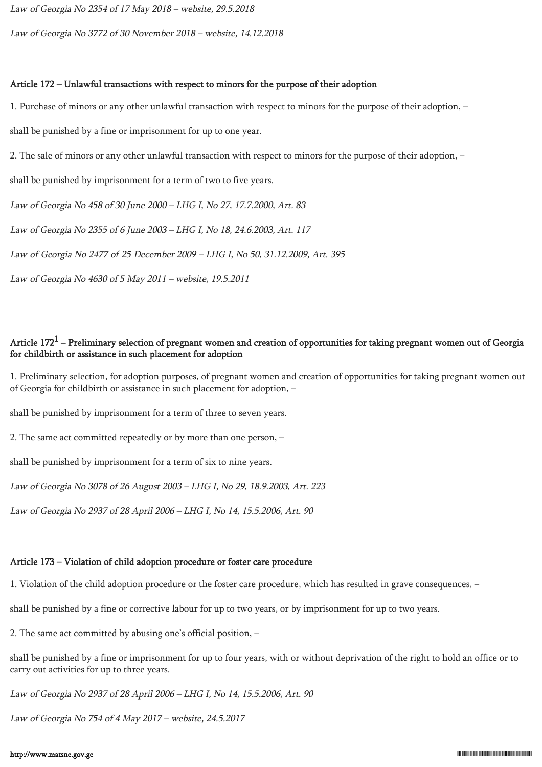Law of Georgia No 2354 of 17 May 2018 – website, 29.5.2018

Law of Georgia No 3772 of 30 November 2018 – website, 14.12.2018

#### Article 172 – Unlawful transactions with respect to minors for the purpose of their adoption

1. Purchase of minors or any other unlawful transaction with respect to minors for the purpose of their adoption, –

shall be punished by a fine or imprisonment for up to one year.

2. The sale of minors or any other unlawful transaction with respect to minors for the purpose of their adoption, –

shall be punished by imprisonment for a term of two to five years.

Law of Georgia No 458 of 30 June 2000 – LHG I, No 27, 17.7.2000, Art. 83

Law of Georgia No 2355 of 6 June 2003 – LHG I, No 18, 24.6.2003, Art. 117

Law of Georgia No 2477 of 25 December 2009 – LHG I, No 50, 31.12.2009, Art. 395

Law of Georgia No 4630 of 5 May 2011 – website, 19.5.2011

## Article 172 $^1$  – Preliminary selection of pregnant women and creation of opportunities for taking pregnant women out of Georgia for childbirth or assistance in such placement for adoption

1. Preliminary selection, for adoption purposes, of pregnant women and creation of opportunities for taking pregnant women out of Georgia for childbirth or assistance in such placement for adoption, –

shall be punished by imprisonment for a term of three to seven years.

2. The same act committed repeatedly or by more than one person, –

shall be punished by imprisonment for a term of six to nine years.

Law of Georgia No 3078 of 26 August 2003 – LHG I, No 29, 18.9.2003, Art. 223

Law of Georgia No 2937 of 28 April 2006 – LHG I, No 14, 15.5.2006, Art. 90

## Article 173 – Violation of child adoption procedure or foster care procedure

1. Violation of the child adoption procedure or the foster care procedure, which has resulted in grave consequences, –

shall be punished by a fine or corrective labour for up to two years, or by imprisonment for up to two years.

2. The same act committed by abusing one's official position, –

shall be punished by a fine or imprisonment for up to four years, with or without deprivation of the right to hold an office or to carry out activities for up to three years.

Law of Georgia No 2937 of 28 April 2006 – LHG I, No 14, 15.5.2006, Art. 90

Law of Georgia No 754 of 4 May 2017 – website, 24.5.2017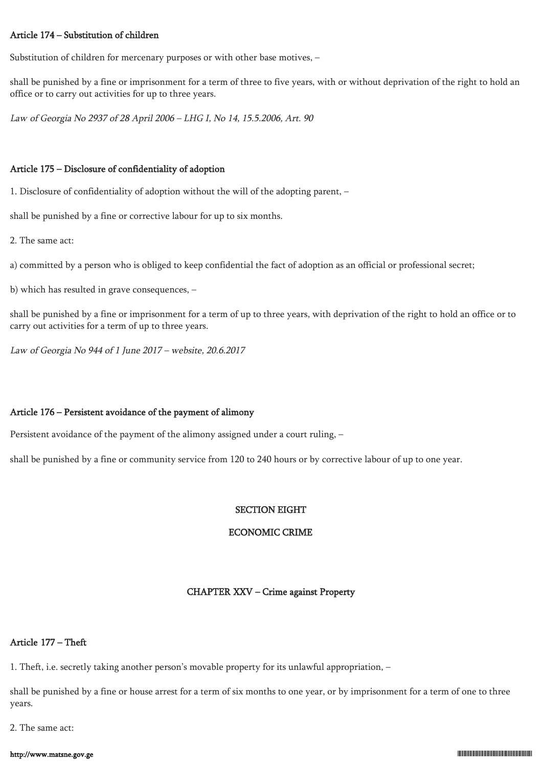#### Article 174 – Substitution of children

Substitution of children for mercenary purposes or with other base motives, –

shall be punished by a fine or imprisonment for a term of three to five years, with or without deprivation of the right to hold an office or to carry out activities for up to three years.

Law of Georgia No 2937 of 28 April 2006 – LHG I, No 14, 15.5.2006, Art. 90

#### Article 175 – Disclosure of confidentiality of adoption

1. Disclosure of confidentiality of adoption without the will of the adopting parent, –

shall be punished by a fine or corrective labour for up to six months.

2. The same act:

a) committed by a person who is obliged to keep confidential the fact of adoption as an official or professional secret;

b) which has resulted in grave consequences, –

shall be punished by a fine or imprisonment for a term of up to three years, with deprivation of the right to hold an office or to carry out activities for a term of up to three years.

Law of Georgia No 944 of 1 June 2017 – website, 20.6.2017

## Article 176 – Persistent avoidance of the payment of alimony

Persistent avoidance of the payment of the alimony assigned under a court ruling, –

shall be punished by a fine or community service from 120 to 240 hours or by corrective labour of up to one year.

## SECTION EIGHT

## ECONOMIC CRIME

## CHAPTER XXV – Crime against Property

## Article 177 – Theft

1. Theft, i.e. secretly taking another person's movable property for its unlawful appropriation, –

shall be punished by a fine or house arrest for a term of six months to one year, or by imprisonment for a term of one to three years.

2. The same act: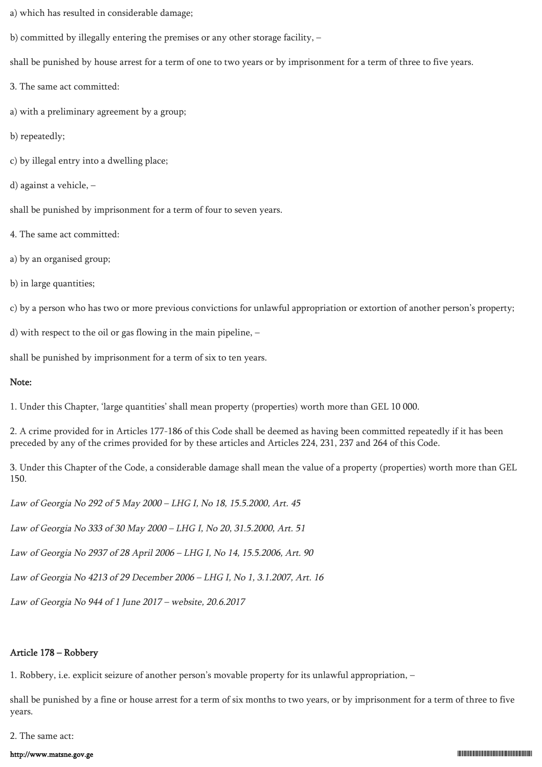- a) which has resulted in considerable damage;
- b) committed by illegally entering the premises or any other storage facility, –

shall be punished by house arrest for a term of one to two years or by imprisonment for a term of three to five years.

- 3. The same act committed:
- a) with a preliminary agreement by a group;
- b) repeatedly;
- c) by illegal entry into a dwelling place;
- d) against a vehicle, –
- shall be punished by imprisonment for a term of four to seven years.
- 4. The same act committed:
- a) by an organised group;
- b) in large quantities;

c) by a person who has two or more previous convictions for unlawful appropriation or extortion of another person's property;

d) with respect to the oil or gas flowing in the main pipeline, –

shall be punished by imprisonment for a term of six to ten years.

## Note:

1. Under this Chapter, 'large quantities' shall mean property (properties) worth more than GEL 10 000.

2. A crime provided for in Articles 177-186 of this Code shall be deemed as having been committed repeatedly if it has been preceded by any of the crimes provided for by these articles and Articles 224, 231, 237 and 264 of this Code.

3. Under this Chapter of the Code, a considerable damage shall mean the value of a property (properties) worth more than GEL 150.

Law of Georgia No 292 of 5 May 2000 – LHG I, No 18, 15.5.2000, Art. 45

Law of Georgia No 333 of 30 May 2000 – LHG I, No 20, 31.5.2000, Art. 51

Law of Georgia No 2937 of 28 April 2006 – LHG I, No 14, 15.5.2006, Art. 90

Law of Georgia No 4213 of 29 December 2006 – LHG I, No 1, 3.1.2007, Art. 16

Law of Georgia No 944 of 1 June 2017 – website, 20.6.2017

# Article 178 – Robbery

1. Robbery, i.e. explicit seizure of another person's movable property for its unlawful appropriation, –

shall be punished by a fine or house arrest for a term of six months to two years, or by imprisonment for a term of three to five years.

2. The same act: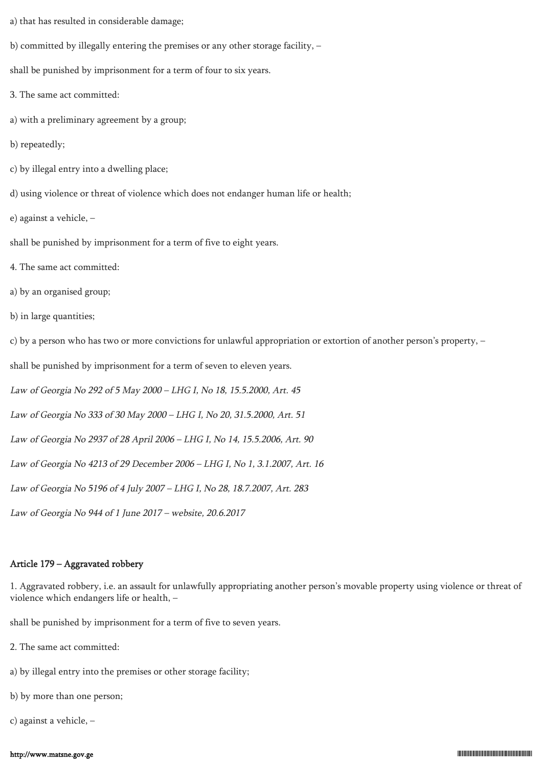- a) that has resulted in considerable damage;
- b) committed by illegally entering the premises or any other storage facility, –
- shall be punished by imprisonment for a term of four to six years.
- 3. The same act committed:
- a) with a preliminary agreement by a group;
- b) repeatedly;
- c) by illegal entry into a dwelling place;
- d) using violence or threat of violence which does not endanger human life or health;
- e) against a vehicle, –
- shall be punished by imprisonment for a term of five to eight years.
- 4. The same act committed:
- a) by an organised group;
- b) in large quantities;
- c) by a person who has two or more convictions for unlawful appropriation or extortion of another person's property, –
- shall be punished by imprisonment for a term of seven to eleven years.
- Law of Georgia No 292 of 5 May 2000 LHG I, No 18, 15.5.2000, Art. 45
- Law of Georgia No 333 of 30 May 2000 LHG I, No 20, 31.5.2000, Art. 51
- Law of Georgia No 2937 of 28 April 2006 LHG I, No 14, 15.5.2006, Art. 90
- Law of Georgia No 4213 of 29 December 2006 LHG I, No 1, 3.1.2007, Art. 16
- Law of Georgia No 5196 of 4 July 2007 LHG I, No 28, 18.7.2007, Art. 283
- Law of Georgia No 944 of 1 June 2017 website, 20.6.2017

#### Article 179 – Aggravated robbery

1. Aggravated robbery, i.e. an assault for unlawfully appropriating another person's movable property using violence or threat of violence which endangers life or health, –

shall be punished by imprisonment for a term of five to seven years.

- 2. The same act committed:
- a) by illegal entry into the premises or other storage facility;
- b) by more than one person;
- c) against a vehicle, –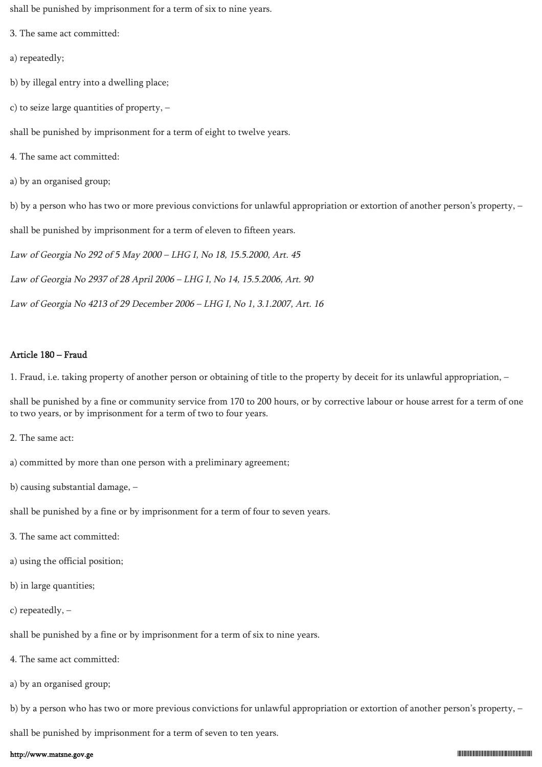shall be punished by imprisonment for a term of six to nine years.

3. The same act committed:

a) repeatedly;

b) by illegal entry into a dwelling place;

c) to seize large quantities of property, –

shall be punished by imprisonment for a term of eight to twelve years.

4. The same act committed:

a) by an organised group;

b) by a person who has two or more previous convictions for unlawful appropriation or extortion of another person's property, –

shall be punished by imprisonment for a term of eleven to fifteen years.

Law of Georgia No 292 of 5 May 2000 – LHG I, No 18, 15.5.2000, Art. 45

Law of Georgia No 2937 of 28 April 2006 – LHG I, No 14, 15.5.2006, Art. 90

Law of Georgia No 4213 of 29 December 2006 – LHG I, No 1, 3.1.2007, Art. 16

#### Article 180 – Fraud

1. Fraud, i.e. taking property of another person or obtaining of title to the property by deceit for its unlawful appropriation, –

shall be punished by a fine or community service from 170 to 200 hours, or by corrective labour or house arrest for a term of one to two years, or by imprisonment for a term of two to four years.

2. The same act:

- a) committed by more than one person with a preliminary agreement;
- b) causing substantial damage, –

shall be punished by a fine or by imprisonment for a term of four to seven years.

- 3. The same act committed:
- a) using the official position;
- b) in large quantities;
- c) repeatedly, –

shall be punished by a fine or by imprisonment for a term of six to nine years.

- 4. The same act committed:
- a) by an organised group;

b) by a person who has two or more previous convictions for unlawful appropriation or extortion of another person's property, –

shall be punished by imprisonment for a term of seven to ten years.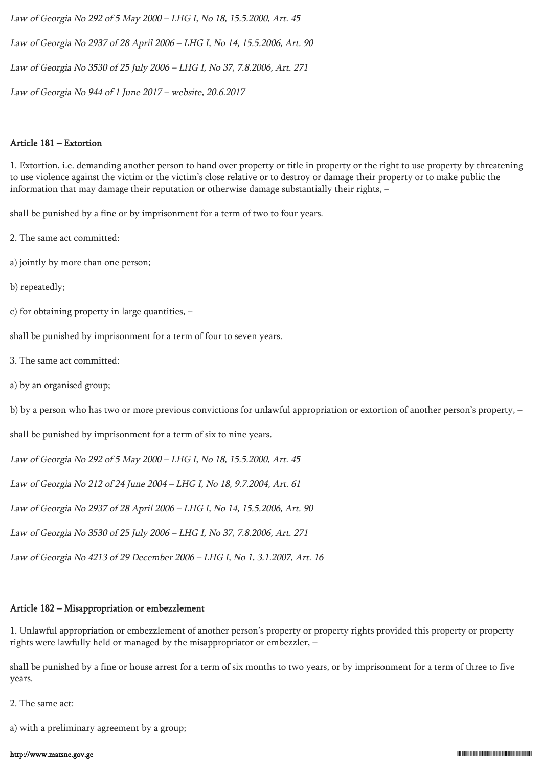Law of Georgia No 292 of 5 May 2000 – LHG I, No 18, 15.5.2000, Art. 45 Law of Georgia No 2937 of 28 April 2006 – LHG I, No 14, 15.5.2006, Art. 90 Law of Georgia No 3530 of 25 July 2006 – LHG I, No 37, 7.8.2006, Art. 271 Law of Georgia No 944 of 1 June 2017 – website, 20.6.2017

#### Article 181 – Extortion

1. Extortion, i.e. demanding another person to hand over property or title in property or the right to use property by threatening to use violence against the victim or the victim's close relative or to destroy or damage their property or to make public the information that may damage their reputation or otherwise damage substantially their rights, –

shall be punished by a fine or by imprisonment for a term of two to four years.

2. The same act committed:

a) jointly by more than one person;

b) repeatedly;

c) for obtaining property in large quantities, –

shall be punished by imprisonment for a term of four to seven years.

3. The same act committed:

a) by an organised group;

b) by a person who has two or more previous convictions for unlawful appropriation or extortion of another person's property, –

shall be punished by imprisonment for a term of six to nine years.

Law of Georgia No 292 of 5 May 2000 – LHG I, No 18, 15.5.2000, Art. 45

Law of Georgia No 212 of 24 June 2004 – LHG I, No 18, 9.7.2004, Art. 61

Law of Georgia No 2937 of 28 April 2006 – LHG I, No 14, 15.5.2006, Art. 90

Law of Georgia No 3530 of 25 July 2006 – LHG I, No 37, 7.8.2006, Art. 271

Law of Georgia No 4213 of 29 December 2006 – LHG I, No 1, 3.1.2007, Art. 16

## Article 182 – Misappropriation or embezzlement

1. Unlawful appropriation or embezzlement of another person's property or property rights provided this property or property rights were lawfully held or managed by the misappropriator or embezzler, –

shall be punished by a fine or house arrest for a term of six months to two years, or by imprisonment for a term of three to five years.

2. The same act:

a) with a preliminary agreement by a group;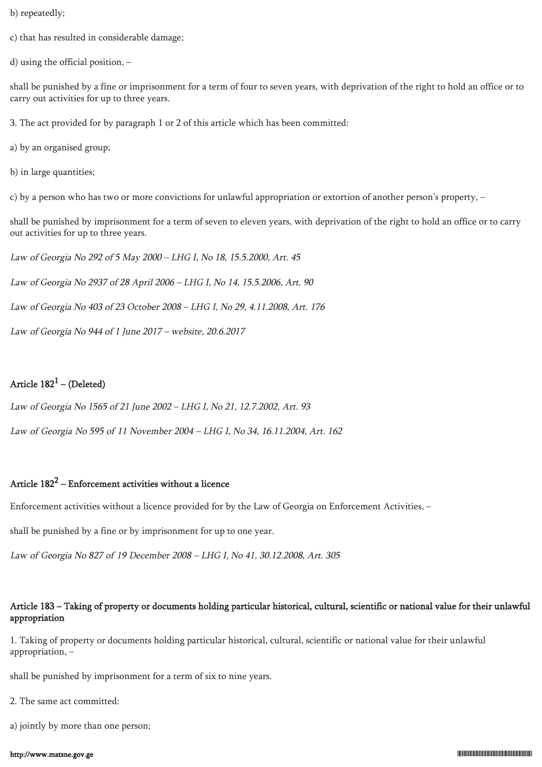b) repeatedly;

c) that has resulted in considerable damage;

d) using the official position, –

shall be punished by a fine or imprisonment for a term of four to seven years, with deprivation of the right to hold an office or to carry out activities for up to three years.

3. The act provided for by paragraph 1 or 2 of this article which has been committed:

a) by an organised group;

b) in large quantities;

c) by a person who has two or more convictions for unlawful appropriation or extortion of another person's property, –

shall be punished by imprisonment for a term of seven to eleven years, with deprivation of the right to hold an office or to carry out activities for up to three years.

Law of Georgia No 292 of 5 May 2000 – LHG I, No 18, 15.5.2000, Art. 45 Law of Georgia No 2937 of 28 April 2006 – LHG I, No 14, 15.5.2006, Art. 90 Law of Georgia No 403 of 23 October 2008 – LHG I, No 29, 4.11.2008, Art. 176

Law of Georgia No 944 of 1 June 2017 – website, 20.6.2017

# Article  $182^1$  – (Deleted)

Law of Georgia No 1565 of 21 June 2002 – LHG I, No 21, 12.7.2002, Art. 93

Law of Georgia No 595 of 11 November 2004 – LHG I, No 34, 16.11.2004, Art. 162

# Article  $182^2$  – Enforcement activities without a licence

Enforcement activities without a licence provided for by the Law of Georgia on Enforcement Activities, –

shall be punished by a fine or by imprisonment for up to one year.

Law of Georgia No 827 of 19 December 2008 – LHG I, No 41, 30.12.2008, Art. 305

## Article 183 – Taking of property or documents holding particular historical, cultural, scientific or national value for their unlawful appropriation

1. Taking of property or documents holding particular historical, cultural, scientific or national value for their unlawful appropriation, –

shall be punished by imprisonment for a term of six to nine years.

2. The same act committed:

a) jointly by more than one person;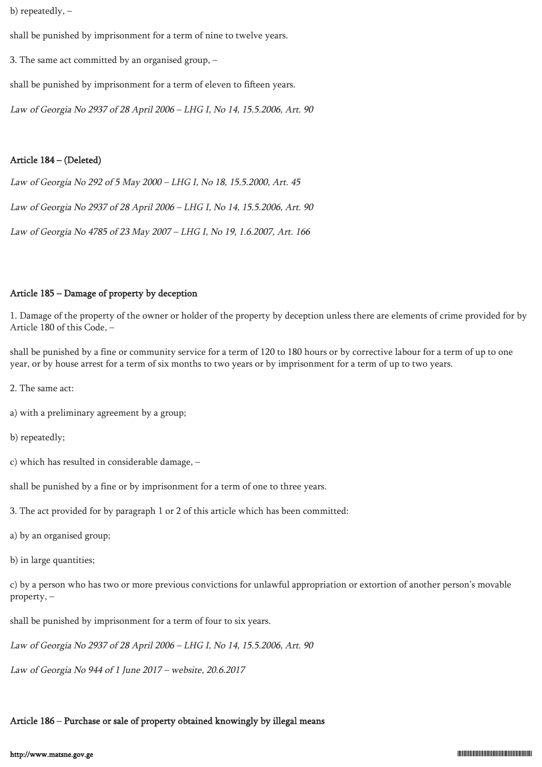b) repeatedly, –

shall be punished by imprisonment for a term of nine to twelve years.

3. The same act committed by an organised group, –

shall be punished by imprisonment for a term of eleven to fifteen years.

Law of Georgia No 2937 of 28 April 2006 – LHG I, No 14, 15.5.2006, Art. 90

#### Article 184 – (Deleted)

Law of Georgia No 292 of 5 May 2000 – LHG I, No 18, 15.5.2000, Art. 45 Law of Georgia No 2937 of 28 April 2006 – LHG I, No 14, 15.5.2006, Art. 90 Law of Georgia No 4785 of 23 May 2007 – LHG I, No 19, 1.6.2007, Art. 166

#### Article 185 – Damage of property by deception

1. Damage of the property of the owner or holder of the property by deception unless there are elements of crime provided for by Article 180 of this Code, –

shall be punished by a fine or community service for a term of 120 to 180 hours or by corrective labour for a term of up to one year, or by house arrest for a term of six months to two years or by imprisonment for a term of up to two years.

2. The same act:

a) with a preliminary agreement by a group;

b) repeatedly;

c) which has resulted in considerable damage, –

shall be punished by a fine or by imprisonment for a term of one to three years.

- 3. The act provided for by paragraph 1 or 2 of this article which has been committed:
- a) by an organised group;
- b) in large quantities;

c) by a person who has two or more previous convictions for unlawful appropriation or extortion of another person's movable property, –

shall be punished by imprisonment for a term of four to six years.

Law of Georgia No 2937 of 28 April 2006 – LHG I, No 14, 15.5.2006, Art. 90

Law of Georgia No 944 of 1 June 2017 – website, 20.6.2017

#### Article 186 – Purchase or sale of property obtained knowingly by illegal means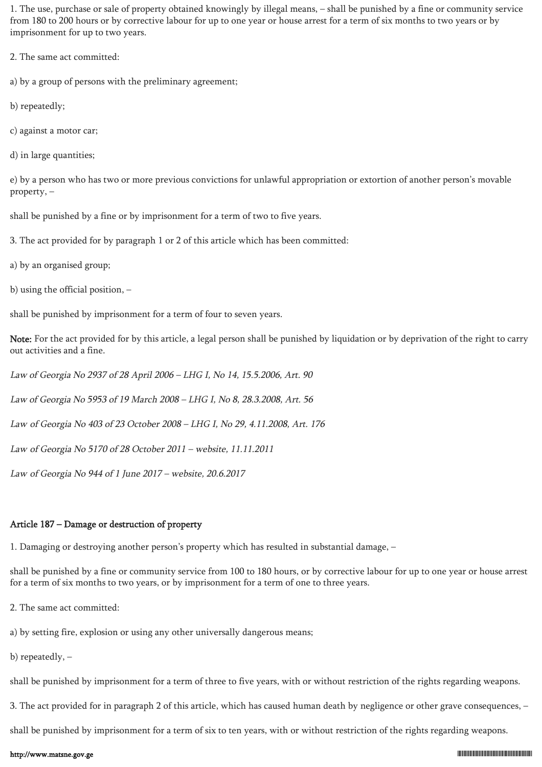1. The use, purchase or sale of property obtained knowingly by illegal means, – shall be punished by a fine or community service from 180 to 200 hours or by corrective labour for up to one year or house arrest for a term of six months to two years or by imprisonment for up to two years.

2. The same act committed:

a) by a group of persons with the preliminary agreement;

b) repeatedly;

c) against a motor car;

d) in large quantities;

e) by a person who has two or more previous convictions for unlawful appropriation or extortion of another person's movable property, –

shall be punished by a fine or by imprisonment for a term of two to five years.

3. The act provided for by paragraph 1 or 2 of this article which has been committed:

a) by an organised group;

b) using the official position, –

shall be punished by imprisonment for a term of four to seven years.

Note: For the act provided for by this article, a legal person shall be punished by liquidation or by deprivation of the right to carry out activities and a fine.

Law of Georgia No 2937 of 28 April 2006 – LHG I, No 14, 15.5.2006, Art. 90

Law of Georgia No 5953 of 19 March 2008 – LHG I, No 8, 28.3.2008, Art. 56

Law of Georgia No 403 of 23 October 2008 – LHG I, No 29, 4.11.2008, Art. 176

Law of Georgia No 5170 of 28 October 2011 – website, 11.11.2011

Law of Georgia No 944 of 1 June 2017 – website, 20.6.2017

## Article 187 – Damage or destruction of property

1. Damaging or destroying another person's property which has resulted in substantial damage, –

shall be punished by a fine or community service from 100 to 180 hours, or by corrective labour for up to one year or house arrest for a term of six months to two years, or by imprisonment for a term of one to three years.

2. The same act committed:

a) by setting fire, explosion or using any other universally dangerous means;

b) repeatedly, –

shall be punished by imprisonment for a term of three to five years, with or without restriction of the rights regarding weapons.

3. The act provided for in paragraph 2 of this article, which has caused human death by negligence or other grave consequences, –

shall be punished by imprisonment for a term of six to ten years, with or without restriction of the rights regarding weapons.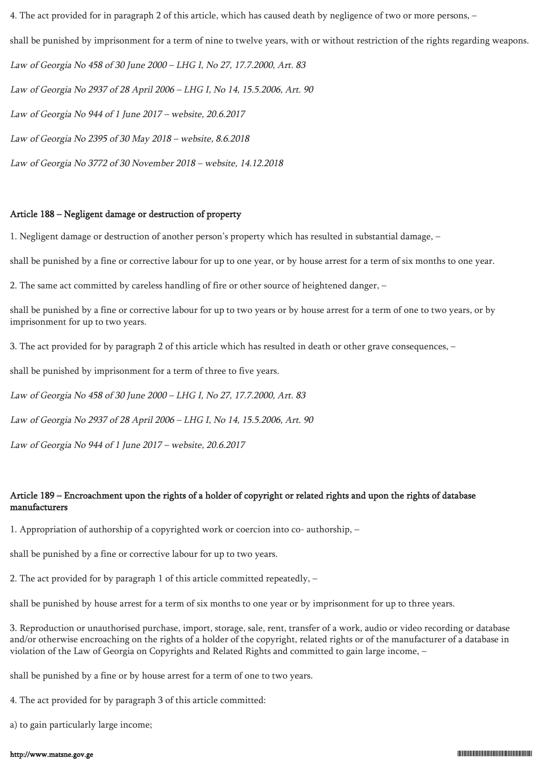4. The act provided for in paragraph 2 of this article, which has caused death by negligence of two or more persons, –

shall be punished by imprisonment for a term of nine to twelve years, with or without restriction of the rights regarding weapons.

Law of Georgia No 458 of 30 June 2000 – LHG I, No 27, 17.7.2000, Art. 83

Law of Georgia No 2937 of 28 April 2006 – LHG I, No 14, 15.5.2006, Art. 90

Law of Georgia No 944 of 1 June 2017 – website, 20.6.2017

Law of Georgia No 2395 of 30 May 2018 – website, 8.6.2018

Law of Georgia No 3772 of 30 November 2018 – website, 14.12.2018

#### Article 188 – Negligent damage or destruction of property

1. Negligent damage or destruction of another person's property which has resulted in substantial damage, –

shall be punished by a fine or corrective labour for up to one year, or by house arrest for a term of six months to one year.

2. The same act committed by careless handling of fire or other source of heightened danger, –

shall be punished by a fine or corrective labour for up to two years or by house arrest for a term of one to two years, or by imprisonment for up to two years.

3. The act provided for by paragraph 2 of this article which has resulted in death or other grave consequences, –

shall be punished by imprisonment for a term of three to five years.

Law of Georgia No 458 of 30 June 2000 – LHG I, No 27, 17.7.2000, Art. 83

Law of Georgia No 2937 of 28 April 2006 – LHG I, No 14, 15.5.2006, Art. 90

Law of Georgia No 944 of 1 June 2017 – website, 20.6.2017

## Article 189 – Encroachment upon the rights of a holder of copyright or related rights and upon the rights of database manufacturers

1. Appropriation of authorship of a copyrighted work or coercion into co- authorship, –

shall be punished by a fine or corrective labour for up to two years.

2. The act provided for by paragraph 1 of this article committed repeatedly, –

shall be punished by house arrest for a term of six months to one year or by imprisonment for up to three years.

3. Reproduction or unauthorised purchase, import, storage, sale, rent, transfer of a work, audio or video recording or database and/or otherwise encroaching on the rights of a holder of the copyright, related rights or of the manufacturer of a database in violation of the Law of Georgia on Copyrights and Related Rights and committed to gain large income, –

shall be punished by a fine or by house arrest for a term of one to two years.

4. The act provided for by paragraph 3 of this article committed:

a) to gain particularly large income;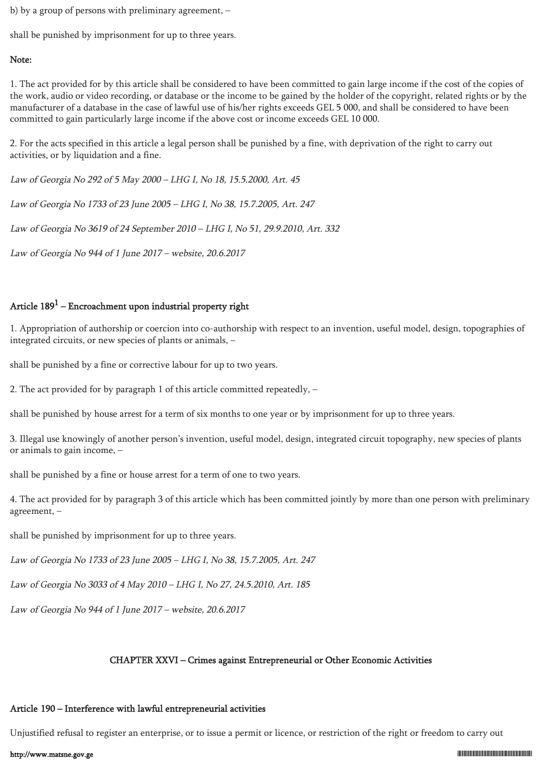b) by a group of persons with preliminary agreement, –

shall be punished by imprisonment for up to three years.

#### Note:

1. The act provided for by this article shall be considered to have been committed to gain large income if the cost of the copies of the work, audio or video recording, or database or the income to be gained by the holder of the copyright, related rights or by the manufacturer of a database in the case of lawful use of his/her rights exceeds GEL 5 000, and shall be considered to have been committed to gain particularly large income if the above cost or income exceeds GEL 10 000.

2. For the acts specified in this article a legal person shall be punished by a fine, with deprivation of the right to carry out activities, or by liquidation and a fine.

Law of Georgia No 292 of 5 May 2000 – LHG I, No 18, 15.5.2000, Art. 45

Law of Georgia No 1733 of 23 June 2005 – LHG I, No 38, 15.7.2005, Art. 247

Law of Georgia No 3619 of 24 September 2010 – LHG I, No 51, 29.9.2010, Art. 332

Law of Georgia No 944 of 1 June 2017 – website, 20.6.2017

# Article  $189^1$  – Encroachment upon industrial property right

1. Appropriation of authorship or coercion into co-authorship with respect to an invention, useful model, design, topographies of integrated circuits, or new species of plants or animals, –

shall be punished by a fine or corrective labour for up to two years.

2. The act provided for by paragraph 1 of this article committed repeatedly, –

shall be punished by house arrest for a term of six months to one year or by imprisonment for up to three years.

3. Illegal use knowingly of another person's invention, useful model, design, integrated circuit topography, new species of plants or animals to gain income, –

shall be punished by a fine or house arrest for a term of one to two years.

4. The act provided for by paragraph 3 of this article which has been committed jointly by more than one person with preliminary agreement, –

shall be punished by imprisonment for up to three years.

Law of Georgia No 1733 of 23 June 2005 – LHG I, No 38, 15.7.2005, Art. 247

Law of Georgia No 3033 of 4 May 2010 – LHG I, No 27, 24.5.2010, Art. 185

Law of Georgia No 944 of 1 June 2017 – website, 20.6.2017

## CHAPTER XXVI – Crimes against Entrepreneurial or Other Economic Activities

## Article 190 – Interference with lawful entrepreneurial activities

Unjustified refusal to register an enterprise, or to issue a permit or licence, or restriction of the right or freedom to carry out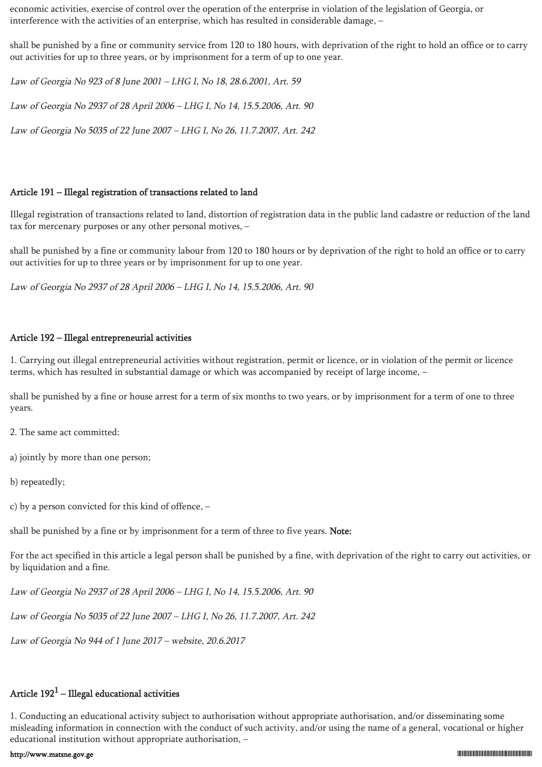economic activities, exercise of control over the operation of the enterprise in violation of the legislation of Georgia, or interference with the activities of an enterprise, which has resulted in considerable damage, –

shall be punished by a fine or community service from 120 to 180 hours, with deprivation of the right to hold an office or to carry out activities for up to three years, or by imprisonment for a term of up to one year.

Law of Georgia No 923 of 8 June 2001 – LHG I, No 18, 28.6.2001, Art. 59

Law of Georgia No 2937 of 28 April 2006 – LHG I, No 14, 15.5.2006, Art. 90

Law of Georgia No 5035 of 22 June 2007 – LHG I, No 26, 11.7.2007, Art. 242

## Article 191 – Illegal registration of transactions related to land

Illegal registration of transactions related to land, distortion of registration data in the public land cadastre or reduction of the land tax for mercenary purposes or any other personal motives, –

shall be punished by a fine or community labour from 120 to 180 hours or by deprivation of the right to hold an office or to carry out activities for up to three years or by imprisonment for up to one year.

Law of Georgia No 2937 of 28 April 2006 – LHG I, No 14, 15.5.2006, Art. 90

## Article 192 – Illegal entrepreneurial activities

1. Carrying out illegal entrepreneurial activities without registration, permit or licence, or in violation of the permit or licence terms, which has resulted in substantial damage or which was accompanied by receipt of large income, –

shall be punished by a fine or house arrest for a term of six months to two years, or by imprisonment for a term of one to three years.

2. The same act committed:

a) jointly by more than one person;

b) repeatedly;

c) by a person convicted for this kind of offence, –

shall be punished by a fine or by imprisonment for a term of three to five years. Note:

For the act specified in this article a legal person shall be punished by a fine, with deprivation of the right to carry out activities, or by liquidation and a fine.

Law of Georgia No 2937 of 28 April 2006 – LHG I, No 14, 15.5.2006, Art. 90

Law of Georgia No 5035 of 22 June 2007 – LHG I, No 26, 11.7.2007, Art. 242

Law of Georgia No 944 of 1 June 2017 – website, 20.6.2017

# Article  $192^1$  – Illegal educational activities

1. Conducting an educational activity subject to authorisation without appropriate authorisation, and/or disseminating some misleading information in connection with the conduct of such activity, and/or using the name of a general, vocational or higher educational institution without appropriate authorisation, –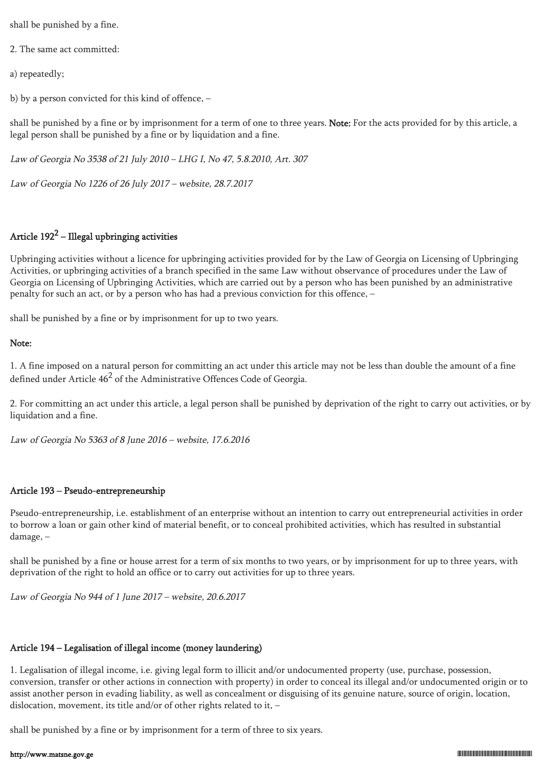shall be punished by a fine.

2. The same act committed:

a) repeatedly;

b) by a person convicted for this kind of offence, –

shall be punished by a fine or by imprisonment for a term of one to three years. Note: For the acts provided for by this article, a legal person shall be punished by a fine or by liquidation and a fine.

Law of Georgia No 3538 of 21 July 2010 – LHG I, No 47, 5.8.2010, Art. 307

Law of Georgia No 1226 of 26 July 2017 – website, 28.7.2017

# Article  $192^2$  – Illegal upbringing activities

Upbringing activities without a licence for upbringing activities provided for by the Law of Georgia on Licensing of Upbringing Activities, or upbringing activities of a branch specified in the same Law without observance of procedures under the Law of Georgia on Licensing of Upbringing Activities, which are carried out by a person who has been punished by an administrative penalty for such an act, or by a person who has had a previous conviction for this offence, –

shall be punished by a fine or by imprisonment for up to two years.

## Note:

1. A fine imposed on a natural person for committing an act under this article may not be less than double the amount of a fine defined under Article  $46^2$  of the Administrative Offences Code of Georgia.

2. For committing an act under this article, a legal person shall be punished by deprivation of the right to carry out activities, or by liquidation and a fine.

Law of Georgia No 5363 of 8 June 2016 – website, 17.6.2016

## Article 193 – Pseudo-entrepreneurship

Pseudo-entrepreneurship, i.e. establishment of an enterprise without an intention to carry out entrepreneurial activities in order to borrow a loan or gain other kind of material benefit, or to conceal prohibited activities, which has resulted in substantial damage, –

shall be punished by a fine or house arrest for a term of six months to two years, or by imprisonment for up to three years, with deprivation of the right to hold an office or to carry out activities for up to three years.

Law of Georgia No 944 of 1 June 2017 – website, 20.6.2017

## Article 194 – Legalisation of illegal income (money laundering)

1. Legalisation of illegal income, i.e. giving legal form to illicit and/or undocumented property (use, purchase, possession, conversion, transfer or other actions in connection with property) in order to conceal its illegal and/or undocumented origin or to assist another person in evading liability, as well as concealment or disguising of its genuine nature, source of origin, location, dislocation, movement, its title and/or of other rights related to it, –

shall be punished by a fine or by imprisonment for a term of three to six years.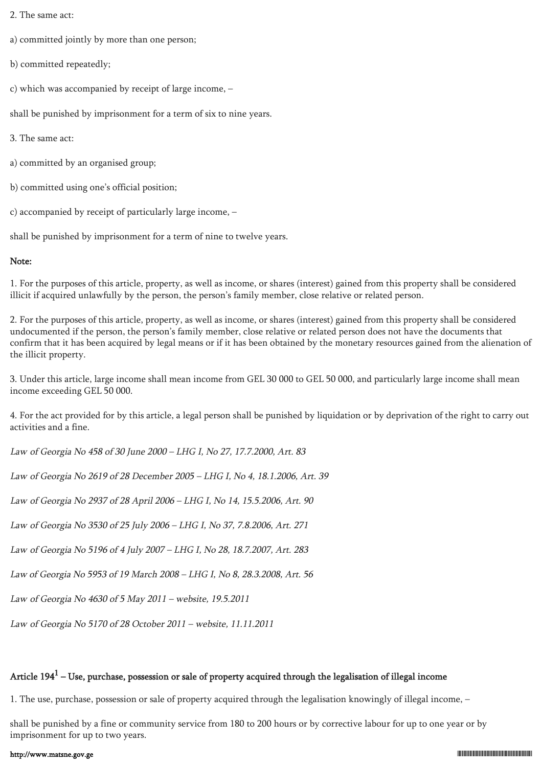- 2. The same act:
- a) committed jointly by more than one person;
- b) committed repeatedly;
- c) which was accompanied by receipt of large income, –

shall be punished by imprisonment for a term of six to nine years.

- 3. The same act:
- a) committed by an organised group;
- b) committed using one's official position;
- c) accompanied by receipt of particularly large income, –

shall be punished by imprisonment for a term of nine to twelve years.

## Note:

1. For the purposes of this article, property, as well as income, or shares (interest) gained from this property shall be considered illicit if acquired unlawfully by the person, the person's family member, close relative or related person.

2. For the purposes of this article, property, as well as income, or shares (interest) gained from this property shall be considered undocumented if the person, the person's family member, close relative or related person does not have the documents that confirm that it has been acquired by legal means or if it has been obtained by the monetary resources gained from the alienation of the illicit property.

3. Under this article, large income shall mean income from GEL 30 000 to GEL 50 000, and particularly large income shall mean income exceeding GEL 50 000.

4. For the act provided for by this article, a legal person shall be punished by liquidation or by deprivation of the right to carry out activities and a fine.

Law of Georgia No 458 of 30 June 2000 – LHG I, No 27, 17.7.2000, Art. 83

Law of Georgia No 2619 of 28 December 2005 – LHG I, No 4, 18.1.2006, Art. 39

Law of Georgia No 2937 of 28 April 2006 – LHG I, No 14, 15.5.2006, Art. 90

Law of Georgia No 3530 of 25 July 2006 – LHG I, No 37, 7.8.2006, Art. 271

Law of Georgia No 5196 of 4 July 2007 – LHG I, No 28, 18.7.2007, Art. 283

Law of Georgia No 5953 of 19 March 2008 – LHG I, No 8, 28.3.2008, Art. 56

Law of Georgia No 4630 of 5 May 2011 – website, 19.5.2011

Law of Georgia No 5170 of 28 October 2011 – website, 11.11.2011

# Article 194 $^{\rm 1}$  – Use, purchase, possession or sale of property acquired through the legalisation of illegal income

1. The use, purchase, possession or sale of property acquired through the legalisation knowingly of illegal income, –

shall be punished by a fine or community service from 180 to 200 hours or by corrective labour for up to one year or by imprisonment for up to two years.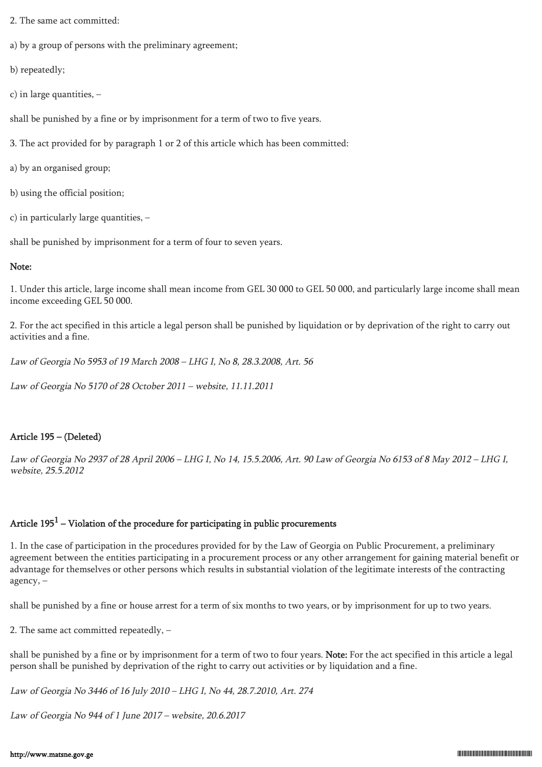- 2. The same act committed:
- a) by a group of persons with the preliminary agreement;
- b) repeatedly;
- c) in large quantities, –

shall be punished by a fine or by imprisonment for a term of two to five years.

- 3. The act provided for by paragraph 1 or 2 of this article which has been committed:
- a) by an organised group;
- b) using the official position;
- c) in particularly large quantities, –

shall be punished by imprisonment for a term of four to seven years.

## Note:

1. Under this article, large income shall mean income from GEL 30 000 to GEL 50 000, and particularly large income shall mean income exceeding GEL 50 000.

2. For the act specified in this article a legal person shall be punished by liquidation or by deprivation of the right to carry out activities and a fine.

Law of Georgia No 5953 of 19 March 2008 – LHG I, No 8, 28.3.2008, Art. 56

Law of Georgia No 5170 of 28 October 2011 – website, 11.11.2011

## Article 195 – (Deleted)

Law of Georgia No 2937 of 28 April 2006 – LHG I, No 14, 15.5.2006, Art. 90 Law of Georgia No 6153 of 8 May 2012 – LHG I, website, 25.5.2012

# Article  $195^1$  – Violation of the procedure for participating in public procurements

1. In the case of participation in the procedures provided for by the Law of Georgia on Public Procurement, a preliminary agreement between the entities participating in a procurement process or any other arrangement for gaining material benefit or advantage for themselves or other persons which results in substantial violation of the legitimate interests of the contracting agency, –

shall be punished by a fine or house arrest for a term of six months to two years, or by imprisonment for up to two years.

2. The same act committed repeatedly, –

shall be punished by a fine or by imprisonment for a term of two to four years. Note: For the act specified in this article a legal person shall be punished by deprivation of the right to carry out activities or by liquidation and a fine.

Law of Georgia No 3446 of 16 July 2010 – LHG I, No 44, 28.7.2010, Art. 274

Law of Georgia No 944 of 1 June 2017 – website, 20.6.2017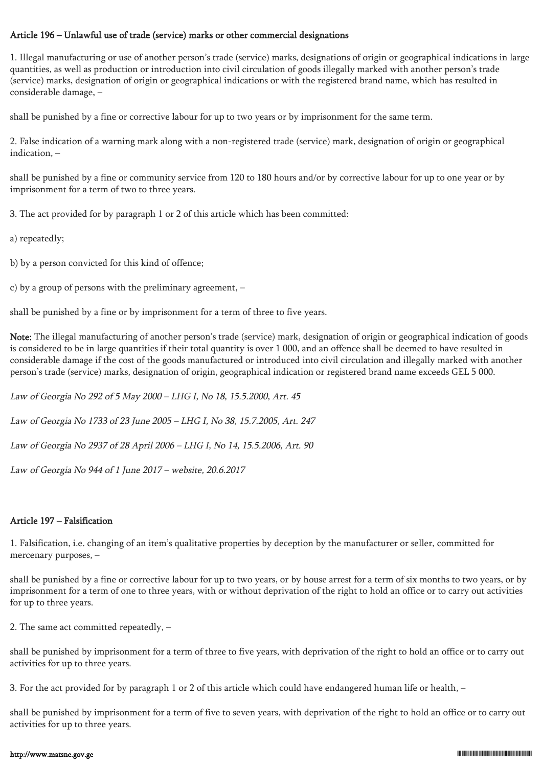#### Article 196 – Unlawful use of trade (service) marks or other commercial designations

1. Illegal manufacturing or use of another person's trade (service) marks, designations of origin or geographical indications in large quantities, as well as production or introduction into civil circulation of goods illegally marked with another person's trade (service) marks, designation of origin or geographical indications or with the registered brand name, which has resulted in considerable damage, –

shall be punished by a fine or corrective labour for up to two years or by imprisonment for the same term.

2. False indication of a warning mark along with a non-registered trade (service) mark, designation of origin or geographical indication, –

shall be punished by a fine or community service from 120 to 180 hours and/or by corrective labour for up to one year or by imprisonment for a term of two to three years.

3. The act provided for by paragraph 1 or 2 of this article which has been committed:

a) repeatedly;

b) by a person convicted for this kind of offence;

c) by a group of persons with the preliminary agreement, –

shall be punished by a fine or by imprisonment for a term of three to five years.

Note: The illegal manufacturing of another person's trade (service) mark, designation of origin or geographical indication of goods is considered to be in large quantities if their total quantity is over 1 000, and an offence shall be deemed to have resulted in considerable damage if the cost of the goods manufactured or introduced into civil circulation and illegally marked with another person's trade (service) marks, designation of origin, geographical indication or registered brand name exceeds GEL 5 000.

Law of Georgia No 292 of 5 May 2000 – LHG I, No 18, 15.5.2000, Art. 45

Law of Georgia No 1733 of 23 June 2005 – LHG I, No 38, 15.7.2005, Art. 247

Law of Georgia No 2937 of 28 April 2006 – LHG I, No 14, 15.5.2006, Art. 90

Law of Georgia No 944 of 1 June 2017 – website, 20.6.2017

#### Article 197 – Falsification

1. Falsification, i.e. changing of an item's qualitative properties by deception by the manufacturer or seller, committed for mercenary purposes, –

shall be punished by a fine or corrective labour for up to two years, or by house arrest for a term of six months to two years, or by imprisonment for a term of one to three years, with or without deprivation of the right to hold an office or to carry out activities for up to three years.

2. The same act committed repeatedly, –

shall be punished by imprisonment for a term of three to five years, with deprivation of the right to hold an office or to carry out activities for up to three years.

3. For the act provided for by paragraph 1 or 2 of this article which could have endangered human life or health, –

shall be punished by imprisonment for a term of five to seven years, with deprivation of the right to hold an office or to carry out activities for up to three years.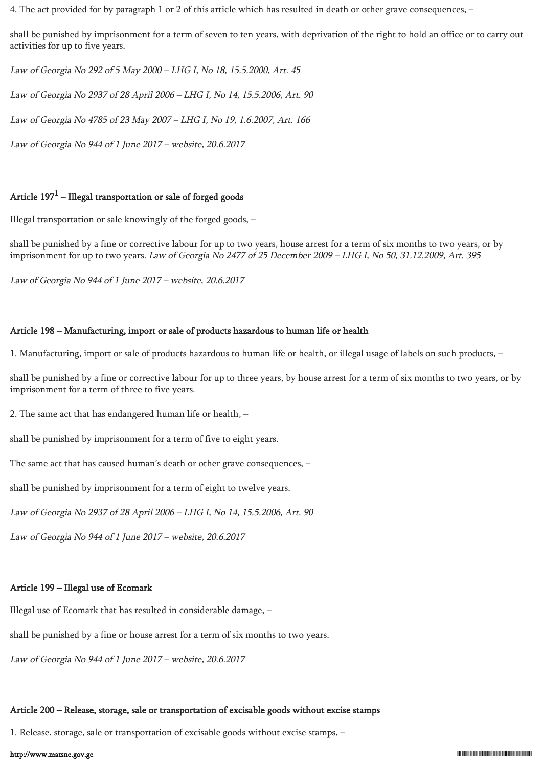4. The act provided for by paragraph 1 or 2 of this article which has resulted in death or other grave consequences, –

shall be punished by imprisonment for a term of seven to ten years, with deprivation of the right to hold an office or to carry out activities for up to five years.

Law of Georgia No 292 of 5 May 2000 – LHG I, No 18, 15.5.2000, Art. 45

Law of Georgia No 2937 of 28 April 2006 – LHG I, No 14, 15.5.2006, Art. 90

Law of Georgia No 4785 of 23 May 2007 – LHG I, No 19, 1.6.2007, Art. 166

Law of Georgia No 944 of 1 June 2017 – website, 20.6.2017

## Article  $197^1$  – Illegal transportation or sale of forged goods

Illegal transportation or sale knowingly of the forged goods, –

shall be punished by a fine or corrective labour for up to two years, house arrest for a term of six months to two years, or by imprisonment for up to two years. Law of Georgia No 2477 of 25 December 2009 – LHG I, No 50, 31.12.2009, Art. 395

Law of Georgia No 944 of 1 June 2017 – website, 20.6.2017

## Article 198 – Manufacturing, import or sale of products hazardous to human life or health

1. Manufacturing, import or sale of products hazardous to human life or health, or illegal usage of labels on such products, –

shall be punished by a fine or corrective labour for up to three years, by house arrest for a term of six months to two years, or by imprisonment for a term of three to five years.

2. The same act that has endangered human life or health, –

shall be punished by imprisonment for a term of five to eight years.

The same act that has caused human's death or other grave consequences, –

shall be punished by imprisonment for a term of eight to twelve years.

Law of Georgia No 2937 of 28 April 2006 – LHG I, No 14, 15.5.2006, Art. 90

Law of Georgia No 944 of 1 June 2017 – website, 20.6.2017

## Article 199 – Illegal use of Ecomark

Illegal use of Ecomark that has resulted in considerable damage, –

shall be punished by a fine or house arrest for a term of six months to two years.

Law of Georgia No 944 of 1 June 2017 – website, 20.6.2017

# Article 200 – Release, storage, sale or transportation of excisable goods without excise stamps

1. Release, storage, sale or transportation of excisable goods without excise stamps, –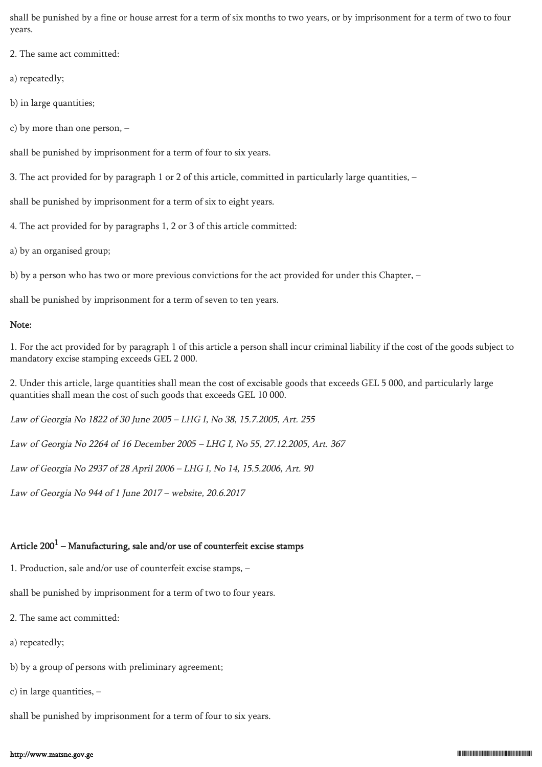shall be punished by a fine or house arrest for a term of six months to two years, or by imprisonment for a term of two to four years.

2. The same act committed:

a) repeatedly;

b) in large quantities;

c) by more than one person, –

shall be punished by imprisonment for a term of four to six years.

3. The act provided for by paragraph 1 or 2 of this article, committed in particularly large quantities, –

shall be punished by imprisonment for a term of six to eight years.

4. The act provided for by paragraphs 1, 2 or 3 of this article committed:

a) by an organised group;

b) by a person who has two or more previous convictions for the act provided for under this Chapter, –

shall be punished by imprisonment for a term of seven to ten years.

## Note:

1. For the act provided for by paragraph 1 of this article a person shall incur criminal liability if the cost of the goods subject to mandatory excise stamping exceeds GEL 2 000.

2. Under this article, large quantities shall mean the cost of excisable goods that exceeds GEL 5 000, and particularly large quantities shall mean the cost of such goods that exceeds GEL 10 000.

Law of Georgia No 1822 of 30 June 2005 – LHG I, No 38, 15.7.2005, Art. 255

Law of Georgia No 2264 of 16 December 2005 – LHG I, No 55, 27.12.2005, Art. 367

Law of Georgia No 2937 of 28 April 2006 – LHG I, No 14, 15.5.2006, Art. 90

Law of Georgia No 944 of 1 June 2017 – website, 20.6.2017

# Article 200 $^{\rm 1}$  – Manufacturing, sale and/or use of counterfeit excise stamps

1. Production, sale and/or use of counterfeit excise stamps, –

shall be punished by imprisonment for a term of two to four years.

2. The same act committed:

a) repeatedly;

b) by a group of persons with preliminary agreement;

c) in large quantities, –

shall be punished by imprisonment for a term of four to six years.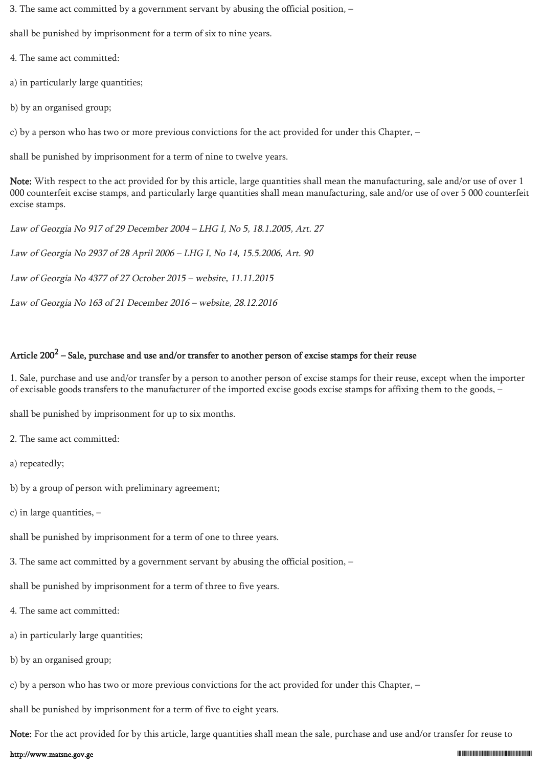3. The same act committed by a government servant by abusing the official position, –

shall be punished by imprisonment for a term of six to nine years.

4. The same act committed:

a) in particularly large quantities;

b) by an organised group;

c) by a person who has two or more previous convictions for the act provided for under this Chapter, –

shall be punished by imprisonment for a term of nine to twelve years.

Note: With respect to the act provided for by this article, large quantities shall mean the manufacturing, sale and/or use of over 1 000 counterfeit excise stamps, and particularly large quantities shall mean manufacturing, sale and/or use of over 5 000 counterfeit excise stamps.

Law of Georgia No 917 of 29 December 2004 – LHG I, No 5, 18.1.2005, Art. 27

Law of Georgia No 2937 of 28 April 2006 – LHG I, No 14, 15.5.2006, Art. 90

Law of Georgia No 4377 of 27 October 2015 – website, 11.11.2015

Law of Georgia No 163 of 21 December 2016 – website, 28.12.2016

# Article 200<sup>2</sup> – Sale, purchase and use and/or transfer to another person of excise stamps for their reuse

1. Sale, purchase and use and/or transfer by a person to another person of excise stamps for their reuse, except when the importer of excisable goods transfers to the manufacturer of the imported excise goods excise stamps for affixing them to the goods, –

shall be punished by imprisonment for up to six months.

- 2. The same act committed:
- a) repeatedly;
- b) by a group of person with preliminary agreement;
- c) in large quantities, –
- shall be punished by imprisonment for a term of one to three years.
- 3. The same act committed by a government servant by abusing the official position, –

shall be punished by imprisonment for a term of three to five years.

- 4. The same act committed:
- a) in particularly large quantities;
- b) by an organised group;

c) by a person who has two or more previous convictions for the act provided for under this Chapter, –

shall be punished by imprisonment for a term of five to eight years.

Note: For the act provided for by this article, large quantities shall mean the sale, purchase and use and/or transfer for reuse to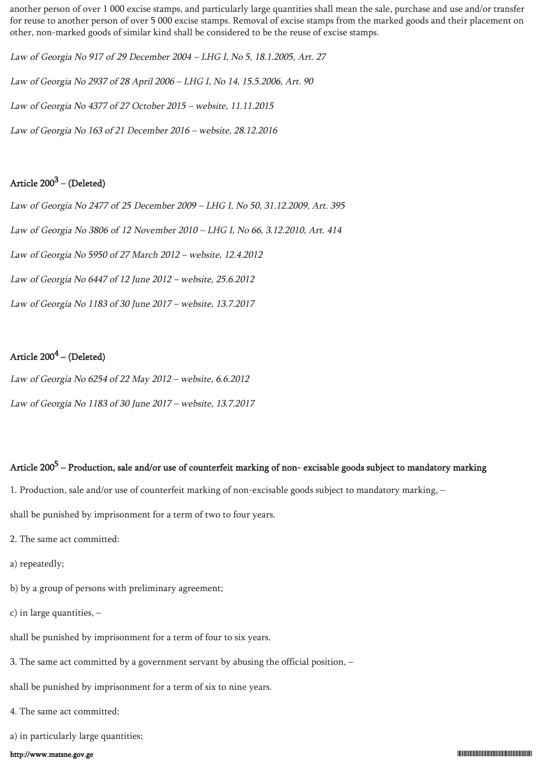another person of over 1 000 excise stamps, and particularly large quantities shall mean the sale, purchase and use and/or transfer for reuse to another person of over 5 000 excise stamps. Removal of excise stamps from the marked goods and their placement on other, non-marked goods of similar kind shall be considered to be the reuse of excise stamps.

Law of Georgia No 917 of 29 December 2004 – LHG I, No 5, 18.1.2005, Art. 27

Law of Georgia No 2937 of 28 April 2006 – LHG I, No 14, 15.5.2006, Art. 90

Law of Georgia No 4377 of 27 October 2015 – website, 11.11.2015

Law of Georgia No 163 of 21 December 2016 – website, 28.12.2016

# Article 200<sup>3</sup> – (Deleted)

Law of Georgia No 2477 of 25 December 2009 – LHG I, No 50, 31.12.2009, Art. 395 Law of Georgia No 3806 of 12 November 2010 – LHG I, No 66, 3.12.2010, Art. 414 Law of Georgia No 5950 of 27 March 2012 – website, 12.4.2012 Law of Georgia No 6447 of 12 June 2012 – website, 25.6.2012 Law of Georgia No 1183 of 30 June 2017 – website, 13.7.2017

# Article  $200^4$  – (Deleted)

Law of Georgia No 6254 of 22 May 2012 – website, 6.6.2012 Law of Georgia No 1183 of 30 June 2017 – website, 13.7.2017

# Article 200<sup>5</sup> – Production, sale and/or use of counterfeit marking of non- excisable goods subject to mandatory marking

1. Production, sale and/or use of counterfeit marking of non-excisable goods subject to mandatory marking, –

shall be punished by imprisonment for a term of two to four years.

- 2. The same act committed:
- a) repeatedly;
- b) by a group of persons with preliminary agreement;
- c) in large quantities, –
- shall be punished by imprisonment for a term of four to six years.
- 3. The same act committed by a government servant by abusing the official position, –

shall be punished by imprisonment for a term of six to nine years.

- 4. The same act committed:
- a) in particularly large quantities;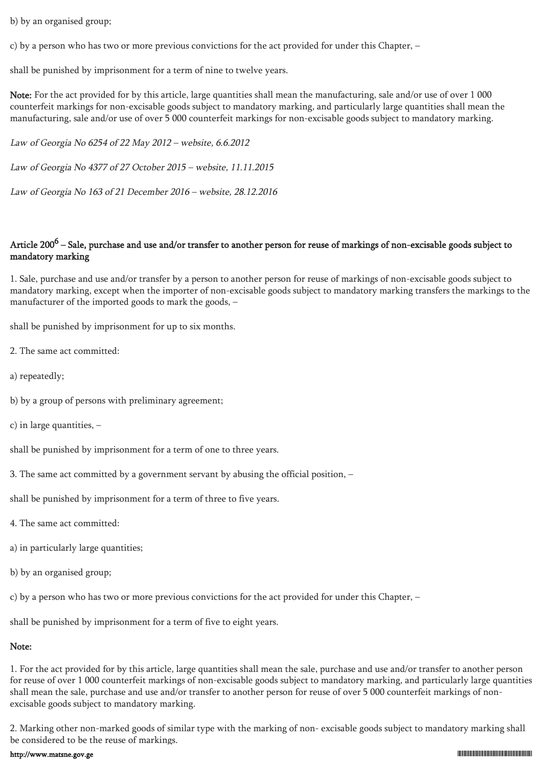b) by an organised group;

c) by a person who has two or more previous convictions for the act provided for under this Chapter, –

shall be punished by imprisonment for a term of nine to twelve years.

Note: For the act provided for by this article, large quantities shall mean the manufacturing, sale and/or use of over 1 000 counterfeit markings for non-excisable goods subject to mandatory marking, and particularly large quantities shall mean the manufacturing, sale and/or use of over 5 000 counterfeit markings for non-excisable goods subject to mandatory marking.

Law of Georgia No 6254 of 22 May 2012 – website, 6.6.2012

Law of Georgia No 4377 of 27 October 2015 – website, 11.11.2015

Law of Georgia No 163 of 21 December 2016 – website, 28.12.2016

## Article 200<sup>6</sup> – Sale, purchase and use and/or transfer to another person for reuse of markings of non-excisable goods subject to mandatory marking

1. Sale, purchase and use and/or transfer by a person to another person for reuse of markings of non-excisable goods subject to mandatory marking, except when the importer of non-excisable goods subject to mandatory marking transfers the markings to the manufacturer of the imported goods to mark the goods, –

shall be punished by imprisonment for up to six months.

- 2. The same act committed:
- a) repeatedly;
- b) by a group of persons with preliminary agreement;
- c) in large quantities, –

shall be punished by imprisonment for a term of one to three years.

3. The same act committed by a government servant by abusing the official position, –

shall be punished by imprisonment for a term of three to five years.

- 4. The same act committed:
- a) in particularly large quantities;
- b) by an organised group;

c) by a person who has two or more previous convictions for the act provided for under this Chapter, –

shall be punished by imprisonment for a term of five to eight years.

## Note:

1. For the act provided for by this article, large quantities shall mean the sale, purchase and use and/or transfer to another person for reuse of over 1 000 counterfeit markings of non-excisable goods subject to mandatory marking, and particularly large quantities shall mean the sale, purchase and use and/or transfer to another person for reuse of over 5 000 counterfeit markings of nonexcisable goods subject to mandatory marking.

2. Marking other non-marked goods of similar type with the marking of non- excisable goods subject to mandatory marking shall be considered to be the reuse of markings.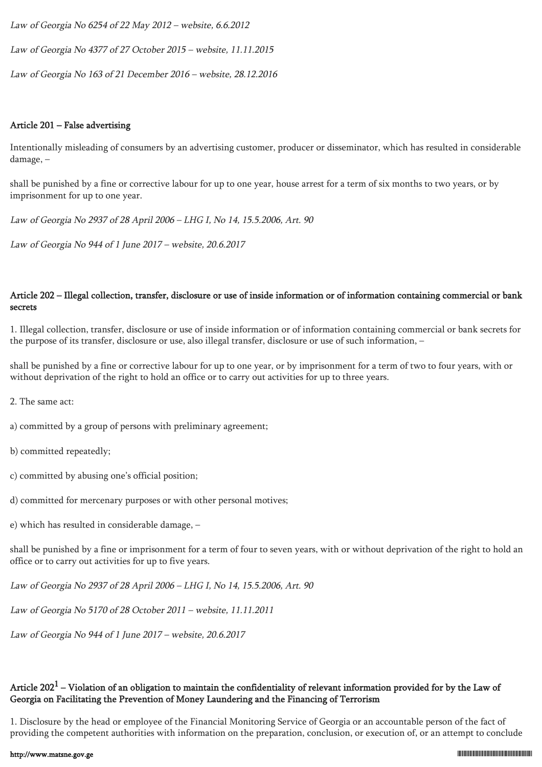Law of Georgia No 6254 of 22 May 2012 – website, 6.6.2012

Law of Georgia No 4377 of 27 October 2015 – website, 11.11.2015

Law of Georgia No 163 of 21 December 2016 – website, 28.12.2016

## Article 201 – False advertising

Intentionally misleading of consumers by an advertising customer, producer or disseminator, which has resulted in considerable damage, –

shall be punished by a fine or corrective labour for up to one year, house arrest for a term of six months to two years, or by imprisonment for up to one year.

Law of Georgia No 2937 of 28 April 2006 – LHG I, No 14, 15.5.2006, Art. 90

Law of Georgia No 944 of 1 June 2017 – website, 20.6.2017

## Article 202 – Illegal collection, transfer, disclosure or use of inside information or of information containing commercial or bank secrets

1. Illegal collection, transfer, disclosure or use of inside information or of information containing commercial or bank secrets for the purpose of its transfer, disclosure or use, also illegal transfer, disclosure or use of such information, –

shall be punished by a fine or corrective labour for up to one year, or by imprisonment for a term of two to four years, with or without deprivation of the right to hold an office or to carry out activities for up to three years.

2. The same act:

a) committed by a group of persons with preliminary agreement;

b) committed repeatedly;

c) committed by abusing one's official position;

d) committed for mercenary purposes or with other personal motives;

e) which has resulted in considerable damage, –

shall be punished by a fine or imprisonment for a term of four to seven years, with or without deprivation of the right to hold an office or to carry out activities for up to five years.

Law of Georgia No 2937 of 28 April 2006 – LHG I, No 14, 15.5.2006, Art. 90

Law of Georgia No 5170 of 28 October 2011 – website, 11.11.2011

Law of Georgia No 944 of 1 June 2017 – website, 20.6.2017

# Article 202 $^1$  – Violation of an obligation to maintain the confidentiality of relevant information provided for by the Law of Georgia on Facilitating the Prevention of Money Laundering and the Financing of Terrorism

1. Disclosure by the head or employee of the Financial Monitoring Service of Georgia or an accountable person of the fact of providing the competent authorities with information on the preparation, conclusion, or execution of, or an attempt to conclude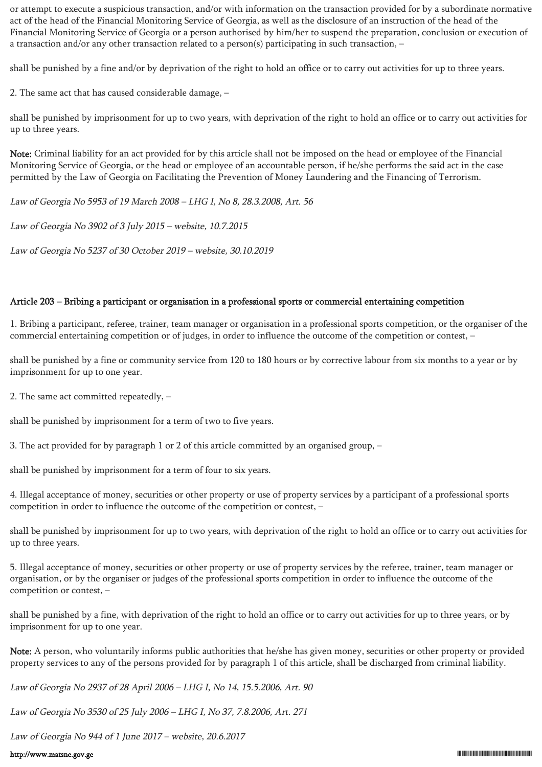or attempt to execute a suspicious transaction, and/or with information on the transaction provided for by a subordinate normative act of the head of the Financial Monitoring Service of Georgia, as well as the disclosure of an instruction of the head of the Financial Monitoring Service of Georgia or a person authorised by him/her to suspend the preparation, conclusion or execution of a transaction and/or any other transaction related to a person(s) participating in such transaction, –

shall be punished by a fine and/or by deprivation of the right to hold an office or to carry out activities for up to three years.

2. The same act that has caused considerable damage, –

shall be punished by imprisonment for up to two years, with deprivation of the right to hold an office or to carry out activities for up to three years.

Note: Criminal liability for an act provided for by this article shall not be imposed on the head or employee of the Financial Monitoring Service of Georgia, or the head or employee of an accountable person, if he/she performs the said act in the case permitted by the Law of Georgia on Facilitating the Prevention of Money Laundering and the Financing of Terrorism.

Law of Georgia No 5953 of 19 March 2008 – LHG I, No 8, 28.3.2008, Art. 56

Law of Georgia No 3902 of 3 July 2015 – website, 10.7.2015

Law of Georgia No 5237 of 30 October 2019 – website, 30.10.2019

## Article 203 – Bribing a participant or organisation in a professional sports or commercial entertaining competition

1. Bribing a participant, referee, trainer, team manager or organisation in a professional sports competition, or the organiser of the commercial entertaining competition or of judges, in order to influence the outcome of the competition or contest, –

shall be punished by a fine or community service from 120 to 180 hours or by corrective labour from six months to a year or by imprisonment for up to one year.

2. The same act committed repeatedly, –

shall be punished by imprisonment for a term of two to five years.

3. The act provided for by paragraph 1 or 2 of this article committed by an organised group, –

shall be punished by imprisonment for a term of four to six years.

4. Illegal acceptance of money, securities or other property or use of property services by a participant of a professional sports competition in order to influence the outcome of the competition or contest, –

shall be punished by imprisonment for up to two years, with deprivation of the right to hold an office or to carry out activities for up to three years.

5. Illegal acceptance of money, securities or other property or use of property services by the referee, trainer, team manager or organisation, or by the organiser or judges of the professional sports competition in order to influence the outcome of the competition or contest, –

shall be punished by a fine, with deprivation of the right to hold an office or to carry out activities for up to three years, or by imprisonment for up to one year.

Note: A person, who voluntarily informs public authorities that he/she has given money, securities or other property or provided property services to any of the persons provided for by paragraph 1 of this article, shall be discharged from criminal liability.

Law of Georgia No 2937 of 28 April 2006 – LHG I, No 14, 15.5.2006, Art. 90

Law of Georgia No 3530 of 25 July 2006 – LHG I, No 37, 7.8.2006, Art. 271

Law of Georgia No 944 of 1 June 2017 – website, 20.6.2017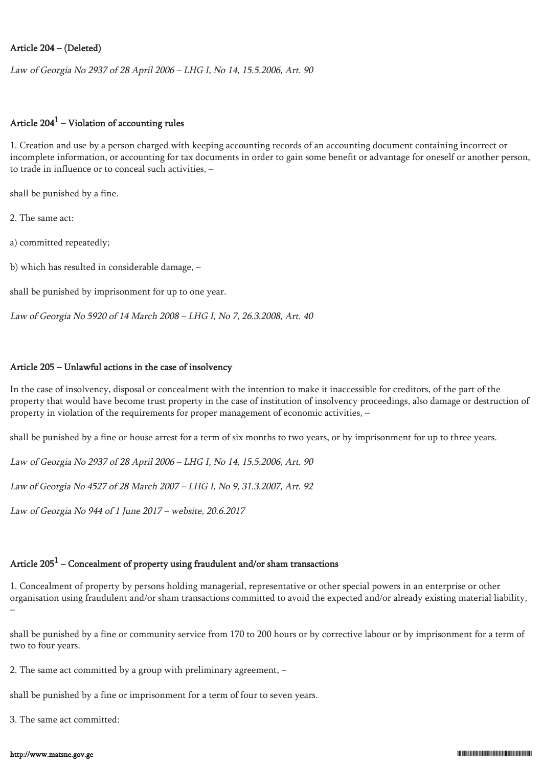## Article 204 – (Deleted)

Law of Georgia No 2937 of 28 April 2006 – LHG I, No 14, 15.5.2006, Art. 90

## Article 204 $^{\rm 1}$  – Violation of accounting rules

1. Creation and use by a person charged with keeping accounting records of an accounting document containing incorrect or incomplete information, or accounting for tax documents in order to gain some benefit or advantage for oneself or another person, to trade in influence or to conceal such activities, –

shall be punished by a fine.

2. The same act:

a) committed repeatedly;

b) which has resulted in considerable damage, –

shall be punished by imprisonment for up to one year.

Law of Georgia No 5920 of 14 March 2008 – LHG I, No 7, 26.3.2008, Art. 40

#### Article 205 – Unlawful actions in the case of insolvency

In the case of insolvency, disposal or concealment with the intention to make it inaccessible for creditors, of the part of the property that would have become trust property in the case of institution of insolvency proceedings, also damage or destruction of property in violation of the requirements for proper management of economic activities, –

shall be punished by a fine or house arrest for a term of six months to two years, or by imprisonment for up to three years.

Law of Georgia No 2937 of 28 April 2006 – LHG I, No 14, 15.5.2006, Art. 90

Law of Georgia No 4527 of 28 March 2007 – LHG I, No 9, 31.3.2007, Art. 92

Law of Georgia No 944 of 1 June 2017 – website, 20.6.2017

# Article 205 $^{\rm 1}$  – Concealment of property using fraudulent and/or sham transactions

1. Concealment of property by persons holding managerial, representative or other special powers in an enterprise or other organisation using fraudulent and/or sham transactions committed to avoid the expected and/or already existing material liability, –

shall be punished by a fine or community service from 170 to 200 hours or by corrective labour or by imprisonment for a term of two to four years.

2. The same act committed by a group with preliminary agreement, –

shall be punished by a fine or imprisonment for a term of four to seven years.

3. The same act committed: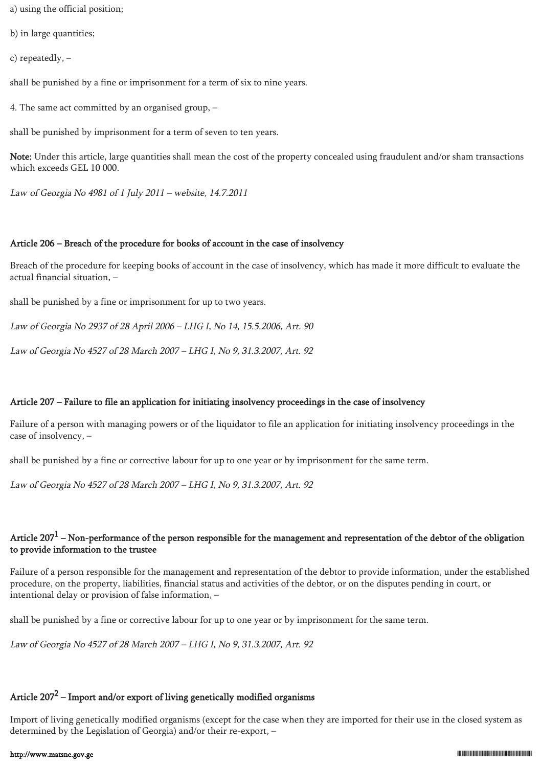a) using the official position;

b) in large quantities;

c) repeatedly, –

shall be punished by a fine or imprisonment for a term of six to nine years.

4. The same act committed by an organised group, –

shall be punished by imprisonment for a term of seven to ten years.

Note: Under this article, large quantities shall mean the cost of the property concealed using fraudulent and/or sham transactions which exceeds GEL 10 000.

Law of Georgia No 4981 of 1 July 2011 – website, 14.7.2011

#### Article 206 – Breach of the procedure for books of account in the case of insolvency

Breach of the procedure for keeping books of account in the case of insolvency, which has made it more difficult to evaluate the actual financial situation, –

shall be punished by a fine or imprisonment for up to two years.

Law of Georgia No 2937 of 28 April 2006 – LHG I, No 14, 15.5.2006, Art. 90

Law of Georgia No 4527 of 28 March 2007 – LHG I, No 9, 31.3.2007, Art. 92

## Article 207 – Failure to file an application for initiating insolvency proceedings in the case of insolvency

Failure of a person with managing powers or of the liquidator to file an application for initiating insolvency proceedings in the case of insolvency, –

shall be punished by a fine or corrective labour for up to one year or by imprisonment for the same term.

Law of Georgia No 4527 of 28 March 2007 – LHG I, No 9, 31.3.2007, Art. 92

## Article 207 $^1$  – Non-performance of the person responsible for the management and representation of the debtor of the obligation to provide information to the trustee

Failure of a person responsible for the management and representation of the debtor to provide information, under the established procedure, on the property, liabilities, financial status and activities of the debtor, or on the disputes pending in court, or intentional delay or provision of false information, –

shall be punished by a fine or corrective labour for up to one year or by imprisonment for the same term.

Law of Georgia No 4527 of 28 March 2007 – LHG I, No 9, 31.3.2007, Art. 92

# Article 207<sup>2</sup> – Import and/or export of living genetically modified organisms

Import of living genetically modified organisms (except for the case when they are imported for their use in the closed system as determined by the Legislation of Georgia) and/or their re-export, –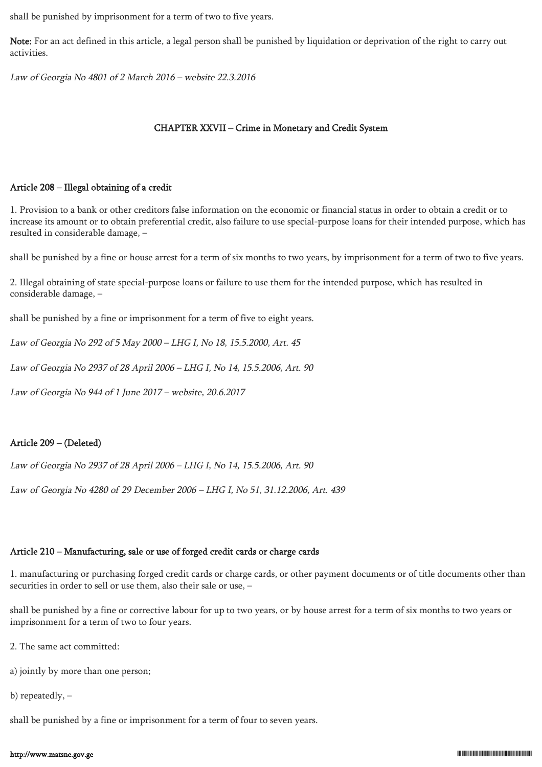shall be punished by imprisonment for a term of two to five years.

Note: For an act defined in this article, a legal person shall be punished by liquidation or deprivation of the right to carry out activities.

Law of Georgia No 4801 of 2 March 2016 – website 22.3.2016

## CHAPTER XXVII – Crime in Monetary and Credit System

#### Article 208 – Illegal obtaining of a credit

1. Provision to a bank or other creditors false information on the economic or financial status in order to obtain a credit or to increase its amount or to obtain preferential credit, also failure to use special-purpose loans for their intended purpose, which has resulted in considerable damage, –

shall be punished by a fine or house arrest for a term of six months to two years, by imprisonment for a term of two to five years.

2. Illegal obtaining of state special-purpose loans or failure to use them for the intended purpose, which has resulted in considerable damage, –

shall be punished by a fine or imprisonment for a term of five to eight years.

Law of Georgia No 292 of 5 May 2000 – LHG I, No 18, 15.5.2000, Art. 45

Law of Georgia No 2937 of 28 April 2006 – LHG I, No 14, 15.5.2006, Art. 90

Law of Georgia No 944 of 1 June 2017 – website, 20.6.2017

## Article 209 – (Deleted)

Law of Georgia No 2937 of 28 April 2006 – LHG I, No 14, 15.5.2006, Art. 90

Law of Georgia No 4280 of 29 December 2006 – LHG I, No 51, 31.12.2006, Art. 439

## Article 210 – Manufacturing, sale or use of forged credit cards or charge cards

1. manufacturing or purchasing forged credit cards or charge cards, or other payment documents or of title documents other than securities in order to sell or use them, also their sale or use, –

shall be punished by a fine or corrective labour for up to two years, or by house arrest for a term of six months to two years or imprisonment for a term of two to four years.

- 2. The same act committed:
- a) jointly by more than one person;

b) repeatedly, –

shall be punished by a fine or imprisonment for a term of four to seven years.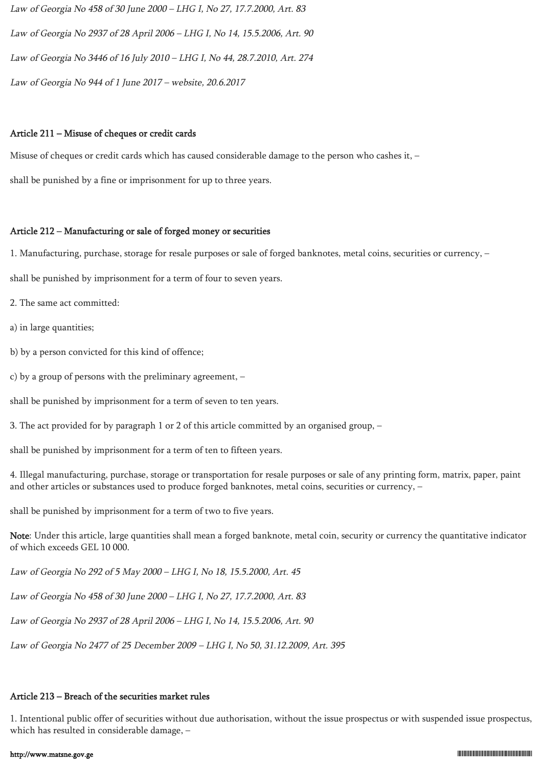Law of Georgia No 458 of 30 June 2000 – LHG I, No 27, 17.7.2000, Art. 83 Law of Georgia No 2937 of 28 April 2006 – LHG I, No 14, 15.5.2006, Art. 90 Law of Georgia No 3446 of 16 July 2010 – LHG I, No 44, 28.7.2010, Art. 274 Law of Georgia No 944 of 1 June 2017 – website, 20.6.2017

#### Article 211 – Misuse of cheques or credit cards

Misuse of cheques or credit cards which has caused considerable damage to the person who cashes it, –

shall be punished by a fine or imprisonment for up to three years.

#### Article 212 – Manufacturing or sale of forged money or securities

1. Manufacturing, purchase, storage for resale purposes or sale of forged banknotes, metal coins, securities or currency, –

shall be punished by imprisonment for a term of four to seven years.

2. The same act committed:

a) in large quantities;

b) by a person convicted for this kind of offence;

c) by a group of persons with the preliminary agreement, –

shall be punished by imprisonment for a term of seven to ten years.

3. The act provided for by paragraph 1 or 2 of this article committed by an organised group, –

shall be punished by imprisonment for a term of ten to fifteen years.

4. Illegal manufacturing, purchase, storage or transportation for resale purposes or sale of any printing form, matrix, paper, paint and other articles or substances used to produce forged banknotes, metal coins, securities or currency, –

shall be punished by imprisonment for a term of two to five years.

Note: Under this article, large quantities shall mean a forged banknote, metal coin, security or currency the quantitative indicator of which exceeds GEL 10 000.

Law of Georgia No 292 of 5 May 2000 – LHG I, No 18, 15.5.2000, Art. 45

Law of Georgia No 458 of 30 June 2000 – LHG I, No 27, 17.7.2000, Art. 83

Law of Georgia No 2937 of 28 April 2006 – LHG I, No 14, 15.5.2006, Art. 90

Law of Georgia No 2477 of 25 December 2009 – LHG I, No 50, 31.12.2009, Art. 395

## Article 213 – Breach of the securities market rules

1. Intentional public offer of securities without due authorisation, without the issue prospectus or with suspended issue prospectus, which has resulted in considerable damage, –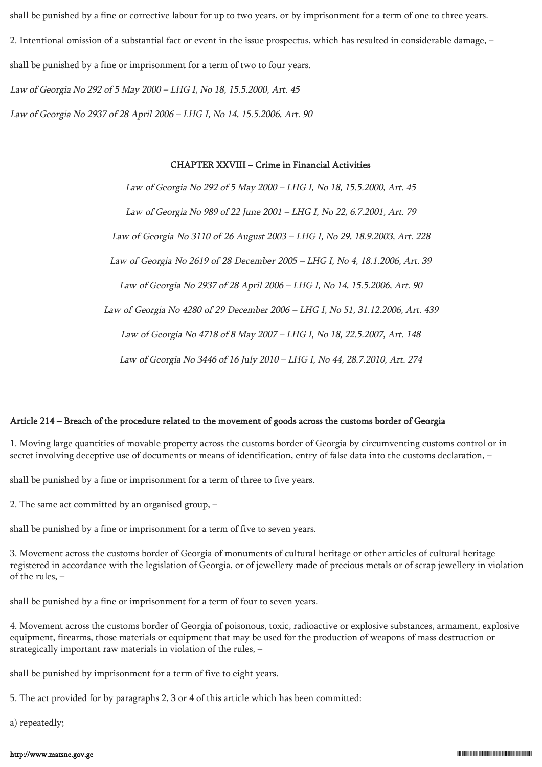shall be punished by a fine or corrective labour for up to two years, or by imprisonment for a term of one to three years. 2. Intentional omission of a substantial fact or event in the issue prospectus, which has resulted in considerable damage, – shall be punished by a fine or imprisonment for a term of two to four years. Law of Georgia No 292 of 5 May 2000 – LHG I, No 18, 15.5.2000, Art. 45

Law of Georgia No 2937 of 28 April 2006 – LHG I, No 14, 15.5.2006, Art. 90

### CHAPTER XXVIII – Crime in Financial Activities

Law of Georgia No 292 of 5 May 2000 – LHG I, No 18, 15.5.2000, Art. 45 Law of Georgia No 989 of 22 June 2001 – LHG I, No 22, 6.7.2001, Art. 79 Law of Georgia No 3110 of 26 August 2003 – LHG I, No 29, 18.9.2003, Art. 228 Law of Georgia No 2619 of 28 December 2005 – LHG I, No 4, 18.1.2006, Art. 39 Law of Georgia No 2937 of 28 April 2006 – LHG I, No 14, 15.5.2006, Art. 90 Law of Georgia No 4280 of 29 December 2006 – LHG I, No 51, 31.12.2006, Art. 439 Law of Georgia No 4718 of 8 May 2007 – LHG I, No 18, 22.5.2007, Art. 148 Law of Georgia No 3446 of 16 July 2010 – LHG I, No 44, 28.7.2010, Art. 274

## Article 214 – Breach of the procedure related to the movement of goods across the customs border of Georgia

1. Moving large quantities of movable property across the customs border of Georgia by circumventing customs control or in secret involving deceptive use of documents or means of identification, entry of false data into the customs declaration, –

shall be punished by a fine or imprisonment for a term of three to five years.

2. The same act committed by an organised group, –

shall be punished by a fine or imprisonment for a term of five to seven years.

3. Movement across the customs border of Georgia of monuments of cultural heritage or other articles of cultural heritage registered in accordance with the legislation of Georgia, or of jewellery made of precious metals or of scrap jewellery in violation of the rules, –

shall be punished by a fine or imprisonment for a term of four to seven years.

4. Movement across the customs border of Georgia of poisonous, toxic, radioactive or explosive substances, armament, explosive equipment, firearms, those materials or equipment that may be used for the production of weapons of mass destruction or strategically important raw materials in violation of the rules, –

shall be punished by imprisonment for a term of five to eight years.

5. The act provided for by paragraphs 2, 3 or 4 of this article which has been committed:

a) repeatedly;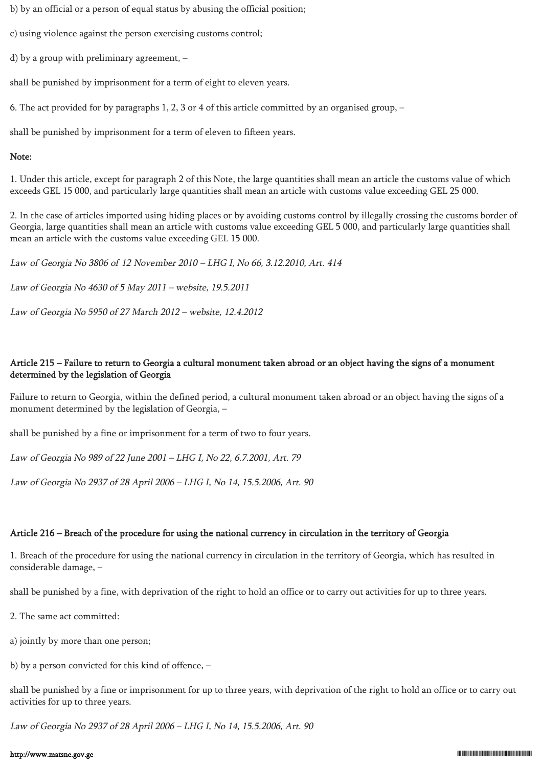b) by an official or a person of equal status by abusing the official position;

c) using violence against the person exercising customs control;

d) by a group with preliminary agreement, –

shall be punished by imprisonment for a term of eight to eleven years.

6. The act provided for by paragraphs 1, 2, 3 or 4 of this article committed by an organised group, –

shall be punished by imprisonment for a term of eleven to fifteen years.

## Note:

1. Under this article, except for paragraph 2 of this Note, the large quantities shall mean an article the customs value of which exceeds GEL 15 000, and particularly large quantities shall mean an article with customs value exceeding GEL 25 000.

2. In the case of articles imported using hiding places or by avoiding customs control by illegally crossing the customs border of Georgia, large quantities shall mean an article with customs value exceeding GEL 5 000, and particularly large quantities shall mean an article with the customs value exceeding GEL 15 000.

Law of Georgia No 3806 of 12 November 2010 – LHG I, No 66, 3.12.2010, Art. 414

Law of Georgia No 4630 of 5 May 2011 – website, 19.5.2011

Law of Georgia No 5950 of 27 March 2012 – website, 12.4.2012

# Article 215 – Failure to return to Georgia a cultural monument taken abroad or an object having the signs of a monument determined by the legislation of Georgia

Failure to return to Georgia, within the defined period, a cultural monument taken abroad or an object having the signs of a monument determined by the legislation of Georgia, –

shall be punished by a fine or imprisonment for a term of two to four years.

Law of Georgia No 989 of 22 June 2001 – LHG I, No 22, 6.7.2001, Art. 79

Law of Georgia No 2937 of 28 April 2006 – LHG I, No 14, 15.5.2006, Art. 90

# Article 216 – Breach of the procedure for using the national currency in circulation in the territory of Georgia

1. Breach of the procedure for using the national currency in circulation in the territory of Georgia, which has resulted in considerable damage, –

shall be punished by a fine, with deprivation of the right to hold an office or to carry out activities for up to three years.

2. The same act committed:

a) jointly by more than one person;

b) by a person convicted for this kind of offence, –

shall be punished by a fine or imprisonment for up to three years, with deprivation of the right to hold an office or to carry out activities for up to three years.

Law of Georgia No 2937 of 28 April 2006 – LHG I, No 14, 15.5.2006, Art. 90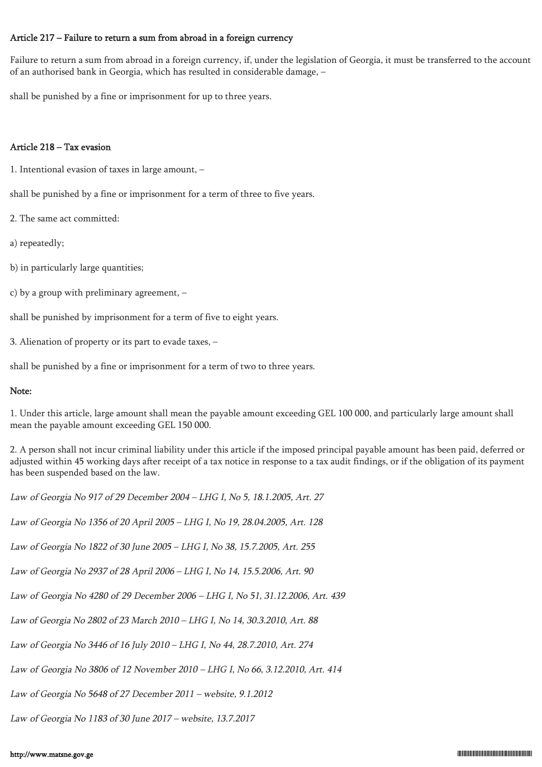### Article 217 – Failure to return a sum from abroad in a foreign currency

Failure to return a sum from abroad in a foreign currency, if, under the legislation of Georgia, it must be transferred to the account of an authorised bank in Georgia, which has resulted in considerable damage, –

shall be punished by a fine or imprisonment for up to three years.

### Article 218 – Tax evasion

1. Intentional evasion of taxes in large amount, –

shall be punished by a fine or imprisonment for a term of three to five years.

2. The same act committed:

a) repeatedly;

b) in particularly large quantities;

c) by a group with preliminary agreement, –

shall be punished by imprisonment for a term of five to eight years.

3. Alienation of property or its part to evade taxes, –

shall be punished by a fine or imprisonment for a term of two to three years.

#### Note:

1. Under this article, large amount shall mean the payable amount exceeding GEL 100 000, and particularly large amount shall mean the payable amount exceeding GEL 150 000.

2. A person shall not incur criminal liability under this article if the imposed principal payable amount has been paid, deferred or adjusted within 45 working days after receipt of a tax notice in response to a tax audit findings, or if the obligation of its payment has been suspended based on the law.

Law of Georgia No 917 of 29 December 2004 – LHG I, No 5, 18.1.2005, Art. 27

Law of Georgia No 1356 of 20 April 2005 – LHG I, No 19, 28.04.2005, Art. 128

Law of Georgia No 1822 of 30 June 2005 – LHG I, No 38, 15.7.2005, Art. 255

Law of Georgia No 2937 of 28 April 2006 – LHG I, No 14, 15.5.2006, Art. 90

Law of Georgia No 4280 of 29 December 2006 – LHG I, No 51, 31.12.2006, Art. 439

Law of Georgia No 2802 of 23 March 2010 – LHG I, No 14, 30.3.2010, Art. 88

Law of Georgia No 3446 of 16 July 2010 – LHG I, No 44, 28.7.2010, Art. 274

Law of Georgia No 3806 of 12 November 2010 – LHG I, No 66, 3.12.2010, Art. 414

Law of Georgia No 5648 of 27 December 2011 – website, 9.1.2012

Law of Georgia No 1183 of 30 June 2017 – website, 13.7.2017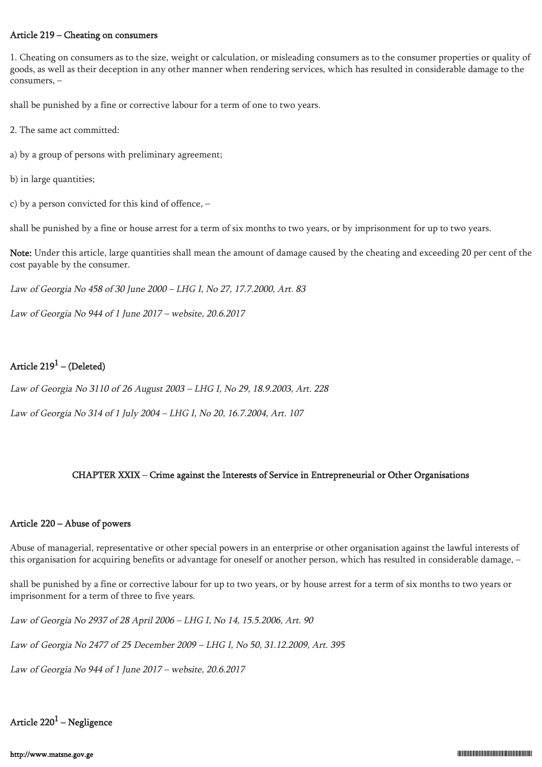### Article 219 – Cheating on consumers

1. Cheating on consumers as to the size, weight or calculation, or misleading consumers as to the consumer properties or quality of goods, as well as their deception in any other manner when rendering services, which has resulted in considerable damage to the consumers, –

shall be punished by a fine or corrective labour for a term of one to two years.

- 2. The same act committed:
- a) by a group of persons with preliminary agreement;
- b) in large quantities;
- c) by a person convicted for this kind of offence, –

shall be punished by a fine or house arrest for a term of six months to two years, or by imprisonment for up to two years.

Note: Under this article, large quantities shall mean the amount of damage caused by the cheating and exceeding 20 per cent of the cost payable by the consumer.

Law of Georgia No 458 of 30 June 2000 – LHG I, No 27, 17.7.2000, Art. 83

Law of Georgia No 944 of 1 June 2017 – website, 20.6.2017

# Article 219 $^1$  – (Deleted)

Law of Georgia No 3110 of 26 August 2003 – LHG I, No 29, 18.9.2003, Art. 228

Law of Georgia No 314 of 1 July 2004 – LHG I, No 20, 16.7.2004, Art. 107

## CHAPTER XXIX – Crime against the Interests of Service in Entrepreneurial or Other Organisations

## Article 220 – Abuse of powers

Abuse of managerial, representative or other special powers in an enterprise or other organisation against the lawful interests of this organisation for acquiring benefits or advantage for oneself or another person, which has resulted in considerable damage, –

shall be punished by a fine or corrective labour for up to two years, or by house arrest for a term of six months to two years or imprisonment for a term of three to five years.

Law of Georgia No 2937 of 28 April 2006 – LHG I, No 14, 15.5.2006, Art. 90

Law of Georgia No 2477 of 25 December 2009 – LHG I, No 50, 31.12.2009, Art. 395

Law of Georgia No 944 of 1 June 2017 – website, 20.6.2017

# Article 220<sup>1</sup> – Negligence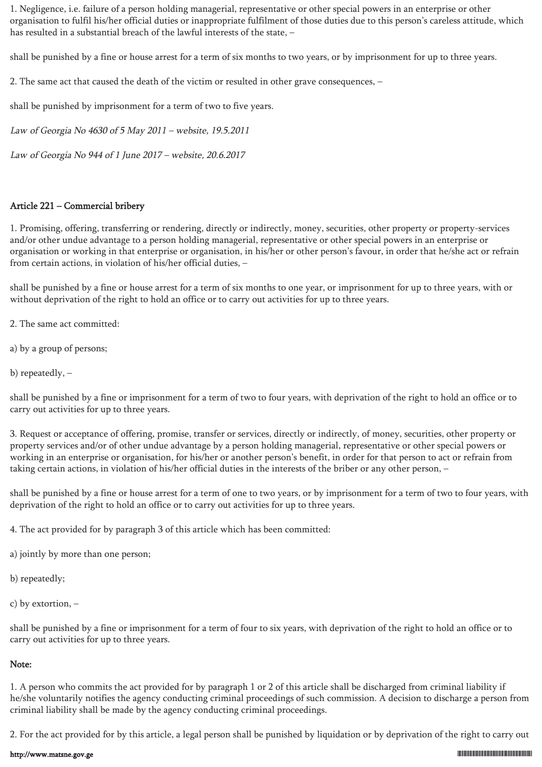1. Negligence, i.e. failure of a person holding managerial, representative or other special powers in an enterprise or other organisation to fulfil his/her official duties or inappropriate fulfilment of those duties due to this person's careless attitude, which has resulted in a substantial breach of the lawful interests of the state, –

shall be punished by a fine or house arrest for a term of six months to two years, or by imprisonment for up to three years.

2. The same act that caused the death of the victim or resulted in other grave consequences, –

shall be punished by imprisonment for a term of two to five years.

Law of Georgia No 4630 of 5 May 2011 – website, 19.5.2011

Law of Georgia No 944 of 1 June 2017 – website, 20.6.2017

# Article 221 – Commercial bribery

1. Promising, offering, transferring or rendering, directly or indirectly, money, securities, other property or property-services and/or other undue advantage to a person holding managerial, representative or other special powers in an enterprise or organisation or working in that enterprise or organisation, in his/her or other person's favour, in order that he/she act or refrain from certain actions, in violation of his/her official duties, –

shall be punished by a fine or house arrest for a term of six months to one year, or imprisonment for up to three years, with or without deprivation of the right to hold an office or to carry out activities for up to three years.

2. The same act committed:

a) by a group of persons;

b) repeatedly, –

shall be punished by a fine or imprisonment for a term of two to four years, with deprivation of the right to hold an office or to carry out activities for up to three years.

3. Request or acceptance of offering, promise, transfer or services, directly or indirectly, of money, securities, other property or property services and/or of other undue advantage by a person holding managerial, representative or other special powers or working in an enterprise or organisation, for his/her or another person's benefit, in order for that person to act or refrain from taking certain actions, in violation of his/her official duties in the interests of the briber or any other person, –

shall be punished by a fine or house arrest for a term of one to two years, or by imprisonment for a term of two to four years, with deprivation of the right to hold an office or to carry out activities for up to three years.

4. The act provided for by paragraph 3 of this article which has been committed:

a) jointly by more than one person;

b) repeatedly;

c) by extortion, –

shall be punished by a fine or imprisonment for a term of four to six years, with deprivation of the right to hold an office or to carry out activities for up to three years.

## Note:

1. A person who commits the act provided for by paragraph 1 or 2 of this article shall be discharged from criminal liability if he/she voluntarily notifies the agency conducting criminal proceedings of such commission. A decision to discharge a person from criminal liability shall be made by the agency conducting criminal proceedings.

2. For the act provided for by this article, a legal person shall be punished by liquidation or by deprivation of the right to carry out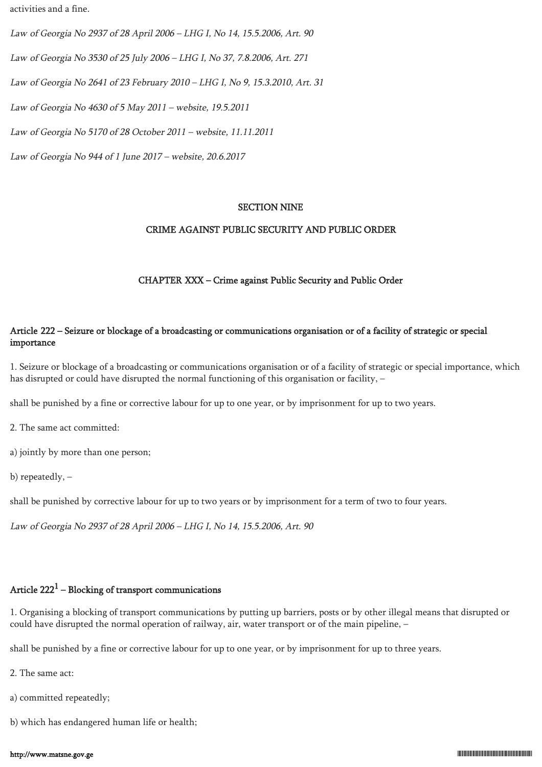activities and a fine.

Law of Georgia No 2937 of 28 April 2006 – LHG I, No 14, 15.5.2006, Art. 90

Law of Georgia No 3530 of 25 July 2006 – LHG I, No 37, 7.8.2006, Art. 271

Law of Georgia No 2641 of 23 February 2010 – LHG I, No 9, 15.3.2010, Art. 31

Law of Georgia No 4630 of 5 May 2011 – website, 19.5.2011

Law of Georgia No 5170 of 28 October 2011 – website, 11.11.2011

Law of Georgia No 944 of 1 June 2017 – website, 20.6.2017

## SECTION NINE

### CRIME AGAINST PUBLIC SECURITY AND PUBLIC ORDER

## CHAPTER XXX – Crime against Public Security and Public Order

## Article 222 – Seizure or blockage of a broadcasting or communications organisation or of a facility of strategic or special importance

1. Seizure or blockage of a broadcasting or communications organisation or of a facility of strategic or special importance, which has disrupted or could have disrupted the normal functioning of this organisation or facility, –

shall be punished by a fine or corrective labour for up to one year, or by imprisonment for up to two years.

2. The same act committed:

a) jointly by more than one person;

b) repeatedly, –

shall be punished by corrective labour for up to two years or by imprisonment for a term of two to four years.

Law of Georgia No 2937 of 28 April 2006 – LHG I, No 14, 15.5.2006, Art. 90

# Article 222 $^{\rm 1}$  – Blocking of transport communications

1. Organising a blocking of transport communications by putting up barriers, posts or by other illegal means that disrupted or could have disrupted the normal operation of railway, air, water transport or of the main pipeline, –

shall be punished by a fine or corrective labour for up to one year, or by imprisonment for up to three years.

2. The same act:

a) committed repeatedly;

b) which has endangered human life or health;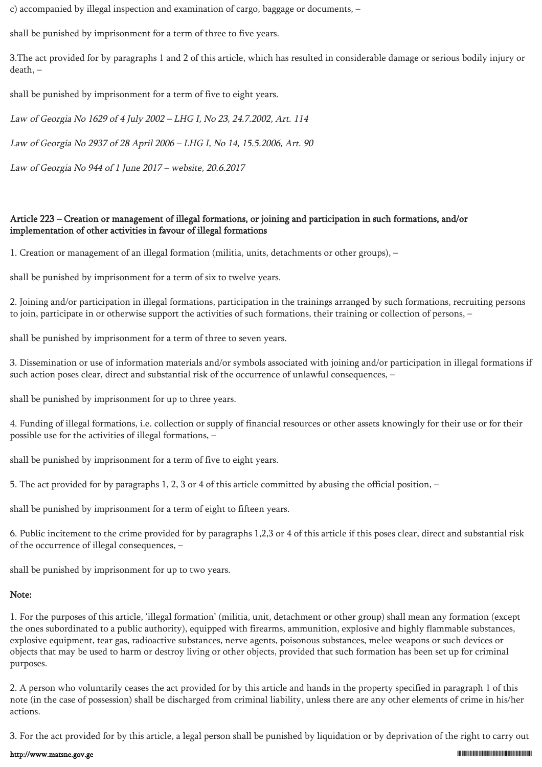c) accompanied by illegal inspection and examination of cargo, baggage or documents, –

shall be punished by imprisonment for a term of three to five years.

3.The act provided for by paragraphs 1 and 2 of this article, which has resulted in considerable damage or serious bodily injury or death, –

shall be punished by imprisonment for a term of five to eight years.

Law of Georgia No 1629 of 4 July 2002 – LHG I, No 23, 24.7.2002, Art. 114

Law of Georgia No 2937 of 28 April 2006 – LHG I, No 14, 15.5.2006, Art. 90

Law of Georgia No 944 of 1 June 2017 – website, 20.6.2017

# Article 223 – Creation or management of illegal formations, or joining and participation in such formations, and/or implementation of other activities in favour of illegal formations

1. Creation or management of an illegal formation (militia, units, detachments or other groups), –

shall be punished by imprisonment for a term of six to twelve years.

2. Joining and/or participation in illegal formations, participation in the trainings arranged by such formations, recruiting persons to join, participate in or otherwise support the activities of such formations, their training or collection of persons, –

shall be punished by imprisonment for a term of three to seven years.

3. Dissemination or use of information materials and/or symbols associated with joining and/or participation in illegal formations if such action poses clear, direct and substantial risk of the occurrence of unlawful consequences, –

shall be punished by imprisonment for up to three years.

4. Funding of illegal formations, i.e. collection or supply of financial resources or other assets knowingly for their use or for their possible use for the activities of illegal formations, –

shall be punished by imprisonment for a term of five to eight years.

5. The act provided for by paragraphs 1, 2, 3 or 4 of this article committed by abusing the official position, –

shall be punished by imprisonment for a term of eight to fifteen years.

6. Public incitement to the crime provided for by paragraphs 1,2,3 or 4 of this article if this poses clear, direct and substantial risk of the occurrence of illegal consequences, –

shall be punished by imprisonment for up to two years.

## Note:

1. For the purposes of this article, 'illegal formation' (militia, unit, detachment or other group) shall mean any formation (except the ones subordinated to a public authority), equipped with firearms, ammunition, explosive and highly flammable substances, explosive equipment, tear gas, radioactive substances, nerve agents, poisonous substances, melee weapons or such devices or objects that may be used to harm or destroy living or other objects, provided that such formation has been set up for criminal purposes.

2. A person who voluntarily ceases the act provided for by this article and hands in the property specified in paragraph 1 of this note (in the case of possession) shall be discharged from criminal liability, unless there are any other elements of crime in his/her actions.

3. For the act provided for by this article, a legal person shall be punished by liquidation or by deprivation of the right to carry out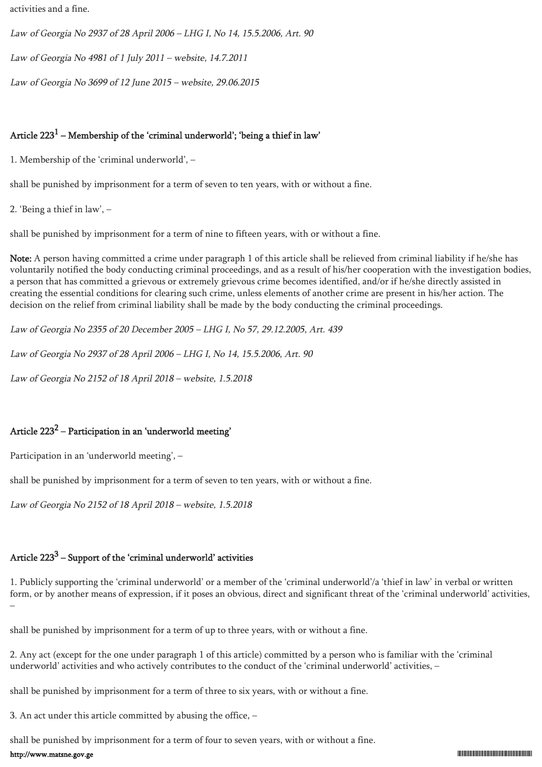activities and a fine.

Law of Georgia No 2937 of 28 April 2006 – LHG I, No 14, 15.5.2006, Art. 90

Law of Georgia No 4981 of 1 July 2011 – website, 14.7.2011

Law of Georgia No 3699 of 12 June 2015 – website, 29.06.2015

# Article 223 $^{\rm 1}$  – Membership of the 'criminal underworld'; 'being a thief in law'

1. Membership of the 'criminal underworld', –

shall be punished by imprisonment for a term of seven to ten years, with or without a fine.

2. 'Being a thief in law', –

shall be punished by imprisonment for a term of nine to fifteen years, with or without a fine.

Note: A person having committed a crime under paragraph 1 of this article shall be relieved from criminal liability if he/she has voluntarily notified the body conducting criminal proceedings, and as a result of his/her cooperation with the investigation bodies, a person that has committed a grievous or extremely grievous crime becomes identified, and/or if he/she directly assisted in creating the essential conditions for clearing such crime, unless elements of another crime are present in his/her action. The decision on the relief from criminal liability shall be made by the body conducting the criminal proceedings.

Law of Georgia No 2355 of 20 December 2005 – LHG I, No 57, 29.12.2005, Art. 439

Law of Georgia No 2937 of 28 April 2006 – LHG I, No 14, 15.5.2006, Art. 90

Law of Georgia No 2152 of 18 April 2018 – website, 1.5.2018

# Article 223<sup>2</sup> – Participation in an 'underworld meeting'

Participation in an 'underworld meeting', –

shall be punished by imprisonment for a term of seven to ten years, with or without a fine.

Law of Georgia No 2152 of 18 April 2018 – website, 1.5.2018

# Article 22 $3^3$  – Support of the 'criminal underworld' activities

1. Publicly supporting the 'criminal underworld' or a member of the 'criminal underworld'/a 'thief in law' in verbal or written form, or by another means of expression, if it poses an obvious, direct and significant threat of the 'criminal underworld' activities, –

shall be punished by imprisonment for a term of up to three years, with or without a fine.

2. Any act (except for the one under paragraph 1 of this article) committed by a person who is familiar with the 'criminal underworld' activities and who actively contributes to the conduct of the 'criminal underworld' activities, –

shall be punished by imprisonment for a term of three to six years, with or without a fine.

3. An act under this article committed by abusing the office, –

shall be punished by imprisonment for a term of four to seven years, with or without a fine.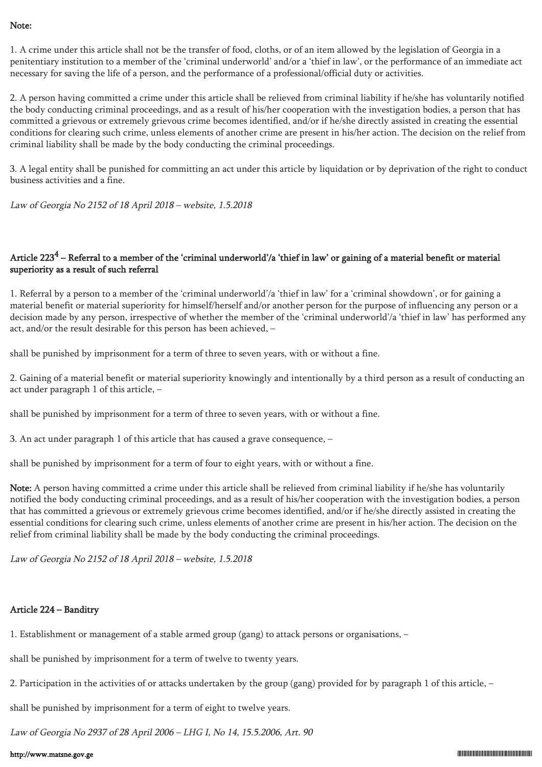### Note:

1. A crime under this article shall not be the transfer of food, cloths, or of an item allowed by the legislation of Georgia in a penitentiary institution to a member of the 'criminal underworld' and/or a 'thief in law', or the performance of an immediate act necessary for saving the life of a person, and the performance of a professional/official duty or activities.

2. A person having committed a crime under this article shall be relieved from criminal liability if he/she has voluntarily notified the body conducting criminal proceedings, and as a result of his/her cooperation with the investigation bodies, a person that has committed a grievous or extremely grievous crime becomes identified, and/or if he/she directly assisted in creating the essential conditions for clearing such crime, unless elements of another crime are present in his/her action. The decision on the relief from criminal liability shall be made by the body conducting the criminal proceedings.

3. A legal entity shall be punished for committing an act under this article by liquidation or by deprivation of the right to conduct business activities and a fine.

Law of Georgia No 2152 of 18 April 2018 – website, 1.5.2018

# Article 223<sup>4</sup> – Referral to a member of the 'criminal underworld'/a 'thief in law' or gaining of a material benefit or material superiority as a result of such referral

1. Referral by a person to a member of the 'criminal underworld'/a 'thief in law' for a 'criminal showdown', or for gaining a material benefit or material superiority for himself/herself and/or another person for the purpose of influencing any person or a decision made by any person, irrespective of whether the member of the 'criminal underworld'/a 'thief in law' has performed any act, and/or the result desirable for this person has been achieved, –

shall be punished by imprisonment for a term of three to seven years, with or without a fine.

2. Gaining of a material benefit or material superiority knowingly and intentionally by a third person as a result of conducting an act under paragraph 1 of this article, –

shall be punished by imprisonment for a term of three to seven years, with or without a fine.

3. An act under paragraph 1 of this article that has caused a grave consequence, –

shall be punished by imprisonment for a term of four to eight years, with or without a fine.

Note: A person having committed a crime under this article shall be relieved from criminal liability if he/she has voluntarily notified the body conducting criminal proceedings, and as a result of his/her cooperation with the investigation bodies, a person that has committed a grievous or extremely grievous crime becomes identified, and/or if he/she directly assisted in creating the essential conditions for clearing such crime, unless elements of another crime are present in his/her action. The decision on the relief from criminal liability shall be made by the body conducting the criminal proceedings.

Law of Georgia No 2152 of 18 April 2018 – website, 1.5.2018

## Article 224 – Banditry

1. Establishment or management of a stable armed group (gang) to attack persons or organisations, –

shall be punished by imprisonment for a term of twelve to twenty years.

2. Participation in the activities of or attacks undertaken by the group (gang) provided for by paragraph 1 of this article, –

shall be punished by imprisonment for a term of eight to twelve years.

Law of Georgia No 2937 of 28 April 2006 – LHG I, No 14, 15.5.2006, Art. 90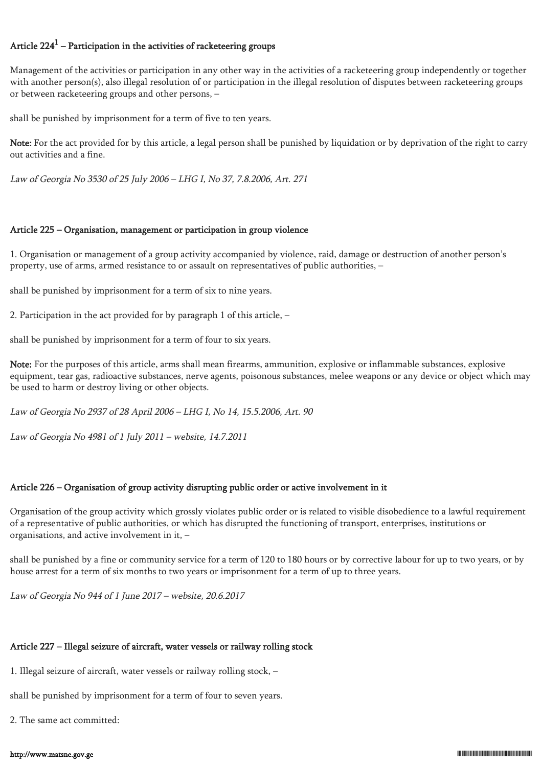# Article 224 $^{\rm 1}$  – Participation in the activities of racketeering groups

Management of the activities or participation in any other way in the activities of a racketeering group independently or together with another person(s), also illegal resolution of or participation in the illegal resolution of disputes between racketeering groups or between racketeering groups and other persons, –

shall be punished by imprisonment for a term of five to ten years.

Note: For the act provided for by this article, a legal person shall be punished by liquidation or by deprivation of the right to carry out activities and a fine.

Law of Georgia No 3530 of 25 July 2006 – LHG I, No 37, 7.8.2006, Art. 271

### Article 225 – Organisation, management or participation in group violence

1. Organisation or management of a group activity accompanied by violence, raid, damage or destruction of another person's property, use of arms, armed resistance to or assault on representatives of public authorities, –

shall be punished by imprisonment for a term of six to nine years.

2. Participation in the act provided for by paragraph 1 of this article, –

shall be punished by imprisonment for a term of four to six years.

Note: For the purposes of this article, arms shall mean firearms, ammunition, explosive or inflammable substances, explosive equipment, tear gas, radioactive substances, nerve agents, poisonous substances, melee weapons or any device or object which may be used to harm or destroy living or other objects.

Law of Georgia No 2937 of 28 April 2006 – LHG I, No 14, 15.5.2006, Art. 90

Law of Georgia No 4981 of 1 July 2011 – website, 14.7.2011

# Article 226 – Organisation of group activity disrupting public order or active involvement in it

Organisation of the group activity which grossly violates public order or is related to visible disobedience to a lawful requirement of a representative of public authorities, or which has disrupted the functioning of transport, enterprises, institutions or organisations, and active involvement in it, –

shall be punished by a fine or community service for a term of 120 to 180 hours or by corrective labour for up to two years, or by house arrest for a term of six months to two years or imprisonment for a term of up to three years.

Law of Georgia No 944 of 1 June 2017 – website, 20.6.2017

# Article 227 – Illegal seizure of aircraft, water vessels or railway rolling stock

1. Illegal seizure of aircraft, water vessels or railway rolling stock, –

shall be punished by imprisonment for a term of four to seven years.

2. The same act committed: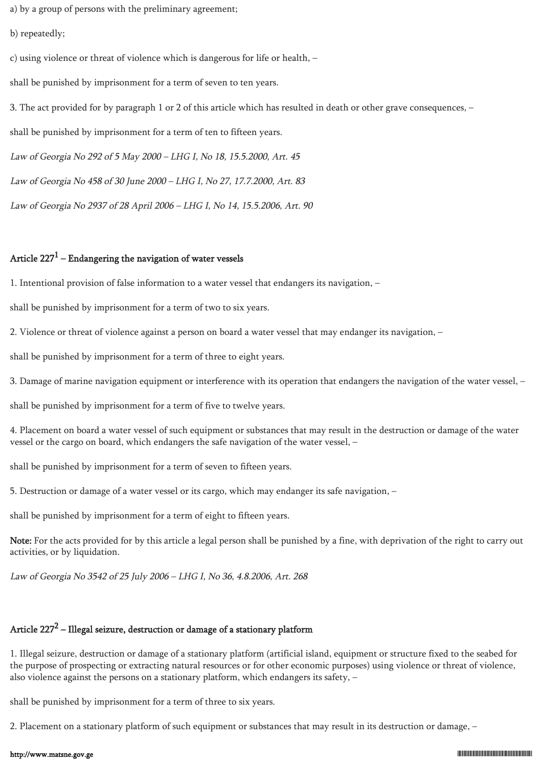a) by a group of persons with the preliminary agreement;

b) repeatedly;

c) using violence or threat of violence which is dangerous for life or health, –

shall be punished by imprisonment for a term of seven to ten years.

3. The act provided for by paragraph 1 or 2 of this article which has resulted in death or other grave consequences, –

shall be punished by imprisonment for a term of ten to fifteen years.

Law of Georgia No 292 of 5 May 2000 – LHG I, No 18, 15.5.2000, Art. 45

Law of Georgia No 458 of 30 June 2000 – LHG I, No 27, 17.7.2000, Art. 83

Law of Georgia No 2937 of 28 April 2006 – LHG I, No 14, 15.5.2006, Art. 90

# Article 227 $^1$  – Endangering the navigation of water vessels

1. Intentional provision of false information to a water vessel that endangers its navigation, –

shall be punished by imprisonment for a term of two to six years.

2. Violence or threat of violence against a person on board a water vessel that may endanger its navigation, –

shall be punished by imprisonment for a term of three to eight years.

3. Damage of marine navigation equipment or interference with its operation that endangers the navigation of the water vessel, –

shall be punished by imprisonment for a term of five to twelve years.

4. Placement on board a water vessel of such equipment or substances that may result in the destruction or damage of the water vessel or the cargo on board, which endangers the safe navigation of the water vessel, –

shall be punished by imprisonment for a term of seven to fifteen years.

5. Destruction or damage of a water vessel or its cargo, which may endanger its safe navigation, –

shall be punished by imprisonment for a term of eight to fifteen years.

Note: For the acts provided for by this article a legal person shall be punished by a fine, with deprivation of the right to carry out activities, or by liquidation.

Law of Georgia No 3542 of 25 July 2006 – LHG I, No 36, 4.8.2006, Art. 268

# Article 227 $^2$  – Illegal seizure, destruction or damage of a stationary platform

1. Illegal seizure, destruction or damage of a stationary platform (artificial island, equipment or structure fixed to the seabed for the purpose of prospecting or extracting natural resources or for other economic purposes) using violence or threat of violence, also violence against the persons on a stationary platform, which endangers its safety, –

shall be punished by imprisonment for a term of three to six years.

2. Placement on a stationary platform of such equipment or substances that may result in its destruction or damage, –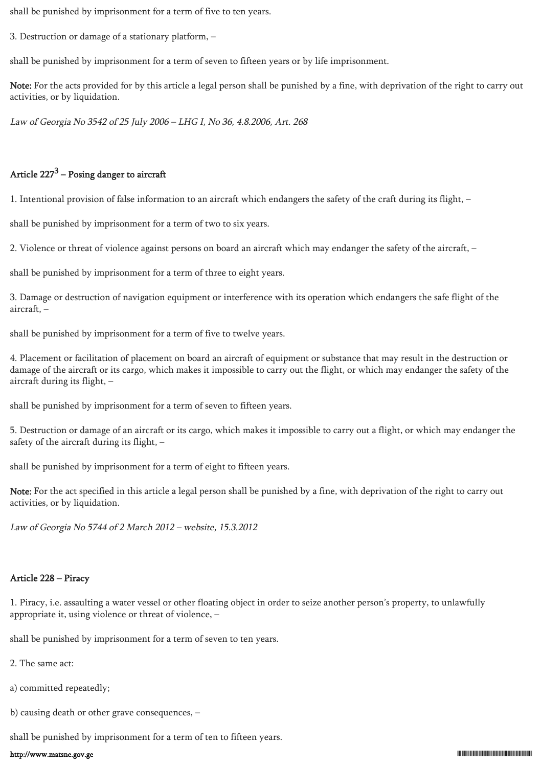shall be punished by imprisonment for a term of five to ten years.

3. Destruction or damage of a stationary platform, –

shall be punished by imprisonment for a term of seven to fifteen years or by life imprisonment.

Note: For the acts provided for by this article a legal person shall be punished by a fine, with deprivation of the right to carry out activities, or by liquidation.

Law of Georgia No 3542 of 25 July 2006 – LHG I, No 36, 4.8.2006, Art. 268

# Article 227 $3$  – Posing danger to aircraft

1. Intentional provision of false information to an aircraft which endangers the safety of the craft during its flight, –

shall be punished by imprisonment for a term of two to six years.

2. Violence or threat of violence against persons on board an aircraft which may endanger the safety of the aircraft, –

shall be punished by imprisonment for a term of three to eight years.

3. Damage or destruction of navigation equipment or interference with its operation which endangers the safe flight of the aircraft, –

shall be punished by imprisonment for a term of five to twelve years.

4. Placement or facilitation of placement on board an aircraft of equipment or substance that may result in the destruction or damage of the aircraft or its cargo, which makes it impossible to carry out the flight, or which may endanger the safety of the aircraft during its flight, –

shall be punished by imprisonment for a term of seven to fifteen years.

5. Destruction or damage of an aircraft or its cargo, which makes it impossible to carry out a flight, or which may endanger the safety of the aircraft during its flight, –

shall be punished by imprisonment for a term of eight to fifteen years.

Note: For the act specified in this article a legal person shall be punished by a fine, with deprivation of the right to carry out activities, or by liquidation.

Law of Georgia No 5744 of 2 March 2012 – website, 15.3.2012

# Article 228 – Piracy

1. Piracy, i.e. assaulting a water vessel or other floating object in order to seize another person's property, to unlawfully appropriate it, using violence or threat of violence, –

shall be punished by imprisonment for a term of seven to ten years.

- 2. The same act:
- a) committed repeatedly;
- b) causing death or other grave consequences, –

shall be punished by imprisonment for a term of ten to fifteen years.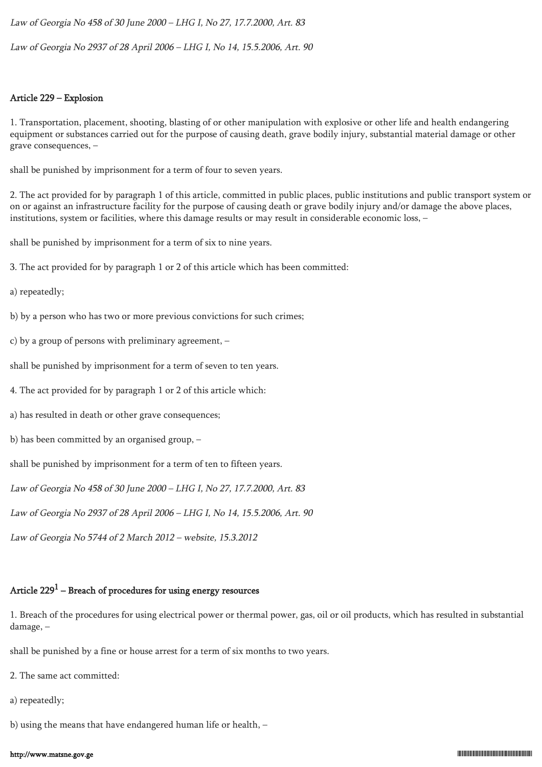Law of Georgia No 458 of 30 June 2000 – LHG I, No 27, 17.7.2000, Art. 83

Law of Georgia No 2937 of 28 April 2006 – LHG I, No 14, 15.5.2006, Art. 90

### Article 229 – Explosion

1. Transportation, placement, shooting, blasting of or other manipulation with explosive or other life and health endangering equipment or substances carried out for the purpose of causing death, grave bodily injury, substantial material damage or other grave consequences, –

shall be punished by imprisonment for a term of four to seven years.

2. The act provided for by paragraph 1 of this article, committed in public places, public institutions and public transport system or on or against an infrastructure facility for the purpose of causing death or grave bodily injury and/or damage the above places, institutions, system or facilities, where this damage results or may result in considerable economic loss, –

shall be punished by imprisonment for a term of six to nine years.

3. The act provided for by paragraph 1 or 2 of this article which has been committed:

a) repeatedly;

b) by a person who has two or more previous convictions for such crimes;

c) by a group of persons with preliminary agreement, –

shall be punished by imprisonment for a term of seven to ten years.

4. The act provided for by paragraph 1 or 2 of this article which:

a) has resulted in death or other grave consequences;

b) has been committed by an organised group, –

shall be punished by imprisonment for a term of ten to fifteen years.

Law of Georgia No 458 of 30 June 2000 – LHG I, No 27, 17.7.2000, Art. 83

Law of Georgia No 2937 of 28 April 2006 – LHG I, No 14, 15.5.2006, Art. 90

Law of Georgia No 5744 of 2 March 2012 – website, 15.3.2012

# Article 229 $^{\rm 1}$  – Breach of procedures for using energy resources

1. Breach of the procedures for using electrical power or thermal power, gas, oil or oil products, which has resulted in substantial damage, –

shall be punished by a fine or house arrest for a term of six months to two years.

2. The same act committed:

a) repeatedly;

b) using the means that have endangered human life or health, –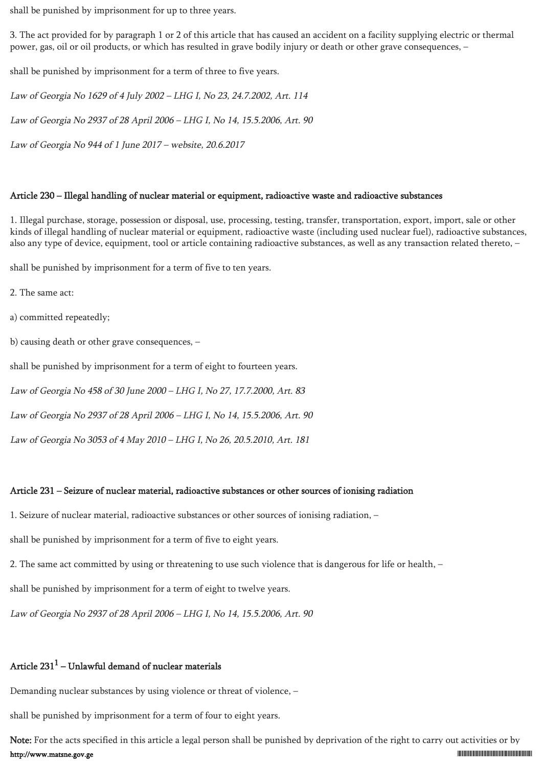shall be punished by imprisonment for up to three years.

3. The act provided for by paragraph 1 or 2 of this article that has caused an accident on a facility supplying electric or thermal power, gas, oil or oil products, or which has resulted in grave bodily injury or death or other grave consequences, –

shall be punished by imprisonment for a term of three to five years.

Law of Georgia No 1629 of 4 July 2002 – LHG I, No 23, 24.7.2002, Art. 114

Law of Georgia No 2937 of 28 April 2006 – LHG I, No 14, 15.5.2006, Art. 90

Law of Georgia No 944 of 1 June 2017 – website, 20.6.2017

### Article 230 – Illegal handling of nuclear material or equipment, radioactive waste and radioactive substances

1. Illegal purchase, storage, possession or disposal, use, processing, testing, transfer, transportation, export, import, sale or other kinds of illegal handling of nuclear material or equipment, radioactive waste (including used nuclear fuel), radioactive substances, also any type of device, equipment, tool or article containing radioactive substances, as well as any transaction related thereto, –

shall be punished by imprisonment for a term of five to ten years.

2. The same act:

a) committed repeatedly;

b) causing death or other grave consequences, –

shall be punished by imprisonment for a term of eight to fourteen years.

Law of Georgia No 458 of 30 June 2000 – LHG I, No 27, 17.7.2000, Art. 83

Law of Georgia No 2937 of 28 April 2006 – LHG I, No 14, 15.5.2006, Art. 90

Law of Georgia No 3053 of 4 May 2010 – LHG I, No 26, 20.5.2010, Art. 181

# Article 231 – Seizure of nuclear material, radioactive substances or other sources of ionising radiation

1. Seizure of nuclear material, radioactive substances or other sources of ionising radiation, –

shall be punished by imprisonment for a term of five to eight years.

2. The same act committed by using or threatening to use such violence that is dangerous for life or health, –

shall be punished by imprisonment for a term of eight to twelve years.

Law of Georgia No 2937 of 28 April 2006 – LHG I, No 14, 15.5.2006, Art. 90

# Article 231 $^{\rm 1}$  – Unlawful demand of nuclear materials

Demanding nuclear substances by using violence or threat of violence, –

shall be punished by imprisonment for a term of four to eight years.

Note: For the acts specified in this article a legal person shall be punished by deprivation of the right to carry out activities or by http://www.matsne.gov.ge 080.000.000.05.001.000.648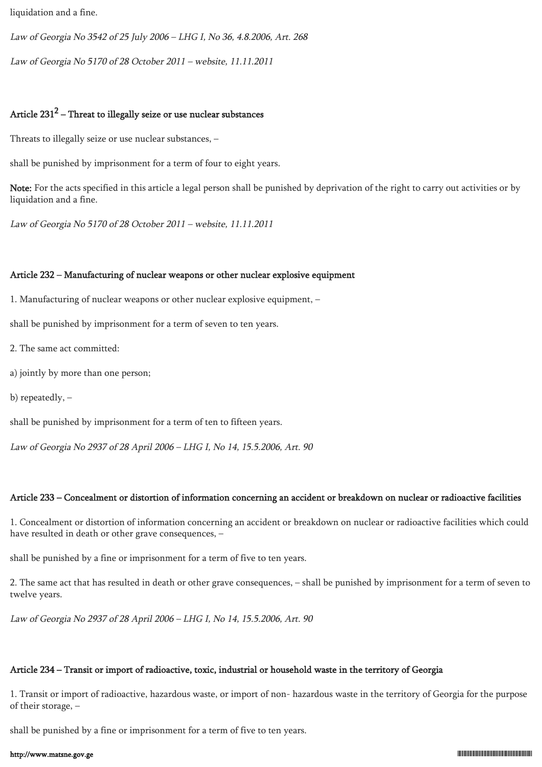liquidation and a fine.

Law of Georgia No 3542 of 25 July 2006 – LHG I, No 36, 4.8.2006, Art. 268

Law of Georgia No 5170 of 28 October 2011 – website, 11.11.2011

# Article 231<sup>2</sup> – Threat to illegally seize or use nuclear substances

Threats to illegally seize or use nuclear substances, –

shall be punished by imprisonment for a term of four to eight years.

Note: For the acts specified in this article a legal person shall be punished by deprivation of the right to carry out activities or by liquidation and a fine.

Law of Georgia No 5170 of 28 October 2011 – website, 11.11.2011

# Article 232 – Manufacturing of nuclear weapons or other nuclear explosive equipment

1. Manufacturing of nuclear weapons or other nuclear explosive equipment, –

shall be punished by imprisonment for a term of seven to ten years.

2. The same act committed:

- a) jointly by more than one person;
- b) repeatedly, –

shall be punished by imprisonment for a term of ten to fifteen years.

Law of Georgia No 2937 of 28 April 2006 – LHG I, No 14, 15.5.2006, Art. 90

# Article 233 – Concealment or distortion of information concerning an accident or breakdown on nuclear or radioactive facilities

1. Concealment or distortion of information concerning an accident or breakdown on nuclear or radioactive facilities which could have resulted in death or other grave consequences, –

shall be punished by a fine or imprisonment for a term of five to ten years.

2. The same act that has resulted in death or other grave consequences, – shall be punished by imprisonment for a term of seven to twelve years.

Law of Georgia No 2937 of 28 April 2006 – LHG I, No 14, 15.5.2006, Art. 90

# Article 234 – Transit or import of radioactive, toxic, industrial or household waste in the territory of Georgia

1. Transit or import of radioactive, hazardous waste, or import of non- hazardous waste in the territory of Georgia for the purpose of their storage, –

shall be punished by a fine or imprisonment for a term of five to ten years.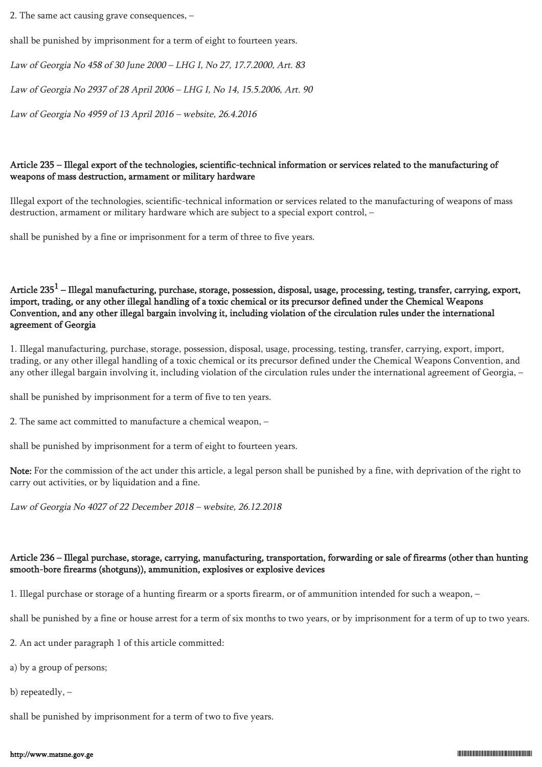2. The same act causing grave consequences, –

shall be punished by imprisonment for a term of eight to fourteen years.

Law of Georgia No 458 of 30 June 2000 – LHG I, No 27, 17.7.2000, Art. 83

Law of Georgia No 2937 of 28 April 2006 – LHG I, No 14, 15.5.2006, Art. 90

Law of Georgia No 4959 of 13 April 2016 – website, 26.4.2016

# Article 235 – Illegal export of the technologies, scientific-technical information or services related to the manufacturing of weapons of mass destruction, armament or military hardware

Illegal export of the technologies, scientific-technical information or services related to the manufacturing of weapons of mass destruction, armament or military hardware which are subject to a special export control, –

shall be punished by a fine or imprisonment for a term of three to five years.

# Article 235 $^1$  – Illegal manufacturing, purchase, storage, possession, disposal, usage, processing, testing, transfer, carrying, export, import, trading, or any other illegal handling of a toxic chemical or its precursor defined under the Chemical Weapons Convention, and any other illegal bargain involving it, including violation of the circulation rules under the international agreement of Georgia

1. Illegal manufacturing, purchase, storage, possession, disposal, usage, processing, testing, transfer, carrying, export, import, trading, or any other illegal handling of a toxic chemical or its precursor defined under the Chemical Weapons Convention, and any other illegal bargain involving it, including violation of the circulation rules under the international agreement of Georgia, –

shall be punished by imprisonment for a term of five to ten years.

2. The same act committed to manufacture a chemical weapon, –

shall be punished by imprisonment for a term of eight to fourteen years.

Note: For the commission of the act under this article, a legal person shall be punished by a fine, with deprivation of the right to carry out activities, or by liquidation and a fine.

Law of Georgia No 4027 of 22 December 2018 – website, 26.12.2018

# Article 236 – Illegal purchase, storage, carrying, manufacturing, transportation, forwarding or sale of firearms (other than hunting smooth-bore firearms (shotguns)), ammunition, explosives or explosive devices

1. Illegal purchase or storage of a hunting firearm or a sports firearm, or of ammunition intended for such a weapon, –

shall be punished by a fine or house arrest for a term of six months to two years, or by imprisonment for a term of up to two years.

- 2. An act under paragraph 1 of this article committed:
- a) by a group of persons;
- b) repeatedly, –

shall be punished by imprisonment for a term of two to five years.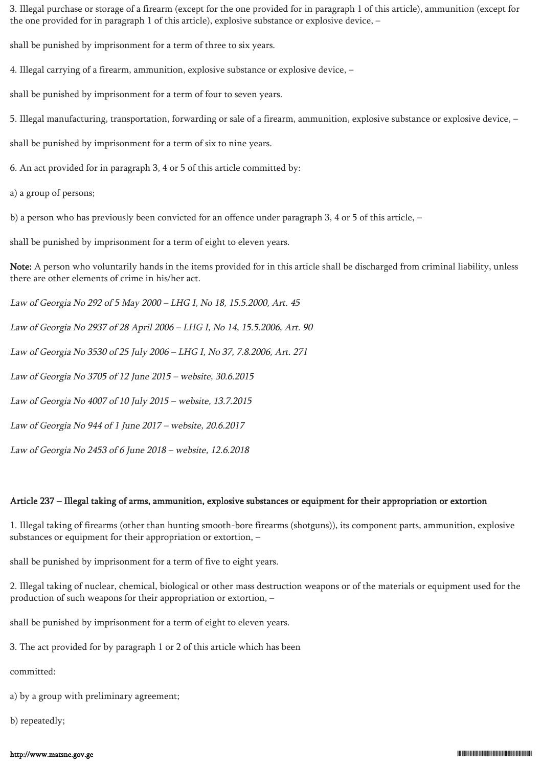3. Illegal purchase or storage of a firearm (except for the one provided for in paragraph 1 of this article), ammunition (except for the one provided for in paragraph 1 of this article), explosive substance or explosive device, –

shall be punished by imprisonment for a term of three to six years.

4. Illegal carrying of a firearm, ammunition, explosive substance or explosive device, –

shall be punished by imprisonment for a term of four to seven years.

5. Illegal manufacturing, transportation, forwarding or sale of a firearm, ammunition, explosive substance or explosive device, –

shall be punished by imprisonment for a term of six to nine years.

6. An act provided for in paragraph 3, 4 or 5 of this article committed by:

a) a group of persons;

b) a person who has previously been convicted for an offence under paragraph 3, 4 or 5 of this article, –

shall be punished by imprisonment for a term of eight to eleven years.

Note: A person who voluntarily hands in the items provided for in this article shall be discharged from criminal liability, unless there are other elements of crime in his/her act.

Law of Georgia No 292 of 5 May 2000 – LHG I, No 18, 15.5.2000, Art. 45

Law of Georgia No 2937 of 28 April 2006 – LHG I, No 14, 15.5.2006, Art. 90

Law of Georgia No 3530 of 25 July 2006 – LHG I, No 37, 7.8.2006, Art. 271

Law of Georgia No 3705 of 12 June 2015 – website, 30.6.2015

Law of Georgia No 4007 of 10 July 2015 – website, 13.7.2015

Law of Georgia No 944 of 1 June 2017 – website, 20.6.2017

Law of Georgia No 2453 of 6 June 2018 – website, 12.6.2018

## Article 237 – Illegal taking of arms, ammunition, explosive substances or equipment for their appropriation or extortion

1. Illegal taking of firearms (other than hunting smooth-bore firearms (shotguns)), its component parts, ammunition, explosive substances or equipment for their appropriation or extortion, –

shall be punished by imprisonment for a term of five to eight years.

2. Illegal taking of nuclear, chemical, biological or other mass destruction weapons or of the materials or equipment used for the production of such weapons for their appropriation or extortion, –

shall be punished by imprisonment for a term of eight to eleven years.

3. The act provided for by paragraph 1 or 2 of this article which has been

committed:

a) by a group with preliminary agreement;

b) repeatedly;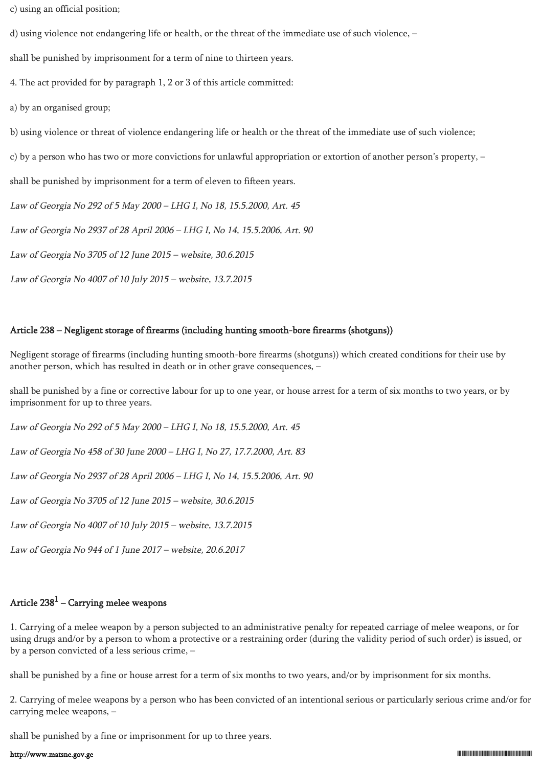c) using an official position;

d) using violence not endangering life or health, or the threat of the immediate use of such violence, –

shall be punished by imprisonment for a term of nine to thirteen years.

4. The act provided for by paragraph 1, 2 or 3 of this article committed:

a) by an organised group;

b) using violence or threat of violence endangering life or health or the threat of the immediate use of such violence;

c) by a person who has two or more convictions for unlawful appropriation or extortion of another person's property, –

shall be punished by imprisonment for a term of eleven to fifteen years.

Law of Georgia No 292 of 5 May 2000 – LHG I, No 18, 15.5.2000, Art. 45

Law of Georgia No 2937 of 28 April 2006 – LHG I, No 14, 15.5.2006, Art. 90

Law of Georgia No 3705 of 12 June 2015 – website, 30.6.2015

Law of Georgia No 4007 of 10 July 2015 – website, 13.7.2015

# Article 238 – Negligent storage of firearms (including hunting smooth-bore firearms (shotguns))

Negligent storage of firearms (including hunting smooth-bore firearms (shotguns)) which created conditions for their use by another person, which has resulted in death or in other grave consequences, –

shall be punished by a fine or corrective labour for up to one year, or house arrest for a term of six months to two years, or by imprisonment for up to three years.

Law of Georgia No 292 of 5 May 2000 – LHG I, No 18, 15.5.2000, Art. 45

Law of Georgia No 458 of 30 June 2000 – LHG I, No 27, 17.7.2000, Art. 83

Law of Georgia No 2937 of 28 April 2006 – LHG I, No 14, 15.5.2006, Art. 90

Law of Georgia No 3705 of 12 June 2015 – website, 30.6.2015

Law of Georgia No 4007 of 10 July 2015 – website, 13.7.2015

Law of Georgia No 944 of 1 June 2017 – website, 20.6.2017

# Article 238 $^{\rm 1}$  – Carrying melee weapons

1. Carrying of a melee weapon by a person subjected to an administrative penalty for repeated carriage of melee weapons, or for using drugs and/or by a person to whom a protective or a restraining order (during the validity period of such order) is issued, or by a person convicted of a less serious crime, –

shall be punished by a fine or house arrest for a term of six months to two years, and/or by imprisonment for six months.

2. Carrying of melee weapons by a person who has been convicted of an intentional serious or particularly serious crime and/or for carrying melee weapons, –

shall be punished by a fine or imprisonment for up to three years.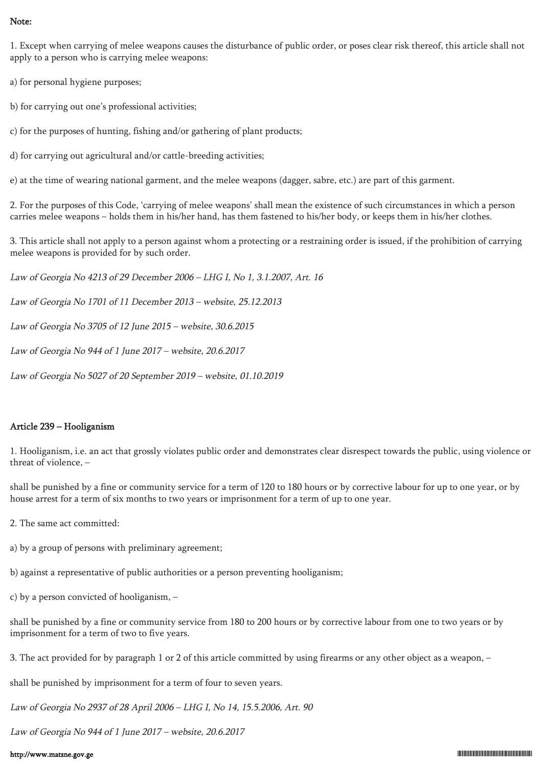#### Note:

1. Except when carrying of melee weapons causes the disturbance of public order, or poses clear risk thereof, this article shall not apply to a person who is carrying melee weapons:

a) for personal hygiene purposes;

b) for carrying out one's professional activities;

c) for the purposes of hunting, fishing and/or gathering of plant products;

d) for carrying out agricultural and/or cattle-breeding activities;

e) at the time of wearing national garment, and the melee weapons (dagger, sabre, etc.) are part of this garment.

2. For the purposes of this Code, 'carrying of melee weapons' shall mean the existence of such circumstances in which a person carries melee weapons – holds them in his/her hand, has them fastened to his/her body, or keeps them in his/her clothes.

3. This article shall not apply to a person against whom a protecting or a restraining order is issued, if the prohibition of carrying melee weapons is provided for by such order.

Law of Georgia No 4213 of 29 December 2006 – LHG I, No 1, 3.1.2007, Art. 16

Law of Georgia No 1701 of 11 December 2013 – website, 25.12.2013

Law of Georgia No 3705 of 12 June 2015 – website, 30.6.2015

Law of Georgia No 944 of 1 June 2017 – website, 20.6.2017

Law of Georgia No 5027 of 20 September 2019 – website, 01.10.2019

#### Article 239 – Hooliganism

1. Hooliganism, i.e. an act that grossly violates public order and demonstrates clear disrespect towards the public, using violence or threat of violence, –

shall be punished by a fine or community service for a term of 120 to 180 hours or by corrective labour for up to one year, or by house arrest for a term of six months to two years or imprisonment for a term of up to one year.

- 2. The same act committed:
- a) by a group of persons with preliminary agreement;
- b) against a representative of public authorities or a person preventing hooliganism;
- c) by a person convicted of hooliganism, –

shall be punished by a fine or community service from 180 to 200 hours or by corrective labour from one to two years or by imprisonment for a term of two to five years.

3. The act provided for by paragraph 1 or 2 of this article committed by using firearms or any other object as a weapon, –

shall be punished by imprisonment for a term of four to seven years.

Law of Georgia No 2937 of 28 April 2006 – LHG I, No 14, 15.5.2006, Art. 90

Law of Georgia No 944 of 1 June 2017 – website, 20.6.2017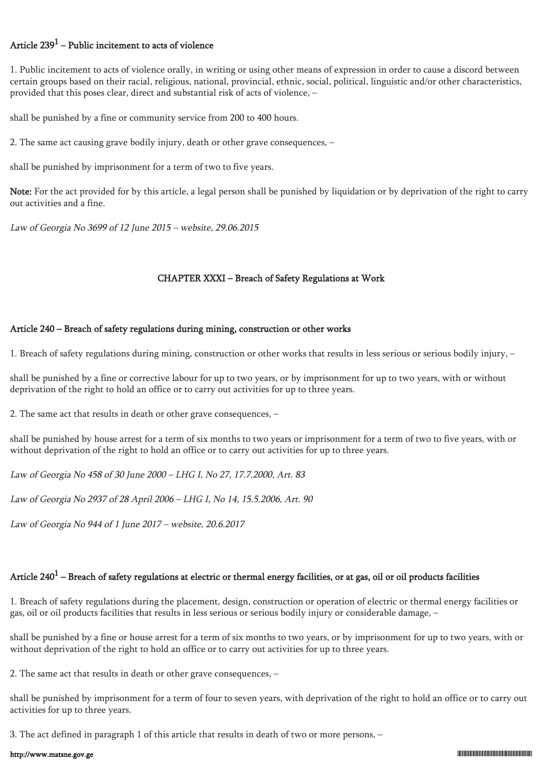# Article  $239^1$  – Public incitement to acts of violence

1. Public incitement to acts of violence orally, in writing or using other means of expression in order to cause a discord between certain groups based on their racial, religious, national, provincial, ethnic, social, political, linguistic and/or other characteristics, provided that this poses clear, direct and substantial risk of acts of violence, –

shall be punished by a fine or community service from 200 to 400 hours.

2. The same act causing grave bodily injury, death or other grave consequences, –

shall be punished by imprisonment for a term of two to five years.

Note: For the act provided for by this article, a legal person shall be punished by liquidation or by deprivation of the right to carry out activities and a fine.

Law of Georgia No 3699 of 12 June 2015 – website, 29.06.2015

## CHAPTER XXXI – Breach of Safety Regulations at Work

### Article 240 – Breach of safety regulations during mining, construction or other works

1. Breach of safety regulations during mining, construction or other works that results in less serious or serious bodily injury, –

shall be punished by a fine or corrective labour for up to two years, or by imprisonment for up to two years, with or without deprivation of the right to hold an office or to carry out activities for up to three years.

2. The same act that results in death or other grave consequences, –

shall be punished by house arrest for a term of six months to two years or imprisonment for a term of two to five years, with or without deprivation of the right to hold an office or to carry out activities for up to three years.

Law of Georgia No 458 of 30 June 2000 – LHG I, No 27, 17.7.2000, Art. 83

Law of Georgia No 2937 of 28 April 2006 – LHG I, No 14, 15.5.2006, Art. 90

Law of Georgia No 944 of 1 June 2017 – website, 20.6.2017

# Article 240 $^{\rm 1}$  – Breach of safety regulations at electric or thermal energy facilities, or at gas, oil or oil products facilities

1. Breach of safety regulations during the placement, design, construction or operation of electric or thermal energy facilities or gas, oil or oil products facilities that results in less serious or serious bodily injury or considerable damage, –

shall be punished by a fine or house arrest for a term of six months to two years, or by imprisonment for up to two years, with or without deprivation of the right to hold an office or to carry out activities for up to three years.

2. The same act that results in death or other grave consequences, –

shall be punished by imprisonment for a term of four to seven years, with deprivation of the right to hold an office or to carry out activities for up to three years.

3. The act defined in paragraph 1 of this article that results in death of two or more persons, –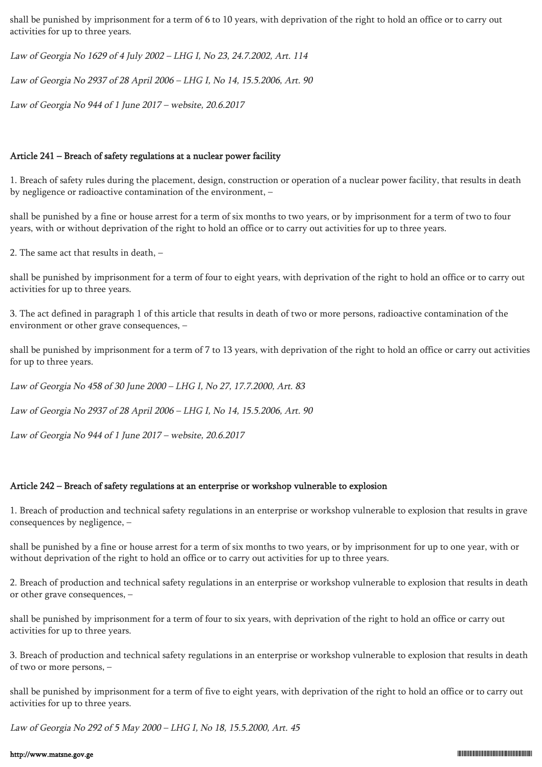shall be punished by imprisonment for a term of 6 to 10 years, with deprivation of the right to hold an office or to carry out activities for up to three years.

Law of Georgia No 1629 of 4 July 2002 – LHG I, No 23, 24.7.2002, Art. 114

Law of Georgia No 2937 of 28 April 2006 – LHG I, No 14, 15.5.2006, Art. 90

Law of Georgia No 944 of 1 June 2017 – website, 20.6.2017

### Article 241 – Breach of safety regulations at a nuclear power facility

1. Breach of safety rules during the placement, design, construction or operation of a nuclear power facility, that results in death by negligence or radioactive contamination of the environment, –

shall be punished by a fine or house arrest for a term of six months to two years, or by imprisonment for a term of two to four years, with or without deprivation of the right to hold an office or to carry out activities for up to three years.

2. The same act that results in death, –

shall be punished by imprisonment for a term of four to eight years, with deprivation of the right to hold an office or to carry out activities for up to three years.

3. The act defined in paragraph 1 of this article that results in death of two or more persons, radioactive contamination of the environment or other grave consequences, –

shall be punished by imprisonment for a term of 7 to 13 years, with deprivation of the right to hold an office or carry out activities for up to three years.

Law of Georgia No 458 of 30 June 2000 – LHG I, No 27, 17.7.2000, Art. 83

Law of Georgia No 2937 of 28 April 2006 – LHG I, No 14, 15.5.2006, Art. 90

Law of Georgia No 944 of 1 June 2017 – website, 20.6.2017

## Article 242 – Breach of safety regulations at an enterprise or workshop vulnerable to explosion

1. Breach of production and technical safety regulations in an enterprise or workshop vulnerable to explosion that results in grave consequences by negligence, –

shall be punished by a fine or house arrest for a term of six months to two years, or by imprisonment for up to one year, with or without deprivation of the right to hold an office or to carry out activities for up to three years.

2. Breach of production and technical safety regulations in an enterprise or workshop vulnerable to explosion that results in death or other grave consequences, –

shall be punished by imprisonment for a term of four to six years, with deprivation of the right to hold an office or carry out activities for up to three years.

3. Breach of production and technical safety regulations in an enterprise or workshop vulnerable to explosion that results in death of two or more persons, –

shall be punished by imprisonment for a term of five to eight years, with deprivation of the right to hold an office or to carry out activities for up to three years.

Law of Georgia No 292 of 5 May 2000 – LHG I, No 18, 15.5.2000, Art. 45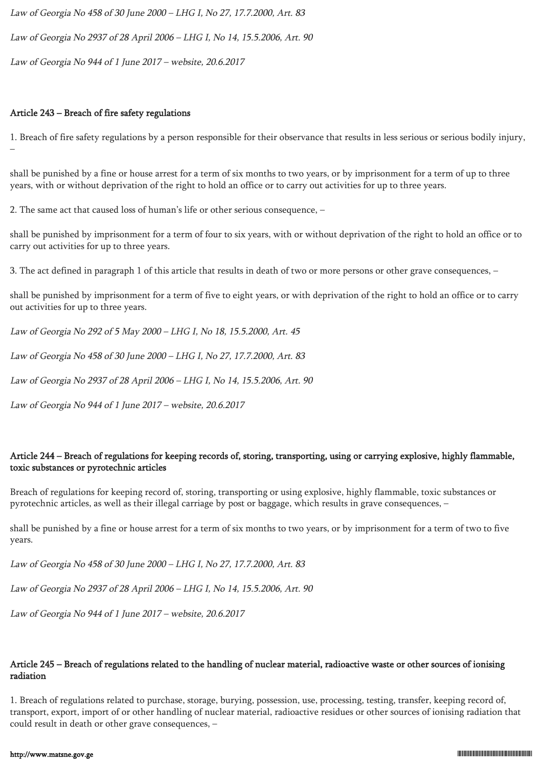Law of Georgia No 458 of 30 June 2000 – LHG I, No 27, 17.7.2000, Art. 83

Law of Georgia No 2937 of 28 April 2006 – LHG I, No 14, 15.5.2006, Art. 90

Law of Georgia No 944 of 1 June 2017 – website, 20.6.2017

### Article 243 – Breach of fire safety regulations

1. Breach of fire safety regulations by a person responsible for their observance that results in less serious or serious bodily injury, –

shall be punished by a fine or house arrest for a term of six months to two years, or by imprisonment for a term of up to three years, with or without deprivation of the right to hold an office or to carry out activities for up to three years.

2. The same act that caused loss of human's life or other serious consequence, –

shall be punished by imprisonment for a term of four to six years, with or without deprivation of the right to hold an office or to carry out activities for up to three years.

3. The act defined in paragraph 1 of this article that results in death of two or more persons or other grave consequences, –

shall be punished by imprisonment for a term of five to eight years, or with deprivation of the right to hold an office or to carry out activities for up to three years.

Law of Georgia No 292 of 5 May 2000 – LHG I, No 18, 15.5.2000, Art. 45

Law of Georgia No 458 of 30 June 2000 – LHG I, No 27, 17.7.2000, Art. 83

Law of Georgia No 2937 of 28 April 2006 – LHG I, No 14, 15.5.2006, Art. 90

Law of Georgia No 944 of 1 June 2017 – website, 20.6.2017

# Article 244 – Breach of regulations for keeping records of, storing, transporting, using or carrying explosive, highly flammable, toxic substances or pyrotechnic articles

Breach of regulations for keeping record of, storing, transporting or using explosive, highly flammable, toxic substances or pyrotechnic articles, as well as their illegal carriage by post or baggage, which results in grave consequences, –

shall be punished by a fine or house arrest for a term of six months to two years, or by imprisonment for a term of two to five years.

Law of Georgia No 458 of 30 June 2000 – LHG I, No 27, 17.7.2000, Art. 83

Law of Georgia No 2937 of 28 April 2006 – LHG I, No 14, 15.5.2006, Art. 90

Law of Georgia No 944 of 1 June 2017 – website, 20.6.2017

## Article 245 – Breach of regulations related to the handling of nuclear material, radioactive waste or other sources of ionising radiation

1. Breach of regulations related to purchase, storage, burying, possession, use, processing, testing, transfer, keeping record of, transport, export, import of or other handling of nuclear material, radioactive residues or other sources of ionising radiation that could result in death or other grave consequences, –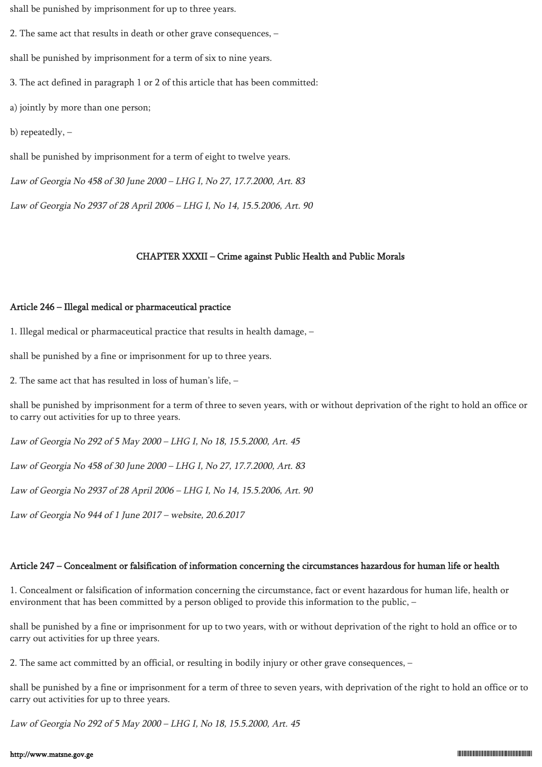shall be punished by imprisonment for up to three years.

2. The same act that results in death or other grave consequences, –

shall be punished by imprisonment for a term of six to nine years.

3. The act defined in paragraph 1 or 2 of this article that has been committed:

a) jointly by more than one person;

b) repeatedly, –

shall be punished by imprisonment for a term of eight to twelve years.

Law of Georgia No 458 of 30 June 2000 – LHG I, No 27, 17.7.2000, Art. 83

Law of Georgia No 2937 of 28 April 2006 – LHG I, No 14, 15.5.2006, Art. 90

# CHAPTER XXXII – Crime against Public Health and Public Morals

# Article 246 – Illegal medical or pharmaceutical practice

1. Illegal medical or pharmaceutical practice that results in health damage, –

shall be punished by a fine or imprisonment for up to three years.

2. The same act that has resulted in loss of human's life, –

shall be punished by imprisonment for a term of three to seven years, with or without deprivation of the right to hold an office or to carry out activities for up to three years.

Law of Georgia No 292 of 5 May 2000 – LHG I, No 18, 15.5.2000, Art. 45

Law of Georgia No 458 of 30 June 2000 – LHG I, No 27, 17.7.2000, Art. 83

Law of Georgia No 2937 of 28 April 2006 – LHG I, No 14, 15.5.2006, Art. 90

Law of Georgia No 944 of 1 June 2017 – website, 20.6.2017

# Article 247 – Concealment or falsification of information concerning the circumstances hazardous for human life or health

1. Concealment or falsification of information concerning the circumstance, fact or event hazardous for human life, health or environment that has been committed by a person obliged to provide this information to the public, –

shall be punished by a fine or imprisonment for up to two years, with or without deprivation of the right to hold an office or to carry out activities for up three years.

2. The same act committed by an official, or resulting in bodily injury or other grave consequences, –

shall be punished by a fine or imprisonment for a term of three to seven years, with deprivation of the right to hold an office or to carry out activities for up to three years.

Law of Georgia No 292 of 5 May 2000 – LHG I, No 18, 15.5.2000, Art. 45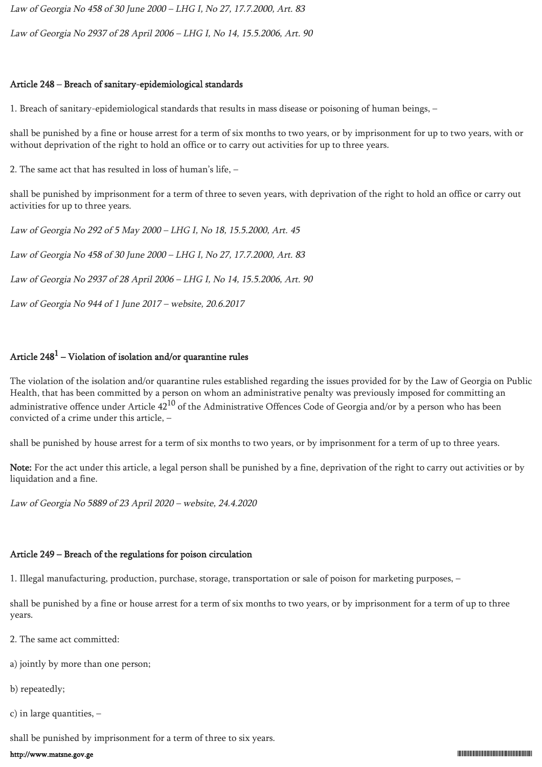Law of Georgia No 458 of 30 June 2000 – LHG I, No 27, 17.7.2000, Art. 83

Law of Georgia No 2937 of 28 April 2006 – LHG I, No 14, 15.5.2006, Art. 90

### Article 248 – Breach of sanitary-epidemiological standards

1. Breach of sanitary-epidemiological standards that results in mass disease or poisoning of human beings, –

shall be punished by a fine or house arrest for a term of six months to two years, or by imprisonment for up to two years, with or without deprivation of the right to hold an office or to carry out activities for up to three years.

2. The same act that has resulted in loss of human's life, –

shall be punished by imprisonment for a term of three to seven years, with deprivation of the right to hold an office or carry out activities for up to three years.

Law of Georgia No 292 of 5 May 2000 – LHG I, No 18, 15.5.2000, Art. 45 Law of Georgia No 458 of 30 June 2000 – LHG I, No 27, 17.7.2000, Art. 83 Law of Georgia No 2937 of 28 April 2006 – LHG I, No 14, 15.5.2006, Art. 90 Law of Georgia No 944 of 1 June 2017 – website, 20.6.2017

# Article  $248^1$  – Violation of isolation and/or quarantine rules

The violation of the isolation and/or quarantine rules established regarding the issues provided for by the Law of Georgia on Public Health, that has been committed by a person on whom an administrative penalty was previously imposed for committing an administrative offence under Article  $42^{10}$  of the Administrative Offences Code of Georgia and/or by a person who has been convicted of a crime under this article, –

shall be punished by house arrest for a term of six months to two years, or by imprisonment for a term of up to three years.

Note: For the act under this article, a legal person shall be punished by a fine, deprivation of the right to carry out activities or by liquidation and a fine.

Law of Georgia No 5889 of 23 April 2020 – website, 24.4.2020

# Article 249 – Breach of the regulations for poison circulation

1. Illegal manufacturing, production, purchase, storage, transportation or sale of poison for marketing purposes, –

shall be punished by a fine or house arrest for a term of six months to two years, or by imprisonment for a term of up to three years.

- 2. The same act committed:
- a) jointly by more than one person;
- b) repeatedly;
- c) in large quantities, –

shall be punished by imprisonment for a term of three to six years.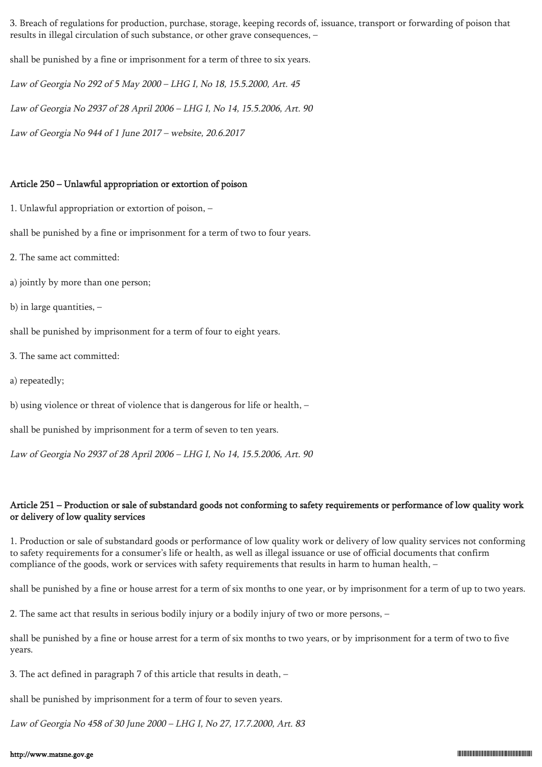3. Breach of regulations for production, purchase, storage, keeping records of, issuance, transport or forwarding of poison that results in illegal circulation of such substance, or other grave consequences, –

shall be punished by a fine or imprisonment for a term of three to six years.

Law of Georgia No 292 of 5 May 2000 – LHG I, No 18, 15.5.2000, Art. 45

Law of Georgia No 2937 of 28 April 2006 – LHG I, No 14, 15.5.2006, Art. 90

Law of Georgia No 944 of 1 June 2017 – website, 20.6.2017

### Article 250 – Unlawful appropriation or extortion of poison

1. Unlawful appropriation or extortion of poison, –

shall be punished by a fine or imprisonment for a term of two to four years.

2. The same act committed:

- a) jointly by more than one person;
- b) in large quantities, –

shall be punished by imprisonment for a term of four to eight years.

- 3. The same act committed:
- a) repeatedly;

b) using violence or threat of violence that is dangerous for life or health, –

shall be punished by imprisonment for a term of seven to ten years.

Law of Georgia No 2937 of 28 April 2006 – LHG I, No 14, 15.5.2006, Art. 90

# Article 251 – Production or sale of substandard goods not conforming to safety requirements or performance of low quality work or delivery of low quality services

1. Production or sale of substandard goods or performance of low quality work or delivery of low quality services not conforming to safety requirements for a consumer's life or health, as well as illegal issuance or use of official documents that confirm compliance of the goods, work or services with safety requirements that results in harm to human health, –

shall be punished by a fine or house arrest for a term of six months to one year, or by imprisonment for a term of up to two years.

2. The same act that results in serious bodily injury or a bodily injury of two or more persons, –

shall be punished by a fine or house arrest for a term of six months to two years, or by imprisonment for a term of two to five years.

3. The act defined in paragraph 7 of this article that results in death, –

shall be punished by imprisonment for a term of four to seven years.

Law of Georgia No 458 of 30 June 2000 – LHG I, No 27, 17.7.2000, Art. 83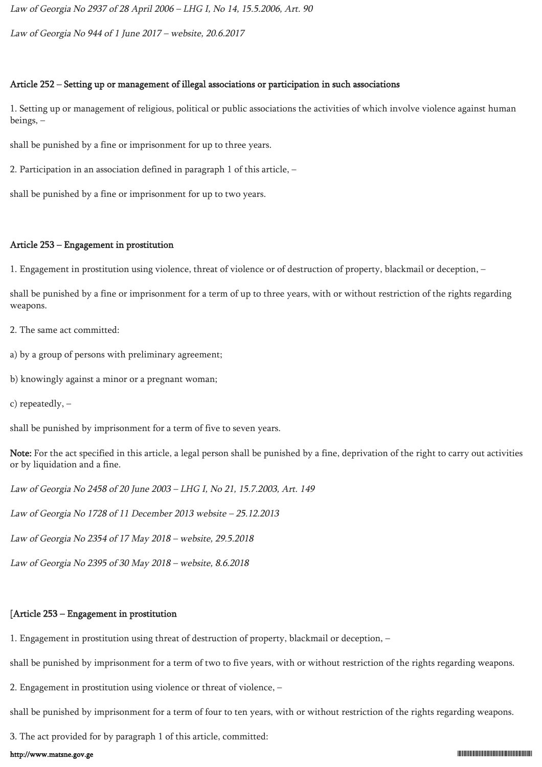Law of Georgia No 2937 of 28 April 2006 – LHG I, No 14, 15.5.2006, Art. 90

Law of Georgia No 944 of 1 June 2017 – website, 20.6.2017

# Article 252 – Setting up or management of illegal associations or participation in such associations

1. Setting up or management of religious, political or public associations the activities of which involve violence against human beings, –

shall be punished by a fine or imprisonment for up to three years.

2. Participation in an association defined in paragraph 1 of this article, –

shall be punished by a fine or imprisonment for up to two years.

# Article 253 – Engagement in prostitution

1. Engagement in prostitution using violence, threat of violence or of destruction of property, blackmail or deception, –

shall be punished by a fine or imprisonment for a term of up to three years, with or without restriction of the rights regarding weapons.

- 2. The same act committed:
- a) by a group of persons with preliminary agreement;
- b) knowingly against a minor or a pregnant woman;
- c) repeatedly, –

shall be punished by imprisonment for a term of five to seven years.

Note: For the act specified in this article, a legal person shall be punished by a fine, deprivation of the right to carry out activities or by liquidation and a fine.

Law of Georgia No 2458 of 20 June 2003 – LHG I, No 21, 15.7.2003, Art. 149

Law of Georgia No 1728 of 11 December 2013 website – 25.12.2013

Law of Georgia No 2354 of 17 May 2018 – website, 29.5.2018

Law of Georgia No 2395 of 30 May 2018 – website, 8.6.2018

# [Article 253 – Engagement in prostitution

1. Engagement in prostitution using threat of destruction of property, blackmail or deception, –

shall be punished by imprisonment for a term of two to five years, with or without restriction of the rights regarding weapons.

2. Engagement in prostitution using violence or threat of violence, –

shall be punished by imprisonment for a term of four to ten years, with or without restriction of the rights regarding weapons.

3. The act provided for by paragraph 1 of this article, committed: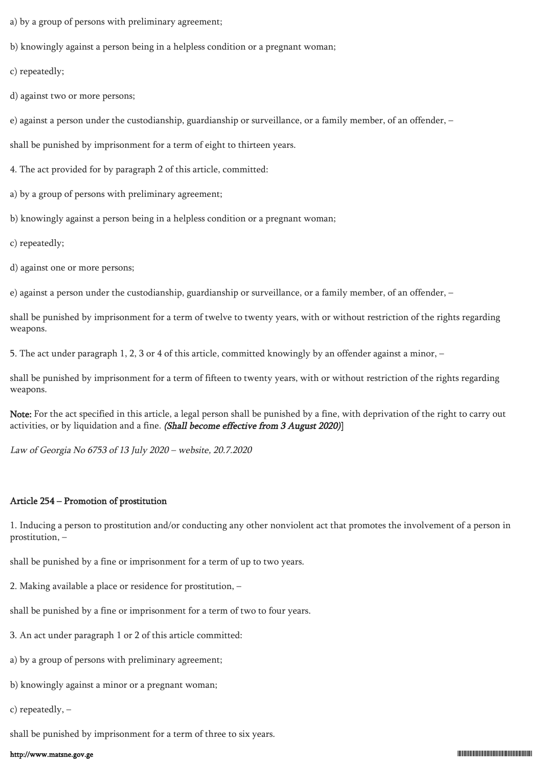a) by a group of persons with preliminary agreement;

b) knowingly against a person being in a helpless condition or a pregnant woman;

c) repeatedly;

d) against two or more persons;

e) against a person under the custodianship, guardianship or surveillance, or a family member, of an offender, –

shall be punished by imprisonment for a term of eight to thirteen years.

4. The act provided for by paragraph 2 of this article, committed:

a) by a group of persons with preliminary agreement;

b) knowingly against a person being in a helpless condition or a pregnant woman;

c) repeatedly;

d) against one or more persons;

e) against a person under the custodianship, guardianship or surveillance, or a family member, of an offender, –

shall be punished by imprisonment for a term of twelve to twenty years, with or without restriction of the rights regarding weapons.

5. The act under paragraph 1, 2, 3 or 4 of this article, committed knowingly by an offender against a minor, –

shall be punished by imprisonment for a term of fifteen to twenty years, with or without restriction of the rights regarding weapons.

Note: For the act specified in this article, a legal person shall be punished by a fine, with deprivation of the right to carry out activities, or by liquidation and a fine. (Shall become effective from 3 August 2020)]

Law of Georgia No 6753 of 13 July 2020 – website, 20.7.2020

## Article 254 – Promotion of prostitution

1. Inducing a person to prostitution and/or conducting any other nonviolent act that promotes the involvement of a person in prostitution, –

shall be punished by a fine or imprisonment for a term of up to two years.

2. Making available a place or residence for prostitution, –

shall be punished by a fine or imprisonment for a term of two to four years.

3. An act under paragraph 1 or 2 of this article committed:

a) by a group of persons with preliminary agreement;

b) knowingly against a minor or a pregnant woman;

c) repeatedly, –

shall be punished by imprisonment for a term of three to six years.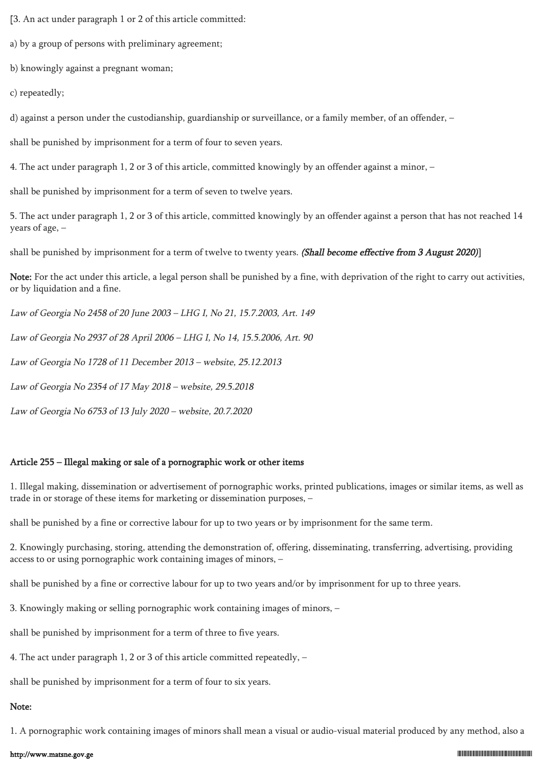[3. An act under paragraph 1 or 2 of this article committed:

a) by a group of persons with preliminary agreement;

b) knowingly against a pregnant woman;

c) repeatedly;

d) against a person under the custodianship, guardianship or surveillance, or a family member, of an offender, –

shall be punished by imprisonment for a term of four to seven years.

4. The act under paragraph 1, 2 or 3 of this article, committed knowingly by an offender against a minor, –

shall be punished by imprisonment for a term of seven to twelve years.

5. The act under paragraph 1, 2 or 3 of this article, committed knowingly by an offender against a person that has not reached 14 years of age, –

shall be punished by imprisonment for a term of twelve to twenty years. (Shall become effective from 3 August 2020)]

Note: For the act under this article, a legal person shall be punished by a fine, with deprivation of the right to carry out activities, or by liquidation and a fine.

Law of Georgia No 2458 of 20 June 2003 – LHG I, No 21, 15.7.2003, Art. 149

Law of Georgia No 2937 of 28 April 2006 – LHG I, No 14, 15.5.2006, Art. 90

Law of Georgia No 1728 of 11 December 2013 – website, 25.12.2013

Law of Georgia No 2354 of 17 May 2018 – website, 29.5.2018

Law of Georgia No 6753 of 13 July 2020 – website, 20.7.2020

### Article 255 – Illegal making or sale of a pornographic work or other items

1. Illegal making, dissemination or advertisement of pornographic works, printed publications, images or similar items, as well as trade in or storage of these items for marketing or dissemination purposes, –

shall be punished by a fine or corrective labour for up to two years or by imprisonment for the same term.

2. Knowingly purchasing, storing, attending the demonstration of, offering, disseminating, transferring, advertising, providing access to or using pornographic work containing images of minors, –

shall be punished by a fine or corrective labour for up to two years and/or by imprisonment for up to three years.

3. Knowingly making or selling pornographic work containing images of minors, –

shall be punished by imprisonment for a term of three to five years.

4. The act under paragraph 1, 2 or 3 of this article committed repeatedly, –

shall be punished by imprisonment for a term of four to six years.

#### Note:

1. A pornographic work containing images of minors shall mean a visual or audio-visual material produced by any method, also a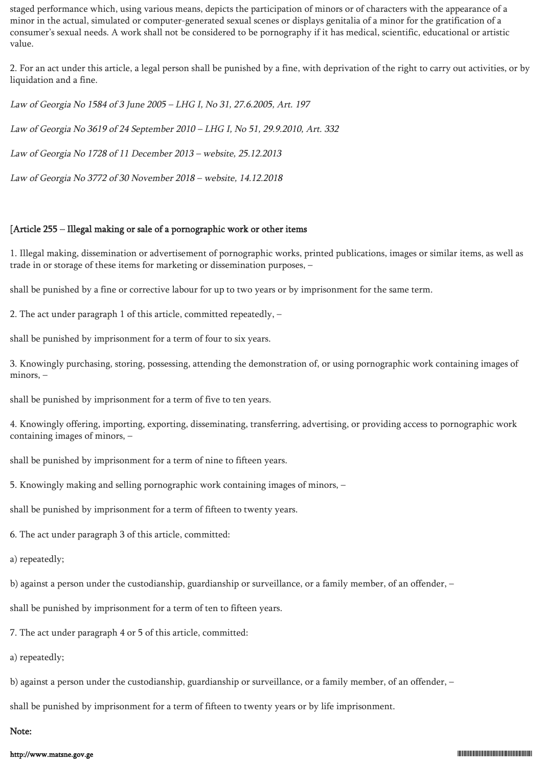staged performance which, using various means, depicts the participation of minors or of characters with the appearance of a minor in the actual, simulated or computer-generated sexual scenes or displays genitalia of a minor for the gratification of a consumer's sexual needs. A work shall not be considered to be pornography if it has medical, scientific, educational or artistic value.

2. For an act under this article, a legal person shall be punished by a fine, with deprivation of the right to carry out activities, or by liquidation and a fine.

Law of Georgia No 1584 of 3 June 2005 – LHG I, No 31, 27.6.2005, Art. 197 Law of Georgia No 3619 of 24 September 2010 – LHG I, No 51, 29.9.2010, Art. 332 Law of Georgia No 1728 of 11 December 2013 – website, 25.12.2013 Law of Georgia No 3772 of 30 November 2018 – website, 14.12.2018

### [Article 255 – Illegal making or sale of a pornographic work or other items

1. Illegal making, dissemination or advertisement of pornographic works, printed publications, images or similar items, as well as trade in or storage of these items for marketing or dissemination purposes, –

shall be punished by a fine or corrective labour for up to two years or by imprisonment for the same term.

2. The act under paragraph 1 of this article, committed repeatedly, –

shall be punished by imprisonment for a term of four to six years.

3. Knowingly purchasing, storing, possessing, attending the demonstration of, or using pornographic work containing images of minors, –

shall be punished by imprisonment for a term of five to ten years.

4. Knowingly offering, importing, exporting, disseminating, transferring, advertising, or providing access to pornographic work containing images of minors, –

shall be punished by imprisonment for a term of nine to fifteen years.

5. Knowingly making and selling pornographic work containing images of minors, –

shall be punished by imprisonment for a term of fifteen to twenty years.

6. The act under paragraph 3 of this article, committed:

a) repeatedly;

b) against a person under the custodianship, guardianship or surveillance, or a family member, of an offender, –

shall be punished by imprisonment for a term of ten to fifteen years.

7. The act under paragraph 4 or 5 of this article, committed:

a) repeatedly;

b) against a person under the custodianship, guardianship or surveillance, or a family member, of an offender, –

shall be punished by imprisonment for a term of fifteen to twenty years or by life imprisonment.

#### Note: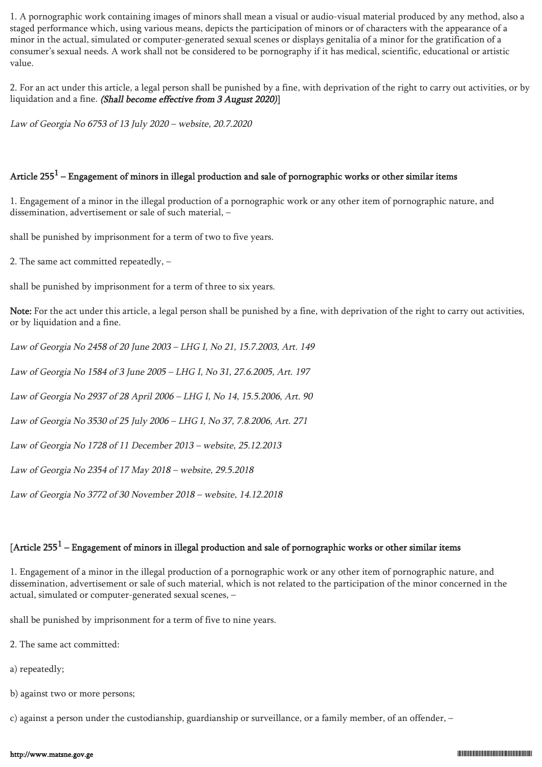1. A pornographic work containing images of minors shall mean a visual or audio-visual material produced by any method, also a staged performance which, using various means, depicts the participation of minors or of characters with the appearance of a minor in the actual, simulated or computer-generated sexual scenes or displays genitalia of a minor for the gratification of a consumer's sexual needs. A work shall not be considered to be pornography if it has medical, scientific, educational or artistic value.

2. For an act under this article, a legal person shall be punished by a fine, with deprivation of the right to carry out activities, or by liquidation and a fine. (Shall become effective from 3 August 2020)]

Law of Georgia No 6753 of 13 July 2020 – website, 20.7.2020

# Article 255 $^1$  – Engagement of minors in illegal production and sale of pornographic works or other similar items

1. Engagement of a minor in the illegal production of a pornographic work or any other item of pornographic nature, and dissemination, advertisement or sale of such material, –

shall be punished by imprisonment for a term of two to five years.

2. The same act committed repeatedly, –

shall be punished by imprisonment for a term of three to six years.

Note: For the act under this article, a legal person shall be punished by a fine, with deprivation of the right to carry out activities, or by liquidation and a fine.

Law of Georgia No 2458 of 20 June 2003 – LHG I, No 21, 15.7.2003, Art. 149

Law of Georgia No 1584 of 3 June 2005 – LHG I, No 31, 27.6.2005, Art. 197

Law of Georgia No 2937 of 28 April 2006 – LHG I, No 14, 15.5.2006, Art. 90

Law of Georgia No 3530 of 25 July 2006 – LHG I, No 37, 7.8.2006, Art. 271

Law of Georgia No 1728 of 11 December 2013 – website, 25.12.2013

Law of Georgia No 2354 of 17 May 2018 – website, 29.5.2018

Law of Georgia No 3772 of 30 November 2018 – website, 14.12.2018

# [Article 255 $^{\rm 1}$  – Engagement of minors in illegal production and sale of pornographic works or other similar items

1. Engagement of a minor in the illegal production of a pornographic work or any other item of pornographic nature, and dissemination, advertisement or sale of such material, which is not related to the participation of the minor concerned in the actual, simulated or computer-generated sexual scenes, –

shall be punished by imprisonment for a term of five to nine years.

- 2. The same act committed:
- a) repeatedly;
- b) against two or more persons;

c) against a person under the custodianship, guardianship or surveillance, or a family member, of an offender, –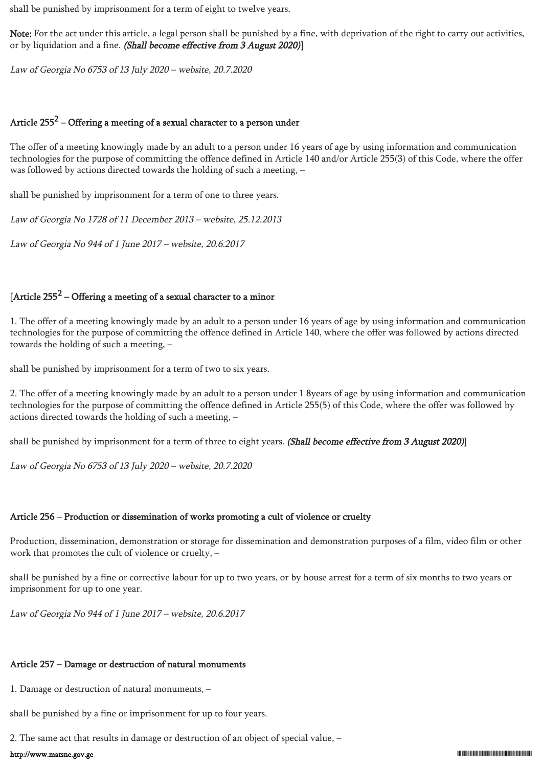shall be punished by imprisonment for a term of eight to twelve years.

Note: For the act under this article, a legal person shall be punished by a fine, with deprivation of the right to carry out activities, or by liquidation and a fine. (Shall become effective from 3 August 2020)]

Law of Georgia No 6753 of 13 July 2020 – website, 20.7.2020

# Article 255 $^2$  – Offering a meeting of a sexual character to a person under

The offer of a meeting knowingly made by an adult to a person under 16 years of age by using information and communication technologies for the purpose of committing the offence defined in Article 140 and/or Article 255(3) of this Code, where the offer was followed by actions directed towards the holding of such a meeting, –

shall be punished by imprisonment for a term of one to three years.

Law of Georgia No 1728 of 11 December 2013 – website, 25.12.2013

Law of Georgia No 944 of 1 June 2017 – website, 20.6.2017

# [Article 255<sup>2</sup> – Offering a meeting of a sexual character to a minor

1. The offer of a meeting knowingly made by an adult to a person under 16 years of age by using information and communication technologies for the purpose of committing the offence defined in Article 140, where the offer was followed by actions directed towards the holding of such a meeting, –

shall be punished by imprisonment for a term of two to six years.

2. The offer of a meeting knowingly made by an adult to a person under 1 8years of age by using information and communication technologies for the purpose of committing the offence defined in Article 255(5) of this Code, where the offer was followed by actions directed towards the holding of such a meeting, –

shall be punished by imprisonment for a term of three to eight years. (Shall become effective from 3 August 2020)]

Law of Georgia No 6753 of 13 July 2020 – website, 20.7.2020

# Article 256 – Production or dissemination of works promoting a cult of violence or cruelty

Production, dissemination, demonstration or storage for dissemination and demonstration purposes of a film, video film or other work that promotes the cult of violence or cruelty, –

shall be punished by a fine or corrective labour for up to two years, or by house arrest for a term of six months to two years or imprisonment for up to one year.

Law of Georgia No 944 of 1 June 2017 – website, 20.6.2017

# Article 257 – Damage or destruction of natural monuments

1. Damage or destruction of natural monuments, –

shall be punished by a fine or imprisonment for up to four years.

2. The same act that results in damage or destruction of an object of special value, –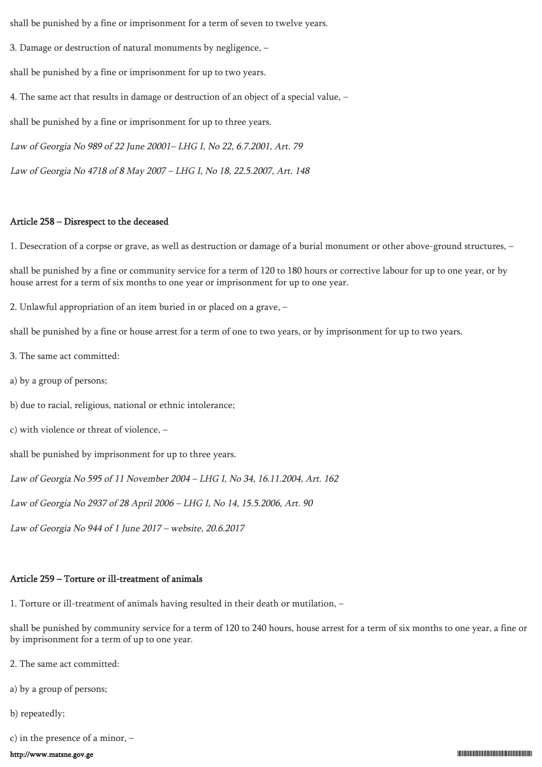shall be punished by a fine or imprisonment for a term of seven to twelve years.

3. Damage or destruction of natural monuments by negligence, –

shall be punished by a fine or imprisonment for up to two years.

4. The same act that results in damage or destruction of an object of a special value, –

shall be punished by a fine or imprisonment for up to three years.

Law of Georgia No 989 of 22 June 20001– LHG I, No 22, 6.7.2001, Art. 79

Law of Georgia No 4718 of 8 May 2007 – LHG I, No 18, 22.5.2007, Art. 148

#### Article 258 – Disrespect to the deceased

1. Desecration of a corpse or grave, as well as destruction or damage of a burial monument or other above-ground structures, –

shall be punished by a fine or community service for a term of 120 to 180 hours or corrective labour for up to one year, or by house arrest for a term of six months to one year or imprisonment for up to one year.

2. Unlawful appropriation of an item buried in or placed on a grave, –

shall be punished by a fine or house arrest for a term of one to two years, or by imprisonment for up to two years.

3. The same act committed:

a) by a group of persons;

b) due to racial, religious, national or ethnic intolerance;

c) with violence or threat of violence, –

shall be punished by imprisonment for up to three years.

Law of Georgia No 595 of 11 November 2004 – LHG I, No 34, 16.11.2004, Art. 162

Law of Georgia No 2937 of 28 April 2006 – LHG I, No 14, 15.5.2006, Art. 90

Law of Georgia No 944 of 1 June 2017 – website, 20.6.2017

## Article 259 – Torture or ill-treatment of animals

1. Torture or ill-treatment of animals having resulted in their death or mutilation, –

shall be punished by community service for a term of 120 to 240 hours, house arrest for a term of six months to one year, a fine or by imprisonment for a term of up to one year.

- 2. The same act committed:
- a) by a group of persons;

b) repeatedly;

c) in the presence of a minor, –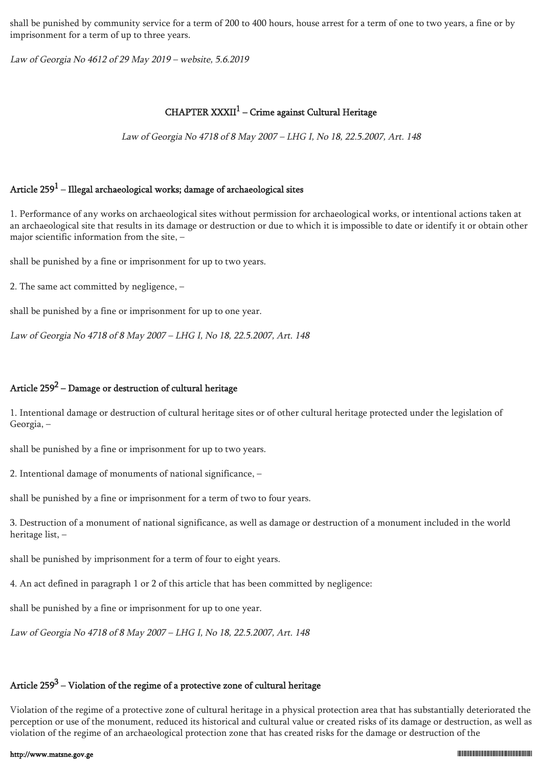shall be punished by community service for a term of 200 to 400 hours, house arrest for a term of one to two years, a fine or by imprisonment for a term of up to three years.

Law of Georgia No 4612 of 29 May 2019 – website, 5.6.2019

# $\rm CHAPTER$   $\rm XXXII}^1$  –  $\rm C$ rime against Cultural Heritage

Law of Georgia No 4718 of 8 May 2007 – LHG I, No 18, 22.5.2007, Art. 148

# Article  $259^1$  – Illegal archaeological works; damage of archaeological sites

1. Performance of any works on archaeological sites without permission for archaeological works, or intentional actions taken at an archaeological site that results in its damage or destruction or due to which it is impossible to date or identify it or obtain other major scientific information from the site, –

shall be punished by a fine or imprisonment for up to two years.

2. The same act committed by negligence, –

shall be punished by a fine or imprisonment for up to one year.

Law of Georgia No 4718 of 8 May 2007 – LHG I, No 18, 22.5.2007, Art. 148

# Article 259 $^2$  – Damage or destruction of cultural heritage

1. Intentional damage or destruction of cultural heritage sites or of other cultural heritage protected under the legislation of Georgia, –

shall be punished by a fine or imprisonment for up to two years.

2. Intentional damage of monuments of national significance, –

shall be punished by a fine or imprisonment for a term of two to four years.

3. Destruction of a monument of national significance, as well as damage or destruction of a monument included in the world heritage list, –

shall be punished by imprisonment for a term of four to eight years.

4. An act defined in paragraph 1 or 2 of this article that has been committed by negligence:

shall be punished by a fine or imprisonment for up to one year.

Law of Georgia No 4718 of 8 May 2007 – LHG I, No 18, 22.5.2007, Art. 148

# Article 259 $^3$  – Violation of the regime of a protective zone of cultural heritage

Violation of the regime of a protective zone of cultural heritage in a physical protection area that has substantially deteriorated the perception or use of the monument, reduced its historical and cultural value or created risks of its damage or destruction, as well as violation of the regime of an archaeological protection zone that has created risks for the damage or destruction of the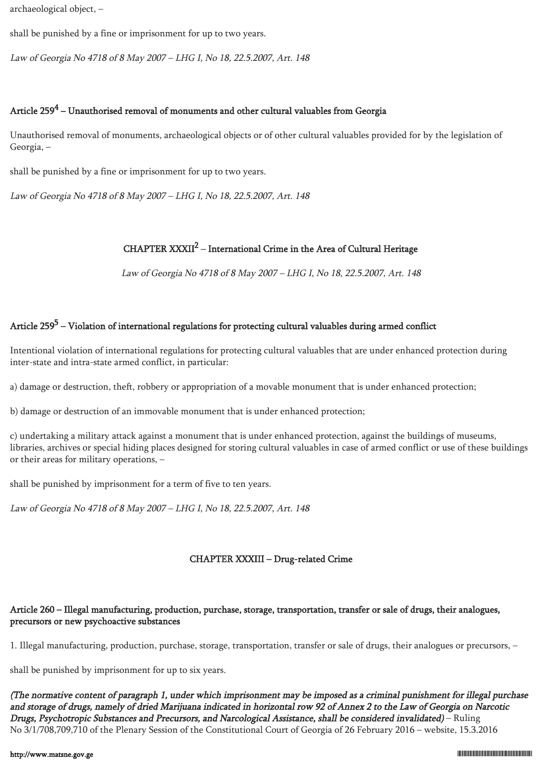archaeological object, –

shall be punished by a fine or imprisonment for up to two years.

Law of Georgia No 4718 of 8 May 2007 – LHG I, No 18, 22.5.2007, Art. 148

# Article  $259^4$  – Unauthorised removal of monuments and other cultural valuables from Georgia

Unauthorised removal of monuments, archaeological objects or of other cultural valuables provided for by the legislation of Georgia, –

shall be punished by a fine or imprisonment for up to two years.

Law of Georgia No 4718 of 8 May 2007 – LHG I, No 18, 22.5.2007, Art. 148

# CHAPTER XXXII<sup>2</sup> – International Crime in the Area of Cultural Heritage

Law of Georgia No 4718 of 8 May 2007 – LHG I, No 18, 22.5.2007, Art. 148

# Article 259<sup>5</sup> – Violation of international regulations for protecting cultural valuables during armed conflict

Intentional violation of international regulations for protecting cultural valuables that are under enhanced protection during inter-state and intra-state armed conflict, in particular:

a) damage or destruction, theft, robbery or appropriation of a movable monument that is under enhanced protection;

b) damage or destruction of an immovable monument that is under enhanced protection;

c) undertaking a military attack against a monument that is under enhanced protection, against the buildings of museums, libraries, archives or special hiding places designed for storing cultural valuables in case of armed conflict or use of these buildings or their areas for military operations, –

shall be punished by imprisonment for a term of five to ten years.

Law of Georgia No 4718 of 8 May 2007 – LHG I, No 18, 22.5.2007, Art. 148

#### CHAPTER XXXIII – Drug-related Crime

### Article 260 – Illegal manufacturing, production, purchase, storage, transportation, transfer or sale of drugs, their analogues, precursors or new psychoactive substances

1. Illegal manufacturing, production, purchase, storage, transportation, transfer or sale of drugs, their analogues or precursors, –

shall be punished by imprisonment for up to six years.

(The normative content of paragraph 1, under which imprisonment may be imposed as a criminal punishment for illegal purchase and storage of drugs, namely of dried Marijuana indicated in horizontal row 92 of Annex 2 to the Law of Georgia on Narcotic Drugs, Psychotropic Substances and Precursors, and Narcological Assistance, shall be considered invalidated) – Ruling No 3/1/708,709,710 of the Plenary Session of the Constitutional Court of Georgia of 26 February 2016 – website, 15.3.2016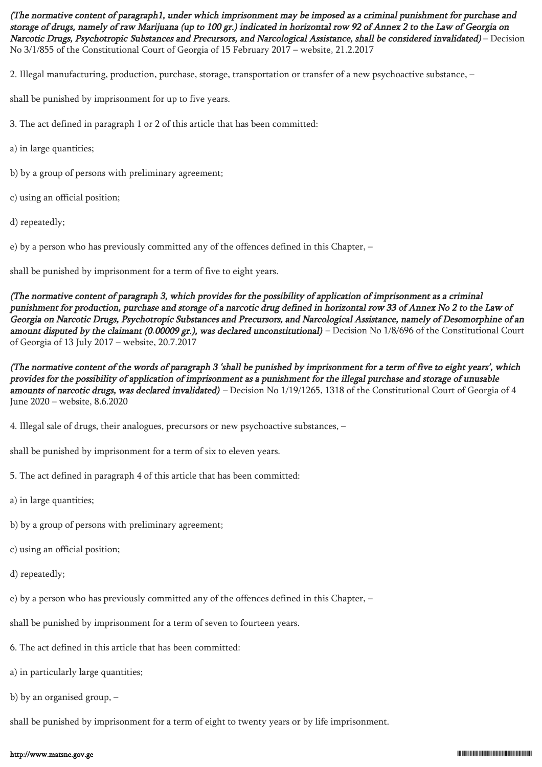(The normative content of paragraph1, under which imprisonment may be imposed as a criminal punishment for purchase and storage of drugs, namely of raw Marijuana (up to 100 gr.) indicated in horizontal row 92 of Annex 2 to the Law of Georgia on Narcotic Drugs, Psychotropic Substances and Precursors, and Narcological Assistance, shall be considered invalidated) – Decision No 3/1/855 of the Constitutional Court of Georgia of 15 February 2017 – website, 21.2.2017

2. Illegal manufacturing, production, purchase, storage, transportation or transfer of a new psychoactive substance, –

shall be punished by imprisonment for up to five years.

- 3. The act defined in paragraph 1 or 2 of this article that has been committed:
- a) in large quantities;
- b) by a group of persons with preliminary agreement;
- c) using an official position;
- d) repeatedly;

e) by a person who has previously committed any of the offences defined in this Chapter, –

shall be punished by imprisonment for a term of five to eight years.

(The normative content of paragraph 3, which provides for the possibility of application of imprisonment as a criminal punishment for production, purchase and storage of a narcotic drug defined in horizontal row 33 of Annex No 2 to the Law of Georgia on Narcotic Drugs, Psychotropic Substances and Precursors, and Narcological Assistance, namely of Desomorphine of an amount disputed by the claimant (0.00009 gr.), was declared unconstitutional) – Decision No 1/8/696 of the Constitutional Court of Georgia of 13 July 2017 – website, 20.7.2017

(The normative content of the words of paragraph 3 'shall be punished by imprisonment for a term of five to eight years', which provides for the possibility of application of imprisonment as a punishment for the illegal purchase and storage of unusable amounts of narcotic drugs, was declared invalidated) – Decision No  $1/19/1265$ , 1318 of the Constitutional Court of Georgia of 4 June 2020 – website, 8.6.2020

4. Illegal sale of drugs, their analogues, precursors or new psychoactive substances, –

shall be punished by imprisonment for a term of six to eleven years.

- 5. The act defined in paragraph 4 of this article that has been committed:
- a) in large quantities;
- b) by a group of persons with preliminary agreement;
- c) using an official position;
- d) repeatedly;
- e) by a person who has previously committed any of the offences defined in this Chapter, –

shall be punished by imprisonment for a term of seven to fourteen years.

- 6. The act defined in this article that has been committed:
- a) in particularly large quantities;
- b) by an organised group, –

shall be punished by imprisonment for a term of eight to twenty years or by life imprisonment.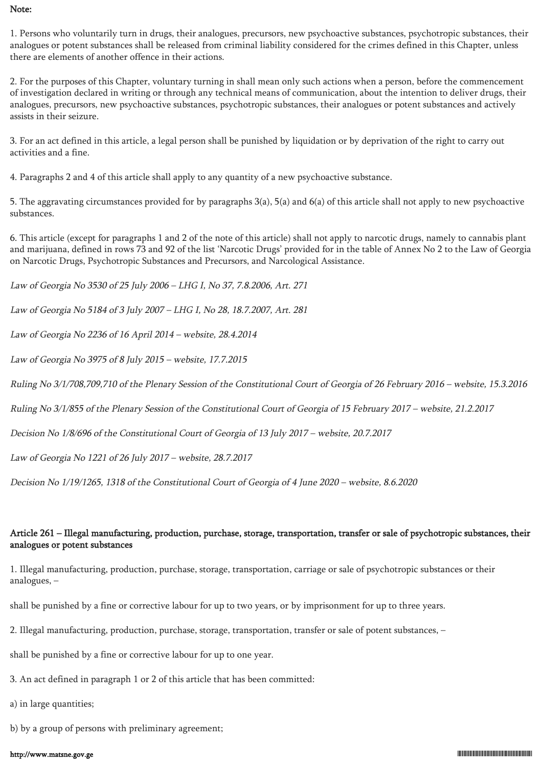#### Note:

1. Persons who voluntarily turn in drugs, their analogues, precursors, new psychoactive substances, psychotropic substances, their analogues or potent substances shall be released from criminal liability considered for the crimes defined in this Chapter, unless there are elements of another offence in their actions.

2. For the purposes of this Chapter, voluntary turning in shall mean only such actions when a person, before the commencement of investigation declared in writing or through any technical means of communication, about the intention to deliver drugs, their analogues, precursors, new psychoactive substances, psychotropic substances, their analogues or potent substances and actively assists in their seizure.

3. For an act defined in this article, a legal person shall be punished by liquidation or by deprivation of the right to carry out activities and a fine.

4. Paragraphs 2 and 4 of this article shall apply to any quantity of a new psychoactive substance.

5. The aggravating circumstances provided for by paragraphs 3(a), 5(a) and 6(a) of this article shall not apply to new psychoactive substances.

6. This article (except for paragraphs 1 and 2 of the note of this article) shall not apply to narcotic drugs, namely to cannabis plant and marijuana, defined in rows 73 and 92 of the list 'Narcotic Drugs' provided for in the table of Annex No 2 to the Law of Georgia on Narcotic Drugs, Psychotropic Substances and Precursors, and Narcological Assistance.

Law of Georgia No 3530 of 25 July 2006 – LHG I, No 37, 7.8.2006, Art. 271

Law of Georgia No 5184 of 3 July 2007 – LHG I, No 28, 18.7.2007, Art. 281

Law of Georgia No 2236 of 16 April 2014 – website, 28.4.2014

Law of Georgia No 3975 of 8 July 2015 – website, 17.7.2015

Ruling No 3/1/708,709,710 of the Plenary Session of the Constitutional Court of Georgia of 26 February 2016 – website, 15.3.2016

Ruling No 3/1/855 of the Plenary Session of the Constitutional Court of Georgia of 15 February 2017 – website, 21.2.2017

Decision No 1/8/696 of the Constitutional Court of Georgia of 13 July 2017 – website, 20.7.2017

Law of Georgia No 1221 of 26 July 2017 – website, 28.7.2017

Decision No 1/19/1265, 1318 of the Constitutional Court of Georgia of 4 June 2020 – website, 8.6.2020

### Article 261 – Illegal manufacturing, production, purchase, storage, transportation, transfer or sale of psychotropic substances, their analogues or potent substances

1. Illegal manufacturing, production, purchase, storage, transportation, carriage or sale of psychotropic substances or their analogues, –

shall be punished by a fine or corrective labour for up to two years, or by imprisonment for up to three years.

2. Illegal manufacturing, production, purchase, storage, transportation, transfer or sale of potent substances, –

shall be punished by a fine or corrective labour for up to one year.

3. An act defined in paragraph 1 or 2 of this article that has been committed:

- a) in large quantities;
- b) by a group of persons with preliminary agreement;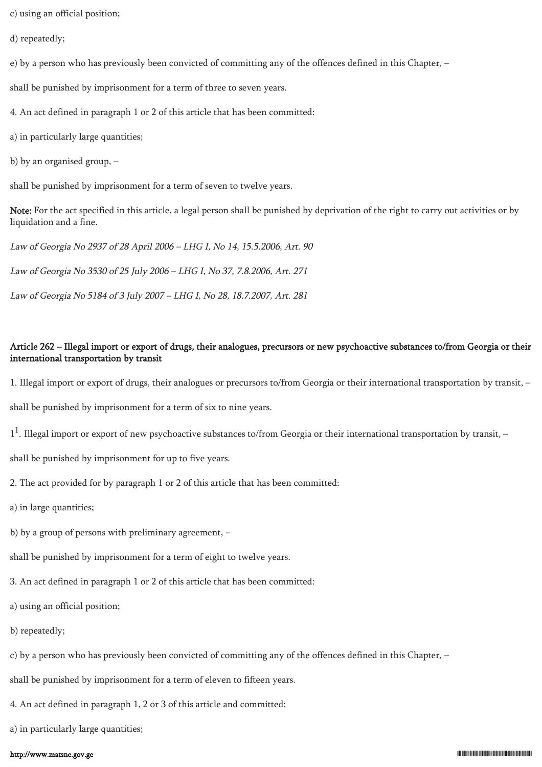c) using an official position;

d) repeatedly;

e) by a person who has previously been convicted of committing any of the offences defined in this Chapter, –

shall be punished by imprisonment for a term of three to seven years.

4. An act defined in paragraph 1 or 2 of this article that has been committed:

a) in particularly large quantities;

b) by an organised group, –

shall be punished by imprisonment for a term of seven to twelve years.

Note: For the act specified in this article, a legal person shall be punished by deprivation of the right to carry out activities or by liquidation and a fine.

Law of Georgia No 2937 of 28 April 2006 – LHG I, No 14, 15.5.2006, Art. 90

Law of Georgia No 3530 of 25 July 2006 – LHG I, No 37, 7.8.2006, Art. 271

Law of Georgia No 5184 of 3 July 2007 – LHG I, No 28, 18.7.2007, Art. 281

#### Article 262 – Illegal import or export of drugs, their analogues, precursors or new psychoactive substances to/from Georgia or their international transportation by transit

1. Illegal import or export of drugs, their analogues or precursors to/from Georgia or their international transportation by transit, –

shall be punished by imprisonment for a term of six to nine years.

 $1<sup>1</sup>$ . Illegal import or export of new psychoactive substances to/from Georgia or their international transportation by transit, -

shall be punished by imprisonment for up to five years.

2. The act provided for by paragraph 1 or 2 of this article that has been committed:

a) in large quantities;

b) by a group of persons with preliminary agreement, –

shall be punished by imprisonment for a term of eight to twelve years.

3. An act defined in paragraph 1 or 2 of this article that has been committed:

a) using an official position;

b) repeatedly;

c) by a person who has previously been convicted of committing any of the offences defined in this Chapter, –

shall be punished by imprisonment for a term of eleven to fifteen years.

4. An act defined in paragraph 1, 2 or 3 of this article and committed:

a) in particularly large quantities;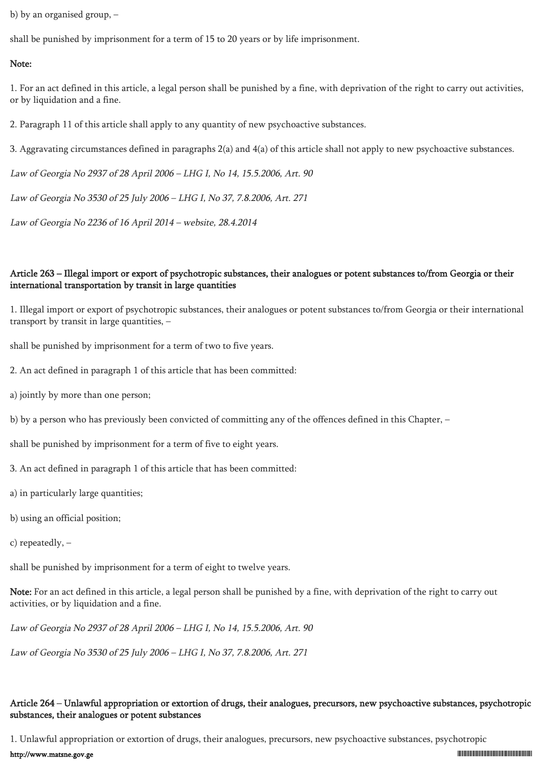b) by an organised group, –

shall be punished by imprisonment for a term of 15 to 20 years or by life imprisonment.

#### Note:

1. For an act defined in this article, a legal person shall be punished by a fine, with deprivation of the right to carry out activities, or by liquidation and a fine.

2. Paragraph 11 of this article shall apply to any quantity of new psychoactive substances.

3. Aggravating circumstances defined in paragraphs 2(a) and 4(a) of this article shall not apply to new psychoactive substances.

Law of Georgia No 2937 of 28 April 2006 – LHG I, No 14, 15.5.2006, Art. 90

Law of Georgia No 3530 of 25 July 2006 – LHG I, No 37, 7.8.2006, Art. 271

Law of Georgia No 2236 of 16 April 2014 – website, 28.4.2014

#### Article 263 – Illegal import or export of psychotropic substances, their analogues or potent substances to/from Georgia or their international transportation by transit in large quantities

1. Illegal import or export of psychotropic substances, their analogues or potent substances to/from Georgia or their international transport by transit in large quantities, –

shall be punished by imprisonment for a term of two to five years.

- 2. An act defined in paragraph 1 of this article that has been committed:
- a) jointly by more than one person;

b) by a person who has previously been convicted of committing any of the offences defined in this Chapter, –

shall be punished by imprisonment for a term of five to eight years.

- 3. An act defined in paragraph 1 of this article that has been committed:
- a) in particularly large quantities;
- b) using an official position;
- c) repeatedly, –

shall be punished by imprisonment for a term of eight to twelve years.

Note: For an act defined in this article, a legal person shall be punished by a fine, with deprivation of the right to carry out activities, or by liquidation and a fine.

Law of Georgia No 2937 of 28 April 2006 – LHG I, No 14, 15.5.2006, Art. 90

Law of Georgia No 3530 of 25 July 2006 – LHG I, No 37, 7.8.2006, Art. 271

#### Article 264 – Unlawful appropriation or extortion of drugs, their analogues, precursors, new psychoactive substances, psychotropic substances, their analogues or potent substances

1. Unlawful appropriation or extortion of drugs, their analogues, precursors, new psychoactive substances, psychotropic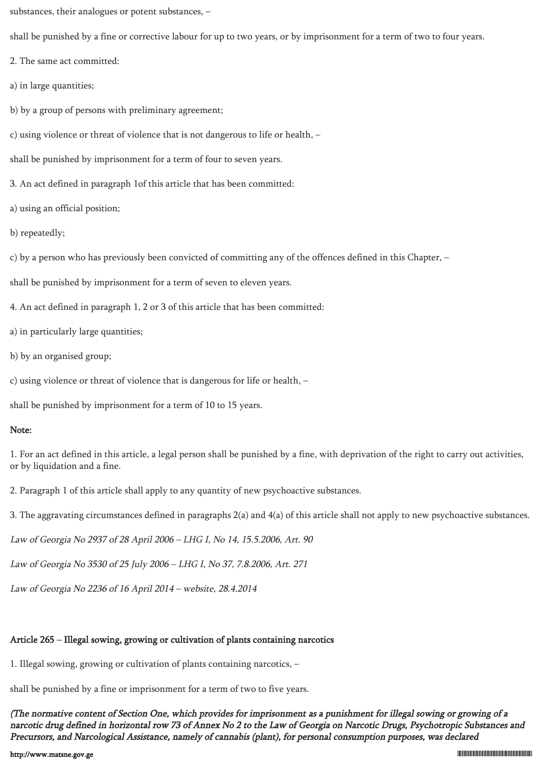substances, their analogues or potent substances, –

shall be punished by a fine or corrective labour for up to two years, or by imprisonment for a term of two to four years.

- 2. The same act committed:
- a) in large quantities;
- b) by a group of persons with preliminary agreement;
- c) using violence or threat of violence that is not dangerous to life or health, –
- shall be punished by imprisonment for a term of four to seven years.
- 3. An act defined in paragraph 1of this article that has been committed:
- a) using an official position;
- b) repeatedly;
- c) by a person who has previously been convicted of committing any of the offences defined in this Chapter, –
- shall be punished by imprisonment for a term of seven to eleven years.
- 4. An act defined in paragraph 1, 2 or 3 of this article that has been committed:
- a) in particularly large quantities;
- b) by an organised group;
- c) using violence or threat of violence that is dangerous for life or health, –
- shall be punished by imprisonment for a term of 10 to 15 years.

## Note:

1. For an act defined in this article, a legal person shall be punished by a fine, with deprivation of the right to carry out activities, or by liquidation and a fine.

- 2. Paragraph 1 of this article shall apply to any quantity of new psychoactive substances.
- 3. The aggravating circumstances defined in paragraphs 2(a) and 4(a) of this article shall not apply to new psychoactive substances.
- Law of Georgia No 2937 of 28 April 2006 LHG I, No 14, 15.5.2006, Art. 90
- Law of Georgia No 3530 of 25 July 2006 LHG I, No 37, 7.8.2006, Art. 271
- Law of Georgia No 2236 of 16 April 2014 website, 28.4.2014

# Article 265 – Illegal sowing, growing or cultivation of plants containing narcotics

1. Illegal sowing, growing or cultivation of plants containing narcotics, –

shall be punished by a fine or imprisonment for a term of two to five years.

(The normative content of Section One, which provides for imprisonment as a punishment for illegal sowing or growing of a narcotic drug defined in horizontal row 73 of Annex No 2 to the Law of Georgia on Narcotic Drugs, Psychotropic Substances and Precursors, and Narcological Assistance, namely of cannabis (plant), for personal consumption purposes, was declared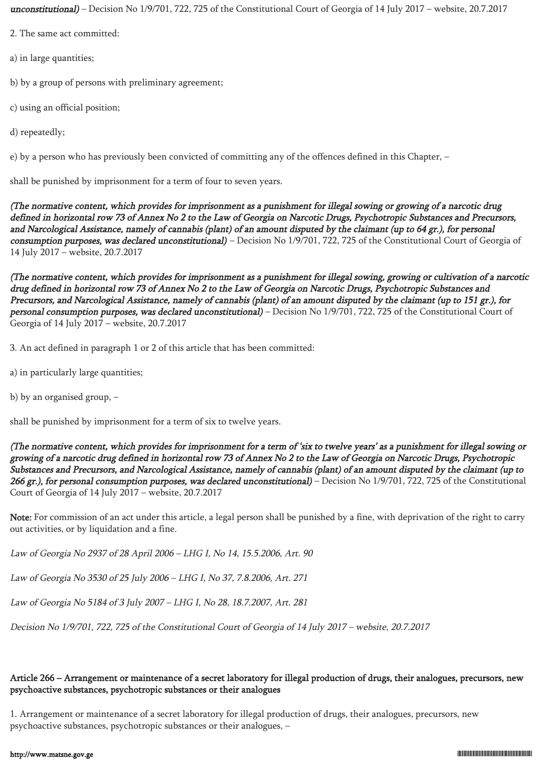unconstitutional) – Decision No 1/9/701, 722, 725 of the Constitutional Court of Georgia of 14 July 2017 – website, 20.7.2017

2. The same act committed:

- a) in large quantities;
- b) by a group of persons with preliminary agreement;
- c) using an official position;
- d) repeatedly;

e) by a person who has previously been convicted of committing any of the offences defined in this Chapter, –

shall be punished by imprisonment for a term of four to seven years.

(The normative content, which provides for imprisonment as a punishment for illegal sowing or growing of a narcotic drug defined in horizontal row 73 of Annex No 2 to the Law of Georgia on Narcotic Drugs, Psychotropic Substances and Precursors, and Narcological Assistance, namely of cannabis (plant) of an amount disputed by the claimant (up to 64 gr.), for personal consumption purposes, was declared unconstitutional) – Decision No 1/9/701, 722, 725 of the Constitutional Court of Georgia of 14 July 2017 – website, 20.7.2017

(The normative content, which provides for imprisonment as a punishment for illegal sowing, growing or cultivation of a narcotic drug defined in horizontal row 73 of Annex No 2 to the Law of Georgia on Narcotic Drugs, Psychotropic Substances and Precursors, and Narcological Assistance, namely of cannabis (plant) of an amount disputed by the claimant (up to 151 gr.), for personal consumption purposes, was declared unconstitutional) – Decision No 1/9/701, 722, 725 of the Constitutional Court of Georgia of 14 July 2017 – website, 20.7.2017

3. An act defined in paragraph 1 or 2 of this article that has been committed:

- a) in particularly large quantities;
- b) by an organised group, –

shall be punished by imprisonment for a term of six to twelve years.

(The normative content, which provides for imprisonment for a term of 'six to twelve years' as a punishment for illegal sowing or growing of a narcotic drug defined in horizontal row 73 of Annex No 2 to the Law of Georgia on Narcotic Drugs, Psychotropic Substances and Precursors, and Narcological Assistance, namely of cannabis (plant) of an amount disputed by the claimant (up to 266 gr.), for personal consumption purposes, was declared unconstitutional) – Decision No  $1/9/701$ , 722, 725 of the Constitutional Court of Georgia of 14 July 2017 – website, 20.7.2017

Note: For commission of an act under this article, a legal person shall be punished by a fine, with deprivation of the right to carry out activities, or by liquidation and a fine.

Law of Georgia No 2937 of 28 April 2006 – LHG I, No 14, 15.5.2006, Art. 90

Law of Georgia No 3530 of 25 July 2006 – LHG I, No 37, 7.8.2006, Art. 271

Law of Georgia No 5184 of 3 July 2007 – LHG I, No 28, 18.7.2007, Art. 281

Decision No 1/9/701, 722, 725 of the Constitutional Court of Georgia of 14 July 2017 – website, 20.7.2017

### Article 266 – Arrangement or maintenance of a secret laboratory for illegal production of drugs, their analogues, precursors, new psychoactive substances, psychotropic substances or their analogues

1. Arrangement or maintenance of a secret laboratory for illegal production of drugs, their analogues, precursors, new psychoactive substances, psychotropic substances or their analogues, –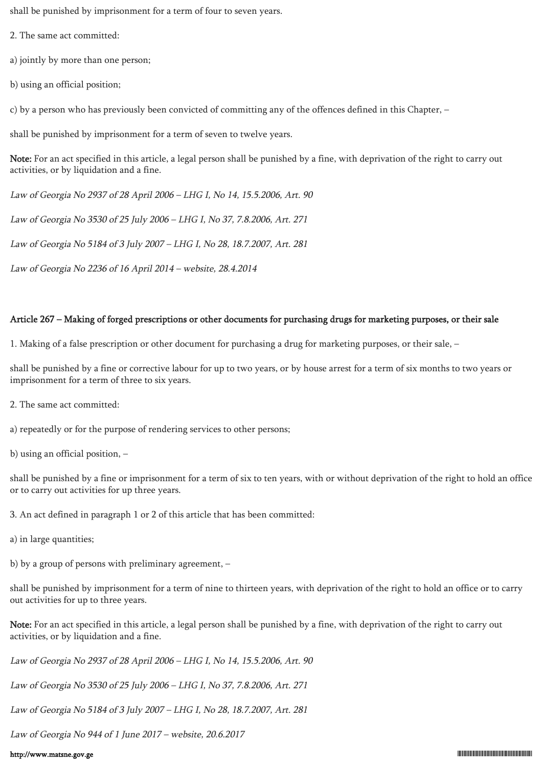shall be punished by imprisonment for a term of four to seven years.

2. The same act committed:

a) jointly by more than one person;

b) using an official position;

c) by a person who has previously been convicted of committing any of the offences defined in this Chapter, –

shall be punished by imprisonment for a term of seven to twelve years.

Note: For an act specified in this article, a legal person shall be punished by a fine, with deprivation of the right to carry out activities, or by liquidation and a fine.

Law of Georgia No 2937 of 28 April 2006 – LHG I, No 14, 15.5.2006, Art. 90

Law of Georgia No 3530 of 25 July 2006 – LHG I, No 37, 7.8.2006, Art. 271

Law of Georgia No 5184 of 3 July 2007 – LHG I, No 28, 18.7.2007, Art. 281

Law of Georgia No 2236 of 16 April 2014 – website, 28.4.2014

#### Article 267 – Making of forged prescriptions or other documents for purchasing drugs for marketing purposes, or their sale

1. Making of a false prescription or other document for purchasing a drug for marketing purposes, or their sale, –

shall be punished by a fine or corrective labour for up to two years, or by house arrest for a term of six months to two years or imprisonment for a term of three to six years.

2. The same act committed:

a) repeatedly or for the purpose of rendering services to other persons;

b) using an official position, –

shall be punished by a fine or imprisonment for a term of six to ten years, with or without deprivation of the right to hold an office or to carry out activities for up three years.

3. An act defined in paragraph 1 or 2 of this article that has been committed:

a) in large quantities;

b) by a group of persons with preliminary agreement, –

shall be punished by imprisonment for a term of nine to thirteen years, with deprivation of the right to hold an office or to carry out activities for up to three years.

Note: For an act specified in this article, a legal person shall be punished by a fine, with deprivation of the right to carry out activities, or by liquidation and a fine.

Law of Georgia No 2937 of 28 April 2006 – LHG I, No 14, 15.5.2006, Art. 90

Law of Georgia No 3530 of 25 July 2006 – LHG I, No 37, 7.8.2006, Art. 271

Law of Georgia No 5184 of 3 July 2007 – LHG I, No 28, 18.7.2007, Art. 281

Law of Georgia No 944 of 1 June 2017 – website, 20.6.2017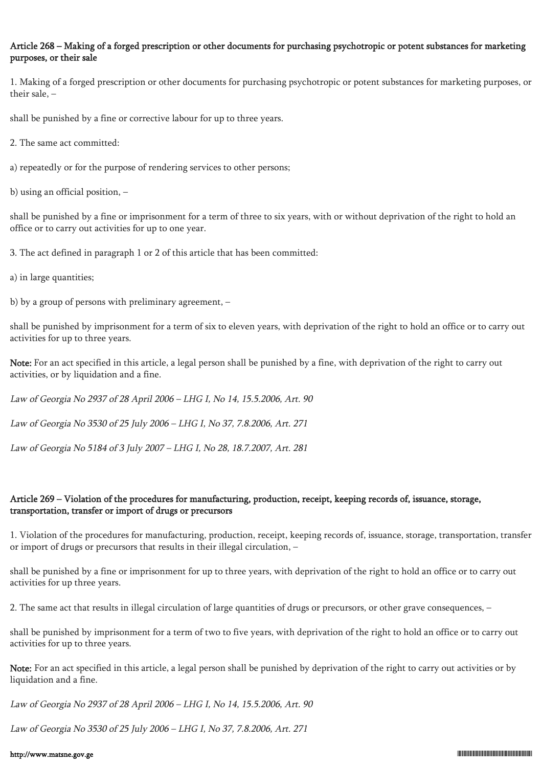### Article 268 – Making of a forged prescription or other documents for purchasing psychotropic or potent substances for marketing purposes, or their sale

1. Making of a forged prescription or other documents for purchasing psychotropic or potent substances for marketing purposes, or their sale, –

shall be punished by a fine or corrective labour for up to three years.

- 2. The same act committed:
- a) repeatedly or for the purpose of rendering services to other persons;
- b) using an official position, –

shall be punished by a fine or imprisonment for a term of three to six years, with or without deprivation of the right to hold an office or to carry out activities for up to one year.

3. The act defined in paragraph 1 or 2 of this article that has been committed:

a) in large quantities;

b) by a group of persons with preliminary agreement, –

shall be punished by imprisonment for a term of six to eleven years, with deprivation of the right to hold an office or to carry out activities for up to three years.

Note: For an act specified in this article, a legal person shall be punished by a fine, with deprivation of the right to carry out activities, or by liquidation and a fine.

Law of Georgia No 2937 of 28 April 2006 – LHG I, No 14, 15.5.2006, Art. 90

Law of Georgia No 3530 of 25 July 2006 – LHG I, No 37, 7.8.2006, Art. 271

Law of Georgia No 5184 of 3 July 2007 – LHG I, No 28, 18.7.2007, Art. 281

#### Article 269 – Violation of the procedures for manufacturing, production, receipt, keeping records of, issuance, storage, transportation, transfer or import of drugs or precursors

1. Violation of the procedures for manufacturing, production, receipt, keeping records of, issuance, storage, transportation, transfer or import of drugs or precursors that results in their illegal circulation, –

shall be punished by a fine or imprisonment for up to three years, with deprivation of the right to hold an office or to carry out activities for up three years.

2. The same act that results in illegal circulation of large quantities of drugs or precursors, or other grave consequences, –

shall be punished by imprisonment for a term of two to five years, with deprivation of the right to hold an office or to carry out activities for up to three years.

Note: For an act specified in this article, a legal person shall be punished by deprivation of the right to carry out activities or by liquidation and a fine.

Law of Georgia No 2937 of 28 April 2006 – LHG I, No 14, 15.5.2006, Art. 90

Law of Georgia No 3530 of 25 July 2006 – LHG I, No 37, 7.8.2006, Art. 271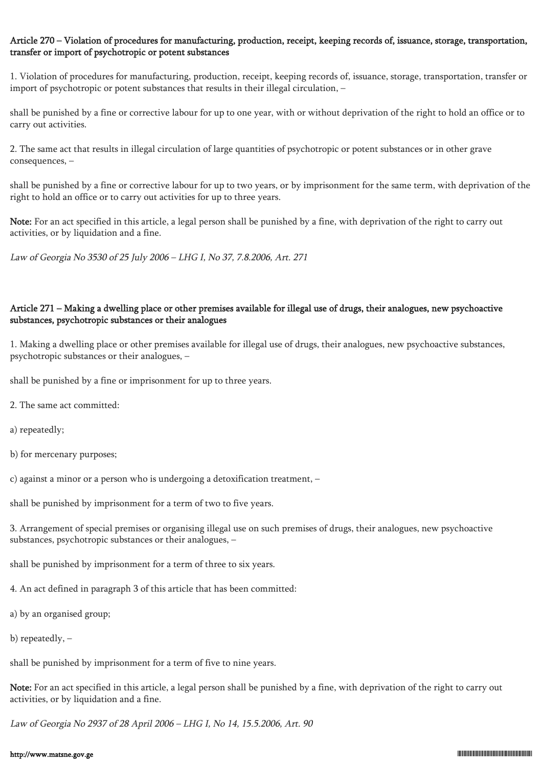### Article 270 – Violation of procedures for manufacturing, production, receipt, keeping records of, issuance, storage, transportation, transfer or import of psychotropic or potent substances

1. Violation of procedures for manufacturing, production, receipt, keeping records of, issuance, storage, transportation, transfer or import of psychotropic or potent substances that results in their illegal circulation, –

shall be punished by a fine or corrective labour for up to one year, with or without deprivation of the right to hold an office or to carry out activities.

2. The same act that results in illegal circulation of large quantities of psychotropic or potent substances or in other grave consequences, –

shall be punished by a fine or corrective labour for up to two years, or by imprisonment for the same term, with deprivation of the right to hold an office or to carry out activities for up to three years.

Note: For an act specified in this article, a legal person shall be punished by a fine, with deprivation of the right to carry out activities, or by liquidation and a fine.

Law of Georgia No 3530 of 25 July 2006 – LHG I, No 37, 7.8.2006, Art. 271

### Article 271 – Making a dwelling place or other premises available for illegal use of drugs, their analogues, new psychoactive substances, psychotropic substances or their analogues

1. Making a dwelling place or other premises available for illegal use of drugs, their analogues, new psychoactive substances, psychotropic substances or their analogues, –

shall be punished by a fine or imprisonment for up to three years.

- 2. The same act committed:
- a) repeatedly;
- b) for mercenary purposes;
- c) against a minor or a person who is undergoing a detoxification treatment, –

shall be punished by imprisonment for a term of two to five years.

3. Arrangement of special premises or organising illegal use on such premises of drugs, their analogues, new psychoactive substances, psychotropic substances or their analogues, –

shall be punished by imprisonment for a term of three to six years.

- 4. An act defined in paragraph 3 of this article that has been committed:
- a) by an organised group;
- b) repeatedly, –

shall be punished by imprisonment for a term of five to nine years.

Note: For an act specified in this article, a legal person shall be punished by a fine, with deprivation of the right to carry out activities, or by liquidation and a fine.

Law of Georgia No 2937 of 28 April 2006 – LHG I, No 14, 15.5.2006, Art. 90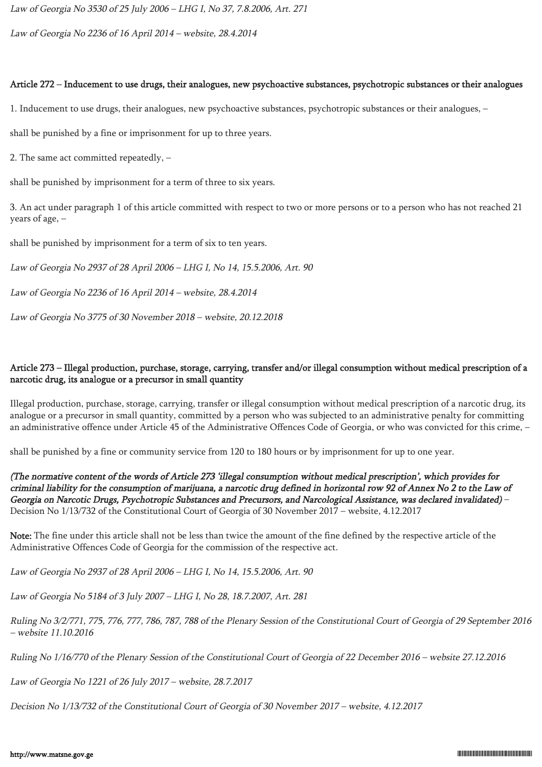Law of Georgia No 3530 of 25 July 2006 – LHG I, No 37, 7.8.2006, Art. 271

Law of Georgia No 2236 of 16 April 2014 – website, 28.4.2014

### Article 272 – Inducement to use drugs, their analogues, new psychoactive substances, psychotropic substances or their analogues

1. Inducement to use drugs, their analogues, new psychoactive substances, psychotropic substances or their analogues, –

shall be punished by a fine or imprisonment for up to three years.

2. The same act committed repeatedly, –

shall be punished by imprisonment for a term of three to six years.

3. An act under paragraph 1 of this article committed with respect to two or more persons or to a person who has not reached 21 years of age, –

shall be punished by imprisonment for a term of six to ten years.

Law of Georgia No 2937 of 28 April 2006 – LHG I, No 14, 15.5.2006, Art. 90

Law of Georgia No 2236 of 16 April 2014 – website, 28.4.2014

Law of Georgia No 3775 of 30 November 2018 – website, 20.12.2018

## Article 273 – Illegal production, purchase, storage, carrying, transfer and/or illegal consumption without medical prescription of a narcotic drug, its analogue or a precursor in small quantity

Illegal production, purchase, storage, carrying, transfer or illegal consumption without medical prescription of a narcotic drug, its analogue or a precursor in small quantity, committed by a person who was subjected to an administrative penalty for committing an administrative offence under Article 45 of the Administrative Offences Code of Georgia, or who was convicted for this crime, –

shall be punished by a fine or community service from 120 to 180 hours or by imprisonment for up to one year.

(The normative content of the words of Article 273 'illegal consumption without medical prescription', which provides for criminal liability for the consumption of marijuana, a narcotic drug defined in horizontal row 92 of Annex No 2 to the Law of Georgia on Narcotic Drugs, Psychotropic Substances and Precursors, and Narcological Assistance, was declared invalidated) – Decision No 1/13/732 of the Constitutional Court of Georgia of 30 November 2017 – website, 4.12.2017

Note: The fine under this article shall not be less than twice the amount of the fine defined by the respective article of the Administrative Offences Code of Georgia for the commission of the respective act.

Law of Georgia No 2937 of 28 April 2006 – LHG I, No 14, 15.5.2006, Art. 90

Law of Georgia No 5184 of 3 July 2007 – LHG I, No 28, 18.7.2007, Art. 281

Ruling No 3/2/771, 775, 776, 777, 786, 787, 788 of the Plenary Session of the Constitutional Court of Georgia of 29 September 2016 – website 11.10.2016

Ruling No 1/16/770 of the Plenary Session of the Constitutional Court of Georgia of 22 December 2016 – website 27.12.2016

Law of Georgia No 1221 of 26 July 2017 – website, 28.7.2017

Decision No 1/13/732 of the Constitutional Court of Georgia of 30 November 2017 – website, 4.12.2017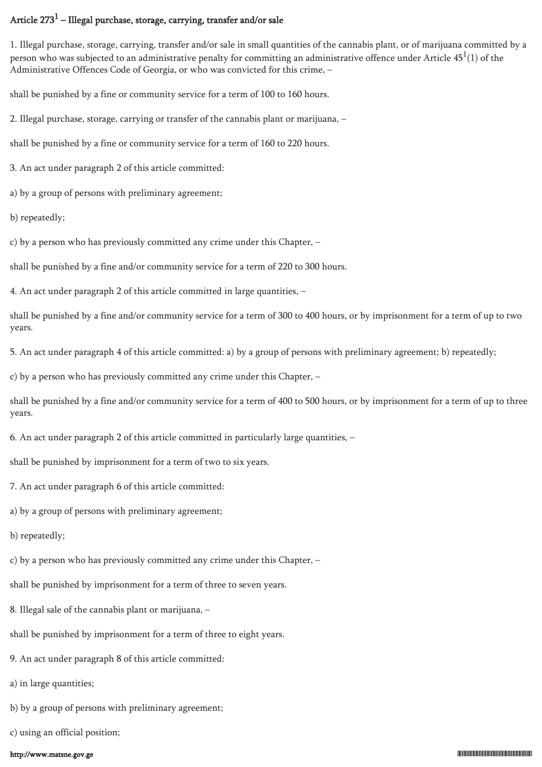## Article 273 $^{\rm 1}$  – Illegal purchase, storage, carrying, transfer and/or sale

1. Illegal purchase, storage, carrying, transfer and/or sale in small quantities of the cannabis plant, or of marijuana committed by a person who was subjected to an administrative penalty for committing an administrative offence under Article  $45^1\!(1)$  of the Administrative Offences Code of Georgia, or who was convicted for this crime, –

shall be punished by a fine or community service for a term of 100 to 160 hours.

2. Illegal purchase, storage, carrying or transfer of the cannabis plant or marijuana, –

shall be punished by a fine or community service for a term of 160 to 220 hours.

3. An act under paragraph 2 of this article committed:

a) by a group of persons with preliminary agreement;

b) repeatedly;

c) by a person who has previously committed any crime under this Chapter, –

shall be punished by a fine and/or community service for a term of 220 to 300 hours.

4. An act under paragraph 2 of this article committed in large quantities, –

shall be punished by a fine and/or community service for a term of 300 to 400 hours, or by imprisonment for a term of up to two years.

5. An act under paragraph 4 of this article committed: a) by a group of persons with preliminary agreement; b) repeatedly;

c) by a person who has previously committed any crime under this Chapter, –

shall be punished by a fine and/or community service for a term of 400 to 500 hours, or by imprisonment for a term of up to three years.

6. An act under paragraph 2 of this article committed in particularly large quantities, –

shall be punished by imprisonment for a term of two to six years.

7. An act under paragraph 6 of this article committed:

a) by a group of persons with preliminary agreement;

b) repeatedly;

c) by a person who has previously committed any crime under this Chapter, –

shall be punished by imprisonment for a term of three to seven years.

8. Illegal sale of the cannabis plant or marijuana, –

shall be punished by imprisonment for a term of three to eight years.

9. An act under paragraph 8 of this article committed:

- a) in large quantities;
- b) by a group of persons with preliminary agreement;
- c) using an official position;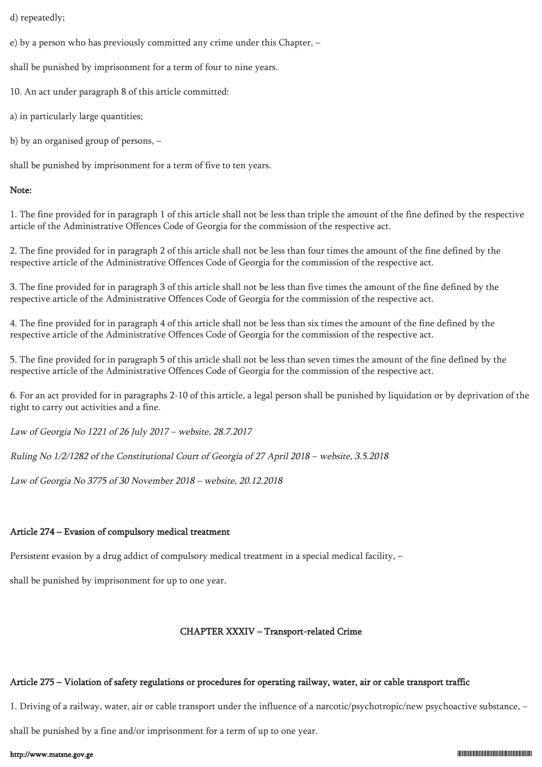d) repeatedly;

e) by a person who has previously committed any crime under this Chapter, –

shall be punished by imprisonment for a term of four to nine years.

10. An act under paragraph 8 of this article committed:

a) in particularly large quantities;

b) by an organised group of persons, –

shall be punished by imprisonment for a term of five to ten years.

#### Note:

1. The fine provided for in paragraph 1 of this article shall not be less than triple the amount of the fine defined by the respective article of the Administrative Offences Code of Georgia for the commission of the respective act.

2. The fine provided for in paragraph 2 of this article shall not be less than four times the amount of the fine defined by the respective article of the Administrative Offences Code of Georgia for the commission of the respective act.

3. The fine provided for in paragraph 3 of this article shall not be less than five times the amount of the fine defined by the respective article of the Administrative Offences Code of Georgia for the commission of the respective act.

4. The fine provided for in paragraph 4 of this article shall not be less than six times the amount of the fine defined by the respective article of the Administrative Offences Code of Georgia for the commission of the respective act.

5. The fine provided for in paragraph 5 of this article shall not be less than seven times the amount of the fine defined by the respective article of the Administrative Offences Code of Georgia for the commission of the respective act.

6. For an act provided for in paragraphs 2-10 of this article, a legal person shall be punished by liquidation or by deprivation of the right to carry out activities and a fine.

Law of Georgia No 1221 of 26 July 2017 – website, 28.7.2017

Ruling No 1/2/1282 of the Constitutional Court of Georgia of 27 April 2018 – website, 3.5.2018

Law of Georgia No 3775 of 30 November 2018 – website, 20.12.2018

#### Article 274 – Evasion of compulsory medical treatment

Persistent evasion by a drug addict of compulsory medical treatment in a special medical facility, –

shall be punished by imprisonment for up to one year.

#### CHAPTER XXXIV – Transport-related Crime

#### Article 275 – Violation of safety regulations or procedures for operating railway, water, air or cable transport traffic

1. Driving of a railway, water, air or cable transport under the influence of a narcotic/psychotropic/new psychoactive substance, –

shall be punished by a fine and/or imprisonment for a term of up to one year.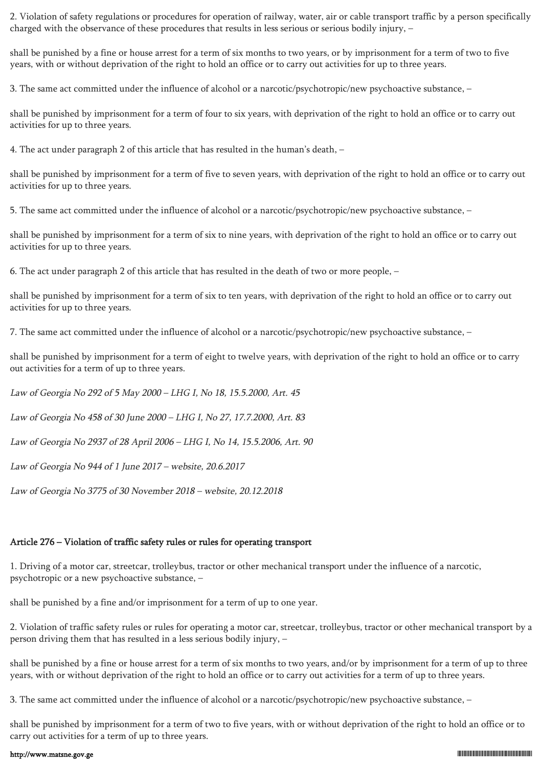2. Violation of safety regulations or procedures for operation of railway, water, air or cable transport traffic by a person specifically charged with the observance of these procedures that results in less serious or serious bodily injury, –

shall be punished by a fine or house arrest for a term of six months to two years, or by imprisonment for a term of two to five years, with or without deprivation of the right to hold an office or to carry out activities for up to three years.

3. The same act committed under the influence of alcohol or a narcotic/psychotropic/new psychoactive substance, –

shall be punished by imprisonment for a term of four to six years, with deprivation of the right to hold an office or to carry out activities for up to three years.

4. The act under paragraph 2 of this article that has resulted in the human's death, –

shall be punished by imprisonment for a term of five to seven years, with deprivation of the right to hold an office or to carry out activities for up to three years.

5. The same act committed under the influence of alcohol or a narcotic/psychotropic/new psychoactive substance, –

shall be punished by imprisonment for a term of six to nine years, with deprivation of the right to hold an office or to carry out activities for up to three years.

6. The act under paragraph 2 of this article that has resulted in the death of two or more people, –

shall be punished by imprisonment for a term of six to ten years, with deprivation of the right to hold an office or to carry out activities for up to three years.

7. The same act committed under the influence of alcohol or a narcotic/psychotropic/new psychoactive substance, –

shall be punished by imprisonment for a term of eight to twelve years, with deprivation of the right to hold an office or to carry out activities for a term of up to three years.

Law of Georgia No 292 of 5 May 2000 – LHG I, No 18, 15.5.2000, Art. 45

Law of Georgia No 458 of 30 June 2000 – LHG I, No 27, 17.7.2000, Art. 83

Law of Georgia No 2937 of 28 April 2006 – LHG I, No 14, 15.5.2006, Art. 90

Law of Georgia No 944 of 1 June 2017 – website, 20.6.2017

Law of Georgia No 3775 of 30 November 2018 – website, 20.12.2018

#### Article 276 – Violation of traffic safety rules or rules for operating transport

1. Driving of a motor car, streetcar, trolleybus, tractor or other mechanical transport under the influence of a narcotic, psychotropic or a new psychoactive substance, –

shall be punished by a fine and/or imprisonment for a term of up to one year.

2. Violation of traffic safety rules or rules for operating a motor car, streetcar, trolleybus, tractor or other mechanical transport by a person driving them that has resulted in a less serious bodily injury, –

shall be punished by a fine or house arrest for a term of six months to two years, and/or by imprisonment for a term of up to three years, with or without deprivation of the right to hold an office or to carry out activities for a term of up to three years.

3. The same act committed under the influence of alcohol or a narcotic/psychotropic/new psychoactive substance, –

shall be punished by imprisonment for a term of two to five years, with or without deprivation of the right to hold an office or to carry out activities for a term of up to three years.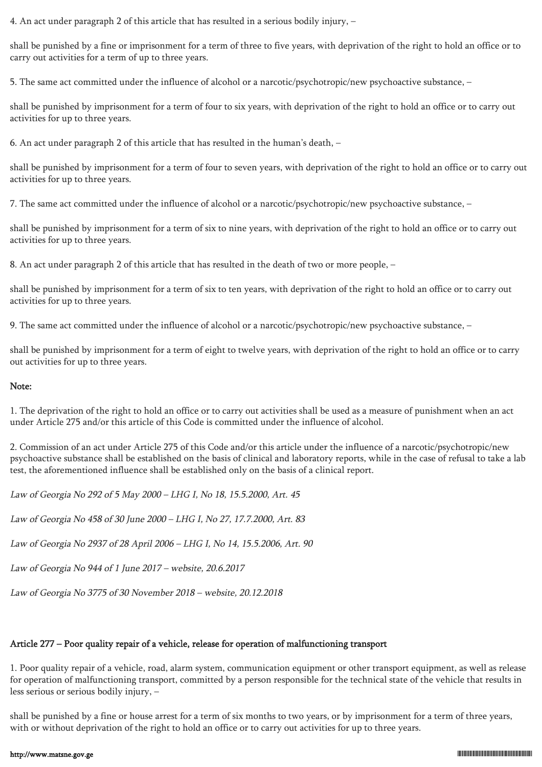4. An act under paragraph 2 of this article that has resulted in a serious bodily injury, –

shall be punished by a fine or imprisonment for a term of three to five years, with deprivation of the right to hold an office or to carry out activities for a term of up to three years.

5. The same act committed under the influence of alcohol or a narcotic/psychotropic/new psychoactive substance, –

shall be punished by imprisonment for a term of four to six years, with deprivation of the right to hold an office or to carry out activities for up to three years.

6. An act under paragraph 2 of this article that has resulted in the human's death, –

shall be punished by imprisonment for a term of four to seven years, with deprivation of the right to hold an office or to carry out activities for up to three years.

7. The same act committed under the influence of alcohol or a narcotic/psychotropic/new psychoactive substance, –

shall be punished by imprisonment for a term of six to nine years, with deprivation of the right to hold an office or to carry out activities for up to three years.

8. An act under paragraph 2 of this article that has resulted in the death of two or more people, –

shall be punished by imprisonment for a term of six to ten years, with deprivation of the right to hold an office or to carry out activities for up to three years.

9. The same act committed under the influence of alcohol or a narcotic/psychotropic/new psychoactive substance, –

shall be punished by imprisonment for a term of eight to twelve years, with deprivation of the right to hold an office or to carry out activities for up to three years.

#### Note:

1. The deprivation of the right to hold an office or to carry out activities shall be used as a measure of punishment when an act under Article 275 and/or this article of this Code is committed under the influence of alcohol.

2. Commission of an act under Article 275 of this Code and/or this article under the influence of a narcotic/psychotropic/new psychoactive substance shall be established on the basis of clinical and laboratory reports, while in the case of refusal to take a lab test, the aforementioned influence shall be established only on the basis of a clinical report.

Law of Georgia No 292 of 5 May 2000 – LHG I, No 18, 15.5.2000, Art. 45

Law of Georgia No 458 of 30 June 2000 – LHG I, No 27, 17.7.2000, Art. 83

Law of Georgia No 2937 of 28 April 2006 – LHG I, No 14, 15.5.2006, Art. 90

Law of Georgia No 944 of 1 June 2017 – website, 20.6.2017

Law of Georgia No 3775 of 30 November 2018 – website, 20.12.2018

### Article 277 – Poor quality repair of a vehicle, release for operation of malfunctioning transport

1. Poor quality repair of a vehicle, road, alarm system, communication equipment or other transport equipment, as well as release for operation of malfunctioning transport, committed by a person responsible for the technical state of the vehicle that results in less serious or serious bodily injury, –

shall be punished by a fine or house arrest for a term of six months to two years, or by imprisonment for a term of three years, with or without deprivation of the right to hold an office or to carry out activities for up to three years.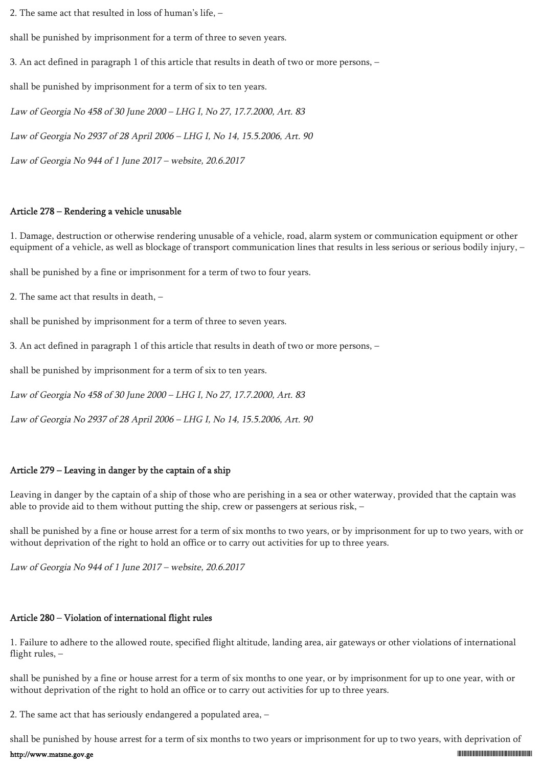2. The same act that resulted in loss of human's life, –

shall be punished by imprisonment for a term of three to seven years.

3. An act defined in paragraph 1 of this article that results in death of two or more persons, –

shall be punished by imprisonment for a term of six to ten years.

Law of Georgia No 458 of 30 June 2000 – LHG I, No 27, 17.7.2000, Art. 83

Law of Georgia No 2937 of 28 April 2006 – LHG I, No 14, 15.5.2006, Art. 90

Law of Georgia No 944 of 1 June 2017 – website, 20.6.2017

### Article 278 – Rendering a vehicle unusable

1. Damage, destruction or otherwise rendering unusable of a vehicle, road, alarm system or communication equipment or other equipment of a vehicle, as well as blockage of transport communication lines that results in less serious or serious bodily injury, –

shall be punished by a fine or imprisonment for a term of two to four years.

2. The same act that results in death, –

shall be punished by imprisonment for a term of three to seven years.

3. An act defined in paragraph 1 of this article that results in death of two or more persons, –

shall be punished by imprisonment for a term of six to ten years.

Law of Georgia No 458 of 30 June 2000 – LHG I, No 27, 17.7.2000, Art. 83

Law of Georgia No 2937 of 28 April 2006 – LHG I, No 14, 15.5.2006, Art. 90

### Article 279 – Leaving in danger by the captain of a ship

Leaving in danger by the captain of a ship of those who are perishing in a sea or other waterway, provided that the captain was able to provide aid to them without putting the ship, crew or passengers at serious risk, –

shall be punished by a fine or house arrest for a term of six months to two years, or by imprisonment for up to two years, with or without deprivation of the right to hold an office or to carry out activities for up to three years.

Law of Georgia No 944 of 1 June 2017 – website, 20.6.2017

## Article 280 – Violation of international flight rules

1. Failure to adhere to the allowed route, specified flight altitude, landing area, air gateways or other violations of international flight rules, –

shall be punished by a fine or house arrest for a term of six months to one year, or by imprisonment for up to one year, with or without deprivation of the right to hold an office or to carry out activities for up to three years.

2. The same act that has seriously endangered a populated area, –

shall be punished by house arrest for a term of six months to two years or imprisonment for up to two years, with deprivation of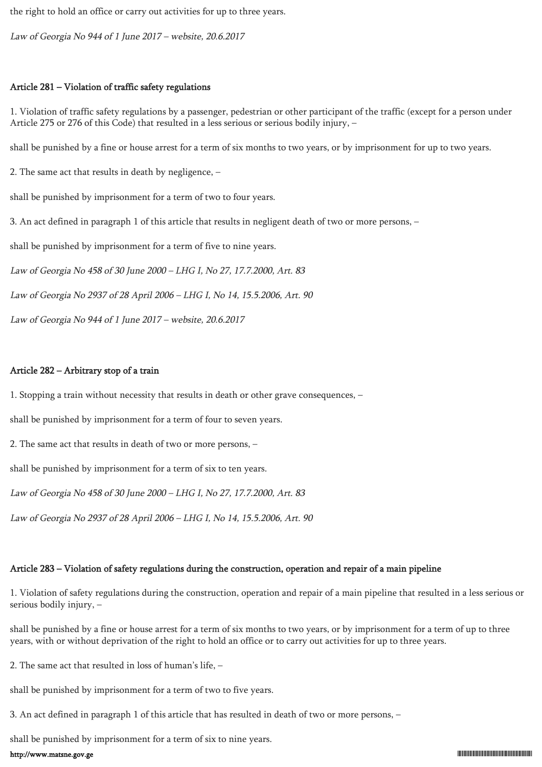the right to hold an office or carry out activities for up to three years.

Law of Georgia No 944 of 1 June 2017 – website, 20.6.2017

### Article 281 – Violation of traffic safety regulations

1. Violation of traffic safety regulations by a passenger, pedestrian or other participant of the traffic (except for a person under Article 275 or 276 of this Code) that resulted in a less serious or serious bodily injury, –

shall be punished by a fine or house arrest for a term of six months to two years, or by imprisonment for up to two years.

2. The same act that results in death by negligence, –

shall be punished by imprisonment for a term of two to four years.

3. An act defined in paragraph 1 of this article that results in negligent death of two or more persons, –

shall be punished by imprisonment for a term of five to nine years.

Law of Georgia No 458 of 30 June 2000 – LHG I, No 27, 17.7.2000, Art. 83

Law of Georgia No 2937 of 28 April 2006 – LHG I, No 14, 15.5.2006, Art. 90

Law of Georgia No 944 of 1 June 2017 – website, 20.6.2017

## Article 282 – Arbitrary stop of a train

1. Stopping a train without necessity that results in death or other grave consequences, –

shall be punished by imprisonment for a term of four to seven years.

2. The same act that results in death of two or more persons, –

shall be punished by imprisonment for a term of six to ten years.

Law of Georgia No 458 of 30 June 2000 – LHG I, No 27, 17.7.2000, Art. 83

Law of Georgia No 2937 of 28 April 2006 – LHG I, No 14, 15.5.2006, Art. 90

# Article 283 – Violation of safety regulations during the construction, operation and repair of a main pipeline

1. Violation of safety regulations during the construction, operation and repair of a main pipeline that resulted in a less serious or serious bodily injury, –

shall be punished by a fine or house arrest for a term of six months to two years, or by imprisonment for a term of up to three years, with or without deprivation of the right to hold an office or to carry out activities for up to three years.

2. The same act that resulted in loss of human's life, –

shall be punished by imprisonment for a term of two to five years.

3. An act defined in paragraph 1 of this article that has resulted in death of two or more persons, –

shall be punished by imprisonment for a term of six to nine years.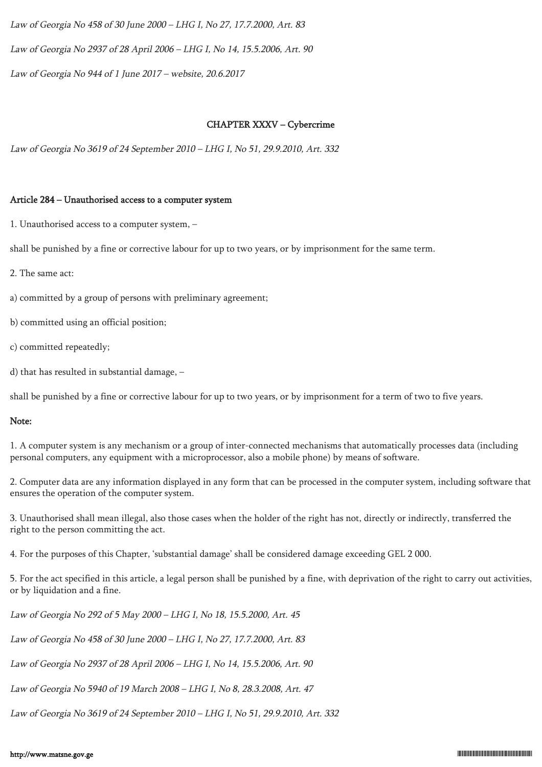Law of Georgia No 458 of 30 June 2000 – LHG I, No 27, 17.7.2000, Art. 83 Law of Georgia No 2937 of 28 April 2006 – LHG I, No 14, 15.5.2006, Art. 90 Law of Georgia No 944 of 1 June 2017 – website, 20.6.2017

#### CHAPTER XXXV – Cybercrime

Law of Georgia No 3619 of 24 September 2010 – LHG I, No 51, 29.9.2010, Art. 332

#### Article 284 – Unauthorised access to a computer system

1. Unauthorised access to a computer system, –

shall be punished by a fine or corrective labour for up to two years, or by imprisonment for the same term.

2. The same act:

a) committed by a group of persons with preliminary agreement;

b) committed using an official position;

c) committed repeatedly;

d) that has resulted in substantial damage, –

shall be punished by a fine or corrective labour for up to two years, or by imprisonment for a term of two to five years.

#### Note:

1. A computer system is any mechanism or a group of inter-connected mechanisms that automatically processes data (including personal computers, any equipment with a microprocessor, also a mobile phone) by means of software.

2. Computer data are any information displayed in any form that can be processed in the computer system, including software that ensures the operation of the computer system.

3. Unauthorised shall mean illegal, also those cases when the holder of the right has not, directly or indirectly, transferred the right to the person committing the act.

4. For the purposes of this Chapter, 'substantial damage' shall be considered damage exceeding GEL 2 000.

5. For the act specified in this article, a legal person shall be punished by a fine, with deprivation of the right to carry out activities, or by liquidation and a fine.

Law of Georgia No 292 of 5 May 2000 – LHG I, No 18, 15.5.2000, Art. 45

Law of Georgia No 458 of 30 June 2000 – LHG I, No 27, 17.7.2000, Art. 83

Law of Georgia No 2937 of 28 April 2006 – LHG I, No 14, 15.5.2006, Art. 90

Law of Georgia No 5940 of 19 March 2008 – LHG I, No 8, 28.3.2008, Art. 47

Law of Georgia No 3619 of 24 September 2010 – LHG I, No 51, 29.9.2010, Art. 332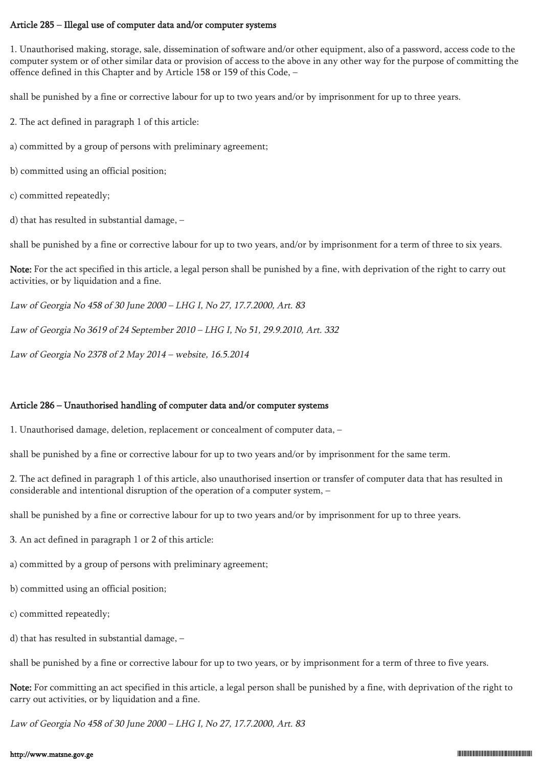#### Article 285 – Illegal use of computer data and/or computer systems

1. Unauthorised making, storage, sale, dissemination of software and/or other equipment, also of a password, access code to the computer system or of other similar data or provision of access to the above in any other way for the purpose of committing the offence defined in this Chapter and by Article 158 or 159 of this Code, –

shall be punished by a fine or corrective labour for up to two years and/or by imprisonment for up to three years.

- 2. The act defined in paragraph 1 of this article:
- a) committed by a group of persons with preliminary agreement;
- b) committed using an official position;
- c) committed repeatedly;
- d) that has resulted in substantial damage, –

shall be punished by a fine or corrective labour for up to two years, and/or by imprisonment for a term of three to six years.

Note: For the act specified in this article, a legal person shall be punished by a fine, with deprivation of the right to carry out activities, or by liquidation and a fine.

Law of Georgia No 458 of 30 June 2000 – LHG I, No 27, 17.7.2000, Art. 83

Law of Georgia No 3619 of 24 September 2010 – LHG I, No 51, 29.9.2010, Art. 332

Law of Georgia No 2378 of 2 May 2014 – website, 16.5.2014

#### Article 286 – Unauthorised handling of computer data and/or computer systems

1. Unauthorised damage, deletion, replacement or concealment of computer data, –

shall be punished by a fine or corrective labour for up to two years and/or by imprisonment for the same term.

2. The act defined in paragraph 1 of this article, also unauthorised insertion or transfer of computer data that has resulted in considerable and intentional disruption of the operation of a computer system, –

shall be punished by a fine or corrective labour for up to two years and/or by imprisonment for up to three years.

- 3. An act defined in paragraph 1 or 2 of this article:
- a) committed by a group of persons with preliminary agreement;
- b) committed using an official position;
- c) committed repeatedly;
- d) that has resulted in substantial damage, –

shall be punished by a fine or corrective labour for up to two years, or by imprisonment for a term of three to five years.

Note: For committing an act specified in this article, a legal person shall be punished by a fine, with deprivation of the right to carry out activities, or by liquidation and a fine.

Law of Georgia No 458 of 30 June 2000 – LHG I, No 27, 17.7.2000, Art. 83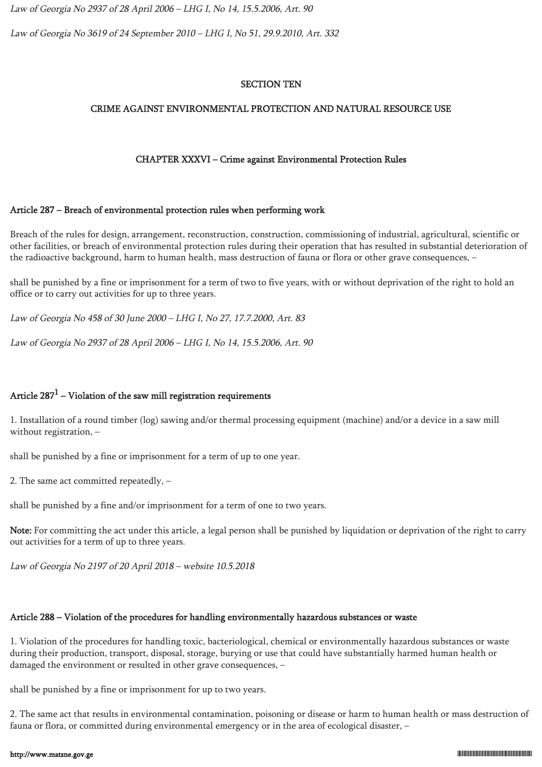Law of Georgia No 2937 of 28 April 2006 – LHG I, No 14, 15.5.2006, Art. 90

Law of Georgia No 3619 of 24 September 2010 – LHG I, No 51, 29.9.2010, Art. 332

#### SECTION TEN

#### CRIME AGAINST ENVIRONMENTAL PROTECTION AND NATURAL RESOURCE USE

#### CHAPTER XXXVI – Crime against Environmental Protection Rules

#### Article 287 – Breach of environmental protection rules when performing work

Breach of the rules for design, arrangement, reconstruction, construction, commissioning of industrial, agricultural, scientific or other facilities, or breach of environmental protection rules during their operation that has resulted in substantial deterioration of the radioactive background, harm to human health, mass destruction of fauna or flora or other grave consequences, –

shall be punished by a fine or imprisonment for a term of two to five years, with or without deprivation of the right to hold an office or to carry out activities for up to three years.

Law of Georgia No 458 of 30 June 2000 – LHG I, No 27, 17.7.2000, Art. 83

Law of Georgia No 2937 of 28 April 2006 – LHG I, No 14, 15.5.2006, Art. 90

## Article 287 $^{\rm 1}$  – Violation of the saw mill registration requirements

1. Installation of a round timber (log) sawing and/or thermal processing equipment (machine) and/or a device in a saw mill without registration, –

shall be punished by a fine or imprisonment for a term of up to one year.

2. The same act committed repeatedly, –

shall be punished by a fine and/or imprisonment for a term of one to two years.

Note: For committing the act under this article, a legal person shall be punished by liquidation or deprivation of the right to carry out activities for a term of up to three years.

Law of Georgia No 2197 of 20 April 2018 – website 10.5.2018

## Article 288 – Violation of the procedures for handling environmentally hazardous substances or waste

1. Violation of the procedures for handling toxic, bacteriological, chemical or environmentally hazardous substances or waste during their production, transport, disposal, storage, burying or use that could have substantially harmed human health or damaged the environment or resulted in other grave consequences, –

shall be punished by a fine or imprisonment for up to two years.

2. The same act that results in environmental contamination, poisoning or disease or harm to human health or mass destruction of fauna or flora, or committed during environmental emergency or in the area of ecological disaster, –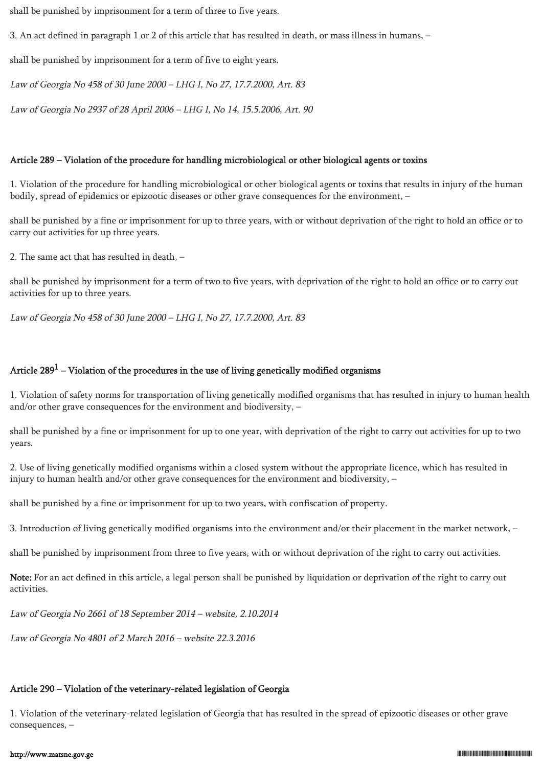shall be punished by imprisonment for a term of three to five years.

3. An act defined in paragraph 1 or 2 of this article that has resulted in death, or mass illness in humans, –

shall be punished by imprisonment for a term of five to eight years.

Law of Georgia No 458 of 30 June 2000 – LHG I, No 27, 17.7.2000, Art. 83

Law of Georgia No 2937 of 28 April 2006 – LHG I, No 14, 15.5.2006, Art. 90

#### Article 289 – Violation of the procedure for handling microbiological or other biological agents or toxins

1. Violation of the procedure for handling microbiological or other biological agents or toxins that results in injury of the human bodily, spread of epidemics or epizootic diseases or other grave consequences for the environment, –

shall be punished by a fine or imprisonment for up to three years, with or without deprivation of the right to hold an office or to carry out activities for up three years.

2. The same act that has resulted in death, –

shall be punished by imprisonment for a term of two to five years, with deprivation of the right to hold an office or to carry out activities for up to three years.

Law of Georgia No 458 of 30 June 2000 – LHG I, No 27, 17.7.2000, Art. 83

## Article  $289<sup>1</sup>$  – Violation of the procedures in the use of living genetically modified organisms

1. Violation of safety norms for transportation of living genetically modified organisms that has resulted in injury to human health and/or other grave consequences for the environment and biodiversity, –

shall be punished by a fine or imprisonment for up to one year, with deprivation of the right to carry out activities for up to two years.

2. Use of living genetically modified organisms within a closed system without the appropriate licence, which has resulted in injury to human health and/or other grave consequences for the environment and biodiversity, –

shall be punished by a fine or imprisonment for up to two years, with confiscation of property.

3. Introduction of living genetically modified organisms into the environment and/or their placement in the market network, –

shall be punished by imprisonment from three to five years, with or without deprivation of the right to carry out activities.

Note: For an act defined in this article, a legal person shall be punished by liquidation or deprivation of the right to carry out activities.

Law of Georgia No 2661 of 18 September 2014 – website, 2.10.2014

Law of Georgia No 4801 of 2 March 2016 – website 22.3.2016

### Article 290 – Violation of the veterinary-related legislation of Georgia

1. Violation of the veterinary-related legislation of Georgia that has resulted in the spread of epizootic diseases or other grave consequences, –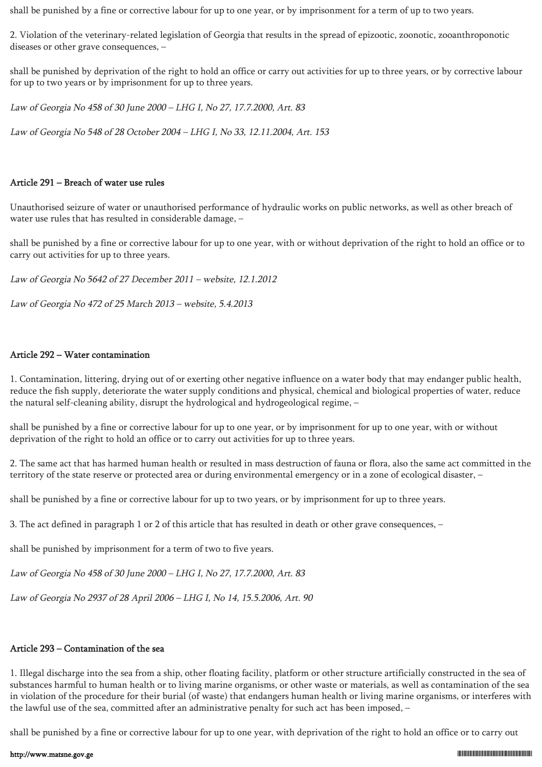shall be punished by a fine or corrective labour for up to one year, or by imprisonment for a term of up to two years.

2. Violation of the veterinary-related legislation of Georgia that results in the spread of epizootic, zoonotic, zooanthroponotic diseases or other grave consequences, –

shall be punished by deprivation of the right to hold an office or carry out activities for up to three years, or by corrective labour for up to two years or by imprisonment for up to three years.

Law of Georgia No 458 of 30 June 2000 – LHG I, No 27, 17.7.2000, Art. 83

Law of Georgia No 548 of 28 October 2004 – LHG I, No 33, 12.11.2004, Art. 153

### Article 291 – Breach of water use rules

Unauthorised seizure of water or unauthorised performance of hydraulic works on public networks, as well as other breach of water use rules that has resulted in considerable damage, –

shall be punished by a fine or corrective labour for up to one year, with or without deprivation of the right to hold an office or to carry out activities for up to three years.

Law of Georgia No 5642 of 27 December 2011 – website, 12.1.2012

Law of Georgia No 472 of 25 March 2013 – website, 5.4.2013

#### Article 292 – Water contamination

1. Contamination, littering, drying out of or exerting other negative influence on a water body that may endanger public health, reduce the fish supply, deteriorate the water supply conditions and physical, chemical and biological properties of water, reduce the natural self-cleaning ability, disrupt the hydrological and hydrogeological regime, –

shall be punished by a fine or corrective labour for up to one year, or by imprisonment for up to one year, with or without deprivation of the right to hold an office or to carry out activities for up to three years.

2. The same act that has harmed human health or resulted in mass destruction of fauna or flora, also the same act committed in the territory of the state reserve or protected area or during environmental emergency or in a zone of ecological disaster, –

shall be punished by a fine or corrective labour for up to two years, or by imprisonment for up to three years.

3. The act defined in paragraph 1 or 2 of this article that has resulted in death or other grave consequences, –

shall be punished by imprisonment for a term of two to five years.

Law of Georgia No 458 of 30 June 2000 – LHG I, No 27, 17.7.2000, Art. 83

Law of Georgia No 2937 of 28 April 2006 – LHG I, No 14, 15.5.2006, Art. 90

## Article 293 – Contamination of the sea

1. Illegal discharge into the sea from a ship, other floating facility, platform or other structure artificially constructed in the sea of substances harmful to human health or to living marine organisms, or other waste or materials, as well as contamination of the sea in violation of the procedure for their burial (of waste) that endangers human health or living marine organisms, or interferes with the lawful use of the sea, committed after an administrative penalty for such act has been imposed, –

shall be punished by a fine or corrective labour for up to one year, with deprivation of the right to hold an office or to carry out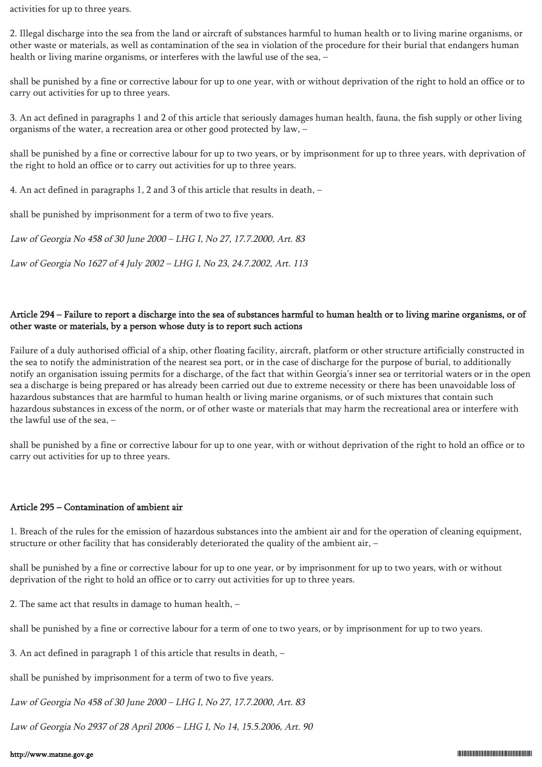activities for up to three years.

2. Illegal discharge into the sea from the land or aircraft of substances harmful to human health or to living marine organisms, or other waste or materials, as well as contamination of the sea in violation of the procedure for their burial that endangers human health or living marine organisms, or interferes with the lawful use of the sea, –

shall be punished by a fine or corrective labour for up to one year, with or without deprivation of the right to hold an office or to carry out activities for up to three years.

3. An act defined in paragraphs 1 and 2 of this article that seriously damages human health, fauna, the fish supply or other living organisms of the water, a recreation area or other good protected by law, –

shall be punished by a fine or corrective labour for up to two years, or by imprisonment for up to three years, with deprivation of the right to hold an office or to carry out activities for up to three years.

4. An act defined in paragraphs 1, 2 and 3 of this article that results in death, –

shall be punished by imprisonment for a term of two to five years.

Law of Georgia No 458 of 30 June 2000 – LHG I, No 27, 17.7.2000, Art. 83

Law of Georgia No 1627 of 4 July 2002 – LHG I, No 23, 24.7.2002, Art. 113

### Article 294 – Failure to report a discharge into the sea of substances harmful to human health or to living marine organisms, or of other waste or materials, by a person whose duty is to report such actions

Failure of a duly authorised official of a ship, other floating facility, aircraft, platform or other structure artificially constructed in the sea to notify the administration of the nearest sea port, or in the case of discharge for the purpose of burial, to additionally notify an organisation issuing permits for a discharge, of the fact that within Georgia's inner sea or territorial waters or in the open sea a discharge is being prepared or has already been carried out due to extreme necessity or there has been unavoidable loss of hazardous substances that are harmful to human health or living marine organisms, or of such mixtures that contain such hazardous substances in excess of the norm, or of other waste or materials that may harm the recreational area or interfere with the lawful use of the sea, –

shall be punished by a fine or corrective labour for up to one year, with or without deprivation of the right to hold an office or to carry out activities for up to three years.

#### Article 295 – Contamination of ambient air

1. Breach of the rules for the emission of hazardous substances into the ambient air and for the operation of cleaning equipment, structure or other facility that has considerably deteriorated the quality of the ambient air, –

shall be punished by a fine or corrective labour for up to one year, or by imprisonment for up to two years, with or without deprivation of the right to hold an office or to carry out activities for up to three years.

2. The same act that results in damage to human health, –

shall be punished by a fine or corrective labour for a term of one to two years, or by imprisonment for up to two years.

3. An act defined in paragraph 1 of this article that results in death, –

shall be punished by imprisonment for a term of two to five years.

Law of Georgia No 458 of 30 June 2000 – LHG I, No 27, 17.7.2000, Art. 83

Law of Georgia No 2937 of 28 April 2006 – LHG I, No 14, 15.5.2006, Art. 90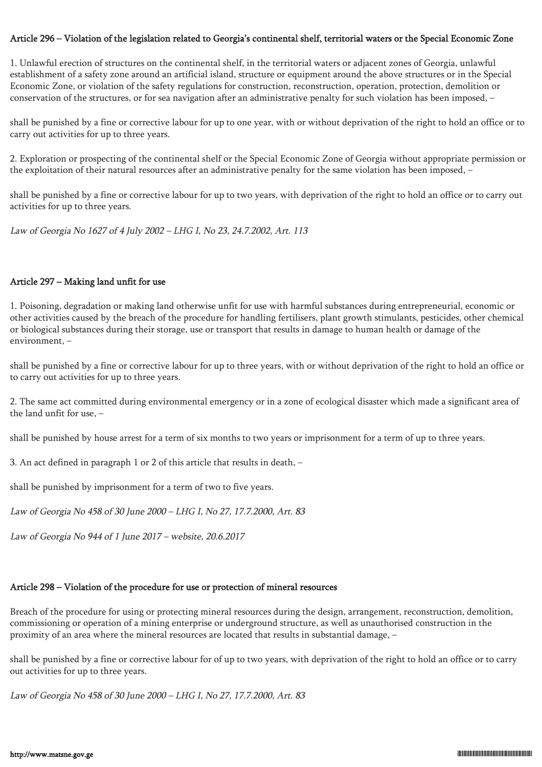#### Article 296 – Violation of the legislation related to Georgia's continental shelf, territorial waters or the Special Economic Zone

1. Unlawful erection of structures on the continental shelf, in the territorial waters or adjacent zones of Georgia, unlawful establishment of a safety zone around an artificial island, structure or equipment around the above structures or in the Special Economic Zone, or violation of the safety regulations for construction, reconstruction, operation, protection, demolition or conservation of the structures, or for sea navigation after an administrative penalty for such violation has been imposed, –

shall be punished by a fine or corrective labour for up to one year, with or without deprivation of the right to hold an office or to carry out activities for up to three years.

2. Exploration or prospecting of the continental shelf or the Special Economic Zone of Georgia without appropriate permission or the exploitation of their natural resources after an administrative penalty for the same violation has been imposed, –

shall be punished by a fine or corrective labour for up to two years, with deprivation of the right to hold an office or to carry out activities for up to three years.

Law of Georgia No 1627 of 4 July 2002 – LHG I, No 23, 24.7.2002, Art. 113

#### Article 297 – Making land unfit for use

1. Poisoning, degradation or making land otherwise unfit for use with harmful substances during entrepreneurial, economic or other activities caused by the breach of the procedure for handling fertilisers, plant growth stimulants, pesticides, other chemical or biological substances during their storage, use or transport that results in damage to human health or damage of the environment, –

shall be punished by a fine or corrective labour for up to three years, with or without deprivation of the right to hold an office or to carry out activities for up to three years.

2. The same act committed during environmental emergency or in a zone of ecological disaster which made a significant area of the land unfit for use, –

shall be punished by house arrest for a term of six months to two years or imprisonment for a term of up to three years.

3. An act defined in paragraph 1 or 2 of this article that results in death, –

shall be punished by imprisonment for a term of two to five years.

Law of Georgia No 458 of 30 June 2000 – LHG I, No 27, 17.7.2000, Art. 83

Law of Georgia No 944 of 1 June 2017 – website, 20.6.2017

#### Article 298 – Violation of the procedure for use or protection of mineral resources

Breach of the procedure for using or protecting mineral resources during the design, arrangement, reconstruction, demolition, commissioning or operation of a mining enterprise or underground structure, as well as unauthorised construction in the proximity of an area where the mineral resources are located that results in substantial damage, –

shall be punished by a fine or corrective labour for of up to two years, with deprivation of the right to hold an office or to carry out activities for up to three years.

Law of Georgia No 458 of 30 June 2000 – LHG I, No 27, 17.7.2000, Art. 83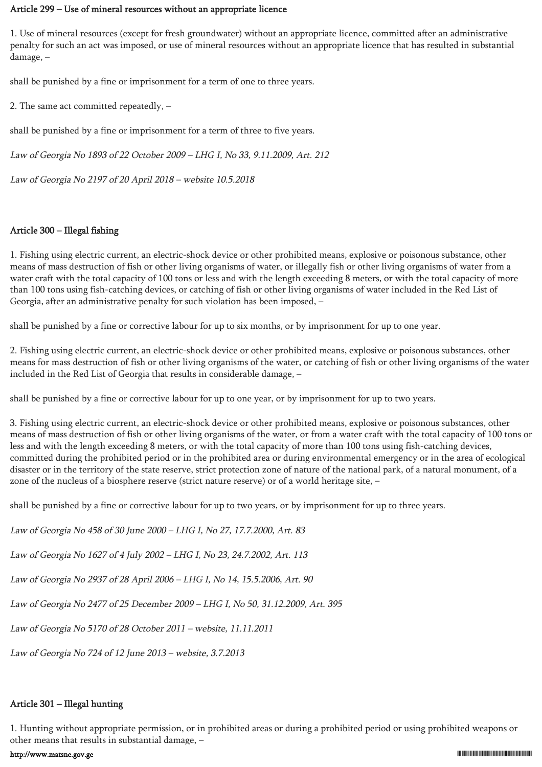#### Article 299 – Use of mineral resources without an appropriate licence

1. Use of mineral resources (except for fresh groundwater) without an appropriate licence, committed after an administrative penalty for such an act was imposed, or use of mineral resources without an appropriate licence that has resulted in substantial damage, –

shall be punished by a fine or imprisonment for a term of one to three years.

2. The same act committed repeatedly, –

shall be punished by a fine or imprisonment for a term of three to five years.

Law of Georgia No 1893 of 22 October 2009 – LHG I, No 33, 9.11.2009, Art. 212

Law of Georgia No 2197 of 20 April 2018 – website 10.5.2018

### Article 300 – Illegal fishing

1. Fishing using electric current, an electric-shock device or other prohibited means, explosive or poisonous substance, other means of mass destruction of fish or other living organisms of water, or illegally fish or other living organisms of water from a water craft with the total capacity of 100 tons or less and with the length exceeding 8 meters, or with the total capacity of more than 100 tons using fish-catching devices, or catching of fish or other living organisms of water included in the Red List of Georgia, after an administrative penalty for such violation has been imposed, –

shall be punished by a fine or corrective labour for up to six months, or by imprisonment for up to one year.

2. Fishing using electric current, an electric-shock device or other prohibited means, explosive or poisonous substances, other means for mass destruction of fish or other living organisms of the water, or catching of fish or other living organisms of the water included in the Red List of Georgia that results in considerable damage, –

shall be punished by a fine or corrective labour for up to one year, or by imprisonment for up to two years.

3. Fishing using electric current, an electric-shock device or other prohibited means, explosive or poisonous substances, other means of mass destruction of fish or other living organisms of the water, or from a water craft with the total capacity of 100 tons or less and with the length exceeding 8 meters, or with the total capacity of more than 100 tons using fish-catching devices, committed during the prohibited period or in the prohibited area or during environmental emergency or in the area of ecological disaster or in the territory of the state reserve, strict protection zone of nature of the national park, of a natural monument, of a zone of the nucleus of a biosphere reserve (strict nature reserve) or of a world heritage site, –

shall be punished by a fine or corrective labour for up to two years, or by imprisonment for up to three years.

Law of Georgia No 458 of 30 June 2000 – LHG I, No 27, 17.7.2000, Art. 83

Law of Georgia No 1627 of 4 July 2002 – LHG I, No 23, 24.7.2002, Art. 113

Law of Georgia No 2937 of 28 April 2006 – LHG I, No 14, 15.5.2006, Art. 90

Law of Georgia No 2477 of 25 December 2009 – LHG I, No 50, 31.12.2009, Art. 395

Law of Georgia No 5170 of 28 October 2011 – website, 11.11.2011

Law of Georgia No 724 of 12 June 2013 – website, 3.7.2013

# Article 301 – Illegal hunting

1. Hunting without appropriate permission, or in prohibited areas or during a prohibited period or using prohibited weapons or other means that results in substantial damage, –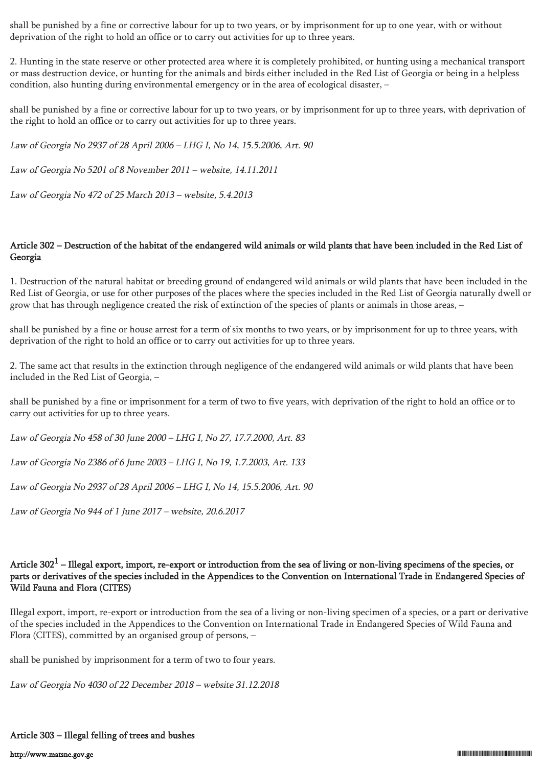shall be punished by a fine or corrective labour for up to two years, or by imprisonment for up to one year, with or without deprivation of the right to hold an office or to carry out activities for up to three years.

2. Hunting in the state reserve or other protected area where it is completely prohibited, or hunting using a mechanical transport or mass destruction device, or hunting for the animals and birds either included in the Red List of Georgia or being in a helpless condition, also hunting during environmental emergency or in the area of ecological disaster, –

shall be punished by a fine or corrective labour for up to two years, or by imprisonment for up to three years, with deprivation of the right to hold an office or to carry out activities for up to three years.

Law of Georgia No 2937 of 28 April 2006 – LHG I, No 14, 15.5.2006, Art. 90

Law of Georgia No 5201 of 8 November 2011 – website, 14.11.2011

Law of Georgia No 472 of 25 March 2013 – website, 5.4.2013

### Article 302 – Destruction of the habitat of the endangered wild animals or wild plants that have been included in the Red List of Georgia

1. Destruction of the natural habitat or breeding ground of endangered wild animals or wild plants that have been included in the Red List of Georgia, or use for other purposes of the places where the species included in the Red List of Georgia naturally dwell or grow that has through negligence created the risk of extinction of the species of plants or animals in those areas, –

shall be punished by a fine or house arrest for a term of six months to two years, or by imprisonment for up to three years, with deprivation of the right to hold an office or to carry out activities for up to three years.

2. The same act that results in the extinction through negligence of the endangered wild animals or wild plants that have been included in the Red List of Georgia, –

shall be punished by a fine or imprisonment for a term of two to five years, with deprivation of the right to hold an office or to carry out activities for up to three years.

Law of Georgia No 458 of 30 June 2000 – LHG I, No 27, 17.7.2000, Art. 83

Law of Georgia No 2386 of 6 June 2003 – LHG I, No 19, 1.7.2003, Art. 133

Law of Georgia No 2937 of 28 April 2006 – LHG I, No 14, 15.5.2006, Art. 90

Law of Georgia No 944 of 1 June 2017 – website, 20.6.2017

### Article 302 $^1$  – Illegal export, import, re-export or introduction from the sea of living or non-living specimens of the species, or parts or derivatives of the species included in the Appendices to the Convention on International Trade in Endangered Species of Wild Fauna and Flora (CITES)

Illegal export, import, re-export or introduction from the sea of a living or non-living specimen of a species, or a part or derivative of the species included in the Appendices to the Convention on International Trade in Endangered Species of Wild Fauna and Flora (CITES), committed by an organised group of persons, –

shall be punished by imprisonment for a term of two to four years.

Law of Georgia No 4030 of 22 December 2018 – website 31.12.2018

#### Article 303 – Illegal felling of trees and bushes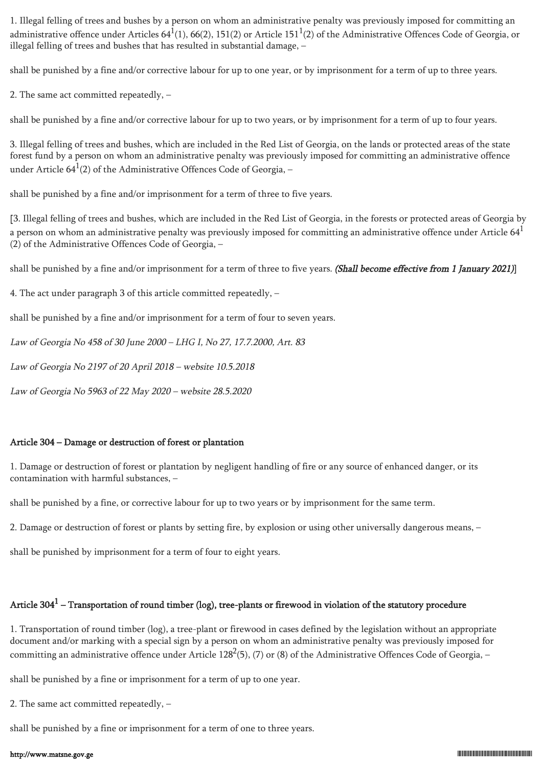1. Illegal felling of trees and bushes by a person on whom an administrative penalty was previously imposed for committing an administrative offence under Articles 64 $^1$ (1), 66(2), 151(2) or Article 151 $^1$ (2) of the Administrative Offences Code of Georgia, or illegal felling of trees and bushes that has resulted in substantial damage, –

shall be punished by a fine and/or corrective labour for up to one year, or by imprisonment for a term of up to three years.

2. The same act committed repeatedly, –

shall be punished by a fine and/or corrective labour for up to two years, or by imprisonment for a term of up to four years.

3. Illegal felling of trees and bushes, which are included in the Red List of Georgia, on the lands or protected areas of the state forest fund by a person on whom an administrative penalty was previously imposed for committing an administrative offence under Article 64 $^{1}(2)$  of the Administrative Offences Code of Georgia, –

shall be punished by a fine and/or imprisonment for a term of three to five years.

[3. Illegal felling of trees and bushes, which are included in the Red List of Georgia, in the forests or protected areas of Georgia by a person on whom an administrative penalty was previously imposed for committing an administrative offence under Article  $64<sup>1</sup>$ (2) of the Administrative Offences Code of Georgia, –

shall be punished by a fine and/or imprisonment for a term of three to five years. (Shall become effective from 1 January 2021)]

4. The act under paragraph 3 of this article committed repeatedly, –

shall be punished by a fine and/or imprisonment for a term of four to seven years.

Law of Georgia No 458 of 30 June 2000 – LHG I, No 27, 17.7.2000, Art. 83

Law of Georgia No 2197 of 20 April 2018 – website 10.5.2018

Law of Georgia No 5963 of 22 May 2020 – website 28.5.2020

#### Article 304 – Damage or destruction of forest or plantation

1. Damage or destruction of forest or plantation by negligent handling of fire or any source of enhanced danger, or its contamination with harmful substances, –

shall be punished by a fine, or corrective labour for up to two years or by imprisonment for the same term.

2. Damage or destruction of forest or plants by setting fire, by explosion or using other universally dangerous means, –

shall be punished by imprisonment for a term of four to eight years.

## Article 304 $^{\rm 1}$  – Transportation of round timber (log), tree-plants or firewood in violation of the statutory procedure

1. Transportation of round timber (log), a tree-plant or firewood in cases defined by the legislation without an appropriate document and/or marking with a special sign by a person on whom an administrative penalty was previously imposed for committing an administrative offence under Article 128<sup>2</sup>(5), (7) or (8) of the Administrative Offences Code of Georgia, –

shall be punished by a fine or imprisonment for a term of up to one year.

2. The same act committed repeatedly, –

shall be punished by a fine or imprisonment for a term of one to three years.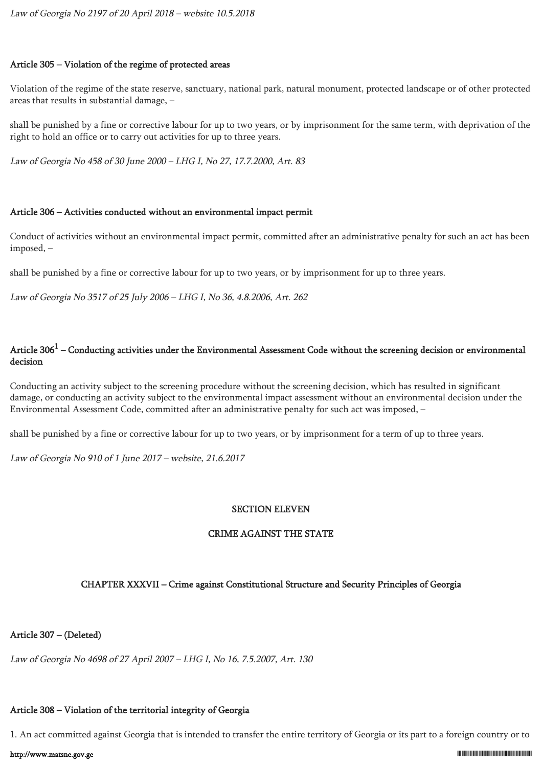### Article 305 – Violation of the regime of protected areas

Violation of the regime of the state reserve, sanctuary, national park, natural monument, protected landscape or of other protected areas that results in substantial damage, –

shall be punished by a fine or corrective labour for up to two years, or by imprisonment for the same term, with deprivation of the right to hold an office or to carry out activities for up to three years.

Law of Georgia No 458 of 30 June 2000 – LHG I, No 27, 17.7.2000, Art. 83

#### Article 306 – Activities conducted without an environmental impact permit

Conduct of activities without an environmental impact permit, committed after an administrative penalty for such an act has been imposed, –

shall be punished by a fine or corrective labour for up to two years, or by imprisonment for up to three years.

Law of Georgia No 3517 of 25 July 2006 – LHG I, No 36, 4.8.2006, Art. 262

## Article  $306^1$  – Conducting activities under the Environmental Assessment Code without the screening decision or environmental decision

Conducting an activity subject to the screening procedure without the screening decision, which has resulted in significant damage, or conducting an activity subject to the environmental impact assessment without an environmental decision under the Environmental Assessment Code, committed after an administrative penalty for such act was imposed, –

shall be punished by a fine or corrective labour for up to two years, or by imprisonment for a term of up to three years.

Law of Georgia No 910 of 1 June 2017 – website, 21.6.2017

#### SECTION ELEVEN

#### CRIME AGAINST THE STATE

### CHAPTER XXXVII – Crime against Constitutional Structure and Security Principles of Georgia

#### Article 307 – (Deleted)

Law of Georgia No 4698 of 27 April 2007 – LHG I, No 16, 7.5.2007, Art. 130

## Article 308 – Violation of the territorial integrity of Georgia

1. An act committed against Georgia that is intended to transfer the entire territory of Georgia or its part to a foreign country or to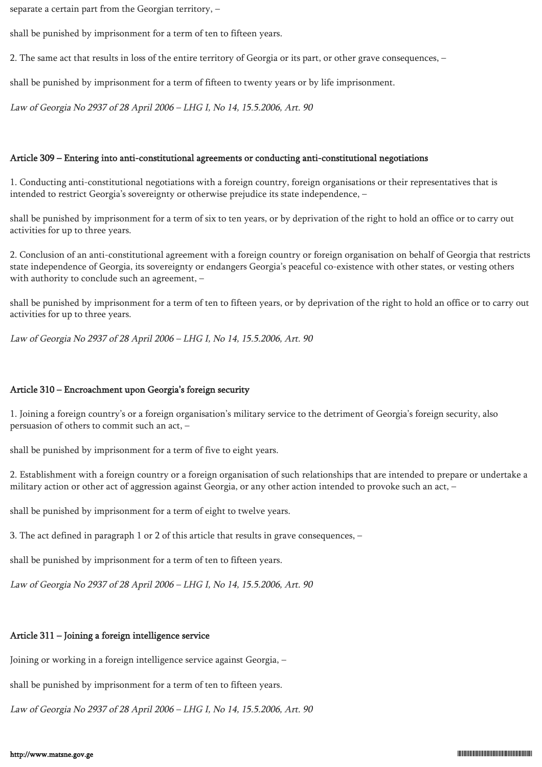separate a certain part from the Georgian territory, –

shall be punished by imprisonment for a term of ten to fifteen years.

2. The same act that results in loss of the entire territory of Georgia or its part, or other grave consequences, –

shall be punished by imprisonment for a term of fifteen to twenty years or by life imprisonment.

Law of Georgia No 2937 of 28 April 2006 – LHG I, No 14, 15.5.2006, Art. 90

#### Article 309 – Entering into anti-constitutional agreements or conducting anti-constitutional negotiations

1. Conducting anti-constitutional negotiations with a foreign country, foreign organisations or their representatives that is intended to restrict Georgia's sovereignty or otherwise prejudice its state independence, –

shall be punished by imprisonment for a term of six to ten years, or by deprivation of the right to hold an office or to carry out activities for up to three years.

2. Conclusion of an anti-constitutional agreement with a foreign country or foreign organisation on behalf of Georgia that restricts state independence of Georgia, its sovereignty or endangers Georgia's peaceful co-existence with other states, or vesting others with authority to conclude such an agreement, –

shall be punished by imprisonment for a term of ten to fifteen years, or by deprivation of the right to hold an office or to carry out activities for up to three years.

Law of Georgia No 2937 of 28 April 2006 – LHG I, No 14, 15.5.2006, Art. 90

#### Article 310 – Encroachment upon Georgia's foreign security

1. Joining a foreign country's or a foreign organisation's military service to the detriment of Georgia's foreign security, also persuasion of others to commit such an act, –

shall be punished by imprisonment for a term of five to eight years.

2. Establishment with a foreign country or a foreign organisation of such relationships that are intended to prepare or undertake a military action or other act of aggression against Georgia, or any other action intended to provoke such an act, –

shall be punished by imprisonment for a term of eight to twelve years.

3. The act defined in paragraph 1 or 2 of this article that results in grave consequences, –

shall be punished by imprisonment for a term of ten to fifteen years.

Law of Georgia No 2937 of 28 April 2006 – LHG I, No 14, 15.5.2006, Art. 90

#### Article 311 – Joining a foreign intelligence service

Joining or working in a foreign intelligence service against Georgia, –

shall be punished by imprisonment for a term of ten to fifteen years.

Law of Georgia No 2937 of 28 April 2006 – LHG I, No 14, 15.5.2006, Art. 90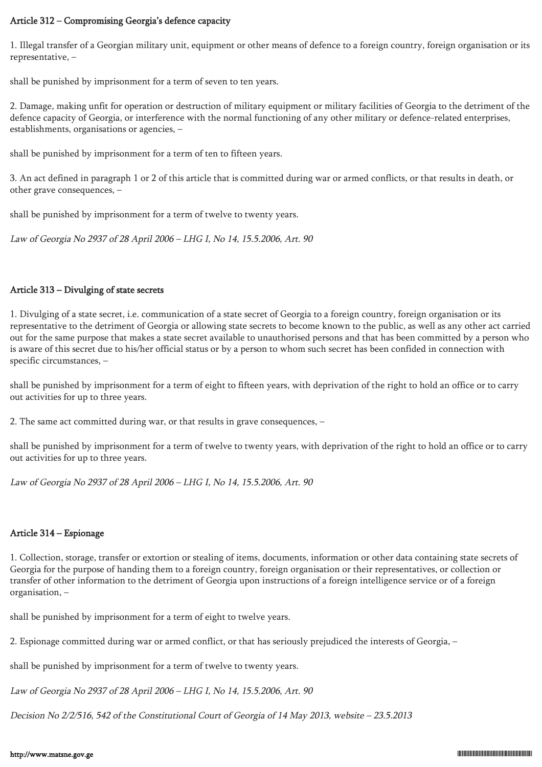#### Article 312 – Compromising Georgia's defence capacity

1. Illegal transfer of a Georgian military unit, equipment or other means of defence to a foreign country, foreign organisation or its representative, –

shall be punished by imprisonment for a term of seven to ten years.

2. Damage, making unfit for operation or destruction of military equipment or military facilities of Georgia to the detriment of the defence capacity of Georgia, or interference with the normal functioning of any other military or defence-related enterprises, establishments, organisations or agencies, –

shall be punished by imprisonment for a term of ten to fifteen years.

3. An act defined in paragraph 1 or 2 of this article that is committed during war or armed conflicts, or that results in death, or other grave consequences, –

shall be punished by imprisonment for a term of twelve to twenty years.

Law of Georgia No 2937 of 28 April 2006 – LHG I, No 14, 15.5.2006, Art. 90

### Article 313 – Divulging of state secrets

1. Divulging of a state secret, i.e. communication of a state secret of Georgia to a foreign country, foreign organisation or its representative to the detriment of Georgia or allowing state secrets to become known to the public, as well as any other act carried out for the same purpose that makes a state secret available to unauthorised persons and that has been committed by a person who is aware of this secret due to his/her official status or by a person to whom such secret has been confided in connection with specific circumstances, –

shall be punished by imprisonment for a term of eight to fifteen years, with deprivation of the right to hold an office or to carry out activities for up to three years.

2. The same act committed during war, or that results in grave consequences, –

shall be punished by imprisonment for a term of twelve to twenty years, with deprivation of the right to hold an office or to carry out activities for up to three years.

Law of Georgia No 2937 of 28 April 2006 – LHG I, No 14, 15.5.2006, Art. 90

### Article 314 – Espionage

1. Collection, storage, transfer or extortion or stealing of items, documents, information or other data containing state secrets of Georgia for the purpose of handing them to a foreign country, foreign organisation or their representatives, or collection or transfer of other information to the detriment of Georgia upon instructions of a foreign intelligence service or of a foreign organisation, –

shall be punished by imprisonment for a term of eight to twelve years.

2. Espionage committed during war or armed conflict, or that has seriously prejudiced the interests of Georgia, –

shall be punished by imprisonment for a term of twelve to twenty years.

Law of Georgia No 2937 of 28 April 2006 – LHG I, No 14, 15.5.2006, Art. 90

Decision No 2/2/516, 542 of the Constitutional Court of Georgia of 14 May 2013, website – 23.5.2013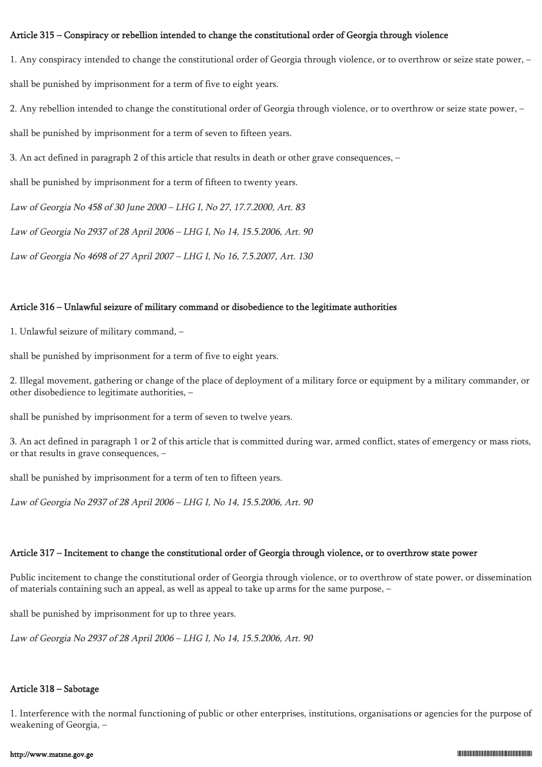#### Article 315 – Conspiracy or rebellion intended to change the constitutional order of Georgia through violence

1. Any conspiracy intended to change the constitutional order of Georgia through violence, or to overthrow or seize state power, –

shall be punished by imprisonment for a term of five to eight years.

2. Any rebellion intended to change the constitutional order of Georgia through violence, or to overthrow or seize state power, –

shall be punished by imprisonment for a term of seven to fifteen years.

3. An act defined in paragraph 2 of this article that results in death or other grave consequences, –

shall be punished by imprisonment for a term of fifteen to twenty years.

Law of Georgia No 458 of 30 June 2000 – LHG I, No 27, 17.7.2000, Art. 83

Law of Georgia No 2937 of 28 April 2006 – LHG I, No 14, 15.5.2006, Art. 90

Law of Georgia No 4698 of 27 April 2007 – LHG I, No 16, 7.5.2007, Art. 130

#### Article 316 – Unlawful seizure of military command or disobedience to the legitimate authorities

1. Unlawful seizure of military command, –

shall be punished by imprisonment for a term of five to eight years.

2. Illegal movement, gathering or change of the place of deployment of a military force or equipment by a military commander, or other disobedience to legitimate authorities, –

shall be punished by imprisonment for a term of seven to twelve years.

3. An act defined in paragraph 1 or 2 of this article that is committed during war, armed conflict, states of emergency or mass riots, or that results in grave consequences, –

shall be punished by imprisonment for a term of ten to fifteen years.

Law of Georgia No 2937 of 28 April 2006 – LHG I, No 14, 15.5.2006, Art. 90

#### Article 317 – Incitement to change the constitutional order of Georgia through violence, or to overthrow state power

Public incitement to change the constitutional order of Georgia through violence, or to overthrow of state power, or dissemination of materials containing such an appeal, as well as appeal to take up arms for the same purpose, –

shall be punished by imprisonment for up to three years.

Law of Georgia No 2937 of 28 April 2006 – LHG I, No 14, 15.5.2006, Art. 90

#### Article 318 – Sabotage

1. Interference with the normal functioning of public or other enterprises, institutions, organisations or agencies for the purpose of weakening of Georgia, –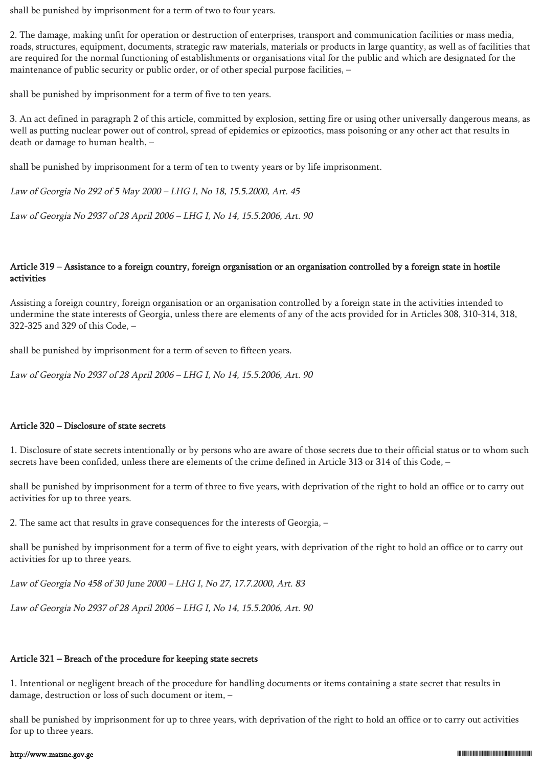shall be punished by imprisonment for a term of two to four years.

2. The damage, making unfit for operation or destruction of enterprises, transport and communication facilities or mass media, roads, structures, equipment, documents, strategic raw materials, materials or products in large quantity, as well as of facilities that are required for the normal functioning of establishments or organisations vital for the public and which are designated for the maintenance of public security or public order, or of other special purpose facilities, –

shall be punished by imprisonment for a term of five to ten years.

3. An act defined in paragraph 2 of this article, committed by explosion, setting fire or using other universally dangerous means, as well as putting nuclear power out of control, spread of epidemics or epizootics, mass poisoning or any other act that results in death or damage to human health, –

shall be punished by imprisonment for a term of ten to twenty years or by life imprisonment.

Law of Georgia No 292 of 5 May 2000 – LHG I, No 18, 15.5.2000, Art. 45

Law of Georgia No 2937 of 28 April 2006 – LHG I, No 14, 15.5.2006, Art. 90

#### Article 319 – Assistance to a foreign country, foreign organisation or an organisation controlled by a foreign state in hostile activities

Assisting a foreign country, foreign organisation or an organisation controlled by a foreign state in the activities intended to undermine the state interests of Georgia, unless there are elements of any of the acts provided for in Articles 308, 310-314, 318, 322-325 and 329 of this Code, –

shall be punished by imprisonment for a term of seven to fifteen years.

Law of Georgia No 2937 of 28 April 2006 – LHG I, No 14, 15.5.2006, Art. 90

#### Article 320 – Disclosure of state secrets

1. Disclosure of state secrets intentionally or by persons who are aware of those secrets due to their official status or to whom such secrets have been confided, unless there are elements of the crime defined in Article 313 or 314 of this Code, –

shall be punished by imprisonment for a term of three to five years, with deprivation of the right to hold an office or to carry out activities for up to three years.

2. The same act that results in grave consequences for the interests of Georgia, –

shall be punished by imprisonment for a term of five to eight years, with deprivation of the right to hold an office or to carry out activities for up to three years.

Law of Georgia No 458 of 30 June 2000 – LHG I, No 27, 17.7.2000, Art. 83

Law of Georgia No 2937 of 28 April 2006 – LHG I, No 14, 15.5.2006, Art. 90

## Article 321 – Breach of the procedure for keeping state secrets

1. Intentional or negligent breach of the procedure for handling documents or items containing a state secret that results in damage, destruction or loss of such document or item, –

shall be punished by imprisonment for up to three years, with deprivation of the right to hold an office or to carry out activities for up to three years.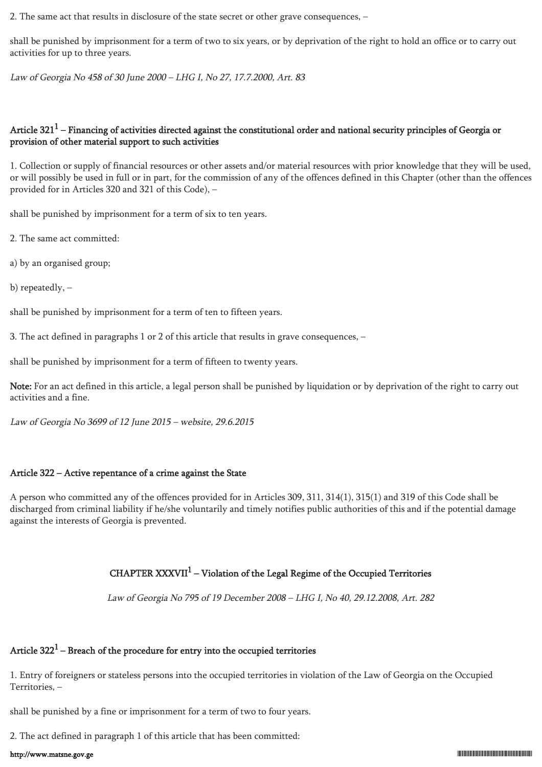2. The same act that results in disclosure of the state secret or other grave consequences, –

shall be punished by imprisonment for a term of two to six years, or by deprivation of the right to hold an office or to carry out activities for up to three years.

Law of Georgia No 458 of 30 June 2000 – LHG I, No 27, 17.7.2000, Art. 83

## Article 321 $^1$  – Financing of activities directed against the constitutional order and national security principles of Georgia or provision of other material support to such activities

1. Collection or supply of financial resources or other assets and/or material resources with prior knowledge that they will be used, or will possibly be used in full or in part, for the commission of any of the offences defined in this Chapter (other than the offences provided for in Articles 320 and 321 of this Code), –

shall be punished by imprisonment for a term of six to ten years.

2. The same act committed:

a) by an organised group;

b) repeatedly, –

shall be punished by imprisonment for a term of ten to fifteen years.

3. The act defined in paragraphs 1 or 2 of this article that results in grave consequences, –

shall be punished by imprisonment for a term of fifteen to twenty years.

Note: For an act defined in this article, a legal person shall be punished by liquidation or by deprivation of the right to carry out activities and a fine.

Law of Georgia No 3699 of 12 June 2015 – website, 29.6.2015

#### Article 322 – Active repentance of a crime against the State

A person who committed any of the offences provided for in Articles 309, 311, 314(1), 315(1) and 319 of this Code shall be discharged from criminal liability if he/she voluntarily and timely notifies public authorities of this and if the potential damage against the interests of Georgia is prevented.

## CHAPTER  $\text{XXXVII}^1$  – Violation of the Legal Regime of the Occupied Territories

Law of Georgia No 795 of 19 December 2008 – LHG I, No 40, 29.12.2008, Art. 282

### Article  $322<sup>1</sup>$  – Breach of the procedure for entry into the occupied territories

1. Entry of foreigners or stateless persons into the occupied territories in violation of the Law of Georgia on the Occupied Territories, –

shall be punished by a fine or imprisonment for a term of two to four years.

2. The act defined in paragraph 1 of this article that has been committed: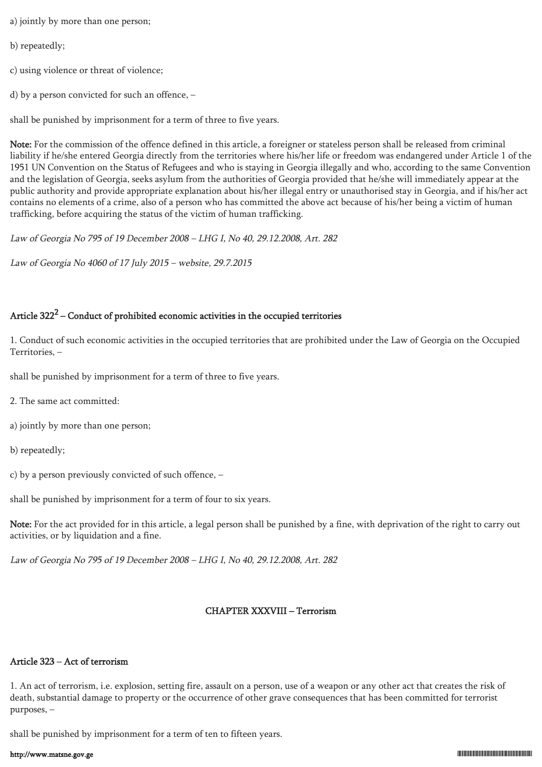- a) jointly by more than one person;
- b) repeatedly;
- c) using violence or threat of violence;
- d) by a person convicted for such an offence, –

shall be punished by imprisonment for a term of three to five years.

Note: For the commission of the offence defined in this article, a foreigner or stateless person shall be released from criminal liability if he/she entered Georgia directly from the territories where his/her life or freedom was endangered under Article 1 of the 1951 UN Convention on the Status of Refugees and who is staying in Georgia illegally and who, according to the same Convention and the legislation of Georgia, seeks asylum from the authorities of Georgia provided that he/she will immediately appear at the public authority and provide appropriate explanation about his/her illegal entry or unauthorised stay in Georgia, and if his/her act contains no elements of a crime, also of a person who has committed the above act because of his/her being a victim of human trafficking, before acquiring the status of the victim of human trafficking.

Law of Georgia No 795 of 19 December 2008 – LHG I, No 40, 29.12.2008, Art. 282

Law of Georgia No 4060 of 17 July 2015 – website, 29.7.2015

## Article  $322^2$  – Conduct of prohibited economic activities in the occupied territories

1. Conduct of such economic activities in the occupied territories that are prohibited under the Law of Georgia on the Occupied Territories, –

shall be punished by imprisonment for a term of three to five years.

- 2. The same act committed:
- a) jointly by more than one person;
- b) repeatedly;
- c) by a person previously convicted of such offence, –

shall be punished by imprisonment for a term of four to six years.

Note: For the act provided for in this article, a legal person shall be punished by a fine, with deprivation of the right to carry out activities, or by liquidation and a fine.

Law of Georgia No 795 of 19 December 2008 – LHG I, No 40, 29.12.2008, Art. 282

#### CHAPTER XXXVIII – Terrorism

#### Article 323 – Act of terrorism

1. An act of terrorism, i.e. explosion, setting fire, assault on a person, use of a weapon or any other act that creates the risk of death, substantial damage to property or the occurrence of other grave consequences that has been committed for terrorist purposes, –

shall be punished by imprisonment for a term of ten to fifteen years.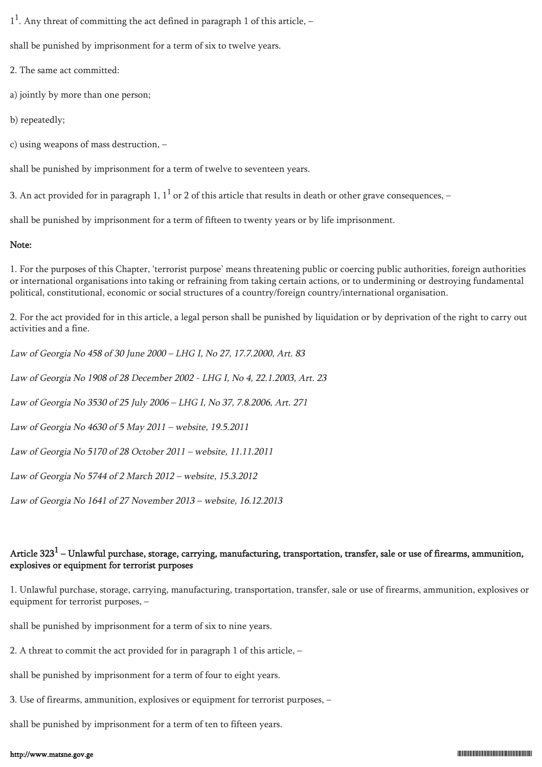$1<sup>1</sup>$ . Any threat of committing the act defined in paragraph 1 of this article, -

shall be punished by imprisonment for a term of six to twelve years.

2. The same act committed:

a) jointly by more than one person;

b) repeatedly;

c) using weapons of mass destruction, –

shall be punished by imprisonment for a term of twelve to seventeen years.

3. An act provided for in paragraph 1,  $1^1$  or 2 of this article that results in death or other grave consequences, –

shall be punished by imprisonment for a term of fifteen to twenty years or by life imprisonment.

## Note:

1. For the purposes of this Chapter, 'terrorist purpose' means threatening public or coercing public authorities, foreign authorities or international organisations into taking or refraining from taking certain actions, or to undermining or destroying fundamental political, constitutional, economic or social structures of a country/foreign country/international organisation.

2. For the act provided for in this article, a legal person shall be punished by liquidation or by deprivation of the right to carry out activities and a fine.

Law of Georgia No 458 of 30 June 2000 – LHG I, No 27, 17.7.2000, Art. 83

Law of Georgia No 1908 of 28 December 2002 - LHG I, No 4, 22.1.2003, Art. 23

Law of Georgia No 3530 of 25 July 2006 – LHG I, No 37, 7.8.2006, Art. 271

Law of Georgia No 4630 of 5 May 2011 – website, 19.5.2011

Law of Georgia No 5170 of 28 October 2011 – website, 11.11.2011

Law of Georgia No 5744 of 2 March 2012 – website, 15.3.2012

Law of Georgia No 1641 of 27 November 2013 – website, 16.12.2013

## Article 323 $^1$  – Unlawful purchase, storage, carrying, manufacturing, transportation, transfer, sale or use of firearms, ammunition, explosives or equipment for terrorist purposes

1. Unlawful purchase, storage, carrying, manufacturing, transportation, transfer, sale or use of firearms, ammunition, explosives or equipment for terrorist purposes, –

shall be punished by imprisonment for a term of six to nine years.

2. A threat to commit the act provided for in paragraph 1 of this article, –

shall be punished by imprisonment for a term of four to eight years.

3. Use of firearms, ammunition, explosives or equipment for terrorist purposes, –

shall be punished by imprisonment for a term of ten to fifteen years.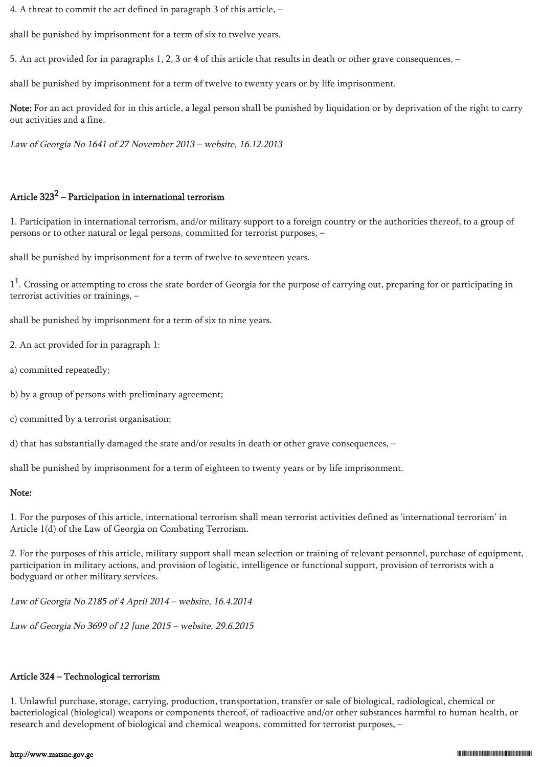4. A threat to commit the act defined in paragraph 3 of this article, –

shall be punished by imprisonment for a term of six to twelve years.

5. An act provided for in paragraphs 1, 2, 3 or 4 of this article that results in death or other grave consequences, –

shall be punished by imprisonment for a term of twelve to twenty years or by life imprisonment.

Note: For an act provided for in this article, a legal person shall be punished by liquidation or by deprivation of the right to carry out activities and a fine.

Law of Georgia No 1641 of 27 November 2013 – website, 16.12.2013

## Article  $323^2$  – Participation in international terrorism

1. Participation in international terrorism, and/or military support to a foreign country or the authorities thereof, to a group of persons or to other natural or legal persons, committed for terrorist purposes, –

shall be punished by imprisonment for a term of twelve to seventeen years.

 $1<sup>1</sup>$ . Crossing or attempting to cross the state border of Georgia for the purpose of carrying out, preparing for or participating in terrorist activities or trainings, –

shall be punished by imprisonment for a term of six to nine years.

2. An act provided for in paragraph 1:

- a) committed repeatedly;
- b) by a group of persons with preliminary agreement;
- c) committed by a terrorist organisation;

d) that has substantially damaged the state and/or results in death or other grave consequences, –

shall be punished by imprisonment for a term of eighteen to twenty years or by life imprisonment.

#### Note:

1. For the purposes of this article, international terrorism shall mean terrorist activities defined as 'international terrorism' in Article 1(d) of the Law of Georgia on Combating Terrorism.

2. For the purposes of this article, military support shall mean selection or training of relevant personnel, purchase of equipment, participation in military actions, and provision of logistic, intelligence or functional support, provision of terrorists with a bodyguard or other military services.

Law of Georgia No 2185 of 4 April 2014 – website, 16.4.2014

Law of Georgia No 3699 of 12 June 2015 – website, 29.6.2015

### Article 324 – Technological terrorism

1. Unlawful purchase, storage, carrying, production, transportation, transfer or sale of biological, radiological, chemical or bacteriological (biological) weapons or components thereof, of radioactive and/or other substances harmful to human health, or research and development of biological and chemical weapons, committed for terrorist purposes, –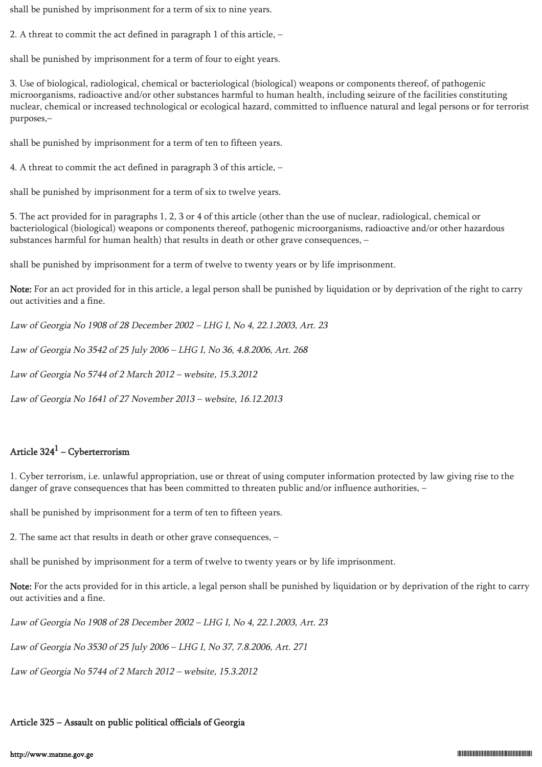shall be punished by imprisonment for a term of six to nine years.

2. A threat to commit the act defined in paragraph 1 of this article, –

shall be punished by imprisonment for a term of four to eight years.

3. Use of biological, radiological, chemical or bacteriological (biological) weapons or components thereof, of pathogenic microorganisms, radioactive and/or other substances harmful to human health, including seizure of the facilities constituting nuclear, chemical or increased technological or ecological hazard, committed to influence natural and legal persons or for terrorist purposes,–

shall be punished by imprisonment for a term of ten to fifteen years.

4. A threat to commit the act defined in paragraph 3 of this article, –

shall be punished by imprisonment for a term of six to twelve years.

5. The act provided for in paragraphs 1, 2, 3 or 4 of this article (other than the use of nuclear, radiological, chemical or bacteriological (biological) weapons or components thereof, pathogenic microorganisms, radioactive and/or other hazardous substances harmful for human health) that results in death or other grave consequences, –

shall be punished by imprisonment for a term of twelve to twenty years or by life imprisonment.

Note: For an act provided for in this article, a legal person shall be punished by liquidation or by deprivation of the right to carry out activities and a fine.

Law of Georgia No 1908 of 28 December 2002 – LHG I, No 4, 22.1.2003, Art. 23

Law of Georgia No 3542 of 25 July 2006 – LHG I, No 36, 4.8.2006, Art. 268

Law of Georgia No 5744 of 2 March 2012 – website, 15.3.2012

Law of Georgia No 1641 of 27 November 2013 – website, 16.12.2013

## Article 324 $^{\rm 1}$  – Cyberterrorism

1. Cyber terrorism, i.e. unlawful appropriation, use or threat of using computer information protected by law giving rise to the danger of grave consequences that has been committed to threaten public and/or influence authorities, –

shall be punished by imprisonment for a term of ten to fifteen years.

2. The same act that results in death or other grave consequences, –

shall be punished by imprisonment for a term of twelve to twenty years or by life imprisonment.

Note: For the acts provided for in this article, a legal person shall be punished by liquidation or by deprivation of the right to carry out activities and a fine.

Law of Georgia No 1908 of 28 December 2002 – LHG I, No 4, 22.1.2003, Art. 23

Law of Georgia No 3530 of 25 July 2006 – LHG I, No 37, 7.8.2006, Art. 271

Law of Georgia No 5744 of 2 March 2012 – website, 15.3.2012

# Article 325 – Assault on public political officials of Georgia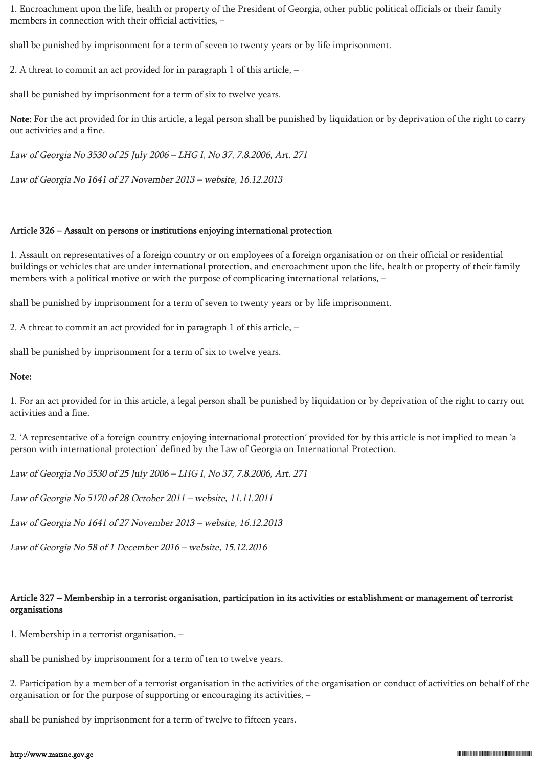1. Encroachment upon the life, health or property of the President of Georgia, other public political officials or their family members in connection with their official activities, –

shall be punished by imprisonment for a term of seven to twenty years or by life imprisonment.

2. A threat to commit an act provided for in paragraph 1 of this article, –

shall be punished by imprisonment for a term of six to twelve years.

Note: For the act provided for in this article, a legal person shall be punished by liquidation or by deprivation of the right to carry out activities and a fine.

Law of Georgia No 3530 of 25 July 2006 – LHG I, No 37, 7.8.2006, Art. 271

Law of Georgia No 1641 of 27 November 2013 – website, 16.12.2013

### Article 326 – Assault on persons or institutions enjoying international protection

1. Assault on representatives of a foreign country or on employees of a foreign organisation or on their official or residential buildings or vehicles that are under international protection, and encroachment upon the life, health or property of their family members with a political motive or with the purpose of complicating international relations, –

shall be punished by imprisonment for a term of seven to twenty years or by life imprisonment.

2. A threat to commit an act provided for in paragraph 1 of this article, –

shall be punished by imprisonment for a term of six to twelve years.

#### Note:

1. For an act provided for in this article, a legal person shall be punished by liquidation or by deprivation of the right to carry out activities and a fine.

2. 'A representative of a foreign country enjoying international protection' provided for by this article is not implied to mean 'a person with international protection' defined by the Law of Georgia on International Protection.

Law of Georgia No 3530 of 25 July 2006 – LHG I, No 37, 7.8.2006, Art. 271

Law of Georgia No 5170 of 28 October 2011 – website, 11.11.2011

Law of Georgia No 1641 of 27 November 2013 – website, 16.12.2013

Law of Georgia No 58 of 1 December 2016 – website, 15.12.2016

## Article 327 – Membership in a terrorist organisation, participation in its activities or establishment or management of terrorist organisations

1. Membership in a terrorist organisation, –

shall be punished by imprisonment for a term of ten to twelve years.

2. Participation by a member of a terrorist organisation in the activities of the organisation or conduct of activities on behalf of the organisation or for the purpose of supporting or encouraging its activities, –

shall be punished by imprisonment for a term of twelve to fifteen years.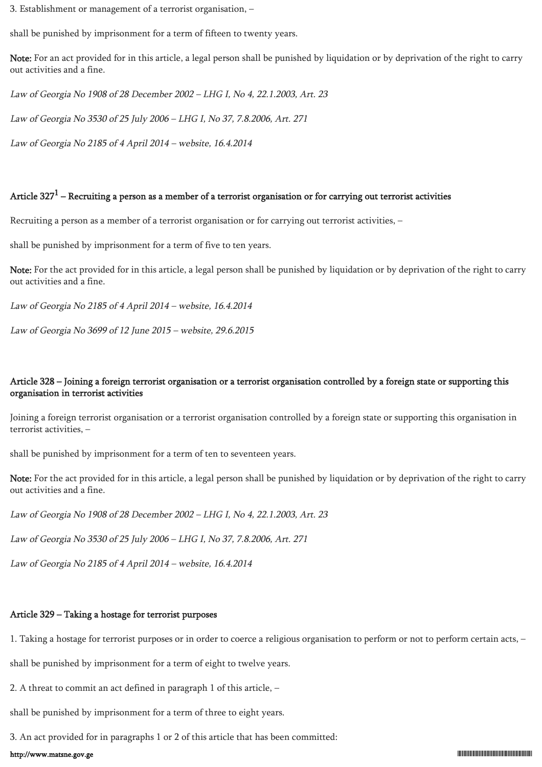3. Establishment or management of a terrorist organisation, –

shall be punished by imprisonment for a term of fifteen to twenty years.

Note: For an act provided for in this article, a legal person shall be punished by liquidation or by deprivation of the right to carry out activities and a fine.

Law of Georgia No 1908 of 28 December 2002 – LHG I, No 4, 22.1.2003, Art. 23

Law of Georgia No 3530 of 25 July 2006 – LHG I, No 37, 7.8.2006, Art. 271

Law of Georgia No 2185 of 4 April 2014 – website, 16.4.2014

## Article 327 $^1$  – Recruiting a person as a member of a terrorist organisation or for carrying out terrorist activities

Recruiting a person as a member of a terrorist organisation or for carrying out terrorist activities, –

shall be punished by imprisonment for a term of five to ten years.

Note: For the act provided for in this article, a legal person shall be punished by liquidation or by deprivation of the right to carry out activities and a fine.

Law of Georgia No 2185 of 4 April 2014 – website, 16.4.2014

Law of Georgia No 3699 of 12 June 2015 – website, 29.6.2015

## Article 328 – Joining a foreign terrorist organisation or a terrorist organisation controlled by a foreign state or supporting this organisation in terrorist activities

Joining a foreign terrorist organisation or a terrorist organisation controlled by a foreign state or supporting this organisation in terrorist activities, –

shall be punished by imprisonment for a term of ten to seventeen years.

Note: For the act provided for in this article, a legal person shall be punished by liquidation or by deprivation of the right to carry out activities and a fine.

Law of Georgia No 1908 of 28 December 2002 – LHG I, No 4, 22.1.2003, Art. 23

Law of Georgia No 3530 of 25 July 2006 – LHG I, No 37, 7.8.2006, Art. 271

Law of Georgia No 2185 of 4 April 2014 – website, 16.4.2014

## Article 329 – Taking a hostage for terrorist purposes

1. Taking a hostage for terrorist purposes or in order to coerce a religious organisation to perform or not to perform certain acts, –

shall be punished by imprisonment for a term of eight to twelve years.

2. A threat to commit an act defined in paragraph 1 of this article, –

shall be punished by imprisonment for a term of three to eight years.

3. An act provided for in paragraphs 1 or 2 of this article that has been committed: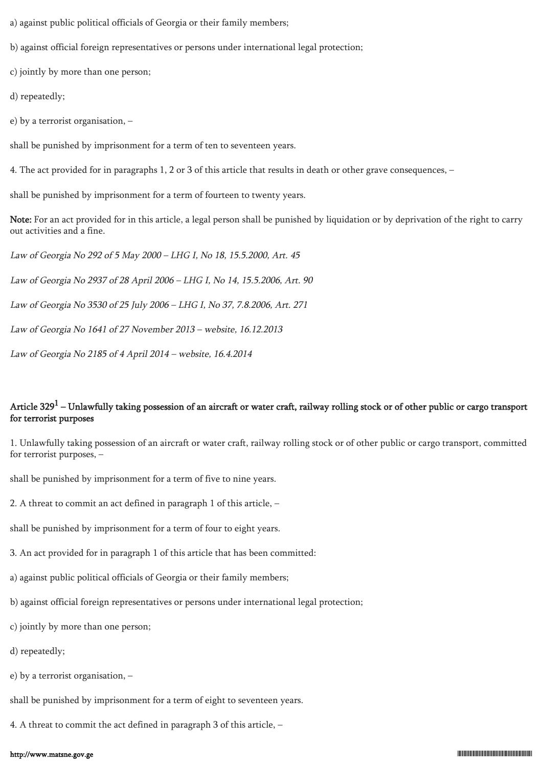- a) against public political officials of Georgia or their family members;
- b) against official foreign representatives or persons under international legal protection;
- c) jointly by more than one person;
- d) repeatedly;
- e) by a terrorist organisation, –
- shall be punished by imprisonment for a term of ten to seventeen years.
- 4. The act provided for in paragraphs 1, 2 or 3 of this article that results in death or other grave consequences, –
- shall be punished by imprisonment for a term of fourteen to twenty years.
- Note: For an act provided for in this article, a legal person shall be punished by liquidation or by deprivation of the right to carry out activities and a fine.
- Law of Georgia No 292 of 5 May 2000 LHG I, No 18, 15.5.2000, Art. 45 Law of Georgia No 2937 of 28 April 2006 – LHG I, No 14, 15.5.2006, Art. 90 Law of Georgia No 3530 of 25 July 2006 – LHG I, No 37, 7.8.2006, Art. 271 Law of Georgia No 1641 of 27 November 2013 – website, 16.12.2013
- Law of Georgia No 2185 of 4 April 2014 website, 16.4.2014

## Article 329 $^1$  – Unlawfully taking possession of an aircraft or water craft, railway rolling stock or of other public or cargo transport for terrorist purposes

1. Unlawfully taking possession of an aircraft or water craft, railway rolling stock or of other public or cargo transport, committed for terrorist purposes, –

shall be punished by imprisonment for a term of five to nine years.

- 2. A threat to commit an act defined in paragraph 1 of this article, –
- shall be punished by imprisonment for a term of four to eight years.
- 3. An act provided for in paragraph 1 of this article that has been committed:
- a) against public political officials of Georgia or their family members;
- b) against official foreign representatives or persons under international legal protection;
- c) jointly by more than one person;
- d) repeatedly;
- e) by a terrorist organisation, –

shall be punished by imprisonment for a term of eight to seventeen years.

4. A threat to commit the act defined in paragraph 3 of this article, –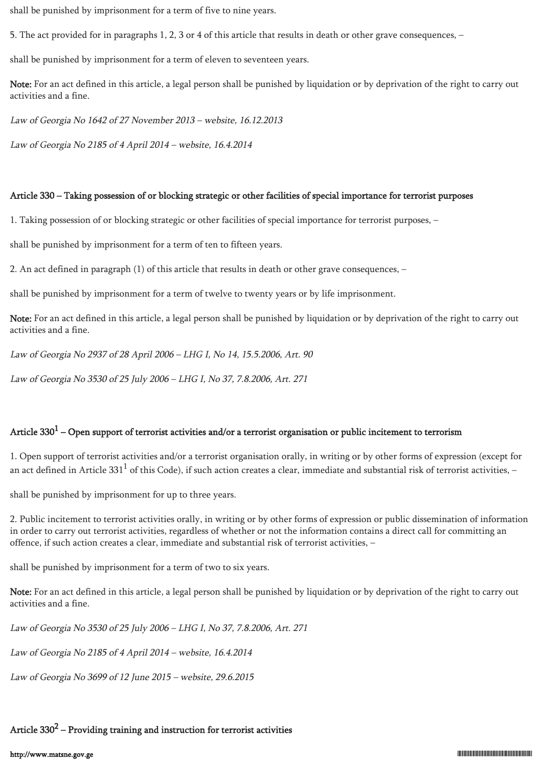shall be punished by imprisonment for a term of five to nine years.

5. The act provided for in paragraphs 1, 2, 3 or 4 of this article that results in death or other grave consequences, –

shall be punished by imprisonment for a term of eleven to seventeen years.

Note: For an act defined in this article, a legal person shall be punished by liquidation or by deprivation of the right to carry out activities and a fine.

Law of Georgia No 1642 of 27 November 2013 – website, 16.12.2013

Law of Georgia No 2185 of 4 April 2014 – website, 16.4.2014

#### Article 330 – Taking possession of or blocking strategic or other facilities of special importance for terrorist purposes

1. Taking possession of or blocking strategic or other facilities of special importance for terrorist purposes, –

shall be punished by imprisonment for a term of ten to fifteen years.

2. An act defined in paragraph (1) of this article that results in death or other grave consequences, –

shall be punished by imprisonment for a term of twelve to twenty years or by life imprisonment.

Note: For an act defined in this article, a legal person shall be punished by liquidation or by deprivation of the right to carry out activities and a fine.

Law of Georgia No 2937 of 28 April 2006 – LHG I, No 14, 15.5.2006, Art. 90

Law of Georgia No 3530 of 25 July 2006 – LHG I, No 37, 7.8.2006, Art. 271

## Article 330 $^1$  – Open support of terrorist activities and/or a terrorist organisation or public incitement to terrorism

1. Open support of terrorist activities and/or a terrorist organisation orally, in writing or by other forms of expression (except for an act defined in Article 331  $^{\rm l}$  of this Code), if such action creates a clear, immediate and substantial risk of terrorist activities, –

shall be punished by imprisonment for up to three years.

2. Public incitement to terrorist activities orally, in writing or by other forms of expression or public dissemination of information in order to carry out terrorist activities, regardless of whether or not the information contains a direct call for committing an offence, if such action creates a clear, immediate and substantial risk of terrorist activities, –

shall be punished by imprisonment for a term of two to six years.

Note: For an act defined in this article, a legal person shall be punished by liquidation or by deprivation of the right to carry out activities and a fine.

Law of Georgia No 3530 of 25 July 2006 – LHG I, No 37, 7.8.2006, Art. 271

Law of Georgia No 2185 of 4 April 2014 – website, 16.4.2014

Law of Georgia No 3699 of 12 June 2015 – website, 29.6.2015

# Article  $330^2$  – Providing training and instruction for terrorist activities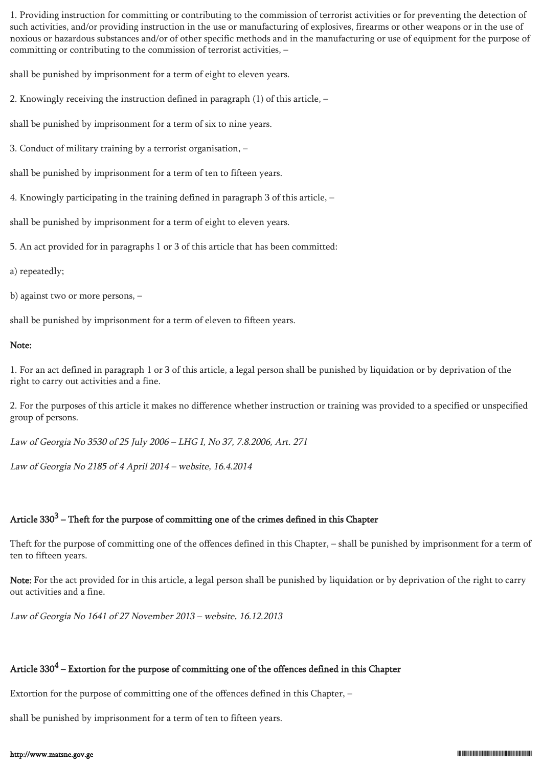1. Providing instruction for committing or contributing to the commission of terrorist activities or for preventing the detection of such activities, and/or providing instruction in the use or manufacturing of explosives, firearms or other weapons or in the use of noxious or hazardous substances and/or of other specific methods and in the manufacturing or use of equipment for the purpose of committing or contributing to the commission of terrorist activities, –

shall be punished by imprisonment for a term of eight to eleven years.

2. Knowingly receiving the instruction defined in paragraph (1) of this article, –

shall be punished by imprisonment for a term of six to nine years.

3. Conduct of military training by a terrorist organisation, –

shall be punished by imprisonment for a term of ten to fifteen years.

4. Knowingly participating in the training defined in paragraph 3 of this article, –

shall be punished by imprisonment for a term of eight to eleven years.

5. An act provided for in paragraphs 1 or 3 of this article that has been committed:

a) repeatedly;

b) against two or more persons, –

shall be punished by imprisonment for a term of eleven to fifteen years.

#### Note:

1. For an act defined in paragraph 1 or 3 of this article, a legal person shall be punished by liquidation or by deprivation of the right to carry out activities and a fine.

2. For the purposes of this article it makes no difference whether instruction or training was provided to a specified or unspecified group of persons.

Law of Georgia No 3530 of 25 July 2006 – LHG I, No 37, 7.8.2006, Art. 271

Law of Georgia No 2185 of 4 April 2014 – website, 16.4.2014

## Article  $330^3$  – Theft for the purpose of committing one of the crimes defined in this Chapter

Theft for the purpose of committing one of the offences defined in this Chapter, – shall be punished by imprisonment for a term of ten to fifteen years.

Note: For the act provided for in this article, a legal person shall be punished by liquidation or by deprivation of the right to carry out activities and a fine.

Law of Georgia No 1641 of 27 November 2013 – website, 16.12.2013

## Article 330 $^4$  – Extortion for the purpose of committing one of the offences defined in this Chapter

Extortion for the purpose of committing one of the offences defined in this Chapter, –

shall be punished by imprisonment for a term of ten to fifteen years.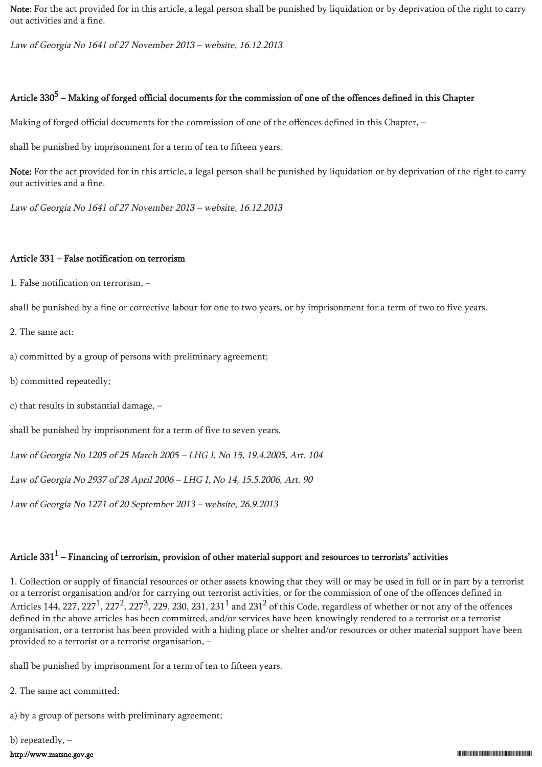Note: For the act provided for in this article, a legal person shall be punished by liquidation or by deprivation of the right to carry out activities and a fine.

Law of Georgia No 1641 of 27 November 2013 – website, 16.12.2013

## Article 330<sup>5</sup> – Making of forged official documents for the commission of one of the offences defined in this Chapter

Making of forged official documents for the commission of one of the offences defined in this Chapter, –

shall be punished by imprisonment for a term of ten to fifteen years.

Note: For the act provided for in this article, a legal person shall be punished by liquidation or by deprivation of the right to carry out activities and a fine.

Law of Georgia No 1641 of 27 November 2013 – website, 16.12.2013

#### Article 331 – False notification on terrorism

1. False notification on terrorism, –

shall be punished by a fine or corrective labour for one to two years, or by imprisonment for a term of two to five years.

- 2. The same act:
- a) committed by a group of persons with preliminary agreement;
- b) committed repeatedly;
- c) that results in substantial damage, –

shall be punished by imprisonment for a term of five to seven years.

Law of Georgia No 1205 of 25 March 2005 – LHG I, No 15, 19.4.2005, Art. 104

Law of Georgia No 2937 of 28 April 2006 – LHG I, No 14, 15.5.2006, Art. 90

Law of Georgia No 1271 of 20 September 2013 – website, 26.9.2013

# Article 331 $^{\rm 1}$  – Financing of terrorism, provision of other material support and resources to terrorists' activities

1. Collection or supply of financial resources or other assets knowing that they will or may be used in full or in part by a terrorist or a terrorist organisation and/or for carrying out terrorist activities, or for the commission of one of the offences defined in Articles 144, 227, 227<sup>1</sup>, 227<sup>2</sup>, 227<sup>3</sup>, 229, 230, 231, 231<sup>1</sup> and 231<sup>2</sup> of this Code, regardless of whether or not any of the offences defined in the above articles has been committed, and/or services have been knowingly rendered to a terrorist or a terrorist organisation, or a terrorist has been provided with a hiding place or shelter and/or resources or other material support have been provided to a terrorist or a terrorist organisation, –

shall be punished by imprisonment for a term of ten to fifteen years.

- 2. The same act committed:
- a) by a group of persons with preliminary agreement;

b) repeatedly, –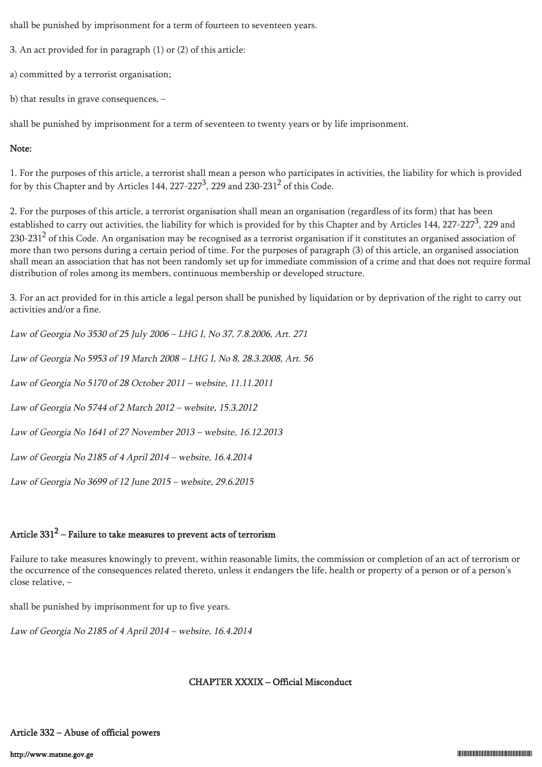shall be punished by imprisonment for a term of fourteen to seventeen years.

3. An act provided for in paragraph (1) or (2) of this article:

a) committed by a terrorist organisation;

b) that results in grave consequences, –

shall be punished by imprisonment for a term of seventeen to twenty years or by life imprisonment.

## Note:

1. For the purposes of this article, a terrorist shall mean a person who participates in activities, the liability for which is provided for by this Chapter and by Articles 144, 227-227 $^3$ , 229 and 230-231 $^2$  of this Code.

2. For the purposes of this article, a terrorist organisation shall mean an organisation (regardless of its form) that has been established to carry out activities, the liability for which is provided for by this Chapter and by Articles 144, 227-227<sup>3</sup>, 229 and 230-231<sup>2</sup> of this Code. An organisation may be recognised as a terrorist organisation if it constitutes an organised association of more than two persons during a certain period of time. For the purposes of paragraph (3) of this article, an organised association shall mean an association that has not been randomly set up for immediate commission of a crime and that does not require formal distribution of roles among its members, continuous membership or developed structure.

3. For an act provided for in this article a legal person shall be punished by liquidation or by deprivation of the right to carry out activities and/or a fine.

Law of Georgia No 3530 of 25 July 2006 – LHG I, No 37, 7.8.2006, Art. 271 Law of Georgia No 5953 of 19 March 2008 – LHG I, No 8, 28.3.2008, Art. 56 Law of Georgia No 5170 of 28 October 2011 – website, 11.11.2011 Law of Georgia No 5744 of 2 March 2012 – website, 15.3.2012 Law of Georgia No 1641 of 27 November 2013 – website, 16.12.2013 Law of Georgia No 2185 of 4 April 2014 – website, 16.4.2014 Law of Georgia No 3699 of 12 June 2015 – website, 29.6.2015

# Article 331 $^2$  – Failure to take measures to prevent acts of terrorism

Failure to take measures knowingly to prevent, within reasonable limits, the commission or completion of an act of terrorism or the occurrence of the consequences related thereto, unless it endangers the life, health or property of a person or of a person's close relative, –

shall be punished by imprisonment for up to five years.

Law of Georgia No 2185 of 4 April 2014 – website, 16.4.2014

## CHAPTER XXXIX – Official Misconduct

# Article 332 – Abuse of official powers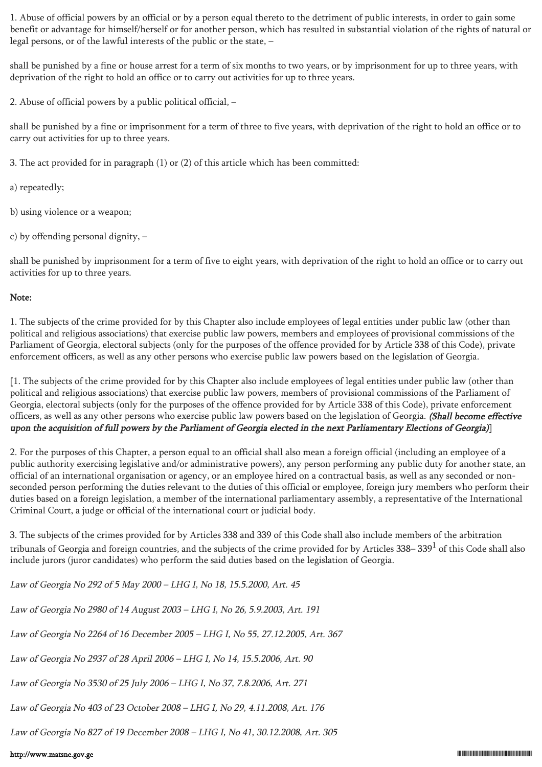1. Abuse of official powers by an official or by a person equal thereto to the detriment of public interests, in order to gain some benefit or advantage for himself/herself or for another person, which has resulted in substantial violation of the rights of natural or legal persons, or of the lawful interests of the public or the state, –

shall be punished by a fine or house arrest for a term of six months to two years, or by imprisonment for up to three years, with deprivation of the right to hold an office or to carry out activities for up to three years.

2. Abuse of official powers by a public political official, –

shall be punished by a fine or imprisonment for a term of three to five years, with deprivation of the right to hold an office or to carry out activities for up to three years.

3. The act provided for in paragraph (1) or (2) of this article which has been committed:

a) repeatedly;

b) using violence or a weapon;

c) by offending personal dignity, –

shall be punished by imprisonment for a term of five to eight years, with deprivation of the right to hold an office or to carry out activities for up to three years.

## Note:

1. The subjects of the crime provided for by this Chapter also include employees of legal entities under public law (other than political and religious associations) that exercise public law powers, members and employees of provisional commissions of the Parliament of Georgia, electoral subjects (only for the purposes of the offence provided for by Article 338 of this Code), private enforcement officers, as well as any other persons who exercise public law powers based on the legislation of Georgia.

[1. The subjects of the crime provided for by this Chapter also include employees of legal entities under public law (other than political and religious associations) that exercise public law powers, members of provisional commissions of the Parliament of Georgia, electoral subjects (only for the purposes of the offence provided for by Article 338 of this Code), private enforcement officers, as well as any other persons who exercise public law powers based on the legislation of Georgia. (Shall become effective upon the acquisition of full powers by the Parliament of Georgia elected in the next Parliamentary Elections of Georgia)]

2. For the purposes of this Chapter, a person equal to an official shall also mean a foreign official (including an employee of a public authority exercising legislative and/or administrative powers), any person performing any public duty for another state, an official of an international organisation or agency, or an employee hired on a contractual basis, as well as any seconded or nonseconded person performing the duties relevant to the duties of this official or employee, foreign jury members who perform their duties based on a foreign legislation, a member of the international parliamentary assembly, a representative of the International Criminal Court, a judge or official of the international court or judicial body.

3. The subjects of the crimes provided for by Articles 338 and 339 of this Code shall also include members of the arbitration tribunals of Georgia and foreign countries, and the subjects of the crime provided for by Articles 338– 339 $^{\rm l}$  of this Code shall also include jurors (juror candidates) who perform the said duties based on the legislation of Georgia.

Law of Georgia No 292 of 5 May 2000 – LHG I, No 18, 15.5.2000, Art. 45

Law of Georgia No 2980 of 14 August 2003 – LHG I, No 26, 5.9.2003, Art. 191

Law of Georgia No 2264 of 16 December 2005 – LHG I, No 55, 27.12.2005, Art. 367

Law of Georgia No 2937 of 28 April 2006 – LHG I, No 14, 15.5.2006, Art. 90

Law of Georgia No 3530 of 25 July 2006 – LHG I, No 37, 7.8.2006, Art. 271

Law of Georgia No 403 of 23 October 2008 – LHG I, No 29, 4.11.2008, Art. 176

Law of Georgia No 827 of 19 December 2008 – LHG I, No 41, 30.12.2008, Art. 305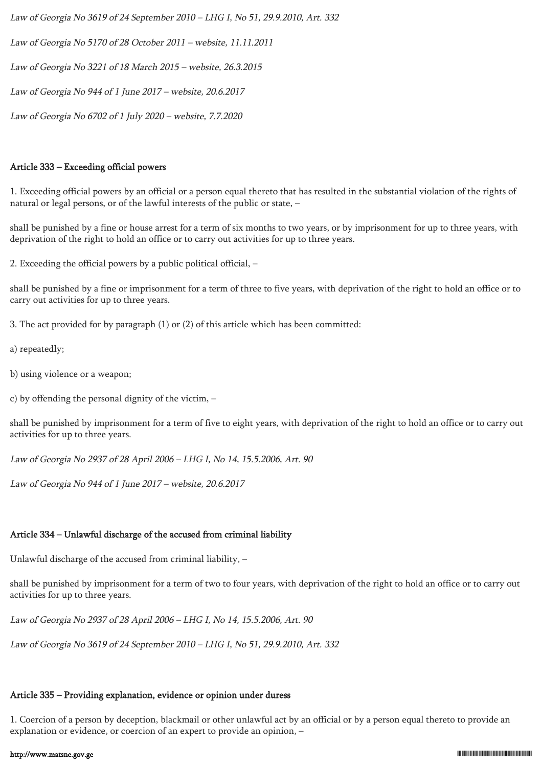Law of Georgia No 3619 of 24 September 2010 – LHG I, No 51, 29.9.2010, Art. 332

Law of Georgia No 5170 of 28 October 2011 – website, 11.11.2011

Law of Georgia No 3221 of 18 March 2015 – website, 26.3.2015

Law of Georgia No 944 of 1 June 2017 – website, 20.6.2017

Law of Georgia No 6702 of 1 July 2020 – website, 7.7.2020

#### Article 333 – Exceeding official powers

1. Exceeding official powers by an official or a person equal thereto that has resulted in the substantial violation of the rights of natural or legal persons, or of the lawful interests of the public or state, –

shall be punished by a fine or house arrest for a term of six months to two years, or by imprisonment for up to three years, with deprivation of the right to hold an office or to carry out activities for up to three years.

2. Exceeding the official powers by a public political official, –

shall be punished by a fine or imprisonment for a term of three to five years, with deprivation of the right to hold an office or to carry out activities for up to three years.

3. The act provided for by paragraph (1) or (2) of this article which has been committed:

a) repeatedly;

b) using violence or a weapon;

c) by offending the personal dignity of the victim, –

shall be punished by imprisonment for a term of five to eight years, with deprivation of the right to hold an office or to carry out activities for up to three years.

Law of Georgia No 2937 of 28 April 2006 – LHG I, No 14, 15.5.2006, Art. 90

Law of Georgia No 944 of 1 June 2017 – website, 20.6.2017

# Article 334 – Unlawful discharge of the accused from criminal liability

Unlawful discharge of the accused from criminal liability, –

shall be punished by imprisonment for a term of two to four years, with deprivation of the right to hold an office or to carry out activities for up to three years.

Law of Georgia No 2937 of 28 April 2006 – LHG I, No 14, 15.5.2006, Art. 90

Law of Georgia No 3619 of 24 September 2010 – LHG I, No 51, 29.9.2010, Art. 332

## Article 335 – Providing explanation, evidence or opinion under duress

1. Coercion of a person by deception, blackmail or other unlawful act by an official or by a person equal thereto to provide an explanation or evidence, or coercion of an expert to provide an opinion, –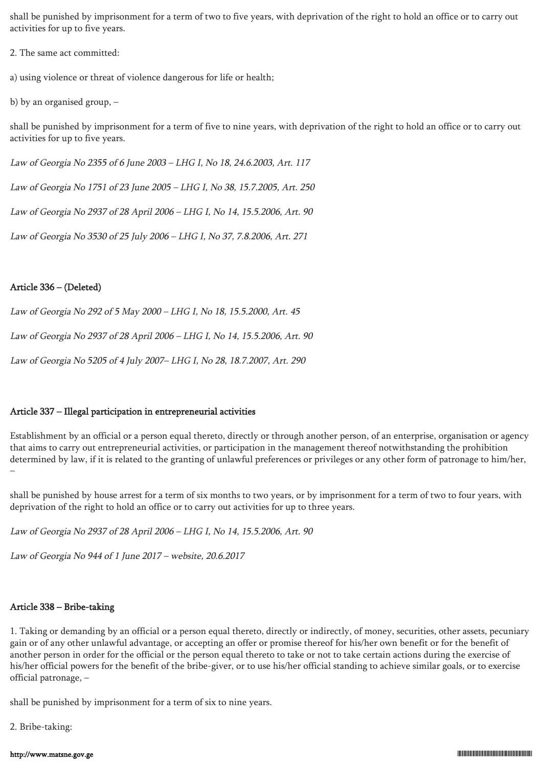shall be punished by imprisonment for a term of two to five years, with deprivation of the right to hold an office or to carry out activities for up to five years.

2. The same act committed:

a) using violence or threat of violence dangerous for life or health;

b) by an organised group, –

shall be punished by imprisonment for a term of five to nine years, with deprivation of the right to hold an office or to carry out activities for up to five years.

Law of Georgia No 2355 of 6 June 2003 – LHG I, No 18, 24.6.2003, Art. 117

Law of Georgia No 1751 of 23 June 2005 – LHG I, No 38, 15.7.2005, Art. 250

Law of Georgia No 2937 of 28 April 2006 – LHG I, No 14, 15.5.2006, Art. 90

Law of Georgia No 3530 of 25 July 2006 – LHG I, No 37, 7.8.2006, Art. 271

## Article 336 – (Deleted)

Law of Georgia No 292 of 5 May 2000 – LHG I, No 18, 15.5.2000, Art. 45

Law of Georgia No 2937 of 28 April 2006 – LHG I, No 14, 15.5.2006, Art. 90

Law of Georgia No 5205 of 4 July 2007– LHG I, No 28, 18.7.2007, Art. 290

## Article 337 – Illegal participation in entrepreneurial activities

Establishment by an official or a person equal thereto, directly or through another person, of an enterprise, organisation or agency that aims to carry out entrepreneurial activities, or participation in the management thereof notwithstanding the prohibition determined by law, if it is related to the granting of unlawful preferences or privileges or any other form of patronage to him/her, –

shall be punished by house arrest for a term of six months to two years, or by imprisonment for a term of two to four years, with deprivation of the right to hold an office or to carry out activities for up to three years.

Law of Georgia No 2937 of 28 April 2006 – LHG I, No 14, 15.5.2006, Art. 90

Law of Georgia No 944 of 1 June 2017 – website, 20.6.2017

## Article 338 – Bribe-taking

1. Taking or demanding by an official or a person equal thereto, directly or indirectly, of money, securities, other assets, pecuniary gain or of any other unlawful advantage, or accepting an offer or promise thereof for his/her own benefit or for the benefit of another person in order for the official or the person equal thereto to take or not to take certain actions during the exercise of his/her official powers for the benefit of the bribe-giver, or to use his/her official standing to achieve similar goals, or to exercise official patronage, –

shall be punished by imprisonment for a term of six to nine years.

2. Bribe-taking: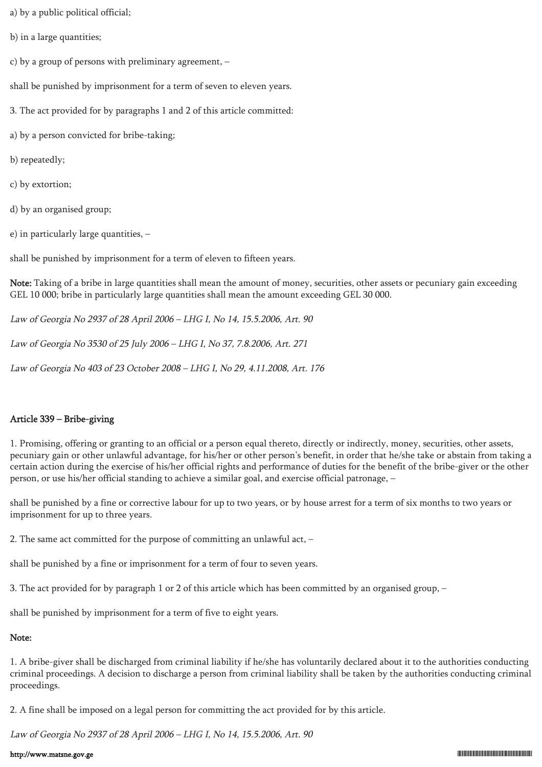a) by a public political official;

b) in a large quantities;

c) by a group of persons with preliminary agreement, –

shall be punished by imprisonment for a term of seven to eleven years.

3. The act provided for by paragraphs 1 and 2 of this article committed:

- a) by a person convicted for bribe-taking;
- b) repeatedly;
- c) by extortion;
- d) by an organised group;
- e) in particularly large quantities, –

shall be punished by imprisonment for a term of eleven to fifteen years.

Note: Taking of a bribe in large quantities shall mean the amount of money, securities, other assets or pecuniary gain exceeding GEL 10 000; bribe in particularly large quantities shall mean the amount exceeding GEL 30 000.

Law of Georgia No 2937 of 28 April 2006 – LHG I, No 14, 15.5.2006, Art. 90

Law of Georgia No 3530 of 25 July 2006 – LHG I, No 37, 7.8.2006, Art. 271

Law of Georgia No 403 of 23 October 2008 – LHG I, No 29, 4.11.2008, Art. 176

## Article 339 – Bribe-giving

1. Promising, offering or granting to an official or a person equal thereto, directly or indirectly, money, securities, other assets, pecuniary gain or other unlawful advantage, for his/her or other person's benefit, in order that he/she take or abstain from taking a certain action during the exercise of his/her official rights and performance of duties for the benefit of the bribe-giver or the other person, or use his/her official standing to achieve a similar goal, and exercise official patronage, –

shall be punished by a fine or corrective labour for up to two years, or by house arrest for a term of six months to two years or imprisonment for up to three years.

2. The same act committed for the purpose of committing an unlawful act, –

shall be punished by a fine or imprisonment for a term of four to seven years.

3. The act provided for by paragraph 1 or 2 of this article which has been committed by an organised group, –

shall be punished by imprisonment for a term of five to eight years.

## Note:

1. A bribe-giver shall be discharged from criminal liability if he/she has voluntarily declared about it to the authorities conducting criminal proceedings. A decision to discharge a person from criminal liability shall be taken by the authorities conducting criminal proceedings.

2. A fine shall be imposed on a legal person for committing the act provided for by this article.

Law of Georgia No 2937 of 28 April 2006 – LHG I, No 14, 15.5.2006, Art. 90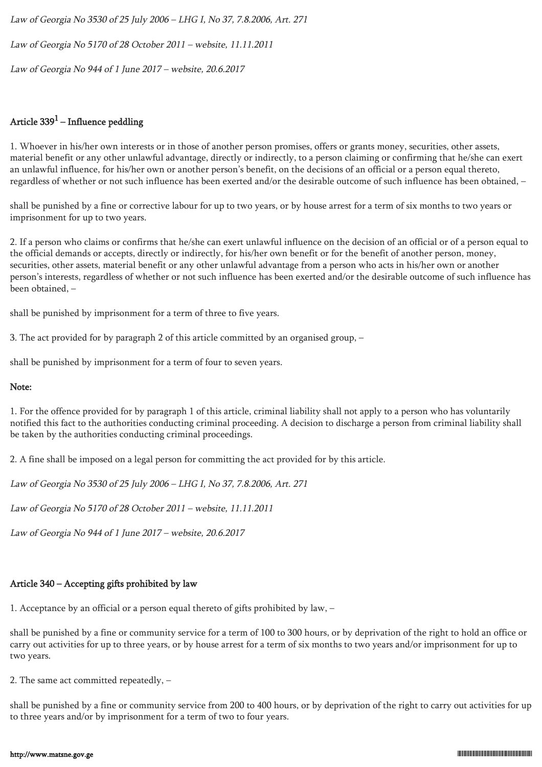Law of Georgia No 3530 of 25 July 2006 – LHG I, No 37, 7.8.2006, Art. 271

Law of Georgia No 5170 of 28 October 2011 – website, 11.11.2011

Law of Georgia No 944 of 1 June 2017 – website, 20.6.2017

# Article  $339<sup>1</sup>$  – Influence peddling

1. Whoever in his/her own interests or in those of another person promises, offers or grants money, securities, other assets, material benefit or any other unlawful advantage, directly or indirectly, to a person claiming or confirming that he/she can exert an unlawful influence, for his/her own or another person's benefit, on the decisions of an official or a person equal thereto, regardless of whether or not such influence has been exerted and/or the desirable outcome of such influence has been obtained, –

shall be punished by a fine or corrective labour for up to two years, or by house arrest for a term of six months to two years or imprisonment for up to two years.

2. If a person who claims or confirms that he/she can exert unlawful influence on the decision of an official or of a person equal to the official demands or accepts, directly or indirectly, for his/her own benefit or for the benefit of another person, money, securities, other assets, material benefit or any other unlawful advantage from a person who acts in his/her own or another person's interests, regardless of whether or not such influence has been exerted and/or the desirable outcome of such influence has been obtained, –

shall be punished by imprisonment for a term of three to five years.

3. The act provided for by paragraph 2 of this article committed by an organised group, –

shall be punished by imprisonment for a term of four to seven years.

## Note:

1. For the offence provided for by paragraph 1 of this article, criminal liability shall not apply to a person who has voluntarily notified this fact to the authorities conducting criminal proceeding. A decision to discharge a person from criminal liability shall be taken by the authorities conducting criminal proceedings.

2. A fine shall be imposed on a legal person for committing the act provided for by this article.

Law of Georgia No 3530 of 25 July 2006 – LHG I, No 37, 7.8.2006, Art. 271

Law of Georgia No 5170 of 28 October 2011 – website, 11.11.2011

Law of Georgia No 944 of 1 June 2017 – website, 20.6.2017

# Article 340 – Accepting gifts prohibited by law

1. Acceptance by an official or a person equal thereto of gifts prohibited by law, –

shall be punished by a fine or community service for a term of 100 to 300 hours, or by deprivation of the right to hold an office or carry out activities for up to three years, or by house arrest for a term of six months to two years and/or imprisonment for up to two years.

2. The same act committed repeatedly, –

shall be punished by a fine or community service from 200 to 400 hours, or by deprivation of the right to carry out activities for up to three years and/or by imprisonment for a term of two to four years.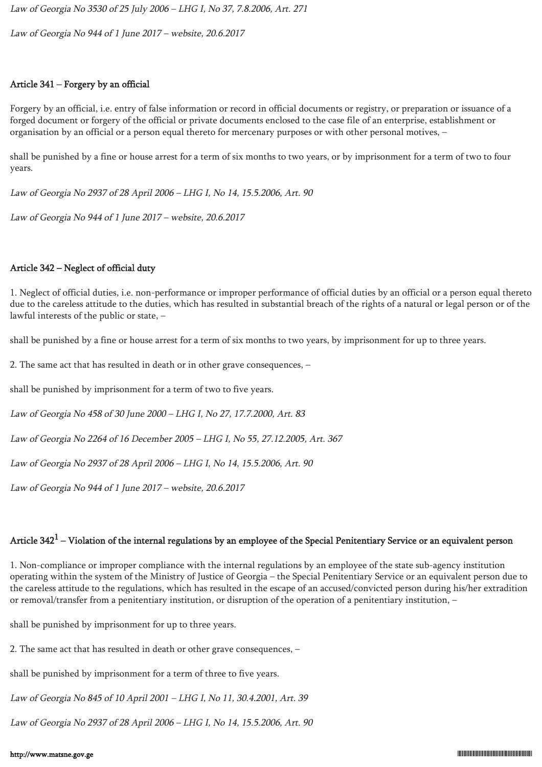Law of Georgia No 3530 of 25 July 2006 – LHG I, No 37, 7.8.2006, Art. 271

Law of Georgia No 944 of 1 June 2017 – website, 20.6.2017

## Article 341 – Forgery by an official

Forgery by an official, i.e. entry of false information or record in official documents or registry, or preparation or issuance of a forged document or forgery of the official or private documents enclosed to the case file of an enterprise, establishment or organisation by an official or a person equal thereto for mercenary purposes or with other personal motives, –

shall be punished by a fine or house arrest for a term of six months to two years, or by imprisonment for a term of two to four years.

Law of Georgia No 2937 of 28 April 2006 – LHG I, No 14, 15.5.2006, Art. 90

Law of Georgia No 944 of 1 June 2017 – website, 20.6.2017

## Article 342 – Neglect of official duty

1. Neglect of official duties, i.e. non-performance or improper performance of official duties by an official or a person equal thereto due to the careless attitude to the duties, which has resulted in substantial breach of the rights of a natural or legal person or of the lawful interests of the public or state, –

shall be punished by a fine or house arrest for a term of six months to two years, by imprisonment for up to three years.

2. The same act that has resulted in death or in other grave consequences, –

shall be punished by imprisonment for a term of two to five years.

Law of Georgia No 458 of 30 June 2000 – LHG I, No 27, 17.7.2000, Art. 83

Law of Georgia No 2264 of 16 December 2005 – LHG I, No 55, 27.12.2005, Art. 367

Law of Georgia No 2937 of 28 April 2006 – LHG I, No 14, 15.5.2006, Art. 90

Law of Georgia No 944 of 1 June 2017 – website, 20.6.2017

# Article 342 $^1$  – Violation of the internal regulations by an employee of the Special Penitentiary Service or an equivalent person

1. Non-compliance or improper compliance with the internal regulations by an employee of the state sub-agency institution operating within the system of the Ministry of Justice of Georgia – the Special Penitentiary Service or an equivalent person due to the careless attitude to the regulations, which has resulted in the escape of an accused/convicted person during his/her extradition or removal/transfer from a penitentiary institution, or disruption of the operation of a penitentiary institution, –

shall be punished by imprisonment for up to three years.

2. The same act that has resulted in death or other grave consequences, –

shall be punished by imprisonment for a term of three to five years.

Law of Georgia No 845 of 10 April 2001 – LHG I, No 11, 30.4.2001, Art. 39

Law of Georgia No 2937 of 28 April 2006 – LHG I, No 14, 15.5.2006, Art. 90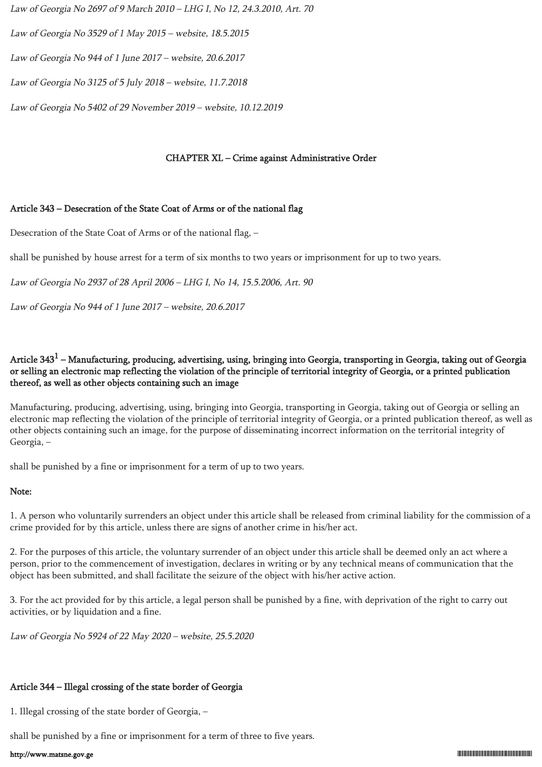Law of Georgia No 2697 of 9 March 2010 – LHG I, No 12, 24.3.2010, Art. 70

Law of Georgia No 3529 of 1 May 2015 – website, 18.5.2015

Law of Georgia No 944 of 1 June 2017 – website, 20.6.2017

Law of Georgia No 3125 of 5 July 2018 – website, 11.7.2018

Law of Georgia No 5402 of 29 November 2019 – website, 10.12.2019

## CHAPTER XL – Crime against Administrative Order

# Article 343 – Desecration of the State Coat of Arms or of the national flag

Desecration of the State Coat of Arms or of the national flag, –

shall be punished by house arrest for a term of six months to two years or imprisonment for up to two years.

Law of Georgia No 2937 of 28 April 2006 – LHG I, No 14, 15.5.2006, Art. 90

Law of Georgia No 944 of 1 June 2017 – website, 20.6.2017

## Article 343 $^1$  – Manufacturing, producing, advertising, using, bringing into Georgia, transporting in Georgia, taking out of Georgia or selling an electronic map reflecting the violation of the principle of territorial integrity of Georgia, or a printed publication thereof, as well as other objects containing such an image

Manufacturing, producing, advertising, using, bringing into Georgia, transporting in Georgia, taking out of Georgia or selling an electronic map reflecting the violation of the principle of territorial integrity of Georgia, or a printed publication thereof, as well as other objects containing such an image, for the purpose of disseminating incorrect information on the territorial integrity of Georgia, –

shall be punished by a fine or imprisonment for a term of up to two years.

## Note:

1. A person who voluntarily surrenders an object under this article shall be released from criminal liability for the commission of a crime provided for by this article, unless there are signs of another crime in his/her act.

2. For the purposes of this article, the voluntary surrender of an object under this article shall be deemed only an act where a person, prior to the commencement of investigation, declares in writing or by any technical means of communication that the object has been submitted, and shall facilitate the seizure of the object with his/her active action.

3. For the act provided for by this article, a legal person shall be punished by a fine, with deprivation of the right to carry out activities, or by liquidation and a fine.

Law of Georgia No 5924 of 22 May 2020 – website, 25.5.2020

# Article 344 – Illegal crossing of the state border of Georgia

1. Illegal crossing of the state border of Georgia, –

shall be punished by a fine or imprisonment for a term of three to five years.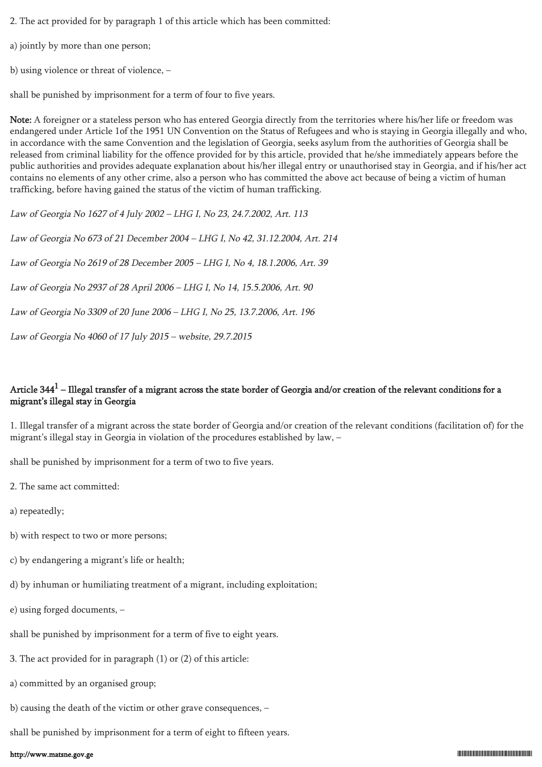2. The act provided for by paragraph 1 of this article which has been committed:

a) jointly by more than one person;

b) using violence or threat of violence, –

shall be punished by imprisonment for a term of four to five years.

Note: A foreigner or a stateless person who has entered Georgia directly from the territories where his/her life or freedom was endangered under Article 1of the 1951 UN Convention on the Status of Refugees and who is staying in Georgia illegally and who, in accordance with the same Convention and the legislation of Georgia, seeks asylum from the authorities of Georgia shall be released from criminal liability for the offence provided for by this article, provided that he/she immediately appears before the public authorities and provides adequate explanation about his/her illegal entry or unauthorised stay in Georgia, and if his/her act contains no elements of any other crime, also a person who has committed the above act because of being a victim of human trafficking, before having gained the status of the victim of human trafficking.

Law of Georgia No 1627 of 4 July 2002 – LHG I, No 23, 24.7.2002, Art. 113

Law of Georgia No 673 of 21 December 2004 – LHG I, No 42, 31.12.2004, Art. 214

Law of Georgia No 2619 of 28 December 2005 – LHG I, No 4, 18.1.2006, Art. 39

Law of Georgia No 2937 of 28 April 2006 – LHG I, No 14, 15.5.2006, Art. 90

Law of Georgia No 3309 of 20 June 2006 – LHG I, No 25, 13.7.2006, Art. 196

Law of Georgia No 4060 of 17 July 2015 – website, 29.7.2015

## Article 344 $^{\rm 1}$  – Illegal transfer of a migrant across the state border of Georgia and/or creation of the relevant conditions for a migrant's illegal stay in Georgia

1. Illegal transfer of a migrant across the state border of Georgia and/or creation of the relevant conditions (facilitation of) for the migrant's illegal stay in Georgia in violation of the procedures established by law, –

shall be punished by imprisonment for a term of two to five years.

2. The same act committed:

a) repeatedly;

- b) with respect to two or more persons;
- c) by endangering a migrant's life or health;
- d) by inhuman or humiliating treatment of a migrant, including exploitation;
- e) using forged documents, –

shall be punished by imprisonment for a term of five to eight years.

3. The act provided for in paragraph (1) or (2) of this article:

a) committed by an organised group;

b) causing the death of the victim or other grave consequences, –

shall be punished by imprisonment for a term of eight to fifteen years.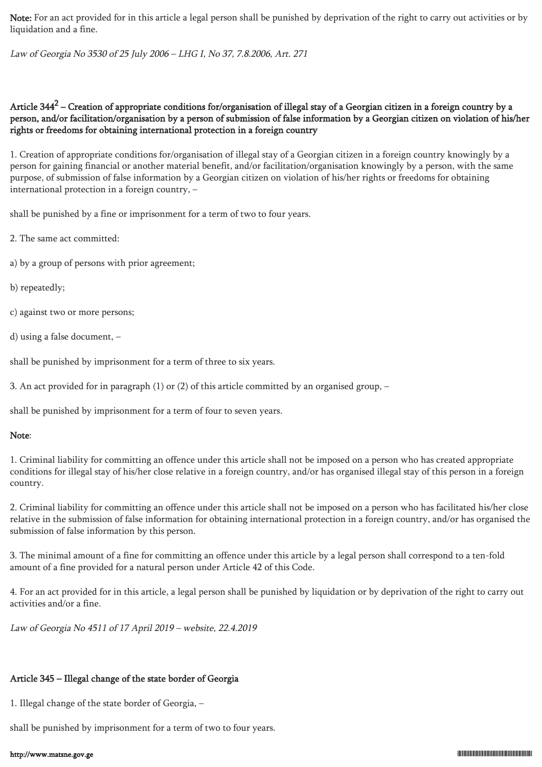Note: For an act provided for in this article a legal person shall be punished by deprivation of the right to carry out activities or by liquidation and a fine.

Law of Georgia No 3530 of 25 July 2006 – LHG I, No 37, 7.8.2006, Art. 271

## Article 344 $^2$  – Creation of appropriate conditions for/organisation of illegal stay of a Georgian citizen in a foreign country by a person, and/or facilitation/organisation by a person of submission of false information by a Georgian citizen on violation of his/her rights or freedoms for obtaining international protection in a foreign country

1. Creation of appropriate conditions for/organisation of illegal stay of a Georgian citizen in a foreign country knowingly by a person for gaining financial or another material benefit, and/or facilitation/organisation knowingly by a person, with the same purpose, of submission of false information by a Georgian citizen on violation of his/her rights or freedoms for obtaining international protection in a foreign country, –

shall be punished by a fine or imprisonment for a term of two to four years.

- 2. The same act committed:
- a) by a group of persons with prior agreement;
- b) repeatedly;
- c) against two or more persons;
- d) using a false document, –

shall be punished by imprisonment for a term of three to six years.

3. An act provided for in paragraph (1) or (2) of this article committed by an organised group, –

shall be punished by imprisonment for a term of four to seven years.

#### Note:

1. Criminal liability for committing an offence under this article shall not be imposed on a person who has created appropriate conditions for illegal stay of his/her close relative in a foreign country, and/or has organised illegal stay of this person in a foreign country.

2. Criminal liability for committing an offence under this article shall not be imposed on a person who has facilitated his/her close relative in the submission of false information for obtaining international protection in a foreign country, and/or has organised the submission of false information by this person.

3. The minimal amount of a fine for committing an offence under this article by a legal person shall correspond to a ten-fold amount of a fine provided for a natural person under Article 42 of this Code.

4. For an act provided for in this article, a legal person shall be punished by liquidation or by deprivation of the right to carry out activities and/or a fine.

Law of Georgia No 4511 of 17 April 2019 – website, 22.4.2019

## Article 345 – Illegal change of the state border of Georgia

1. Illegal change of the state border of Georgia, –

shall be punished by imprisonment for a term of two to four years.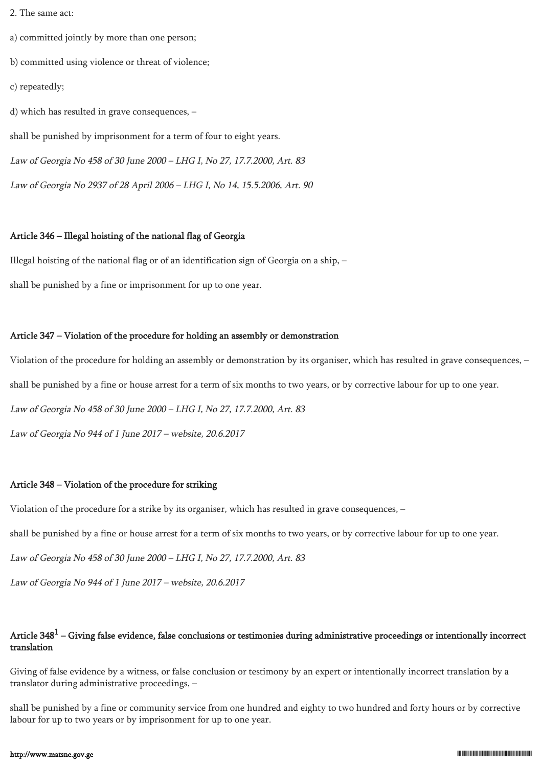- 2. The same act:
- a) committed jointly by more than one person;
- b) committed using violence or threat of violence;
- c) repeatedly;
- d) which has resulted in grave consequences, –
- shall be punished by imprisonment for a term of four to eight years.
- Law of Georgia No 458 of 30 June 2000 LHG I, No 27, 17.7.2000, Art. 83
- Law of Georgia No 2937 of 28 April 2006 LHG I, No 14, 15.5.2006, Art. 90

## Article 346 – Illegal hoisting of the national flag of Georgia

Illegal hoisting of the national flag or of an identification sign of Georgia on a ship, –

shall be punished by a fine or imprisonment for up to one year.

# Article 347 – Violation of the procedure for holding an assembly or demonstration

Violation of the procedure for holding an assembly or demonstration by its organiser, which has resulted in grave consequences, – shall be punished by a fine or house arrest for a term of six months to two years, or by corrective labour for up to one year. Law of Georgia No 458 of 30 June 2000 – LHG I, No 27, 17.7.2000, Art. 83

Law of Georgia No 944 of 1 June 2017 – website, 20.6.2017

## Article 348 – Violation of the procedure for striking

Violation of the procedure for a strike by its organiser, which has resulted in grave consequences, –

shall be punished by a fine or house arrest for a term of six months to two years, or by corrective labour for up to one year.

Law of Georgia No 458 of 30 June 2000 – LHG I, No 27, 17.7.2000, Art. 83

Law of Georgia No 944 of 1 June 2017 – website, 20.6.2017

# Article 348 $^{\rm 1}$  – Giving false evidence, false conclusions or testimonies during administrative proceedings or intentionally incorrect translation

Giving of false evidence by a witness, or false conclusion or testimony by an expert or intentionally incorrect translation by a translator during administrative proceedings, –

shall be punished by a fine or community service from one hundred and eighty to two hundred and forty hours or by corrective labour for up to two years or by imprisonment for up to one year.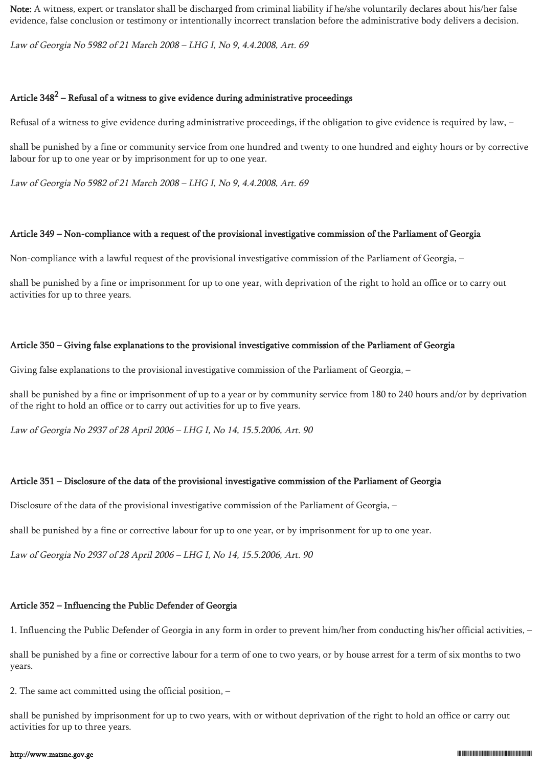Note: A witness, expert or translator shall be discharged from criminal liability if he/she voluntarily declares about his/her false evidence, false conclusion or testimony or intentionally incorrect translation before the administrative body delivers a decision.

Law of Georgia No 5982 of 21 March 2008 – LHG I, No 9, 4.4.2008, Art. 69

## Article  $348^2$  – Refusal of a witness to give evidence during administrative proceedings

Refusal of a witness to give evidence during administrative proceedings, if the obligation to give evidence is required by law, –

shall be punished by a fine or community service from one hundred and twenty to one hundred and eighty hours or by corrective labour for up to one year or by imprisonment for up to one year.

Law of Georgia No 5982 of 21 March 2008 – LHG I, No 9, 4.4.2008, Art. 69

#### Article 349 – Non-compliance with a request of the provisional investigative commission of the Parliament of Georgia

Non-compliance with a lawful request of the provisional investigative commission of the Parliament of Georgia, –

shall be punished by a fine or imprisonment for up to one year, with deprivation of the right to hold an office or to carry out activities for up to three years.

#### Article 350 – Giving false explanations to the provisional investigative commission of the Parliament of Georgia

Giving false explanations to the provisional investigative commission of the Parliament of Georgia, –

shall be punished by a fine or imprisonment of up to a year or by community service from 180 to 240 hours and/or by deprivation of the right to hold an office or to carry out activities for up to five years.

Law of Georgia No 2937 of 28 April 2006 – LHG I, No 14, 15.5.2006, Art. 90

#### Article 351 – Disclosure of the data of the provisional investigative commission of the Parliament of Georgia

Disclosure of the data of the provisional investigative commission of the Parliament of Georgia, –

shall be punished by a fine or corrective labour for up to one year, or by imprisonment for up to one year.

Law of Georgia No 2937 of 28 April 2006 – LHG I, No 14, 15.5.2006, Art. 90

## Article 352 – Influencing the Public Defender of Georgia

1. Influencing the Public Defender of Georgia in any form in order to prevent him/her from conducting his/her official activities, –

shall be punished by a fine or corrective labour for a term of one to two years, or by house arrest for a term of six months to two years.

2. The same act committed using the official position, –

shall be punished by imprisonment for up to two years, with or without deprivation of the right to hold an office or carry out activities for up to three years.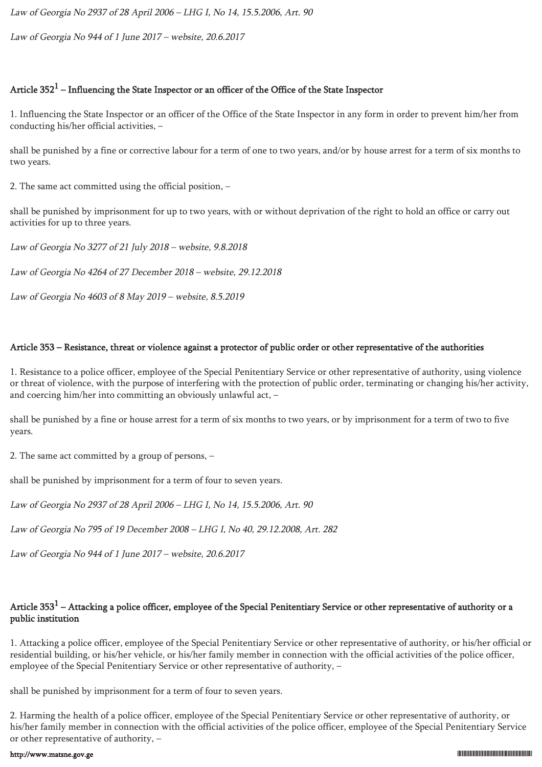Law of Georgia No 2937 of 28 April 2006 – LHG I, No 14, 15.5.2006, Art. 90

Law of Georgia No 944 of 1 June 2017 – website, 20.6.2017

# Article  $352^1$  – Influencing the State Inspector or an officer of the Office of the State Inspector

1. Influencing the State Inspector or an officer of the Office of the State Inspector in any form in order to prevent him/her from conducting his/her official activities, –

shall be punished by a fine or corrective labour for a term of one to two years, and/or by house arrest for a term of six months to two years.

2. The same act committed using the official position, –

shall be punished by imprisonment for up to two years, with or without deprivation of the right to hold an office or carry out activities for up to three years.

Law of Georgia No 3277 of 21 July 2018 – website, 9.8.2018

Law of Georgia No 4264 of 27 December 2018 – website, 29.12.2018

Law of Georgia No 4603 of 8 May 2019 – website, 8.5.2019

# Article 353 – Resistance, threat or violence against a protector of public order or other representative of the authorities

1. Resistance to a police officer, employee of the Special Penitentiary Service or other representative of authority, using violence or threat of violence, with the purpose of interfering with the protection of public order, terminating or changing his/her activity, and coercing him/her into committing an obviously unlawful act, –

shall be punished by a fine or house arrest for a term of six months to two years, or by imprisonment for a term of two to five years.

2. The same act committed by a group of persons, –

shall be punished by imprisonment for a term of four to seven years.

Law of Georgia No 2937 of 28 April 2006 – LHG I, No 14, 15.5.2006, Art. 90

Law of Georgia No 795 of 19 December 2008 – LHG I, No 40, 29.12.2008, Art. 282

Law of Georgia No 944 of 1 June 2017 – website, 20.6.2017

# Article 353 $^1$  – Attacking a police officer, employee of the Special Penitentiary Service or other representative of authority or a public institution

1. Attacking a police officer, employee of the Special Penitentiary Service or other representative of authority, or his/her official or residential building, or his/her vehicle, or his/her family member in connection with the official activities of the police officer, employee of the Special Penitentiary Service or other representative of authority, –

shall be punished by imprisonment for a term of four to seven years.

2. Harming the health of a police officer, employee of the Special Penitentiary Service or other representative of authority, or his/her family member in connection with the official activities of the police officer, employee of the Special Penitentiary Service or other representative of authority, –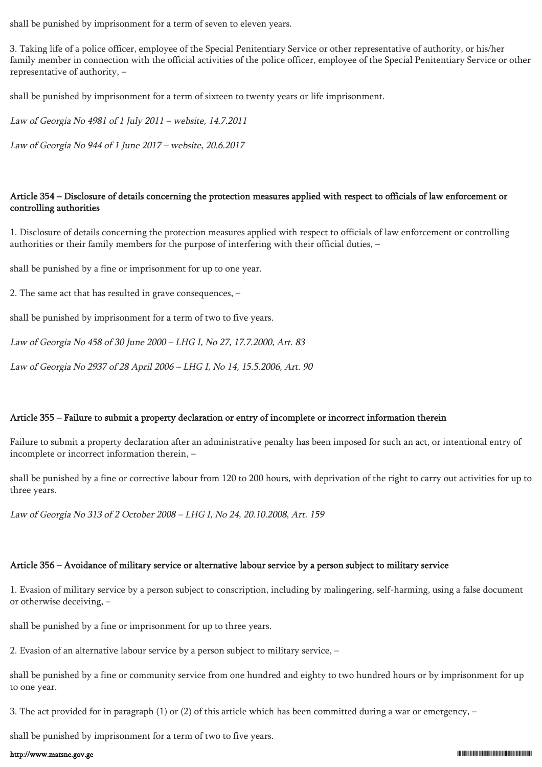shall be punished by imprisonment for a term of seven to eleven years.

3. Taking life of a police officer, employee of the Special Penitentiary Service or other representative of authority, or his/her family member in connection with the official activities of the police officer, employee of the Special Penitentiary Service or other representative of authority, –

shall be punished by imprisonment for a term of sixteen to twenty years or life imprisonment.

Law of Georgia No 4981 of 1 July 2011 – website, 14.7.2011

Law of Georgia No 944 of 1 June 2017 – website, 20.6.2017

#### Article 354 – Disclosure of details concerning the protection measures applied with respect to officials of law enforcement or controlling authorities

1. Disclosure of details concerning the protection measures applied with respect to officials of law enforcement or controlling authorities or their family members for the purpose of interfering with their official duties, –

shall be punished by a fine or imprisonment for up to one year.

2. The same act that has resulted in grave consequences, –

shall be punished by imprisonment for a term of two to five years.

Law of Georgia No 458 of 30 June 2000 – LHG I, No 27, 17.7.2000, Art. 83

Law of Georgia No 2937 of 28 April 2006 – LHG I, No 14, 15.5.2006, Art. 90

## Article 355 – Failure to submit a property declaration or entry of incomplete or incorrect information therein

Failure to submit a property declaration after an administrative penalty has been imposed for such an act, or intentional entry of incomplete or incorrect information therein, –

shall be punished by a fine or corrective labour from 120 to 200 hours, with deprivation of the right to carry out activities for up to three years.

Law of Georgia No 313 of 2 October 2008 – LHG I, No 24, 20.10.2008, Art. 159

## Article 356 – Avoidance of military service or alternative labour service by a person subject to military service

1. Evasion of military service by a person subject to conscription, including by malingering, self-harming, using a false document or otherwise deceiving, –

shall be punished by a fine or imprisonment for up to three years.

2. Evasion of an alternative labour service by a person subject to military service, –

shall be punished by a fine or community service from one hundred and eighty to two hundred hours or by imprisonment for up to one year.

3. The act provided for in paragraph (1) or (2) of this article which has been committed during a war or emergency, –

shall be punished by imprisonment for a term of two to five years.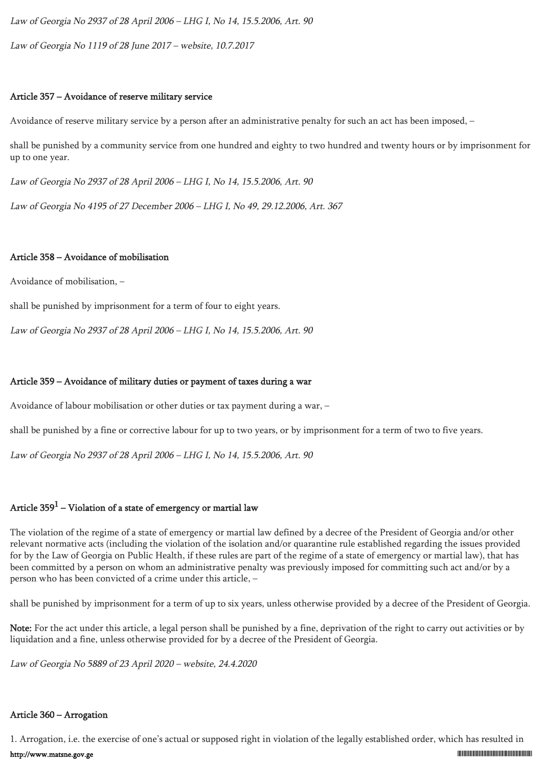Law of Georgia No 2937 of 28 April 2006 – LHG I, No 14, 15.5.2006, Art. 90

Law of Georgia No 1119 of 28 June 2017 – website, 10.7.2017

#### Article 357 – Avoidance of reserve military service

Avoidance of reserve military service by a person after an administrative penalty for such an act has been imposed, –

shall be punished by a community service from one hundred and eighty to two hundred and twenty hours or by imprisonment for up to one year.

Law of Georgia No 2937 of 28 April 2006 – LHG I, No 14, 15.5.2006, Art. 90

Law of Georgia No 4195 of 27 December 2006 – LHG I, No 49, 29.12.2006, Art. 367

#### Article 358 – Avoidance of mobilisation

Avoidance of mobilisation, –

shall be punished by imprisonment for a term of four to eight years.

Law of Georgia No 2937 of 28 April 2006 – LHG I, No 14, 15.5.2006, Art. 90

## Article 359 – Avoidance of military duties or payment of taxes during a war

Avoidance of labour mobilisation or other duties or tax payment during a war, –

shall be punished by a fine or corrective labour for up to two years, or by imprisonment for a term of two to five years.

Law of Georgia No 2937 of 28 April 2006 – LHG I, No 14, 15.5.2006, Art. 90

## Article  $359^1$  – Violation of a state of emergency or martial law

The violation of the regime of a state of emergency or martial law defined by a decree of the President of Georgia and/or other relevant normative acts (including the violation of the isolation and/or quarantine rule established regarding the issues provided for by the Law of Georgia on Public Health, if these rules are part of the regime of a state of emergency or martial law), that has been committed by a person on whom an administrative penalty was previously imposed for committing such act and/or by a person who has been convicted of a crime under this article, –

shall be punished by imprisonment for a term of up to six years, unless otherwise provided by a decree of the President of Georgia.

Note: For the act under this article, a legal person shall be punished by a fine, deprivation of the right to carry out activities or by liquidation and a fine, unless otherwise provided for by a decree of the President of Georgia.

Law of Georgia No 5889 of 23 April 2020 – website, 24.4.2020

## Article 360 – Arrogation

1. Arrogation, i.e. the exercise of one's actual or supposed right in violation of the legally established order, which has resulted in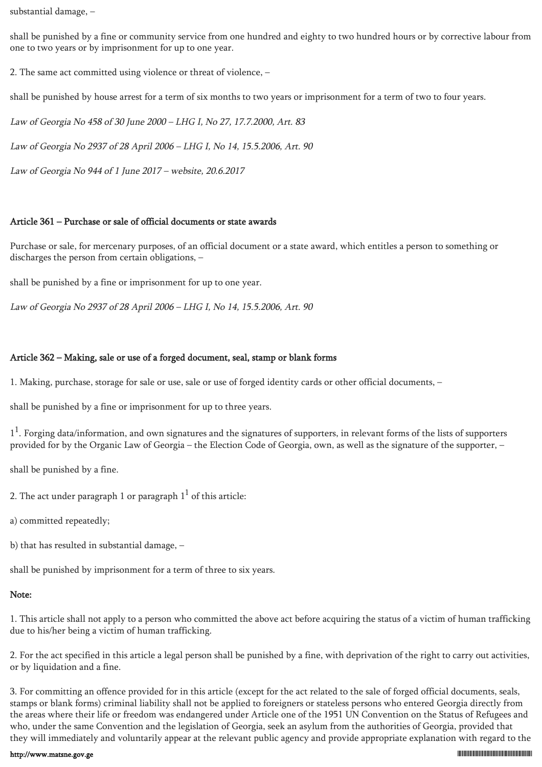substantial damage, –

shall be punished by a fine or community service from one hundred and eighty to two hundred hours or by corrective labour from one to two years or by imprisonment for up to one year.

2. The same act committed using violence or threat of violence, –

shall be punished by house arrest for a term of six months to two years or imprisonment for a term of two to four years.

Law of Georgia No 458 of 30 June 2000 – LHG I, No 27, 17.7.2000, Art. 83

Law of Georgia No 2937 of 28 April 2006 – LHG I, No 14, 15.5.2006, Art. 90

Law of Georgia No 944 of 1 June 2017 – website, 20.6.2017

## Article 361 – Purchase or sale of official documents or state awards

Purchase or sale, for mercenary purposes, of an official document or a state award, which entitles a person to something or discharges the person from certain obligations, –

shall be punished by a fine or imprisonment for up to one year.

Law of Georgia No 2937 of 28 April 2006 – LHG I, No 14, 15.5.2006, Art. 90

## Article 362 – Making, sale or use of a forged document, seal, stamp or blank forms

1. Making, purchase, storage for sale or use, sale or use of forged identity cards or other official documents, –

shall be punished by a fine or imprisonment for up to three years.

1<sup>1</sup>. Forging data/information, and own signatures and the signatures of supporters, in relevant forms of the lists of supporters provided for by the Organic Law of Georgia – the Election Code of Georgia, own, as well as the signature of the supporter, –

shall be punished by a fine.

- 2. The act under paragraph 1 or paragraph  $1^1$  of this article:
- a) committed repeatedly;
- b) that has resulted in substantial damage, –

shall be punished by imprisonment for a term of three to six years.

## Note:

1. This article shall not apply to a person who committed the above act before acquiring the status of a victim of human trafficking due to his/her being a victim of human trafficking.

2. For the act specified in this article a legal person shall be punished by a fine, with deprivation of the right to carry out activities, or by liquidation and a fine.

3. For committing an offence provided for in this article (except for the act related to the sale of forged official documents, seals, stamps or blank forms) criminal liability shall not be applied to foreigners or stateless persons who entered Georgia directly from the areas where their life or freedom was endangered under Article one of the 1951 UN Convention on the Status of Refugees and who, under the same Convention and the legislation of Georgia, seek an asylum from the authorities of Georgia, provided that they will immediately and voluntarily appear at the relevant public agency and provide appropriate explanation with regard to the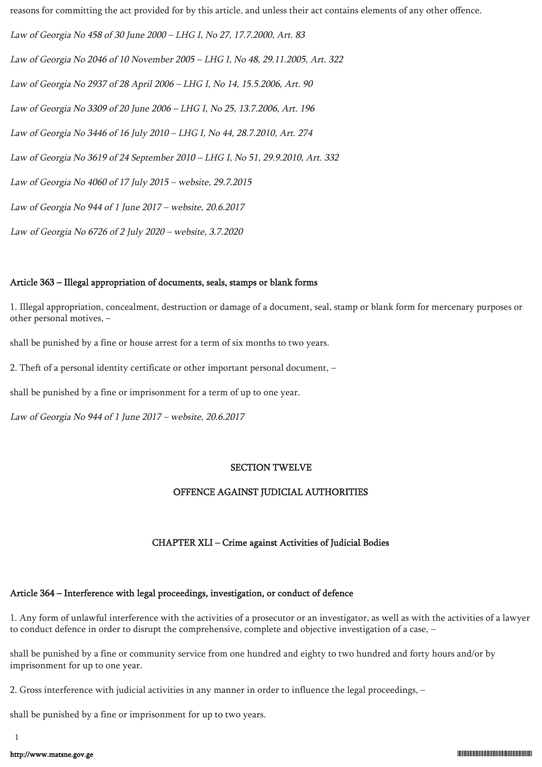reasons for committing the act provided for by this article, and unless their act contains elements of any other offence.

Law of Georgia No 458 of 30 June 2000 – LHG I, No 27, 17.7.2000, Art. 83

Law of Georgia No 2046 of 10 November 2005 – LHG I, No 48, 29.11.2005, Art. 322

Law of Georgia No 2937 of 28 April 2006 – LHG I, No 14, 15.5.2006, Art. 90

Law of Georgia No 3309 of 20 June 2006 – LHG I, No 25, 13.7.2006, Art. 196

Law of Georgia No 3446 of 16 July 2010 – LHG I, No 44, 28.7.2010, Art. 274

Law of Georgia No 3619 of 24 September 2010 – LHG I, No 51, 29.9.2010, Art. 332

Law of Georgia No 4060 of 17 July 2015 – website, 29.7.2015

Law of Georgia No 944 of 1 June 2017 – website, 20.6.2017

Law of Georgia No 6726 of 2 July 2020 – website, 3.7.2020

#### Article 363 – Illegal appropriation of documents, seals, stamps or blank forms

1. Illegal appropriation, concealment, destruction or damage of a document, seal, stamp or blank form for mercenary purposes or other personal motives, –

shall be punished by a fine or house arrest for a term of six months to two years.

2. Theft of a personal identity certificate or other important personal document, –

shall be punished by a fine or imprisonment for a term of up to one year.

Law of Georgia No 944 of 1 June 2017 – website, 20.6.2017

## SECTION TWELVE

## OFFENCE AGAINST JUDICIAL AUTHORITIES

## CHAPTER XLI – Crime against Activities of Judicial Bodies

## Article 364 – Interference with legal proceedings, investigation, or conduct of defence

1. Any form of unlawful interference with the activities of a prosecutor or an investigator, as well as with the activities of a lawyer to conduct defence in order to disrupt the comprehensive, complete and objective investigation of a case, –

shall be punished by a fine or community service from one hundred and eighty to two hundred and forty hours and/or by imprisonment for up to one year.

2. Gross interference with judicial activities in any manner in order to influence the legal proceedings, –

shall be punished by a fine or imprisonment for up to two years.

1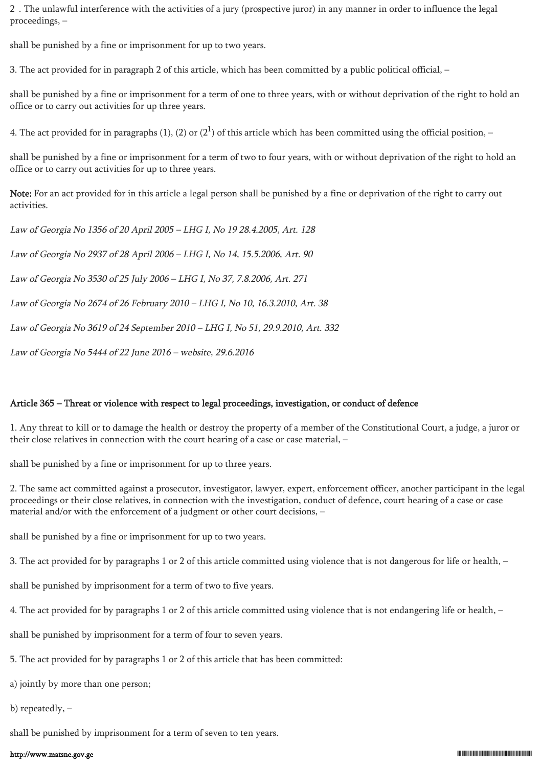2 . The unlawful interference with the activities of a jury (prospective juror) in any manner in order to influence the legal proceedings, –

shall be punished by a fine or imprisonment for up to two years.

3. The act provided for in paragraph 2 of this article, which has been committed by a public political official, –

shall be punished by a fine or imprisonment for a term of one to three years, with or without deprivation of the right to hold an office or to carry out activities for up three years.

4. The act provided for in paragraphs (1), (2) or (2<sup>1</sup>) of this article which has been committed using the official position, –

shall be punished by a fine or imprisonment for a term of two to four years, with or without deprivation of the right to hold an office or to carry out activities for up to three years.

Note: For an act provided for in this article a legal person shall be punished by a fine or deprivation of the right to carry out activities.

Law of Georgia No 1356 of 20 April 2005 – LHG I, No 19 28.4.2005, Art. 128

Law of Georgia No 2937 of 28 April 2006 – LHG I, No 14, 15.5.2006, Art. 90

Law of Georgia No 3530 of 25 July 2006 – LHG I, No 37, 7.8.2006, Art. 271

Law of Georgia No 2674 of 26 February 2010 – LHG I, No 10, 16.3.2010, Art. 38

Law of Georgia No 3619 of 24 September 2010 – LHG I, No 51, 29.9.2010, Art. 332

Law of Georgia No 5444 of 22 June 2016 – website, 29.6.2016

## Article 365 – Threat or violence with respect to legal proceedings, investigation, or conduct of defence

1. Any threat to kill or to damage the health or destroy the property of a member of the Constitutional Court, a judge, a juror or their close relatives in connection with the court hearing of a case or case material, –

shall be punished by a fine or imprisonment for up to three years.

2. The same act committed against a prosecutor, investigator, lawyer, expert, enforcement officer, another participant in the legal proceedings or their close relatives, in connection with the investigation, conduct of defence, court hearing of a case or case material and/or with the enforcement of a judgment or other court decisions, –

shall be punished by a fine or imprisonment for up to two years.

3. The act provided for by paragraphs 1 or 2 of this article committed using violence that is not dangerous for life or health, –

shall be punished by imprisonment for a term of two to five years.

4. The act provided for by paragraphs 1 or 2 of this article committed using violence that is not endangering life or health, –

shall be punished by imprisonment for a term of four to seven years.

5. The act provided for by paragraphs 1 or 2 of this article that has been committed:

a) jointly by more than one person;

b) repeatedly, –

shall be punished by imprisonment for a term of seven to ten years.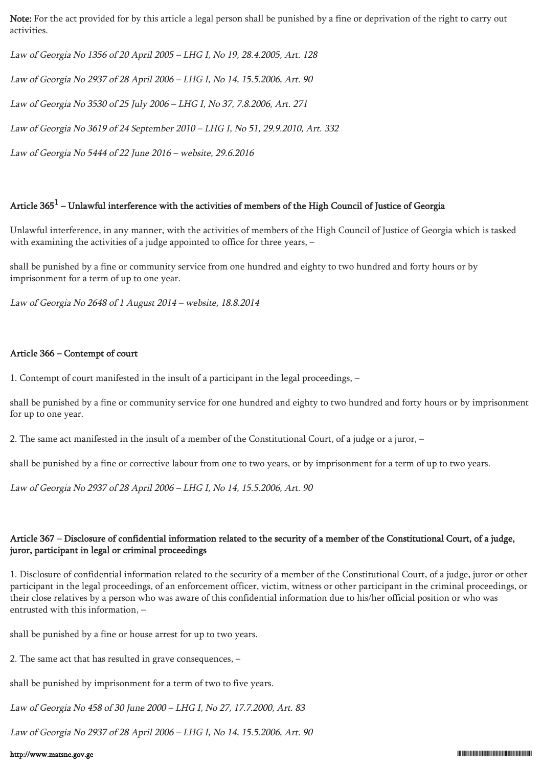Note: For the act provided for by this article a legal person shall be punished by a fine or deprivation of the right to carry out activities.

Law of Georgia No 1356 of 20 April 2005 – LHG I, No 19, 28.4.2005, Art. 128

Law of Georgia No 2937 of 28 April 2006 – LHG I, No 14, 15.5.2006, Art. 90

Law of Georgia No 3530 of 25 July 2006 – LHG I, No 37, 7.8.2006, Art. 271

Law of Georgia No 3619 of 24 September 2010 – LHG I, No 51, 29.9.2010, Art. 332

Law of Georgia No 5444 of 22 June 2016 – website, 29.6.2016

## Article  $365^1$  – Unlawful interference with the activities of members of the High Council of Justice of Georgia

Unlawful interference, in any manner, with the activities of members of the High Council of Justice of Georgia which is tasked with examining the activities of a judge appointed to office for three years, –

shall be punished by a fine or community service from one hundred and eighty to two hundred and forty hours or by imprisonment for a term of up to one year.

Law of Georgia No 2648 of 1 August 2014 – website, 18.8.2014

#### Article 366 – Contempt of court

1. Contempt of court manifested in the insult of a participant in the legal proceedings, –

shall be punished by a fine or community service for one hundred and eighty to two hundred and forty hours or by imprisonment for up to one year.

2. The same act manifested in the insult of a member of the Constitutional Court, of a judge or a juror, –

shall be punished by a fine or corrective labour from one to two years, or by imprisonment for a term of up to two years.

Law of Georgia No 2937 of 28 April 2006 – LHG I, No 14, 15.5.2006, Art. 90

## Article 367 – Disclosure of confidential information related to the security of a member of the Constitutional Court, of a judge, juror, participant in legal or criminal proceedings

1. Disclosure of confidential information related to the security of a member of the Constitutional Court, of a judge, juror or other participant in the legal proceedings, of an enforcement officer, victim, witness or other participant in the criminal proceedings, or their close relatives by a person who was aware of this confidential information due to his/her official position or who was entrusted with this information, –

shall be punished by a fine or house arrest for up to two years.

2. The same act that has resulted in grave consequences, –

shall be punished by imprisonment for a term of two to five years.

Law of Georgia No 458 of 30 June 2000 – LHG I, No 27, 17.7.2000, Art. 83

Law of Georgia No 2937 of 28 April 2006 – LHG I, No 14, 15.5.2006, Art. 90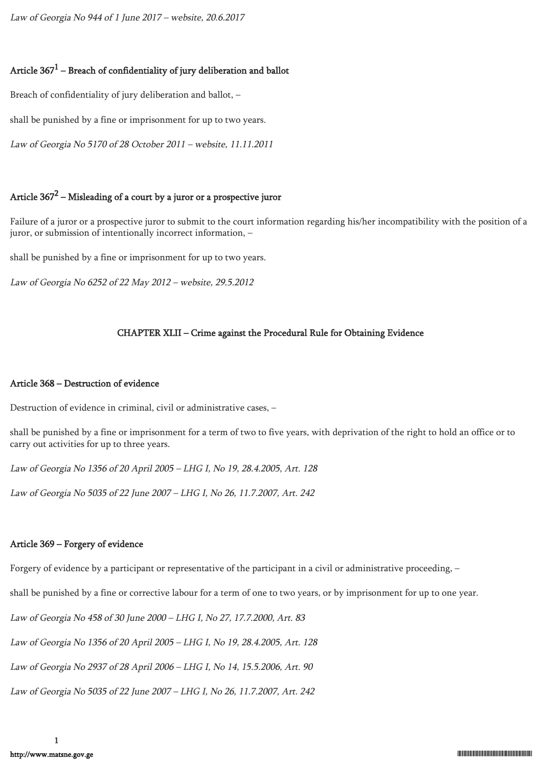Law of Georgia No 944 of 1 June 2017 – website, 20.6.2017

# Article  $367^1$  – Breach of confidentiality of jury deliberation and ballot

Breach of confidentiality of jury deliberation and ballot, –

shall be punished by a fine or imprisonment for up to two years.

Law of Georgia No 5170 of 28 October 2011 – website, 11.11.2011

# Article  $367^2$  – Misleading of a court by a juror or a prospective juror

Failure of a juror or a prospective juror to submit to the court information regarding his/her incompatibility with the position of a juror, or submission of intentionally incorrect information, –

shall be punished by a fine or imprisonment for up to two years.

Law of Georgia No 6252 of 22 May 2012 – website, 29.5.2012

# CHAPTER XLII – Crime against the Procedural Rule for Obtaining Evidence

## Article 368 – Destruction of evidence

Destruction of evidence in criminal, civil or administrative cases, –

shall be punished by a fine or imprisonment for a term of two to five years, with deprivation of the right to hold an office or to carry out activities for up to three years.

Law of Georgia No 1356 of 20 April 2005 – LHG I, No 19, 28.4.2005, Art. 128

Law of Georgia No 5035 of 22 June 2007 – LHG I, No 26, 11.7.2007, Art. 242

## Article 369 – Forgery of evidence

Forgery of evidence by a participant or representative of the participant in a civil or administrative proceeding, –

shall be punished by a fine or corrective labour for a term of one to two years, or by imprisonment for up to one year.

Law of Georgia No 458 of 30 June 2000 – LHG I, No 27, 17.7.2000, Art. 83

Law of Georgia No 1356 of 20 April 2005 – LHG I, No 19, 28.4.2005, Art. 128

Law of Georgia No 2937 of 28 April 2006 – LHG I, No 14, 15.5.2006, Art. 90

Law of Georgia No 5035 of 22 June 2007 – LHG I, No 26, 11.7.2007, Art. 242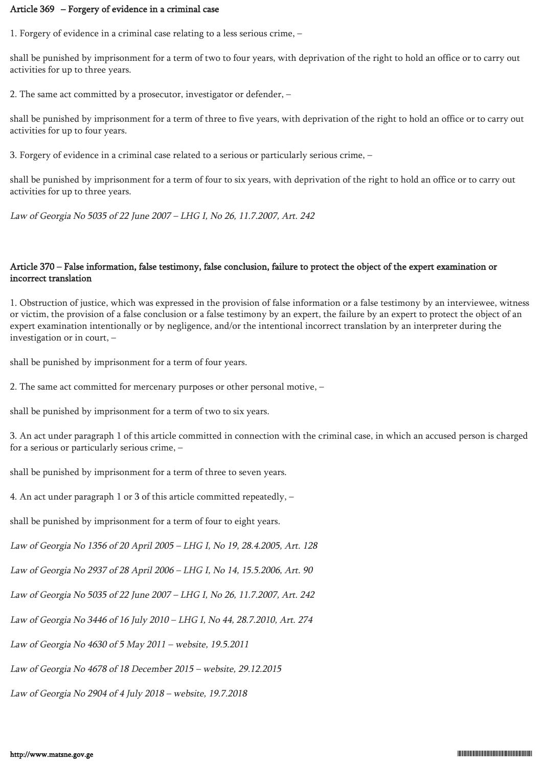#### Article 369 – Forgery of evidence in a criminal case

1. Forgery of evidence in a criminal case relating to a less serious crime, –

shall be punished by imprisonment for a term of two to four years, with deprivation of the right to hold an office or to carry out activities for up to three years.

2. The same act committed by a prosecutor, investigator or defender, –

shall be punished by imprisonment for a term of three to five years, with deprivation of the right to hold an office or to carry out activities for up to four years.

3. Forgery of evidence in a criminal case related to a serious or particularly serious crime, –

shall be punished by imprisonment for a term of four to six years, with deprivation of the right to hold an office or to carry out activities for up to three years.

Law of Georgia No 5035 of 22 June 2007 – LHG I, No 26, 11.7.2007, Art. 242

## Article 370 – False information, false testimony, false conclusion, failure to protect the object of the expert examination or incorrect translation

1. Obstruction of justice, which was expressed in the provision of false information or a false testimony by an interviewee, witness or victim, the provision of a false conclusion or a false testimony by an expert, the failure by an expert to protect the object of an expert examination intentionally or by negligence, and/or the intentional incorrect translation by an interpreter during the investigation or in court, –

shall be punished by imprisonment for a term of four years.

2. The same act committed for mercenary purposes or other personal motive, –

shall be punished by imprisonment for a term of two to six years.

3. An act under paragraph 1 of this article committed in connection with the criminal case, in which an accused person is charged for a serious or particularly serious crime, –

shall be punished by imprisonment for a term of three to seven years.

4. An act under paragraph 1 or 3 of this article committed repeatedly, –

shall be punished by imprisonment for a term of four to eight years.

Law of Georgia No 1356 of 20 April 2005 – LHG I, No 19, 28.4.2005, Art. 128

Law of Georgia No 2937 of 28 April 2006 – LHG I, No 14, 15.5.2006, Art. 90

Law of Georgia No 5035 of 22 June 2007 – LHG I, No 26, 11.7.2007, Art. 242

Law of Georgia No 3446 of 16 July 2010 – LHG I, No 44, 28.7.2010, Art. 274

Law of Georgia No 4630 of 5 May 2011 – website, 19.5.2011

Law of Georgia No 4678 of 18 December 2015 – website, 29.12.2015

Law of Georgia No 2904 of 4 July 2018 – website, 19.7.2018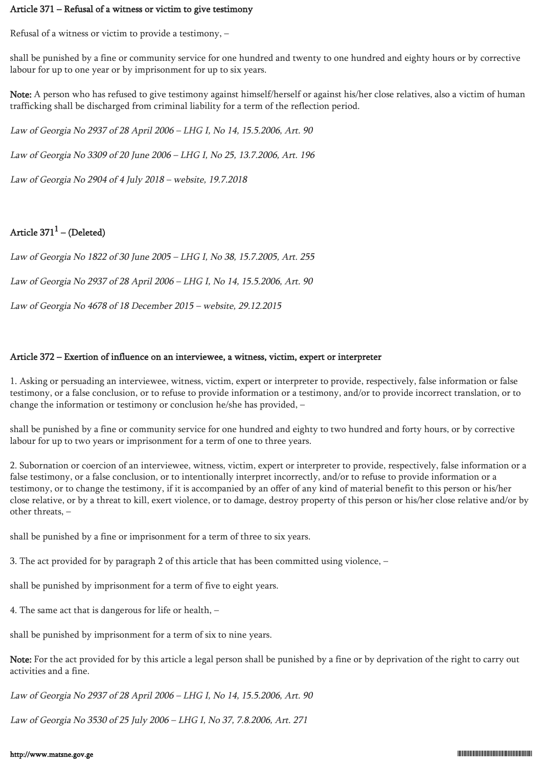#### Article 371 – Refusal of a witness or victim to give testimony

Refusal of a witness or victim to provide a testimony, –

shall be punished by a fine or community service for one hundred and twenty to one hundred and eighty hours or by corrective labour for up to one year or by imprisonment for up to six years.

Note: A person who has refused to give testimony against himself/herself or against his/her close relatives, also a victim of human trafficking shall be discharged from criminal liability for a term of the reflection period.

Law of Georgia No 2937 of 28 April 2006 – LHG I, No 14, 15.5.2006, Art. 90

Law of Georgia No 3309 of 20 June 2006 – LHG I, No 25, 13.7.2006, Art. 196

Law of Georgia No 2904 of 4 July 2018 – website, 19.7.2018

# Article 371 $^1$  – (Deleted)

Law of Georgia No 1822 of 30 June 2005 – LHG I, No 38, 15.7.2005, Art. 255

Law of Georgia No 2937 of 28 April 2006 – LHG I, No 14, 15.5.2006, Art. 90

Law of Georgia No 4678 of 18 December 2015 – website, 29.12.2015

## Article 372 – Exertion of influence on an interviewee, a witness, victim, expert or interpreter

1. Asking or persuading an interviewee, witness, victim, expert or interpreter to provide, respectively, false information or false testimony, or a false conclusion, or to refuse to provide information or a testimony, and/or to provide incorrect translation, or to change the information or testimony or conclusion he/she has provided, –

shall be punished by a fine or community service for one hundred and eighty to two hundred and forty hours, or by corrective labour for up to two years or imprisonment for a term of one to three years.

2. Subornation or coercion of an interviewee, witness, victim, expert or interpreter to provide, respectively, false information or a false testimony, or a false conclusion, or to intentionally interpret incorrectly, and/or to refuse to provide information or a testimony, or to change the testimony, if it is accompanied by an offer of any kind of material benefit to this person or his/her close relative, or by a threat to kill, exert violence, or to damage, destroy property of this person or his/her close relative and/or by other threats, –

shall be punished by a fine or imprisonment for a term of three to six years.

3. The act provided for by paragraph 2 of this article that has been committed using violence, –

shall be punished by imprisonment for a term of five to eight years.

4. The same act that is dangerous for life or health, –

shall be punished by imprisonment for a term of six to nine years.

Note: For the act provided for by this article a legal person shall be punished by a fine or by deprivation of the right to carry out activities and a fine.

Law of Georgia No 2937 of 28 April 2006 – LHG I, No 14, 15.5.2006, Art. 90

Law of Georgia No 3530 of 25 July 2006 – LHG I, No 37, 7.8.2006, Art. 271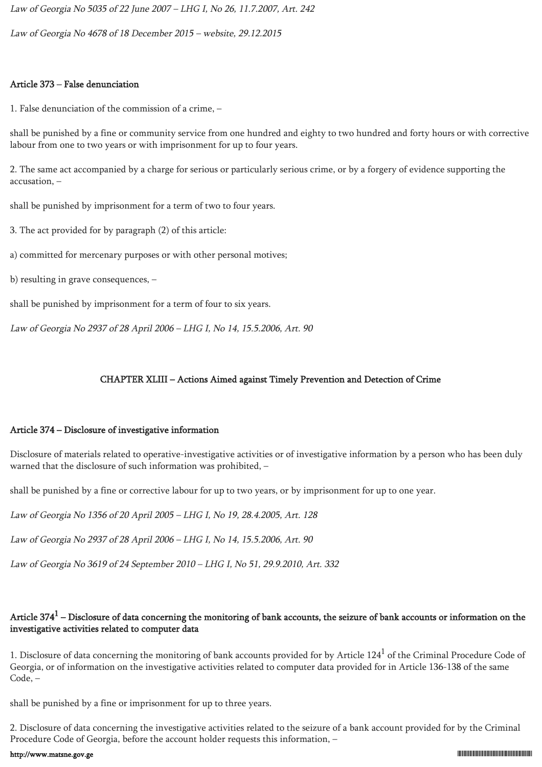Law of Georgia No 5035 of 22 June 2007 – LHG I, No 26, 11.7.2007, Art. 242

Law of Georgia No 4678 of 18 December 2015 – website, 29.12.2015

## Article 373 – False denunciation

1. False denunciation of the commission of a crime, –

shall be punished by a fine or community service from one hundred and eighty to two hundred and forty hours or with corrective labour from one to two years or with imprisonment for up to four years.

2. The same act accompanied by a charge for serious or particularly serious crime, or by a forgery of evidence supporting the accusation, –

shall be punished by imprisonment for a term of two to four years.

3. The act provided for by paragraph (2) of this article:

a) committed for mercenary purposes or with other personal motives;

b) resulting in grave consequences, –

shall be punished by imprisonment for a term of four to six years.

Law of Georgia No 2937 of 28 April 2006 – LHG I, No 14, 15.5.2006, Art. 90

# CHAPTER XLIII – Actions Aimed against Timely Prevention and Detection of Crime

# Article 374 – Disclosure of investigative information

Disclosure of materials related to operative-investigative activities or of investigative information by a person who has been duly warned that the disclosure of such information was prohibited, –

shall be punished by a fine or corrective labour for up to two years, or by imprisonment for up to one year.

Law of Georgia No 1356 of 20 April 2005 – LHG I, No 19, 28.4.2005, Art. 128

Law of Georgia No 2937 of 28 April 2006 – LHG I, No 14, 15.5.2006, Art. 90

Law of Georgia No 3619 of 24 September 2010 – LHG I, No 51, 29.9.2010, Art. 332

# Article 374 $^{\rm 1}$  – Disclosure of data concerning the monitoring of bank accounts, the seizure of bank accounts or information on the investigative activities related to computer data

1. Disclosure of data concerning the monitoring of bank accounts provided for by Article  $124^1$  of the Criminal Procedure Code of Georgia, or of information on the investigative activities related to computer data provided for in Article 136-138 of the same Code, –

shall be punished by a fine or imprisonment for up to three years.

2. Disclosure of data concerning the investigative activities related to the seizure of a bank account provided for by the Criminal Procedure Code of Georgia, before the account holder requests this information, –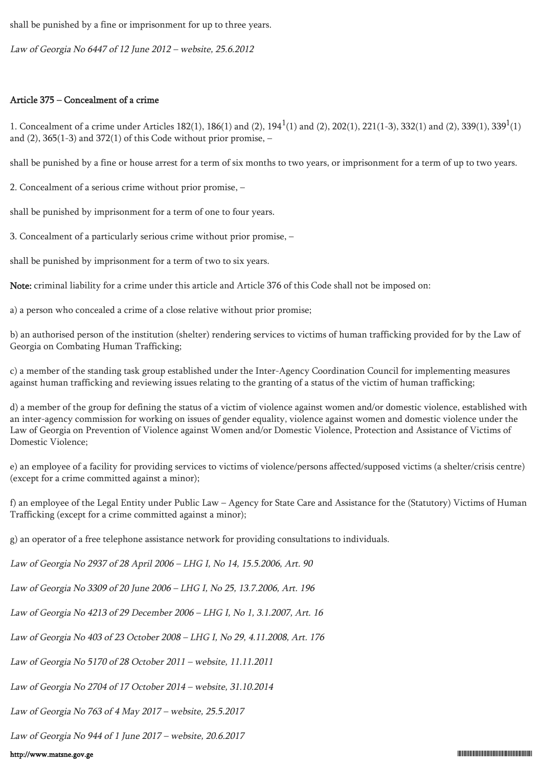shall be punished by a fine or imprisonment for up to three years.

Law of Georgia No 6447 of 12 June 2012 – website, 25.6.2012

## Article 375 – Concealment of a crime

1. Concealment of a crime under Articles 182(1), 186(1) and (2), 194<sup>1</sup>(1) and (2), 202(1), 221(1-3), 332(1) and (2), 339(1), 339<sup>1</sup>(1) and  $(2)$ , 365 $(1-3)$  and 372 $(1)$  of this Code without prior promise,  $-$ 

shall be punished by a fine or house arrest for a term of six months to two years, or imprisonment for a term of up to two years.

2. Concealment of a serious crime without prior promise, –

shall be punished by imprisonment for a term of one to four years.

3. Concealment of a particularly serious crime without prior promise, –

shall be punished by imprisonment for a term of two to six years.

Note: criminal liability for a crime under this article and Article 376 of this Code shall not be imposed on:

a) a person who concealed a crime of a close relative without prior promise;

b) an authorised person of the institution (shelter) rendering services to victims of human trafficking provided for by the Law of Georgia on Combating Human Trafficking;

c) a member of the standing task group established under the Inter-Agency Coordination Council for implementing measures against human trafficking and reviewing issues relating to the granting of a status of the victim of human trafficking;

d) a member of the group for defining the status of a victim of violence against women and/or domestic violence, established with an inter-agency commission for working on issues of gender equality, violence against women and domestic violence under the Law of Georgia on Prevention of Violence against Women and/or Domestic Violence, Protection and Assistance of Victims of Domestic Violence;

e) an employee of a facility for providing services to victims of violence/persons affected/supposed victims (a shelter/crisis centre) (except for a crime committed against a minor);

f) an employee of the Legal Entity under Public Law – Agency for State Care and Assistance for the (Statutory) Victims of Human Trafficking (except for a crime committed against a minor);

g) an operator of a free telephone assistance network for providing consultations to individuals.

Law of Georgia No 2937 of 28 April 2006 – LHG I, No 14, 15.5.2006, Art. 90

Law of Georgia No 3309 of 20 June 2006 – LHG I, No 25, 13.7.2006, Art. 196

Law of Georgia No 4213 of 29 December 2006 – LHG I, No 1, 3.1.2007, Art. 16

Law of Georgia No 403 of 23 October 2008 – LHG I, No 29, 4.11.2008, Art. 176

Law of Georgia No 5170 of 28 October 2011 – website, 11.11.2011

Law of Georgia No 2704 of 17 October 2014 – website, 31.10.2014

Law of Georgia No 763 of 4 May 2017 – website, 25.5.2017

Law of Georgia No 944 of 1 June 2017 – website, 20.6.2017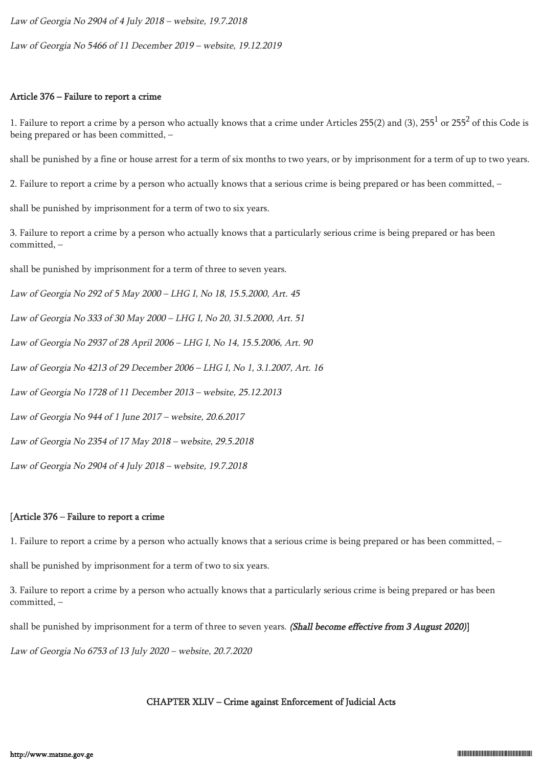Law of Georgia No 2904 of 4 July 2018 – website, 19.7.2018

Law of Georgia No 5466 of 11 December 2019 – website, 19.12.2019

#### Article 376 – Failure to report a crime

1. Failure to report a crime by a person who actually knows that a crime under Articles 255(2) and (3), 255<sup>1</sup> or 255<sup>2</sup> of this Code is being prepared or has been committed, –

shall be punished by a fine or house arrest for a term of six months to two years, or by imprisonment for a term of up to two years.

2. Failure to report a crime by a person who actually knows that a serious crime is being prepared or has been committed, –

shall be punished by imprisonment for a term of two to six years.

3. Failure to report a crime by a person who actually knows that a particularly serious crime is being prepared or has been committed, –

shall be punished by imprisonment for a term of three to seven years.

Law of Georgia No 292 of 5 May 2000 – LHG I, No 18, 15.5.2000, Art. 45

Law of Georgia No 333 of 30 May 2000 – LHG I, No 20, 31.5.2000, Art. 51

Law of Georgia No 2937 of 28 April 2006 – LHG I, No 14, 15.5.2006, Art. 90

Law of Georgia No 4213 of 29 December 2006 – LHG I, No 1, 3.1.2007, Art. 16

Law of Georgia No 1728 of 11 December 2013 – website, 25.12.2013

Law of Georgia No 944 of 1 June 2017 – website, 20.6.2017

Law of Georgia No 2354 of 17 May 2018 – website, 29.5.2018

Law of Georgia No 2904 of 4 July 2018 – website, 19.7.2018

## [Article 376 – Failure to report a crime

1. Failure to report a crime by a person who actually knows that a serious crime is being prepared or has been committed, –

shall be punished by imprisonment for a term of two to six years.

3. Failure to report a crime by a person who actually knows that a particularly serious crime is being prepared or has been committed, –

shall be punished by imprisonment for a term of three to seven years. (Shall become effective from 3 August 2020)]

Law of Georgia No 6753 of 13 July 2020 – website, 20.7.2020

## CHAPTER XLIV – Crime against Enforcement of Judicial Acts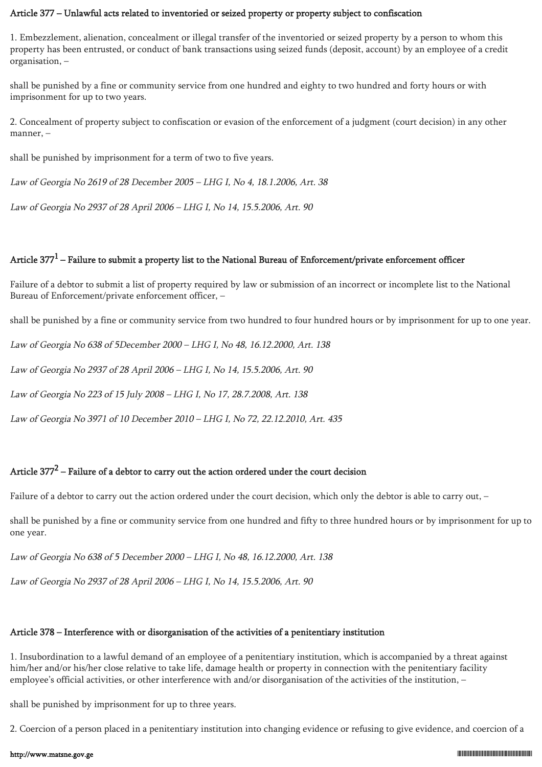#### Article 377 – Unlawful acts related to inventoried or seized property or property subject to confiscation

1. Embezzlement, alienation, concealment or illegal transfer of the inventoried or seized property by a person to whom this property has been entrusted, or conduct of bank transactions using seized funds (deposit, account) by an employee of a credit organisation, –

shall be punished by a fine or community service from one hundred and eighty to two hundred and forty hours or with imprisonment for up to two years.

2. Concealment of property subject to confiscation or evasion of the enforcement of a judgment (court decision) in any other manner, –

shall be punished by imprisonment for a term of two to five years.

Law of Georgia No 2619 of 28 December 2005 – LHG I, No 4, 18.1.2006, Art. 38

Law of Georgia No 2937 of 28 April 2006 – LHG I, No 14, 15.5.2006, Art. 90

## Article  $377<sup>1</sup>$  – Failure to submit a property list to the National Bureau of Enforcement/private enforcement officer

Failure of a debtor to submit a list of property required by law or submission of an incorrect or incomplete list to the National Bureau of Enforcement/private enforcement officer, –

shall be punished by a fine or community service from two hundred to four hundred hours or by imprisonment for up to one year.

Law of Georgia No 638 of 5December 2000 – LHG I, No 48, 16.12.2000, Art. 138

Law of Georgia No 2937 of 28 April 2006 – LHG I, No 14, 15.5.2006, Art. 90

Law of Georgia No 223 of 15 July 2008 – LHG I, No 17, 28.7.2008, Art. 138

Law of Georgia No 3971 of 10 December 2010 – LHG I, No 72, 22.12.2010, Art. 435

# Article  $377^2$  – Failure of a debtor to carry out the action ordered under the court decision

Failure of a debtor to carry out the action ordered under the court decision, which only the debtor is able to carry out, –

shall be punished by a fine or community service from one hundred and fifty to three hundred hours or by imprisonment for up to one year.

Law of Georgia No 638 of 5 December 2000 – LHG I, No 48, 16.12.2000, Art. 138

Law of Georgia No 2937 of 28 April 2006 – LHG I, No 14, 15.5.2006, Art. 90

## Article 378 – Interference with or disorganisation of the activities of a penitentiary institution

1. Insubordination to a lawful demand of an employee of a penitentiary institution, which is accompanied by a threat against him/her and/or his/her close relative to take life, damage health or property in connection with the penitentiary facility employee's official activities, or other interference with and/or disorganisation of the activities of the institution, –

shall be punished by imprisonment for up to three years.

2. Coercion of a person placed in a penitentiary institution into changing evidence or refusing to give evidence, and coercion of a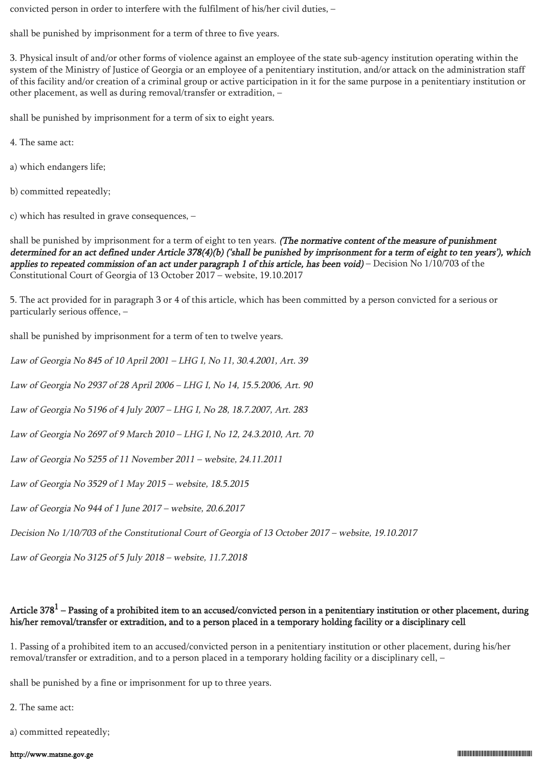convicted person in order to interfere with the fulfilment of his/her civil duties, –

shall be punished by imprisonment for a term of three to five years.

3. Physical insult of and/or other forms of violence against an employee of the state sub-agency institution operating within the system of the Ministry of Justice of Georgia or an employee of a penitentiary institution, and/or attack on the administration staff of this facility and/or creation of a criminal group or active participation in it for the same purpose in a penitentiary institution or other placement, as well as during removal/transfer or extradition, –

shall be punished by imprisonment for a term of six to eight years.

- 4. The same act:
- a) which endangers life;
- b) committed repeatedly;
- c) which has resulted in grave consequences, –

shall be punished by imprisonment for a term of eight to ten years. (The normative content of the measure of punishment determined for an act defined under Article 378(4)(b) ('shall be punished by imprisonment for a term of eight to ten years'), which applies to repeated commission of an act under paragraph 1 of this article, has been void) – Decision No  $1/10/703$  of the Constitutional Court of Georgia of 13 October 2017 – website, 19.10.2017

5. The act provided for in paragraph 3 or 4 of this article, which has been committed by a person convicted for a serious or particularly serious offence, –

shall be punished by imprisonment for a term of ten to twelve years.

Law of Georgia No 845 of 10 April 2001 – LHG I, No 11, 30.4.2001, Art. 39

Law of Georgia No 2937 of 28 April 2006 – LHG I, No 14, 15.5.2006, Art. 90

Law of Georgia No 5196 of 4 July 2007 – LHG I, No 28, 18.7.2007, Art. 283

Law of Georgia No 2697 of 9 March 2010 – LHG I, No 12, 24.3.2010, Art. 70

Law of Georgia No 5255 of 11 November 2011 – website, 24.11.2011

Law of Georgia No 3529 of 1 May 2015 – website, 18.5.2015

Law of Georgia No 944 of 1 June 2017 – website, 20.6.2017

Decision No 1/10/703 of the Constitutional Court of Georgia of 13 October 2017 – website, 19.10.2017

Law of Georgia No 3125 of 5 July 2018 – website, 11.7.2018

# Article 378 $^{\rm 1}$  – Passing of a prohibited item to an accused/convicted person in a penitentiary institution or other placement, during his/her removal/transfer or extradition, and to a person placed in a temporary holding facility or a disciplinary cell

1. Passing of a prohibited item to an accused/convicted person in a penitentiary institution or other placement, during his/her removal/transfer or extradition, and to a person placed in a temporary holding facility or a disciplinary cell, –

shall be punished by a fine or imprisonment for up to three years.

2. The same act:

a) committed repeatedly;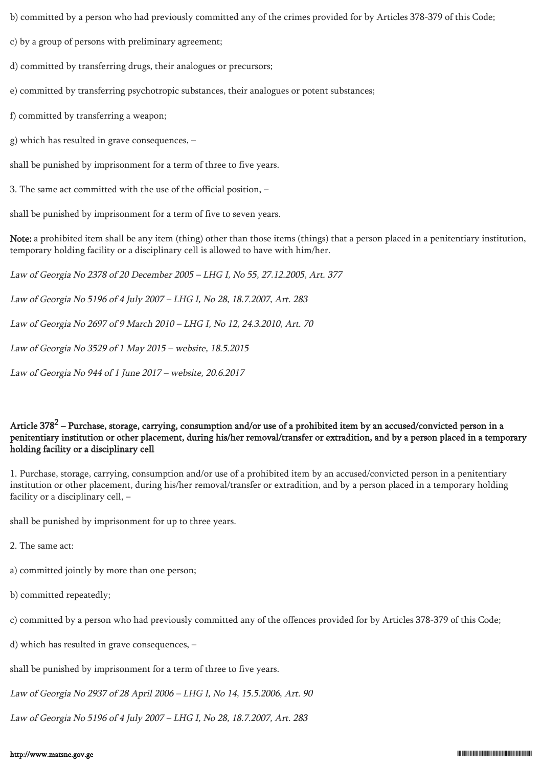b) committed by a person who had previously committed any of the crimes provided for by Articles 378-379 of this Code;

c) by a group of persons with preliminary agreement;

d) committed by transferring drugs, their analogues or precursors;

e) committed by transferring psychotropic substances, their analogues or potent substances;

f) committed by transferring a weapon;

g) which has resulted in grave consequences, –

shall be punished by imprisonment for a term of three to five years.

3. The same act committed with the use of the official position, –

shall be punished by imprisonment for a term of five to seven years.

Note: a prohibited item shall be any item (thing) other than those items (things) that a person placed in a penitentiary institution, temporary holding facility or a disciplinary cell is allowed to have with him/her.

Law of Georgia No 2378 of 20 December 2005 – LHG I, No 55, 27.12.2005, Art. 377

Law of Georgia No 5196 of 4 July 2007 – LHG I, No 28, 18.7.2007, Art. 283

Law of Georgia No 2697 of 9 March 2010 – LHG I, No 12, 24.3.2010, Art. 70

Law of Georgia No 3529 of 1 May 2015 – website, 18.5.2015

Law of Georgia No 944 of 1 June 2017 – website, 20.6.2017

## Article 378 $^2$  – Purchase, storage, carrying, consumption and/or use of a prohibited item by an accused/convicted person in a penitentiary institution or other placement, during his/her removal/transfer or extradition, and by a person placed in a temporary holding facility or a disciplinary cell

1. Purchase, storage, carrying, consumption and/or use of a prohibited item by an accused/convicted person in a penitentiary institution or other placement, during his/her removal/transfer or extradition, and by a person placed in a temporary holding facility or a disciplinary cell, –

shall be punished by imprisonment for up to three years.

2. The same act:

a) committed jointly by more than one person;

b) committed repeatedly;

c) committed by a person who had previously committed any of the offences provided for by Articles 378-379 of this Code;

d) which has resulted in grave consequences, –

shall be punished by imprisonment for a term of three to five years.

Law of Georgia No 2937 of 28 April 2006 – LHG I, No 14, 15.5.2006, Art. 90

Law of Georgia No 5196 of 4 July 2007 – LHG I, No 28, 18.7.2007, Art. 283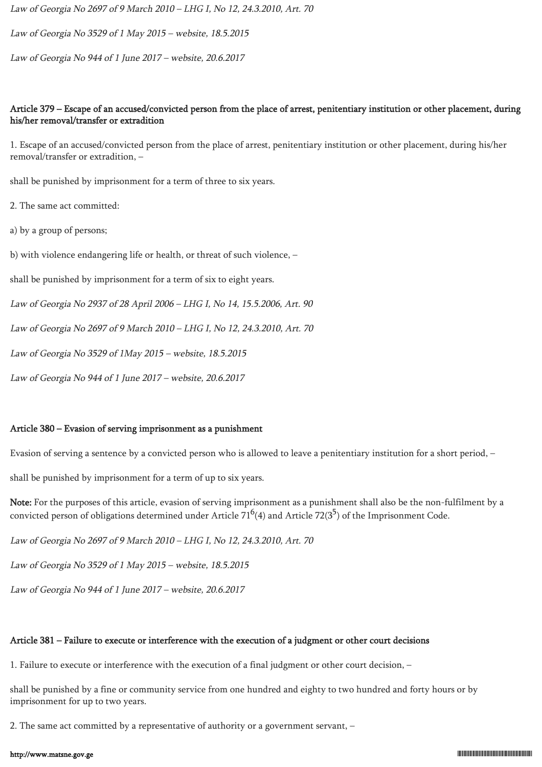Law of Georgia No 2697 of 9 March 2010 – LHG I, No 12, 24.3.2010, Art. 70

Law of Georgia No 3529 of 1 May 2015 – website, 18.5.2015

Law of Georgia No 944 of 1 June 2017 – website, 20.6.2017

## Article 379 – Escape of an accused/convicted person from the place of arrest, penitentiary institution or other placement, during his/her removal/transfer or extradition

1. Escape of an accused/convicted person from the place of arrest, penitentiary institution or other placement, during his/her removal/transfer or extradition, –

shall be punished by imprisonment for a term of three to six years.

2. The same act committed:

a) by a group of persons;

b) with violence endangering life or health, or threat of such violence, –

shall be punished by imprisonment for a term of six to eight years.

Law of Georgia No 2937 of 28 April 2006 – LHG I, No 14, 15.5.2006, Art. 90

Law of Georgia No 2697 of 9 March 2010 – LHG I, No 12, 24.3.2010, Art. 70

Law of Georgia No 3529 of 1May 2015 – website, 18.5.2015

Law of Georgia No 944 of 1 June 2017 – website, 20.6.2017

## Article 380 – Evasion of serving imprisonment as a punishment

Evasion of serving a sentence by a convicted person who is allowed to leave a penitentiary institution for a short period, –

shall be punished by imprisonment for a term of up to six years.

Note: For the purposes of this article, evasion of serving imprisonment as a punishment shall also be the non-fulfilment by a convicted person of obligations determined under Article 71 $^6$ (4) and Article 72(3<sup>5</sup>) of the Imprisonment Code.

Law of Georgia No 2697 of 9 March 2010 – LHG I, No 12, 24.3.2010, Art. 70

Law of Georgia No 3529 of 1 May 2015 – website, 18.5.2015

Law of Georgia No 944 of 1 June 2017 – website, 20.6.2017

# Article 381 – Failure to execute or interference with the execution of a judgment or other court decisions

1. Failure to execute or interference with the execution of a final judgment or other court decision, –

shall be punished by a fine or community service from one hundred and eighty to two hundred and forty hours or by imprisonment for up to two years.

2. The same act committed by a representative of authority or a government servant, –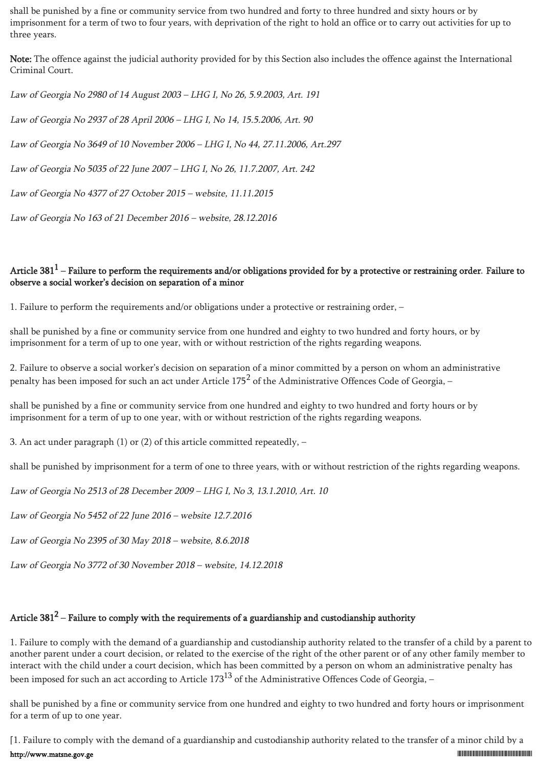shall be punished by a fine or community service from two hundred and forty to three hundred and sixty hours or by imprisonment for a term of two to four years, with deprivation of the right to hold an office or to carry out activities for up to three years.

Note: The offence against the judicial authority provided for by this Section also includes the offence against the International Criminal Court.

Law of Georgia No 2980 of 14 August 2003 – LHG I, No 26, 5.9.2003, Art. 191 Law of Georgia No 2937 of 28 April 2006 – LHG I, No 14, 15.5.2006, Art. 90 Law of Georgia No 3649 of 10 November 2006 – LHG I, No 44, 27.11.2006, Art.297 Law of Georgia No 5035 of 22 June 2007 – LHG I, No 26, 11.7.2007, Art. 242 Law of Georgia No 4377 of 27 October 2015 – website, 11.11.2015

Law of Georgia No 163 of 21 December 2016 – website, 28.12.2016

## Article  $381^1$  – Failure to perform the requirements and/or obligations provided for by a protective or restraining order. Failure to observe a social worker's decision on separation of a minor

1. Failure to perform the requirements and/or obligations under a protective or restraining order, –

shall be punished by a fine or community service from one hundred and eighty to two hundred and forty hours, or by imprisonment for a term of up to one year, with or without restriction of the rights regarding weapons.

2. Failure to observe a social worker's decision on separation of a minor committed by a person on whom an administrative penalty has been imposed for such an act under Article 175 $^2$  of the Administrative Offences Code of Georgia, –

shall be punished by a fine or community service from one hundred and eighty to two hundred and forty hours or by imprisonment for a term of up to one year, with or without restriction of the rights regarding weapons.

3. An act under paragraph (1) or (2) of this article committed repeatedly, –

shall be punished by imprisonment for a term of one to three years, with or without restriction of the rights regarding weapons.

Law of Georgia No 2513 of 28 December 2009 – LHG I, No 3, 13.1.2010, Art. 10

Law of Georgia No 5452 of 22 June 2016 – website 12.7.2016

Law of Georgia No 2395 of 30 May 2018 – website, 8.6.2018

Law of Georgia No 3772 of 30 November 2018 – website, 14.12.2018

# Article  $381^2$  – Failure to comply with the requirements of a guardianship and custodianship authority

1. Failure to comply with the demand of a guardianship and custodianship authority related to the transfer of a child by a parent to another parent under a court decision, or related to the exercise of the right of the other parent or of any other family member to interact with the child under a court decision, which has been committed by a person on whom an administrative penalty has been imposed for such an act according to Article  $173^{13}$  of the Administrative Offences Code of Georgia, –

shall be punished by a fine or community service from one hundred and eighty to two hundred and forty hours or imprisonment for a term of up to one year.

[1. Failure to comply with the demand of a guardianship and custodianship authority related to the transfer of a minor child by a http://www.matsne.gov.ge 080.000.000.05.001.000.648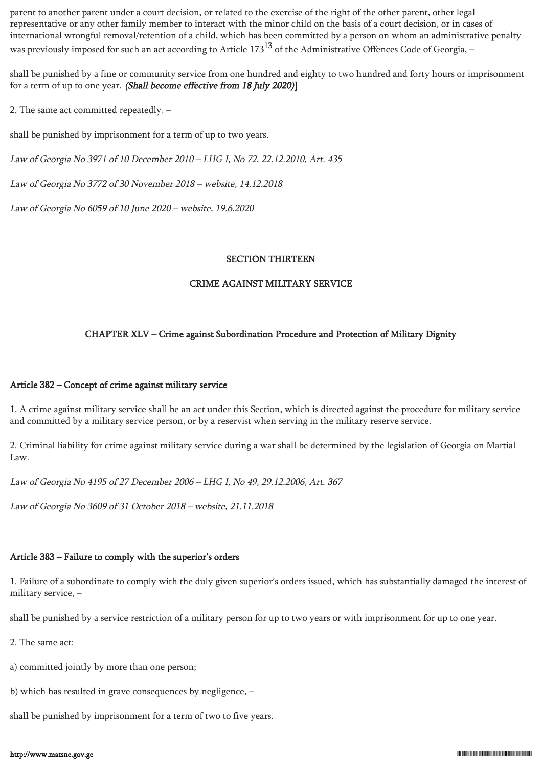parent to another parent under a court decision, or related to the exercise of the right of the other parent, other legal representative or any other family member to interact with the minor child on the basis of a court decision, or in cases of international wrongful removal/retention of a child, which has been committed by a person on whom an administrative penalty was previously imposed for such an act according to Article  $173^{13}$  of the Administrative Offences Code of Georgia, –

shall be punished by a fine or community service from one hundred and eighty to two hundred and forty hours or imprisonment for a term of up to one year. (Shall become effective from 18 July 2020)]

2. The same act committed repeatedly, –

shall be punished by imprisonment for a term of up to two years.

Law of Georgia No 3971 of 10 December 2010 – LHG I, No 72, 22.12.2010, Art. 435

Law of Georgia No 3772 of 30 November 2018 – website, 14.12.2018

Law of Georgia No 6059 of 10 June 2020 – website, 19.6.2020

#### SECTION THIRTEEN

#### CRIME AGAINST MILITARY SERVICE

## CHAPTER XLV – Crime against Subordination Procedure and Protection of Military Dignity

#### Article 382 – Concept of crime against military service

1. A crime against military service shall be an act under this Section, which is directed against the procedure for military service and committed by a military service person, or by a reservist when serving in the military reserve service.

2. Criminal liability for crime against military service during a war shall be determined by the legislation of Georgia on Martial Law.

Law of Georgia No 4195 of 27 December 2006 – LHG I, No 49, 29.12.2006, Art. 367

Law of Georgia No 3609 of 31 October 2018 – website, 21.11.2018

## Article 383 – Failure to comply with the superior's orders

1. Failure of a subordinate to comply with the duly given superior's orders issued, which has substantially damaged the interest of military service, –

shall be punished by a service restriction of a military person for up to two years or with imprisonment for up to one year.

2. The same act:

a) committed jointly by more than one person;

b) which has resulted in grave consequences by negligence, –

shall be punished by imprisonment for a term of two to five years.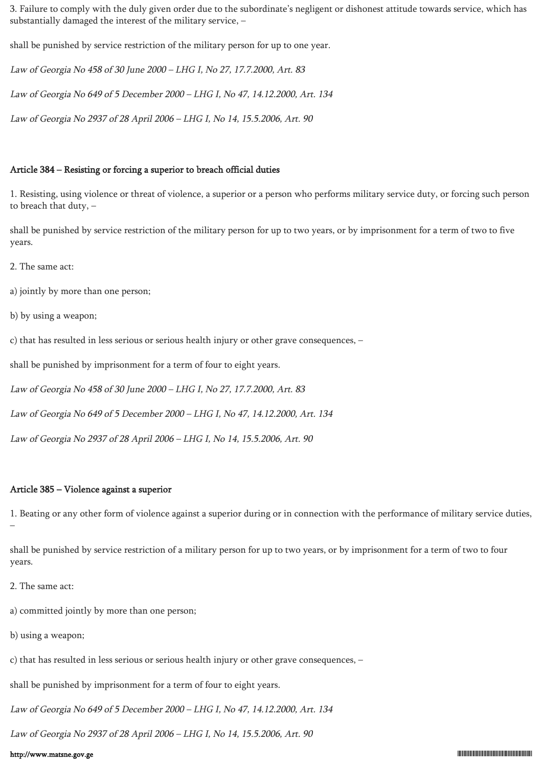3. Failure to comply with the duly given order due to the subordinate's negligent or dishonest attitude towards service, which has substantially damaged the interest of the military service, –

shall be punished by service restriction of the military person for up to one year.

Law of Georgia No 458 of 30 June 2000 – LHG I, No 27, 17.7.2000, Art. 83

Law of Georgia No 649 of 5 December 2000 – LHG I, No 47, 14.12.2000, Art. 134

Law of Georgia No 2937 of 28 April 2006 – LHG I, No 14, 15.5.2006, Art. 90

#### Article 384 – Resisting or forcing a superior to breach official duties

1. Resisting, using violence or threat of violence, a superior or a person who performs military service duty, or forcing such person to breach that duty, –

shall be punished by service restriction of the military person for up to two years, or by imprisonment for a term of two to five years.

2. The same act:

a) jointly by more than one person;

b) by using a weapon;

c) that has resulted in less serious or serious health injury or other grave consequences, –

shall be punished by imprisonment for a term of four to eight years.

Law of Georgia No 458 of 30 June 2000 – LHG I, No 27, 17.7.2000, Art. 83

Law of Georgia No 649 of 5 December 2000 – LHG I, No 47, 14.12.2000, Art. 134

Law of Georgia No 2937 of 28 April 2006 – LHG I, No 14, 15.5.2006, Art. 90

#### Article 385 – Violence against a superior

1. Beating or any other form of violence against a superior during or in connection with the performance of military service duties, –

shall be punished by service restriction of a military person for up to two years, or by imprisonment for a term of two to four years.

2. The same act:

a) committed jointly by more than one person;

b) using a weapon;

c) that has resulted in less serious or serious health injury or other grave consequences, –

shall be punished by imprisonment for a term of four to eight years.

Law of Georgia No 649 of 5 December 2000 – LHG I, No 47, 14.12.2000, Art. 134

Law of Georgia No 2937 of 28 April 2006 – LHG I, No 14, 15.5.2006, Art. 90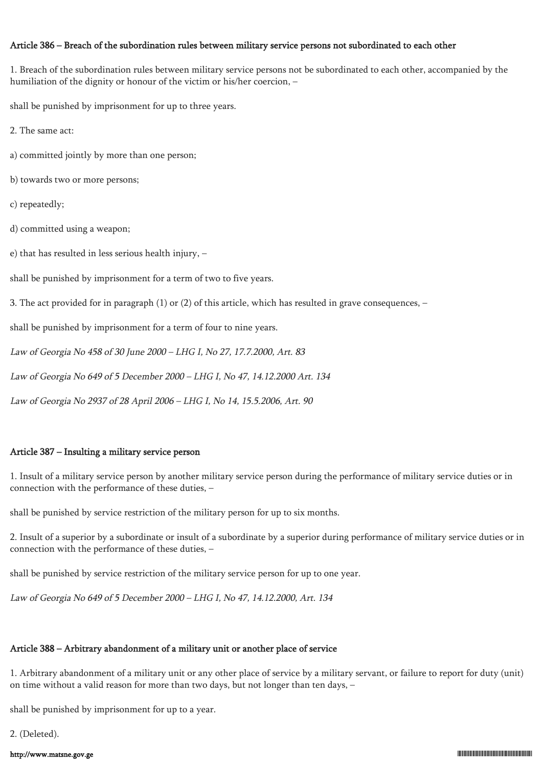### Article 386 – Breach of the subordination rules between military service persons not subordinated to each other

1. Breach of the subordination rules between military service persons not be subordinated to each other, accompanied by the humiliation of the dignity or honour of the victim or his/her coercion, –

shall be punished by imprisonment for up to three years.

- 2. The same act:
- a) committed jointly by more than one person;
- b) towards two or more persons;
- c) repeatedly;
- d) committed using a weapon;
- e) that has resulted in less serious health injury, –
- shall be punished by imprisonment for a term of two to five years.
- 3. The act provided for in paragraph (1) or (2) of this article, which has resulted in grave consequences, –

shall be punished by imprisonment for a term of four to nine years.

Law of Georgia No 458 of 30 June 2000 – LHG I, No 27, 17.7.2000, Art. 83

Law of Georgia No 649 of 5 December 2000 – LHG I, No 47, 14.12.2000 Art. 134

Law of Georgia No 2937 of 28 April 2006 – LHG I, No 14, 15.5.2006, Art. 90

## Article 387 – Insulting a military service person

1. Insult of a military service person by another military service person during the performance of military service duties or in connection with the performance of these duties, –

shall be punished by service restriction of the military person for up to six months.

2. Insult of a superior by a subordinate or insult of a subordinate by a superior during performance of military service duties or in connection with the performance of these duties, –

shall be punished by service restriction of the military service person for up to one year.

Law of Georgia No 649 of 5 December 2000 – LHG I, No 47, 14.12.2000, Art. 134

## Article 388 – Arbitrary abandonment of a military unit or another place of service

1. Arbitrary abandonment of a military unit or any other place of service by a military servant, or failure to report for duty (unit) on time without a valid reason for more than two days, but not longer than ten days, –

shall be punished by imprisonment for up to a year.

2. (Deleted).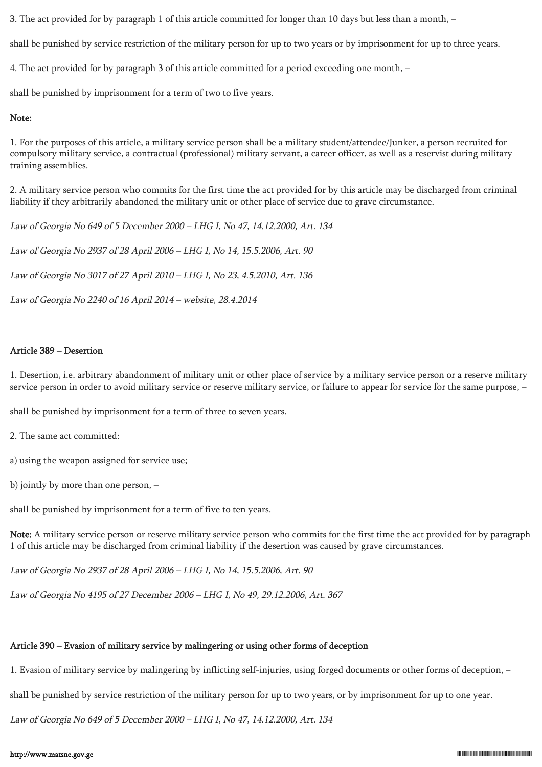3. The act provided for by paragraph 1 of this article committed for longer than 10 days but less than a month, –

shall be punished by service restriction of the military person for up to two years or by imprisonment for up to three years.

4. The act provided for by paragraph 3 of this article committed for a period exceeding one month, –

shall be punished by imprisonment for a term of two to five years.

## Note:

1. For the purposes of this article, a military service person shall be a military student/attendee/Junker, a person recruited for compulsory military service, a contractual (professional) military servant, a career officer, as well as a reservist during military training assemblies.

2. A military service person who commits for the first time the act provided for by this article may be discharged from criminal liability if they arbitrarily abandoned the military unit or other place of service due to grave circumstance.

Law of Georgia No 649 of 5 December 2000 – LHG I, No 47, 14.12.2000, Art. 134

Law of Georgia No 2937 of 28 April 2006 – LHG I, No 14, 15.5.2006, Art. 90

Law of Georgia No 3017 of 27 April 2010 – LHG I, No 23, 4.5.2010, Art. 136

Law of Georgia No 2240 of 16 April 2014 – website, 28.4.2014

## Article 389 – Desertion

1. Desertion, i.e. arbitrary abandonment of military unit or other place of service by a military service person or a reserve military service person in order to avoid military service or reserve military service, or failure to appear for service for the same purpose, –

shall be punished by imprisonment for a term of three to seven years.

2. The same act committed:

a) using the weapon assigned for service use;

b) jointly by more than one person, –

shall be punished by imprisonment for a term of five to ten years.

Note: A military service person or reserve military service person who commits for the first time the act provided for by paragraph 1 of this article may be discharged from criminal liability if the desertion was caused by grave circumstances.

Law of Georgia No 2937 of 28 April 2006 – LHG I, No 14, 15.5.2006, Art. 90

Law of Georgia No 4195 of 27 December 2006 – LHG I, No 49, 29.12.2006, Art. 367

## Article 390 – Evasion of military service by malingering or using other forms of deception

1. Evasion of military service by malingering by inflicting self-injuries, using forged documents or other forms of deception, –

shall be punished by service restriction of the military person for up to two years, or by imprisonment for up to one year.

Law of Georgia No 649 of 5 December 2000 – LHG I, No 47, 14.12.2000, Art. 134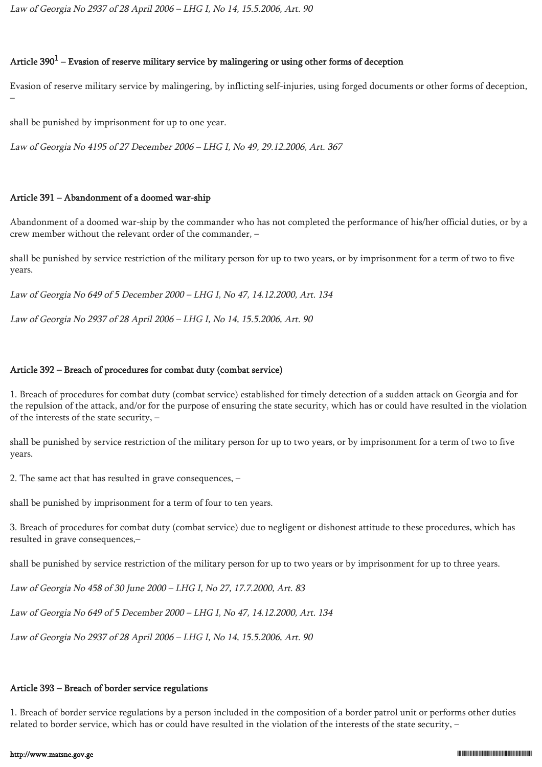# Article 390<sup>1</sup> – Evasion of reserve military service by malingering or using other forms of deception

Evasion of reserve military service by malingering, by inflicting self-injuries, using forged documents or other forms of deception, –

shall be punished by imprisonment for up to one year.

Law of Georgia No 4195 of 27 December 2006 – LHG I, No 49, 29.12.2006, Art. 367

### Article 391 – Abandonment of a doomed war-ship

Abandonment of a doomed war-ship by the commander who has not completed the performance of his/her official duties, or by a crew member without the relevant order of the commander, –

shall be punished by service restriction of the military person for up to two years, or by imprisonment for a term of two to five years.

Law of Georgia No 649 of 5 December 2000 – LHG I, No 47, 14.12.2000, Art. 134

Law of Georgia No 2937 of 28 April 2006 – LHG I, No 14, 15.5.2006, Art. 90

## Article 392 – Breach of procedures for combat duty (combat service)

1. Breach of procedures for combat duty (combat service) established for timely detection of a sudden attack on Georgia and for the repulsion of the attack, and/or for the purpose of ensuring the state security, which has or could have resulted in the violation of the interests of the state security, –

shall be punished by service restriction of the military person for up to two years, or by imprisonment for a term of two to five years.

2. The same act that has resulted in grave consequences, –

shall be punished by imprisonment for a term of four to ten years.

3. Breach of procedures for combat duty (combat service) due to negligent or dishonest attitude to these procedures, which has resulted in grave consequences,–

shall be punished by service restriction of the military person for up to two years or by imprisonment for up to three years.

Law of Georgia No 458 of 30 June 2000 – LHG I, No 27, 17.7.2000, Art. 83

Law of Georgia No 649 of 5 December 2000 – LHG I, No 47, 14.12.2000, Art. 134

Law of Georgia No 2937 of 28 April 2006 – LHG I, No 14, 15.5.2006, Art. 90

## Article 393 – Breach of border service regulations

1. Breach of border service regulations by a person included in the composition of a border patrol unit or performs other duties related to border service, which has or could have resulted in the violation of the interests of the state security, –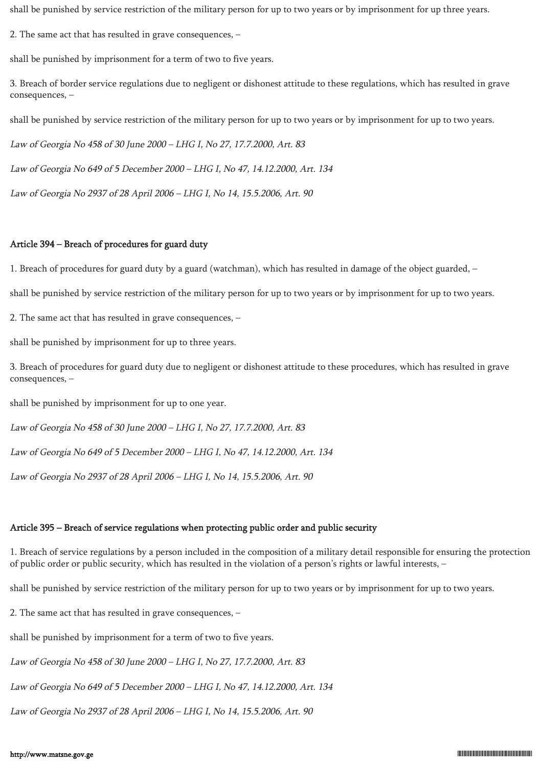shall be punished by service restriction of the military person for up to two years or by imprisonment for up three years.

2. The same act that has resulted in grave consequences, –

shall be punished by imprisonment for a term of two to five years.

3. Breach of border service regulations due to negligent or dishonest attitude to these regulations, which has resulted in grave consequences, –

shall be punished by service restriction of the military person for up to two years or by imprisonment for up to two years.

Law of Georgia No 458 of 30 June 2000 – LHG I, No 27, 17.7.2000, Art. 83

Law of Georgia No 649 of 5 December 2000 – LHG I, No 47, 14.12.2000, Art. 134

Law of Georgia No 2937 of 28 April 2006 – LHG I, No 14, 15.5.2006, Art. 90

## Article 394 – Breach of procedures for guard duty

1. Breach of procedures for guard duty by a guard (watchman), which has resulted in damage of the object guarded, –

shall be punished by service restriction of the military person for up to two years or by imprisonment for up to two years.

2. The same act that has resulted in grave consequences, –

shall be punished by imprisonment for up to three years.

3. Breach of procedures for guard duty due to negligent or dishonest attitude to these procedures, which has resulted in grave consequences, –

shall be punished by imprisonment for up to one year.

Law of Georgia No 458 of 30 June 2000 – LHG I, No 27, 17.7.2000, Art. 83

Law of Georgia No 649 of 5 December 2000 – LHG I, No 47, 14.12.2000, Art. 134

Law of Georgia No 2937 of 28 April 2006 – LHG I, No 14, 15.5.2006, Art. 90

# Article 395 – Breach of service regulations when protecting public order and public security

1. Breach of service regulations by a person included in the composition of a military detail responsible for ensuring the protection of public order or public security, which has resulted in the violation of a person's rights or lawful interests, –

shall be punished by service restriction of the military person for up to two years or by imprisonment for up to two years.

2. The same act that has resulted in grave consequences, –

shall be punished by imprisonment for a term of two to five years.

Law of Georgia No 458 of 30 June 2000 – LHG I, No 27, 17.7.2000, Art. 83

Law of Georgia No 649 of 5 December 2000 – LHG I, No 47, 14.12.2000, Art. 134

Law of Georgia No 2937 of 28 April 2006 – LHG I, No 14, 15.5.2006, Art. 90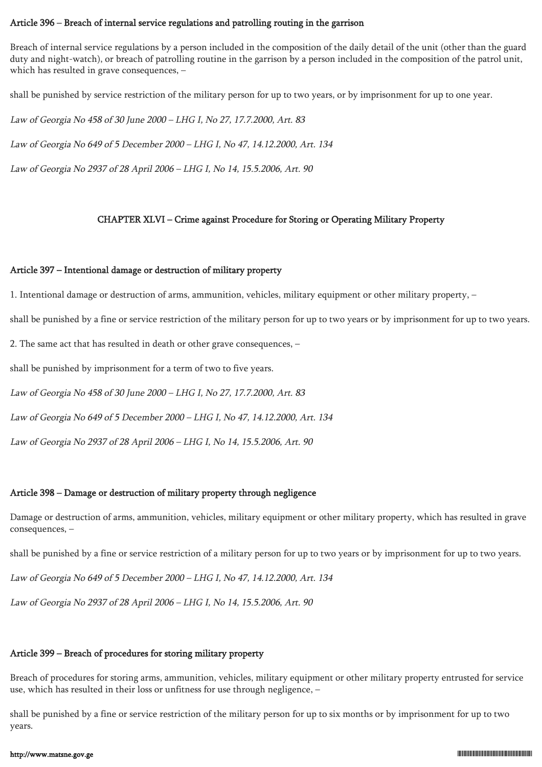### Article 396 – Breach of internal service regulations and patrolling routing in the garrison

Breach of internal service regulations by a person included in the composition of the daily detail of the unit (other than the guard duty and night-watch), or breach of patrolling routine in the garrison by a person included in the composition of the patrol unit, which has resulted in grave consequences, –

shall be punished by service restriction of the military person for up to two years, or by imprisonment for up to one year.

Law of Georgia No 458 of 30 June 2000 – LHG I, No 27, 17.7.2000, Art. 83

Law of Georgia No 649 of 5 December 2000 – LHG I, No 47, 14.12.2000, Art. 134

Law of Georgia No 2937 of 28 April 2006 – LHG I, No 14, 15.5.2006, Art. 90

#### CHAPTER XLVI – Crime against Procedure for Storing or Operating Military Property

#### Article 397 – Intentional damage or destruction of military property

1. Intentional damage or destruction of arms, ammunition, vehicles, military equipment or other military property, –

shall be punished by a fine or service restriction of the military person for up to two years or by imprisonment for up to two years.

2. The same act that has resulted in death or other grave consequences, –

shall be punished by imprisonment for a term of two to five years.

Law of Georgia No 458 of 30 June 2000 – LHG I, No 27, 17.7.2000, Art. 83

Law of Georgia No 649 of 5 December 2000 – LHG I, No 47, 14.12.2000, Art. 134

Law of Georgia No 2937 of 28 April 2006 – LHG I, No 14, 15.5.2006, Art. 90

#### Article 398 – Damage or destruction of military property through negligence

Damage or destruction of arms, ammunition, vehicles, military equipment or other military property, which has resulted in grave consequences, –

shall be punished by a fine or service restriction of a military person for up to two years or by imprisonment for up to two years.

Law of Georgia No 649 of 5 December 2000 – LHG I, No 47, 14.12.2000, Art. 134

Law of Georgia No 2937 of 28 April 2006 – LHG I, No 14, 15.5.2006, Art. 90

## Article 399 – Breach of procedures for storing military property

Breach of procedures for storing arms, ammunition, vehicles, military equipment or other military property entrusted for service use, which has resulted in their loss or unfitness for use through negligence, –

shall be punished by a fine or service restriction of the military person for up to six months or by imprisonment for up to two years.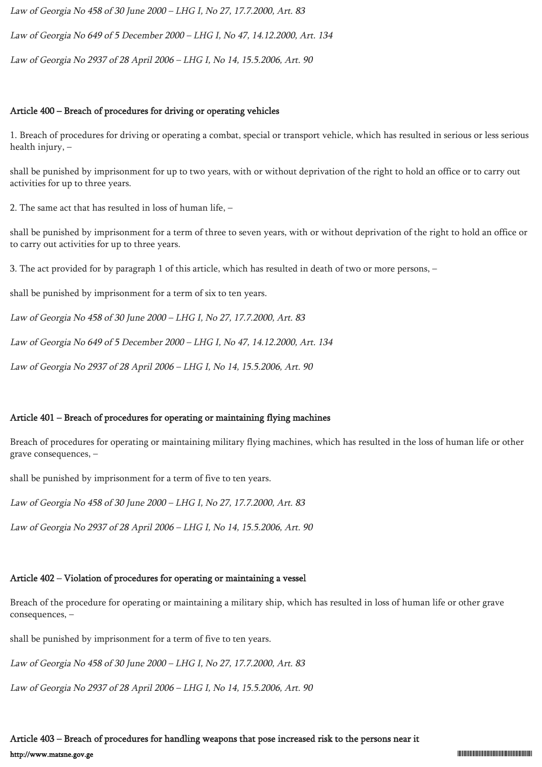Law of Georgia No 458 of 30 June 2000 – LHG I, No 27, 17.7.2000, Art. 83

Law of Georgia No 649 of 5 December 2000 – LHG I, No 47, 14.12.2000, Art. 134

Law of Georgia No 2937 of 28 April 2006 – LHG I, No 14, 15.5.2006, Art. 90

#### Article 400 – Breach of procedures for driving or operating vehicles

1. Breach of procedures for driving or operating a combat, special or transport vehicle, which has resulted in serious or less serious health injury, –

shall be punished by imprisonment for up to two years, with or without deprivation of the right to hold an office or to carry out activities for up to three years.

2. The same act that has resulted in loss of human life, –

shall be punished by imprisonment for a term of three to seven years, with or without deprivation of the right to hold an office or to carry out activities for up to three years.

3. The act provided for by paragraph 1 of this article, which has resulted in death of two or more persons, –

shall be punished by imprisonment for a term of six to ten years.

Law of Georgia No 458 of 30 June 2000 – LHG I, No 27, 17.7.2000, Art. 83

Law of Georgia No 649 of 5 December 2000 – LHG I, No 47, 14.12.2000, Art. 134

Law of Georgia No 2937 of 28 April 2006 – LHG I, No 14, 15.5.2006, Art. 90

#### Article 401 – Breach of procedures for operating or maintaining flying machines

Breach of procedures for operating or maintaining military flying machines, which has resulted in the loss of human life or other grave consequences, –

shall be punished by imprisonment for a term of five to ten years.

Law of Georgia No 458 of 30 June 2000 – LHG I, No 27, 17.7.2000, Art. 83

Law of Georgia No 2937 of 28 April 2006 – LHG I, No 14, 15.5.2006, Art. 90

# Article 402 – Violation of procedures for operating or maintaining a vessel

Breach of the procedure for operating or maintaining a military ship, which has resulted in loss of human life or other grave consequences, –

shall be punished by imprisonment for a term of five to ten years.

Law of Georgia No 458 of 30 June 2000 – LHG I, No 27, 17.7.2000, Art. 83

Law of Georgia No 2937 of 28 April 2006 – LHG I, No 14, 15.5.2006, Art. 90

## Article 403 – Breach of procedures for handling weapons that pose increased risk to the persons near it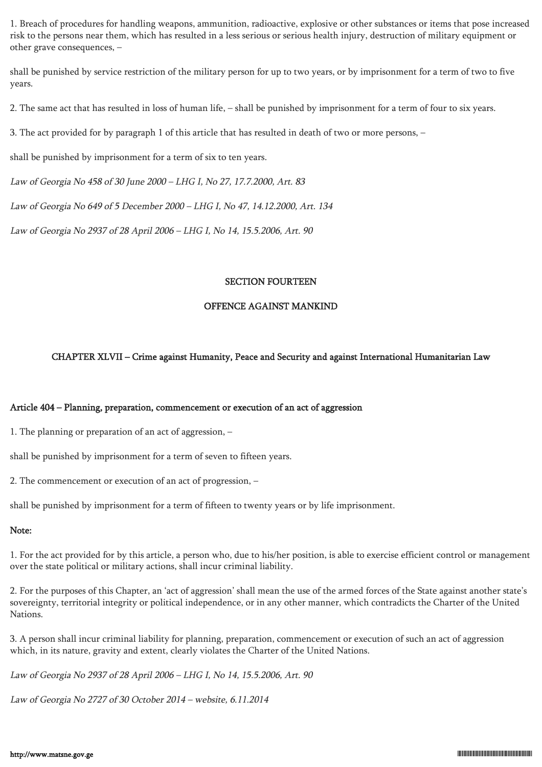1. Breach of procedures for handling weapons, ammunition, radioactive, explosive or other substances or items that pose increased risk to the persons near them, which has resulted in a less serious or serious health injury, destruction of military equipment or other grave consequences, –

shall be punished by service restriction of the military person for up to two years, or by imprisonment for a term of two to five years.

2. The same act that has resulted in loss of human life, – shall be punished by imprisonment for a term of four to six years.

3. The act provided for by paragraph 1 of this article that has resulted in death of two or more persons, –

shall be punished by imprisonment for a term of six to ten years.

Law of Georgia No 458 of 30 June 2000 – LHG I, No 27, 17.7.2000, Art. 83

Law of Georgia No 649 of 5 December 2000 – LHG I, No 47, 14.12.2000, Art. 134

Law of Georgia No 2937 of 28 April 2006 – LHG I, No 14, 15.5.2006, Art. 90

### SECTION FOURTEEN

## OFFENCE AGAINST MANKIND

## CHAPTER XLVII – Crime against Humanity, Peace and Security and against International Humanitarian Law

#### Article 404 – Planning, preparation, commencement or execution of an act of aggression

1. The planning or preparation of an act of aggression, –

shall be punished by imprisonment for a term of seven to fifteen years.

2. The commencement or execution of an act of progression, –

shall be punished by imprisonment for a term of fifteen to twenty years or by life imprisonment.

#### Note:

1. For the act provided for by this article, a person who, due to his/her position, is able to exercise efficient control or management over the state political or military actions, shall incur criminal liability.

2. For the purposes of this Chapter, an 'act of aggression' shall mean the use of the armed forces of the State against another state's sovereignty, territorial integrity or political independence, or in any other manner, which contradicts the Charter of the United Nations.

3. A person shall incur criminal liability for planning, preparation, commencement or execution of such an act of aggression which, in its nature, gravity and extent, clearly violates the Charter of the United Nations.

Law of Georgia No 2937 of 28 April 2006 – LHG I, No 14, 15.5.2006, Art. 90

Law of Georgia No 2727 of 30 October 2014 – website, 6.11.2014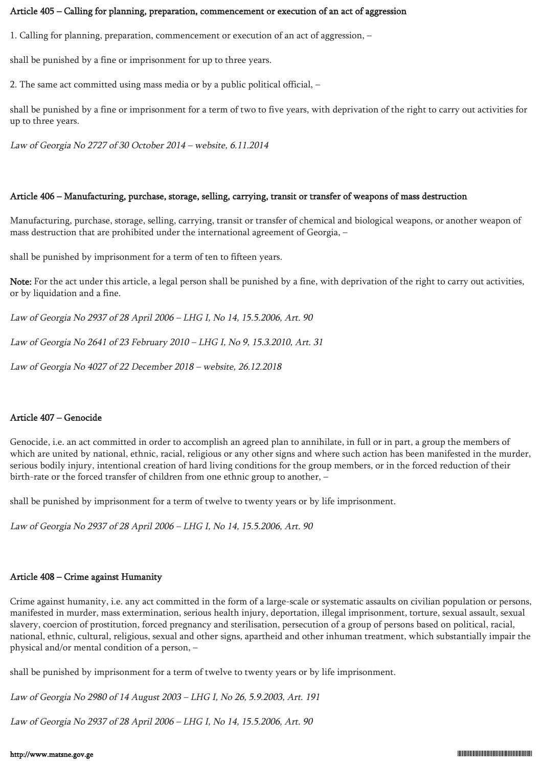### Article 405 – Calling for planning, preparation, commencement or execution of an act of aggression

1. Calling for planning, preparation, commencement or execution of an act of aggression, –

shall be punished by a fine or imprisonment for up to three years.

2. The same act committed using mass media or by a public political official, –

shall be punished by a fine or imprisonment for a term of two to five years, with deprivation of the right to carry out activities for up to three years.

Law of Georgia No 2727 of 30 October 2014 – website, 6.11.2014

#### Article 406 – Manufacturing, purchase, storage, selling, carrying, transit or transfer of weapons of mass destruction

Manufacturing, purchase, storage, selling, carrying, transit or transfer of chemical and biological weapons, or another weapon of mass destruction that are prohibited under the international agreement of Georgia, –

shall be punished by imprisonment for a term of ten to fifteen years.

Note: For the act under this article, a legal person shall be punished by a fine, with deprivation of the right to carry out activities, or by liquidation and a fine.

Law of Georgia No 2937 of 28 April 2006 – LHG I, No 14, 15.5.2006, Art. 90

Law of Georgia No 2641 of 23 February 2010 – LHG I, No 9, 15.3.2010, Art. 31

Law of Georgia No 4027 of 22 December 2018 – website, 26.12.2018

#### Article 407 – Genocide

Genocide, i.e. an act committed in order to accomplish an agreed plan to annihilate, in full or in part, a group the members of which are united by national, ethnic, racial, religious or any other signs and where such action has been manifested in the murder, serious bodily injury, intentional creation of hard living conditions for the group members, or in the forced reduction of their birth-rate or the forced transfer of children from one ethnic group to another, –

shall be punished by imprisonment for a term of twelve to twenty years or by life imprisonment.

Law of Georgia No 2937 of 28 April 2006 – LHG I, No 14, 15.5.2006, Art. 90

#### Article 408 – Crime against Humanity

Crime against humanity, i.e. any act committed in the form of a large-scale or systematic assaults on civilian population or persons, manifested in murder, mass extermination, serious health injury, deportation, illegal imprisonment, torture, sexual assault, sexual slavery, coercion of prostitution, forced pregnancy and sterilisation, persecution of a group of persons based on political, racial, national, ethnic, cultural, religious, sexual and other signs, apartheid and other inhuman treatment, which substantially impair the physical and/or mental condition of a person, –

shall be punished by imprisonment for a term of twelve to twenty years or by life imprisonment.

Law of Georgia No 2980 of 14 August 2003 – LHG I, No 26, 5.9.2003, Art. 191

Law of Georgia No 2937 of 28 April 2006 – LHG I, No 14, 15.5.2006, Art. 90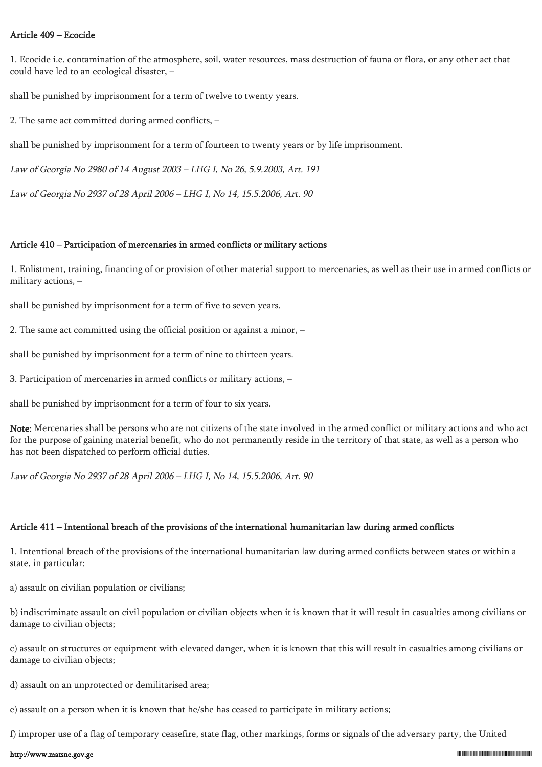### Article 409 – Ecocide

1. Ecocide i.e. contamination of the atmosphere, soil, water resources, mass destruction of fauna or flora, or any other act that could have led to an ecological disaster, –

shall be punished by imprisonment for a term of twelve to twenty years.

2. The same act committed during armed conflicts, –

shall be punished by imprisonment for a term of fourteen to twenty years or by life imprisonment.

Law of Georgia No 2980 of 14 August 2003 – LHG I, No 26, 5.9.2003, Art. 191

Law of Georgia No 2937 of 28 April 2006 – LHG I, No 14, 15.5.2006, Art. 90

#### Article 410 – Participation of mercenaries in armed conflicts or military actions

1. Enlistment, training, financing of or provision of other material support to mercenaries, as well as their use in armed conflicts or military actions, –

shall be punished by imprisonment for a term of five to seven years.

2. The same act committed using the official position or against a minor, –

shall be punished by imprisonment for a term of nine to thirteen years.

3. Participation of mercenaries in armed conflicts or military actions, –

shall be punished by imprisonment for a term of four to six years.

Note: Mercenaries shall be persons who are not citizens of the state involved in the armed conflict or military actions and who act for the purpose of gaining material benefit, who do not permanently reside in the territory of that state, as well as a person who has not been dispatched to perform official duties.

Law of Georgia No 2937 of 28 April 2006 – LHG I, No 14, 15.5.2006, Art. 90

#### Article 411 – Intentional breach of the provisions of the international humanitarian law during armed conflicts

1. Intentional breach of the provisions of the international humanitarian law during armed conflicts between states or within a state, in particular:

a) assault on civilian population or civilians;

b) indiscriminate assault on civil population or civilian objects when it is known that it will result in casualties among civilians or damage to civilian objects;

c) assault on structures or equipment with elevated danger, when it is known that this will result in casualties among civilians or damage to civilian objects;

d) assault on an unprotected or demilitarised area;

e) assault on a person when it is known that he/she has ceased to participate in military actions;

f) improper use of a flag of temporary ceasefire, state flag, other markings, forms or signals of the adversary party, the United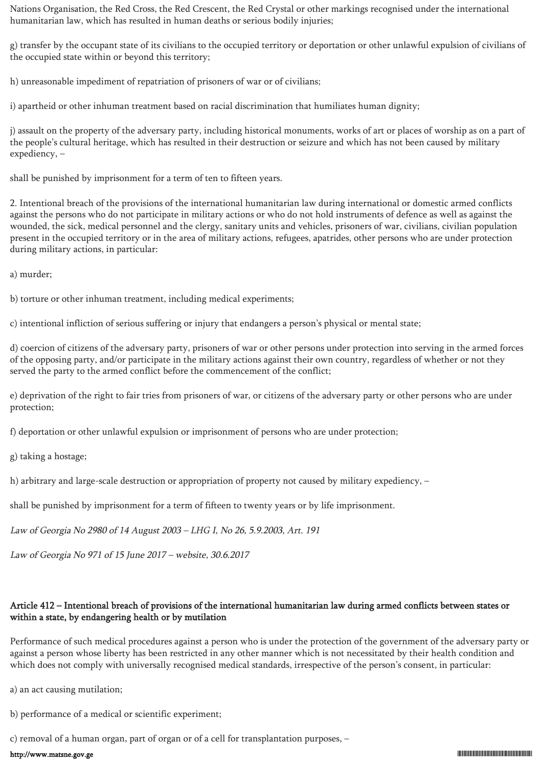Nations Organisation, the Red Cross, the Red Crescent, the Red Crystal or other markings recognised under the international humanitarian law, which has resulted in human deaths or serious bodily injuries;

g) transfer by the occupant state of its civilians to the occupied territory or deportation or other unlawful expulsion of civilians of the occupied state within or beyond this territory;

h) unreasonable impediment of repatriation of prisoners of war or of civilians;

i) apartheid or other inhuman treatment based on racial discrimination that humiliates human dignity;

j) assault on the property of the adversary party, including historical monuments, works of art or places of worship as on a part of the people's cultural heritage, which has resulted in their destruction or seizure and which has not been caused by military expediency, –

shall be punished by imprisonment for a term of ten to fifteen years.

2. Intentional breach of the provisions of the international humanitarian law during international or domestic armed conflicts against the persons who do not participate in military actions or who do not hold instruments of defence as well as against the wounded, the sick, medical personnel and the clergy, sanitary units and vehicles, prisoners of war, civilians, civilian population present in the occupied territory or in the area of military actions, refugees, apatrides, other persons who are under protection during military actions, in particular:

a) murder;

b) torture or other inhuman treatment, including medical experiments;

c) intentional infliction of serious suffering or injury that endangers a person's physical or mental state;

d) coercion of citizens of the adversary party, prisoners of war or other persons under protection into serving in the armed forces of the opposing party, and/or participate in the military actions against their own country, regardless of whether or not they served the party to the armed conflict before the commencement of the conflict;

e) deprivation of the right to fair tries from prisoners of war, or citizens of the adversary party or other persons who are under protection;

f) deportation or other unlawful expulsion or imprisonment of persons who are under protection;

g) taking a hostage;

h) arbitrary and large-scale destruction or appropriation of property not caused by military expediency, –

shall be punished by imprisonment for a term of fifteen to twenty years or by life imprisonment.

Law of Georgia No 2980 of 14 August 2003 – LHG I, No 26, 5.9.2003, Art. 191

Law of Georgia No 971 of 15 June 2017 – website, 30.6.2017

## Article 412 – Intentional breach of provisions of the international humanitarian law during armed conflicts between states or within a state, by endangering health or by mutilation

Performance of such medical procedures against a person who is under the protection of the government of the adversary party or against a person whose liberty has been restricted in any other manner which is not necessitated by their health condition and which does not comply with universally recognised medical standards, irrespective of the person's consent, in particular:

a) an act causing mutilation;

b) performance of a medical or scientific experiment;

c) removal of a human organ, part of organ or of a cell for transplantation purposes, –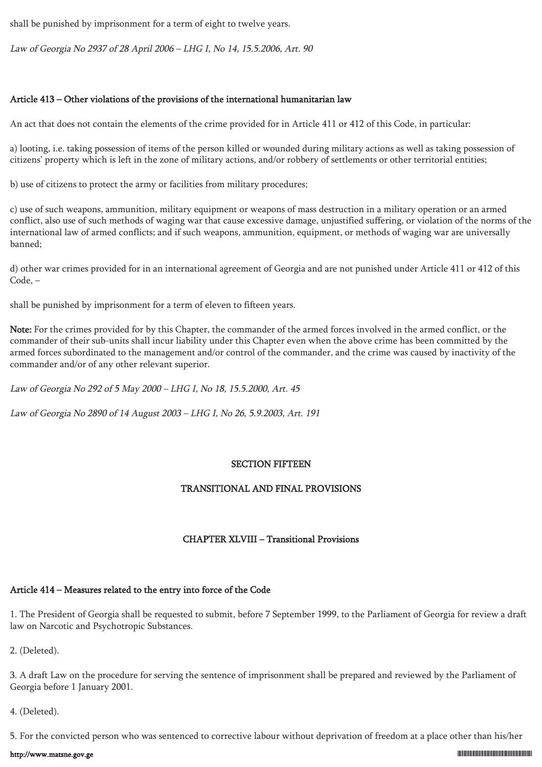shall be punished by imprisonment for a term of eight to twelve years.

Law of Georgia No 2937 of 28 April 2006 – LHG I, No 14, 15.5.2006, Art. 90

## Article 413 – Other violations of the provisions of the international humanitarian law

An act that does not contain the elements of the crime provided for in Article 411 or 412 of this Code, in particular:

a) looting, i.e. taking possession of items of the person killed or wounded during military actions as well as taking possession of citizens' property which is left in the zone of military actions, and/or robbery of settlements or other territorial entities;

b) use of citizens to protect the army or facilities from military procedures;

c) use of such weapons, ammunition, military equipment or weapons of mass destruction in a military operation or an armed conflict, also use of such methods of waging war that cause excessive damage, unjustified suffering, or violation of the norms of the international law of armed conflicts; and if such weapons, ammunition, equipment, or methods of waging war are universally banned;

d) other war crimes provided for in an international agreement of Georgia and are not punished under Article 411 or 412 of this Code, –

shall be punished by imprisonment for a term of eleven to fifteen years.

Note: For the crimes provided for by this Chapter, the commander of the armed forces involved in the armed conflict, or the commander of their sub-units shall incur liability under this Chapter even when the above crime has been committed by the armed forces subordinated to the management and/or control of the commander, and the crime was caused by inactivity of the commander and/or of any other relevant superior.

Law of Georgia No 292 of 5 May 2000 – LHG I, No 18, 15.5.2000, Art. 45

Law of Georgia No 2890 of 14 August 2003 – LHG I, No 26, 5.9.2003, Art. 191

## SECTION FIFTEEN

## TRANSITIONAL AND FINAL PROVISIONS

## CHAPTER XLVIII – Transitional Provisions

# Article 414 – Measures related to the entry into force of the Code

1. The President of Georgia shall be requested to submit, before 7 September 1999, to the Parliament of Georgia for review a draft law on Narcotic and Psychotropic Substances.

2. (Deleted).

3. A draft Law on the procedure for serving the sentence of imprisonment shall be prepared and reviewed by the Parliament of Georgia before 1 January 2001.

4. (Deleted).

5. For the convicted person who was sentenced to corrective labour without deprivation of freedom at a place other than his/her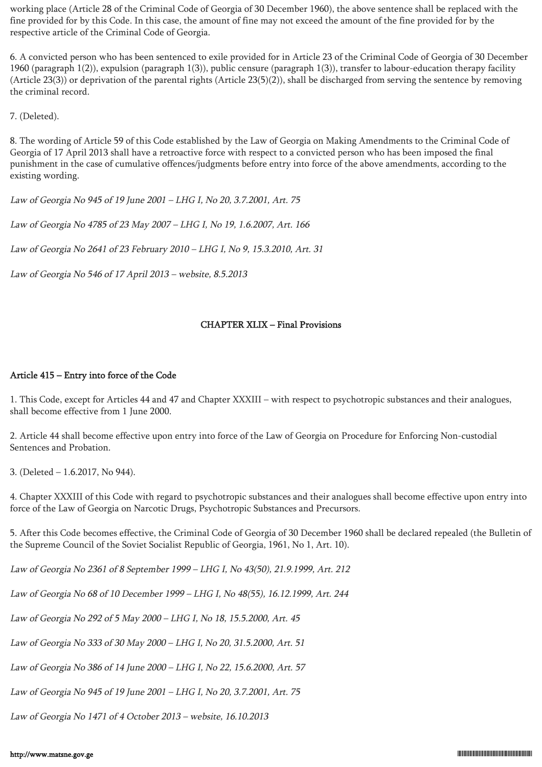working place (Article 28 of the Criminal Code of Georgia of 30 December 1960), the above sentence shall be replaced with the fine provided for by this Code. In this case, the amount of fine may not exceed the amount of the fine provided for by the respective article of the Criminal Code of Georgia.

6. A convicted person who has been sentenced to exile provided for in Article 23 of the Criminal Code of Georgia of 30 December 1960 (paragraph 1(2)), expulsion (paragraph 1(3)), public censure (paragraph 1(3)), transfer to labour-education therapy facility (Article 23(3)) or deprivation of the parental rights (Article 23(5)(2)), shall be discharged from serving the sentence by removing the criminal record.

7. (Deleted).

8. The wording of Article 59 of this Code established by the Law of Georgia on Making Amendments to the Criminal Code of Georgia of 17 April 2013 shall have a retroactive force with respect to a convicted person who has been imposed the final punishment in the case of cumulative offences/judgments before entry into force of the above amendments, according to the existing wording.

Law of Georgia No 945 of 19 June 2001 – LHG I, No 20, 3.7.2001, Art. 75

Law of Georgia No 4785 of 23 May 2007 – LHG I, No 19, 1.6.2007, Art. 166

Law of Georgia No 2641 of 23 February 2010 – LHG I, No 9, 15.3.2010, Art. 31

Law of Georgia No 546 of 17 April 2013 – website, 8.5.2013

## CHAPTER XLIX – Final Provisions

## Article 415 – Entry into force of the Code

1. This Code, except for Articles 44 and 47 and Chapter XXXIII – with respect to psychotropic substances and their analogues, shall become effective from 1 June 2000.

2. Article 44 shall become effective upon entry into force of the Law of Georgia on Procedure for Enforcing Non-custodial Sentences and Probation.

3. (Deleted – 1.6.2017, No 944).

4. Chapter XXXIII of this Code with regard to psychotropic substances and their analogues shall become effective upon entry into force of the Law of Georgia on Narcotic Drugs, Psychotropic Substances and Precursors.

5. After this Code becomes effective, the Criminal Code of Georgia of 30 December 1960 shall be declared repealed (the Bulletin of the Supreme Council of the Soviet Socialist Republic of Georgia, 1961, No 1, Art. 10).

Law of Georgia No 2361 of 8 September 1999 – LHG I, No 43(50), 21.9.1999, Art. 212

Law of Georgia No 68 of 10 December 1999 – LHG I, No 48(55), 16.12.1999, Art. 244

Law of Georgia No 292 of 5 May 2000 – LHG I, No 18, 15.5.2000, Art. 45

Law of Georgia No 333 of 30 May 2000 – LHG I, No 20, 31.5.2000, Art. 51

Law of Georgia No 386 of 14 June 2000 – LHG I, No 22, 15.6.2000, Art. 57

Law of Georgia No 945 of 19 June 2001 – LHG I, No 20, 3.7.2001, Art. 75

Law of Georgia No 1471 of 4 October 2013 – website, 16.10.2013